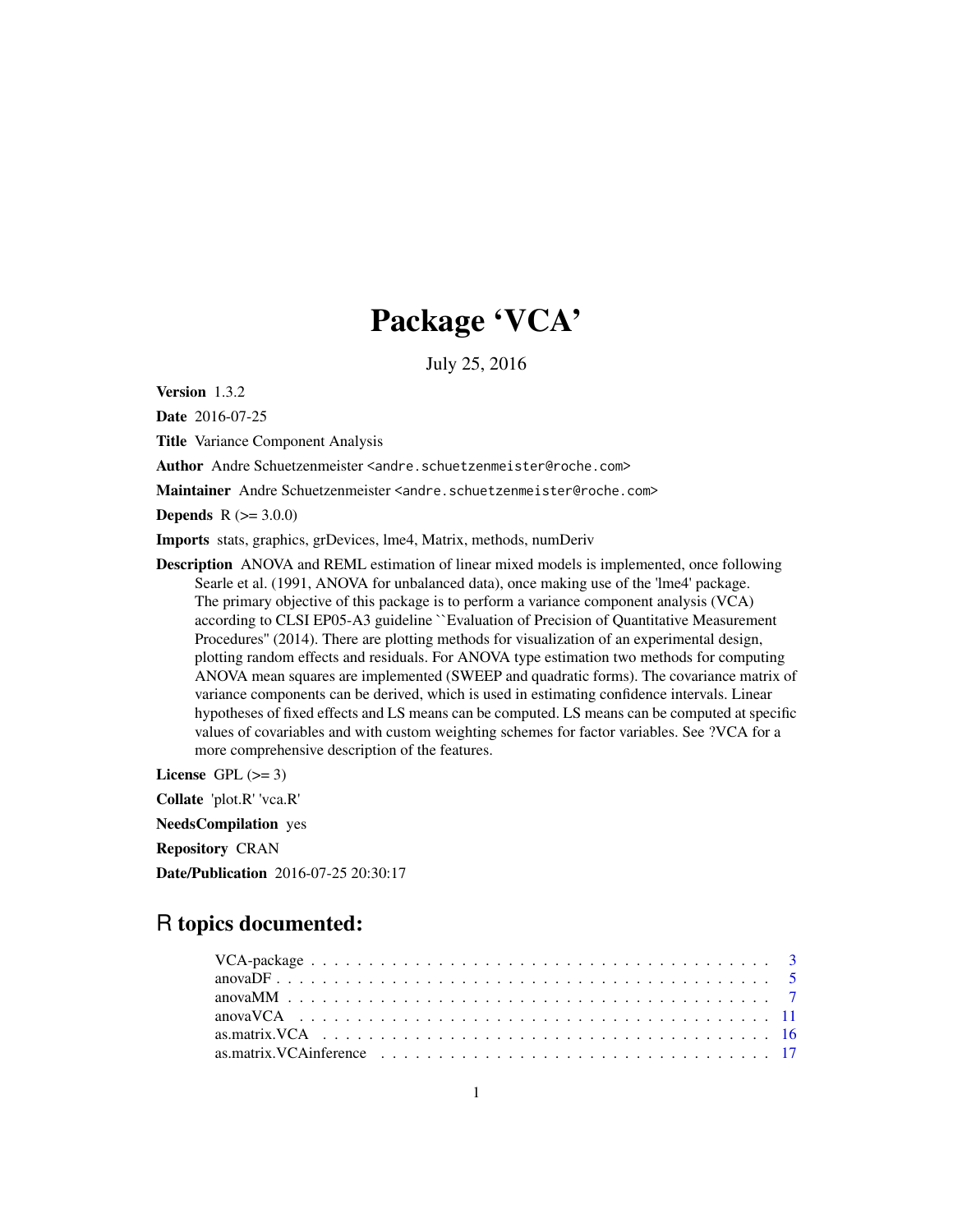# Package 'VCA'

July 25, 2016

<span id="page-0-0"></span>Version 1.3.2

Date 2016-07-25

Title Variance Component Analysis

Author Andre Schuetzenmeister <andre.schuetzenmeister@roche.com>

Maintainer Andre Schuetzenmeister <andre.schuetzenmeister@roche.com>

**Depends**  $R (= 3.0.0)$ 

Imports stats, graphics, grDevices, lme4, Matrix, methods, numDeriv

Description ANOVA and REML estimation of linear mixed models is implemented, once following Searle et al. (1991, ANOVA for unbalanced data), once making use of the 'lme4' package. The primary objective of this package is to perform a variance component analysis (VCA) according to CLSI EP05-A3 guideline ``Evaluation of Precision of Quantitative Measurement Procedures'' (2014). There are plotting methods for visualization of an experimental design, plotting random effects and residuals. For ANOVA type estimation two methods for computing ANOVA mean squares are implemented (SWEEP and quadratic forms). The covariance matrix of variance components can be derived, which is used in estimating confidence intervals. Linear hypotheses of fixed effects and LS means can be computed. LS means can be computed at specific values of covariables and with custom weighting schemes for factor variables. See ?VCA for a more comprehensive description of the features.

License GPL  $(>= 3)$ 

Collate 'plot.R' 'vca.R'

NeedsCompilation yes

Repository CRAN

Date/Publication 2016-07-25 20:30:17

# R topics documented: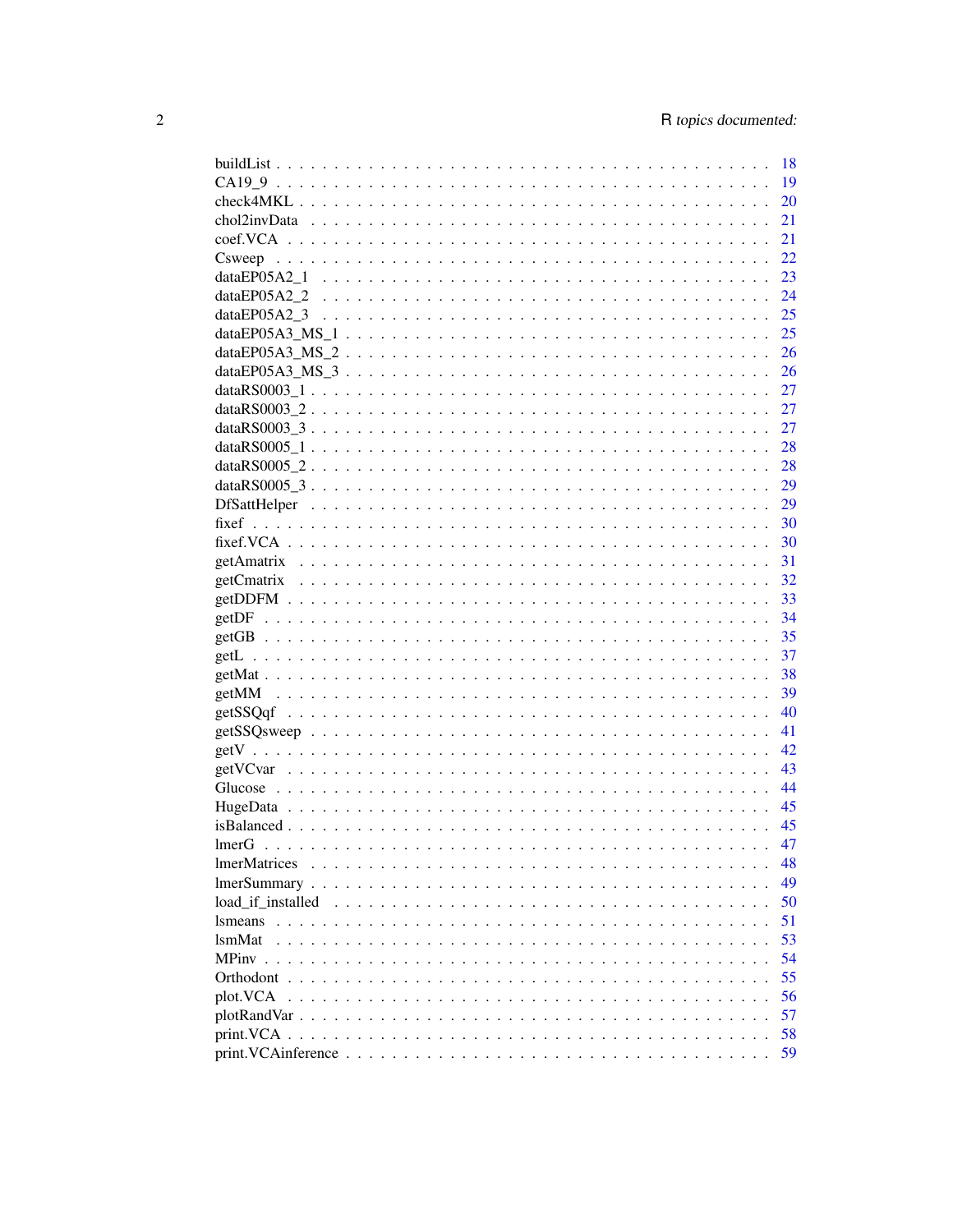|                                                                                                              | - 18 |
|--------------------------------------------------------------------------------------------------------------|------|
|                                                                                                              | 19   |
|                                                                                                              | 20   |
|                                                                                                              | 21   |
|                                                                                                              | 21   |
|                                                                                                              | 22   |
|                                                                                                              | 23   |
|                                                                                                              | - 24 |
|                                                                                                              | - 25 |
|                                                                                                              | 25   |
| $dataEPO5A3_MS_2 \ldots \ldots \ldots \ldots \ldots \ldots \ldots \ldots \ldots \ldots \ldots \ldots \ldots$ | - 26 |
|                                                                                                              |      |
|                                                                                                              |      |
|                                                                                                              |      |
|                                                                                                              |      |
|                                                                                                              |      |
|                                                                                                              |      |
|                                                                                                              |      |
|                                                                                                              |      |
|                                                                                                              |      |
|                                                                                                              |      |
|                                                                                                              |      |
|                                                                                                              |      |
|                                                                                                              |      |
|                                                                                                              |      |
|                                                                                                              |      |
|                                                                                                              |      |
|                                                                                                              |      |
|                                                                                                              |      |
|                                                                                                              |      |
|                                                                                                              |      |
|                                                                                                              |      |
|                                                                                                              |      |
|                                                                                                              |      |
|                                                                                                              |      |
|                                                                                                              |      |
|                                                                                                              |      |
| <b>ImerMatrices</b>                                                                                          | 48   |
|                                                                                                              | 49   |
| load if installed                                                                                            | 50   |
| <i>s</i> means                                                                                               | 51   |
| <b>lsmMat</b>                                                                                                | 53   |
|                                                                                                              | 54   |
|                                                                                                              | 55   |
| plot.VCA                                                                                                     | 56   |
|                                                                                                              | 57   |
|                                                                                                              | 58   |
|                                                                                                              | 59   |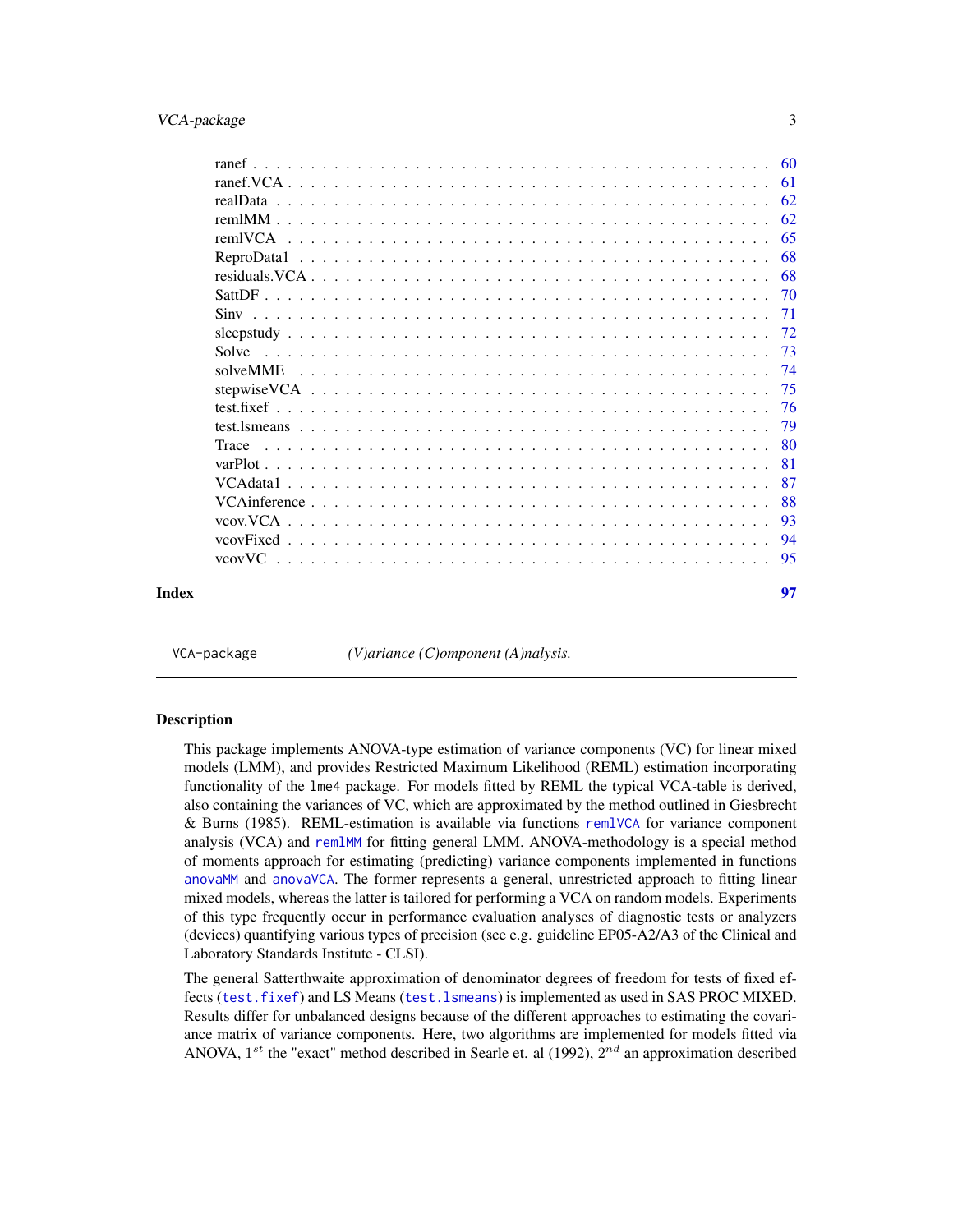# <span id="page-2-0"></span>VCA-package 3

|       |          | 60  |
|-------|----------|-----|
|       |          | -61 |
|       |          |     |
|       |          | -62 |
|       |          | -65 |
|       |          | 68  |
|       |          | 68  |
|       |          | -70 |
|       |          | 71  |
|       |          | -72 |
|       | Solve    | 73  |
|       | solveMME | -74 |
|       |          | 75  |
|       |          | -76 |
|       |          | 79  |
|       | Trace    | -80 |
|       |          | 81  |
|       |          | 87  |
|       |          | 88  |
|       |          | 93  |
|       |          | 94  |
|       | vcovVC   | 95  |
|       |          |     |
| Index |          | 97  |
|       |          |     |
|       |          |     |

VCA-package *(V)ariance (C)omponent (A)nalysis.*

#### Description

This package implements ANOVA-type estimation of variance components (VC) for linear mixed models (LMM), and provides Restricted Maximum Likelihood (REML) estimation incorporating functionality of the lme4 package. For models fitted by REML the typical VCA-table is derived, also containing the variances of VC, which are approximated by the method outlined in Giesbrecht & Burns (1985). REML-estimation is available via functions [remlVCA](#page-64-1) for variance component analysis (VCA) and [remlMM](#page-61-1) for fitting general LMM. ANOVA-methodology is a special method of moments approach for estimating (predicting) variance components implemented in functions [anovaMM](#page-6-1) and [anovaVCA](#page-10-1). The former represents a general, unrestricted approach to fitting linear mixed models, whereas the latter is tailored for performing a VCA on random models. Experiments of this type frequently occur in performance evaluation analyses of diagnostic tests or analyzers (devices) quantifying various types of precision (see e.g. guideline EP05-A2/A3 of the Clinical and Laboratory Standards Institute - CLSI).

The general Satterthwaite approximation of denominator degrees of freedom for tests of fixed effects ([test.fixef](#page-75-1)) and LS Means ([test.lsmeans](#page-78-1)) is implemented as used in SAS PROC MIXED. Results differ for unbalanced designs because of the different approaches to estimating the covariance matrix of variance components. Here, two algorithms are implemented for models fitted via ANOVA, 1<sup>st</sup> the "exact" method described in Searle et. al (1992),  $2^{nd}$  an approximation described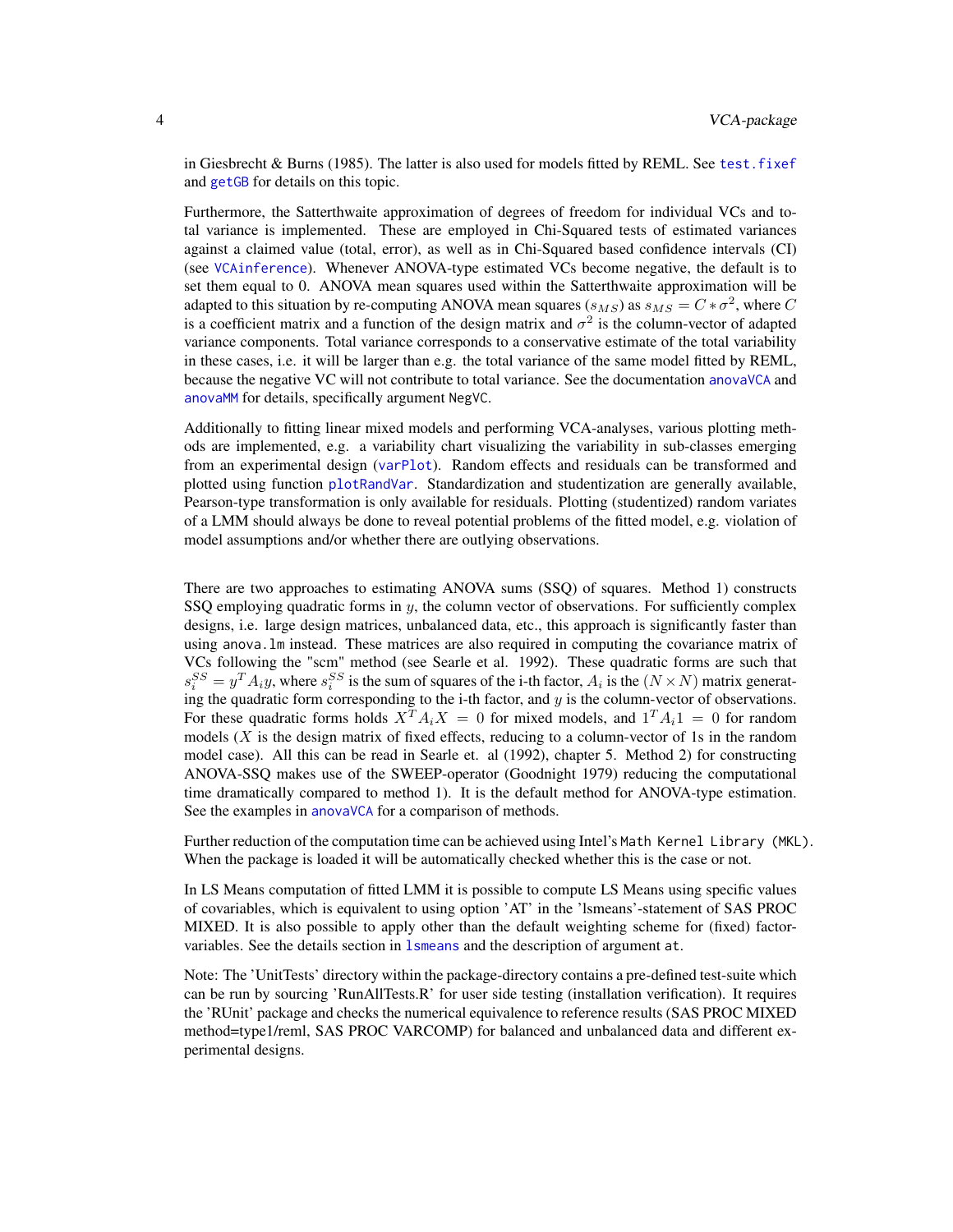in Giesbrecht & Burns (1985). The latter is also used for models fitted by REML. See [test.fixef](#page-75-1) and [getGB](#page-34-1) for details on this topic.

Furthermore, the Satterthwaite approximation of degrees of freedom for individual VCs and total variance is implemented. These are employed in Chi-Squared tests of estimated variances against a claimed value (total, error), as well as in Chi-Squared based confidence intervals (CI) (see [VCAinference](#page-87-1)). Whenever ANOVA-type estimated VCs become negative, the default is to set them equal to 0. ANOVA mean squares used within the Satterthwaite approximation will be adapted to this situation by re-computing ANOVA mean squares  $(s_{MS})$  as  $s_{MS} = C * \sigma^2$ , where C is a coefficient matrix and a function of the design matrix and  $\sigma^2$  is the column-vector of adapted variance components. Total variance corresponds to a conservative estimate of the total variability in these cases, i.e. it will be larger than e.g. the total variance of the same model fitted by REML, because the negative VC will not contribute to total variance. See the documentation [anovaVCA](#page-10-1) and [anovaMM](#page-6-1) for details, specifically argument NegVC.

Additionally to fitting linear mixed models and performing VCA-analyses, various plotting methods are implemented, e.g. a variability chart visualizing the variability in sub-classes emerging from an experimental design ([varPlot](#page-80-1)). Random effects and residuals can be transformed and plotted using function [plotRandVar](#page-56-1). Standardization and studentization are generally available, Pearson-type transformation is only available for residuals. Plotting (studentized) random variates of a LMM should always be done to reveal potential problems of the fitted model, e.g. violation of model assumptions and/or whether there are outlying observations.

There are two approaches to estimating ANOVA sums (SSQ) of squares. Method 1) constructs SSQ employing quadratic forms in  $y$ , the column vector of observations. For sufficiently complex designs, i.e. large design matrices, unbalanced data, etc., this approach is significantly faster than using anova.lm instead. These matrices are also required in computing the covariance matrix of VCs following the "scm" method (see Searle et al. 1992). These quadratic forms are such that  $s_i^{SS} = y^T A_i y$ , where  $s_i^{SS}$  is the sum of squares of the i-th factor,  $A_i$  is the  $(N \times N)$  matrix generating the quadratic form corresponding to the i-th factor, and  $y$  is the column-vector of observations. For these quadratic forms holds  $X^T A_i X = 0$  for mixed models, and  $1^T A_i 1 = 0$  for random models  $(X$  is the design matrix of fixed effects, reducing to a column-vector of 1s in the random model case). All this can be read in Searle et. al (1992), chapter 5. Method 2) for constructing ANOVA-SSQ makes use of the SWEEP-operator (Goodnight 1979) reducing the computational time dramatically compared to method 1). It is the default method for ANOVA-type estimation. See the examples in [anovaVCA](#page-10-1) for a comparison of methods.

Further reduction of the computation time can be achieved using Intel's Math Kernel Library (MKL). When the package is loaded it will be automatically checked whether this is the case or not.

In LS Means computation of fitted LMM it is possible to compute LS Means using specific values of covariables, which is equivalent to using option 'AT' in the 'lsmeans'-statement of SAS PROC MIXED. It is also possible to apply other than the default weighting scheme for (fixed) factorvariables. See the details section in 1smeans and the description of argument at.

Note: The 'UnitTests' directory within the package-directory contains a pre-defined test-suite which can be run by sourcing 'RunAllTests.R' for user side testing (installation verification). It requires the 'RUnit' package and checks the numerical equivalence to reference results (SAS PROC MIXED method=type1/reml, SAS PROC VARCOMP) for balanced and unbalanced data and different experimental designs.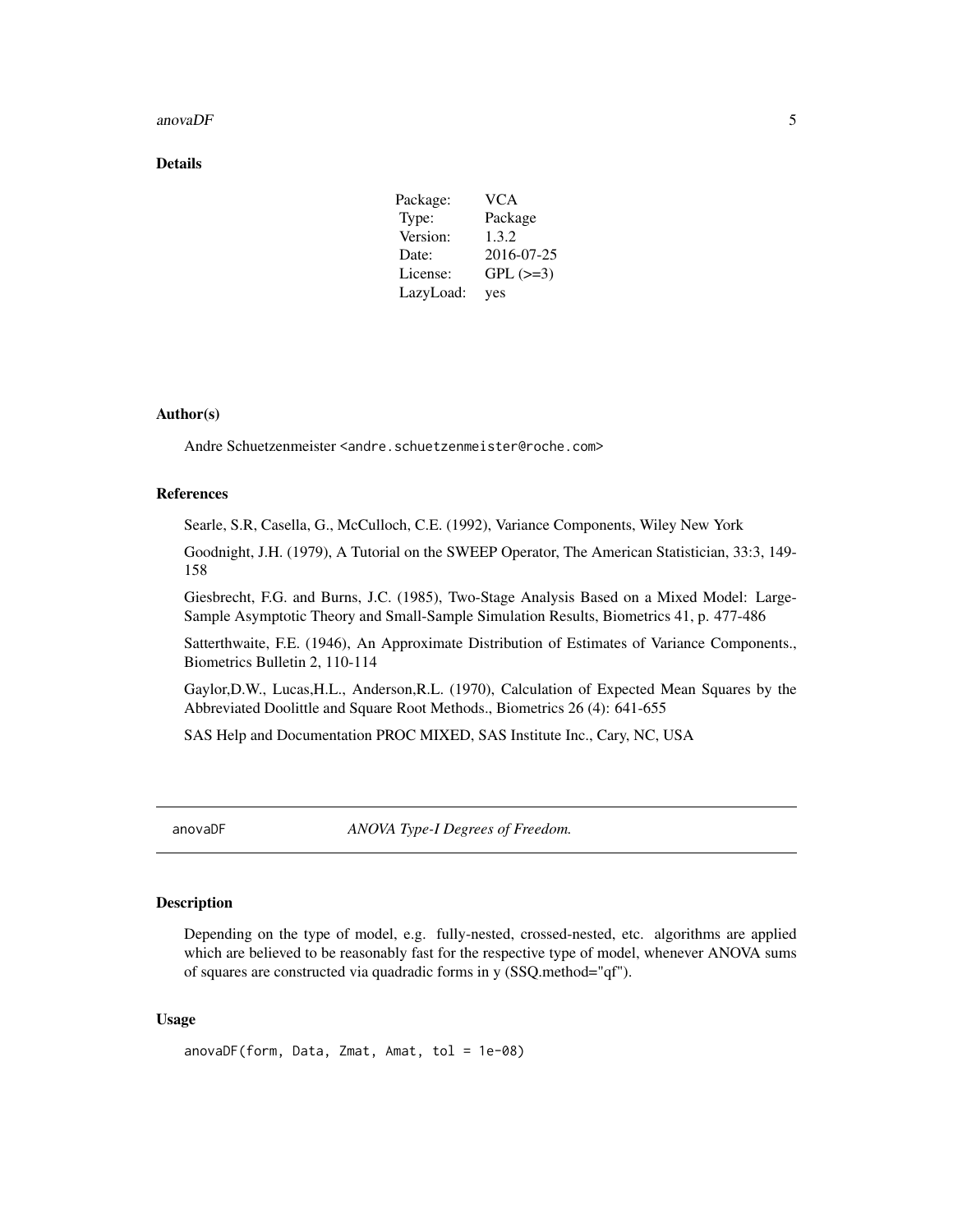#### <span id="page-4-0"></span>anova $DF$  5

# Details

| Package:  | <b>VCA</b> |
|-----------|------------|
| Type:     | Package    |
| Version:  | 1.3.2      |
| Date:     | 2016-07-25 |
| License:  | $GPL (=3)$ |
| LazyLoad: | yes        |

# Author(s)

Andre Schuetzenmeister <andre.schuetzenmeister@roche.com>

#### References

Searle, S.R, Casella, G., McCulloch, C.E. (1992), Variance Components, Wiley New York

Goodnight, J.H. (1979), A Tutorial on the SWEEP Operator, The American Statistician, 33:3, 149- 158

Giesbrecht, F.G. and Burns, J.C. (1985), Two-Stage Analysis Based on a Mixed Model: Large-Sample Asymptotic Theory and Small-Sample Simulation Results, Biometrics 41, p. 477-486

Satterthwaite, F.E. (1946), An Approximate Distribution of Estimates of Variance Components., Biometrics Bulletin 2, 110-114

Gaylor,D.W., Lucas,H.L., Anderson,R.L. (1970), Calculation of Expected Mean Squares by the Abbreviated Doolittle and Square Root Methods., Biometrics 26 (4): 641-655

SAS Help and Documentation PROC MIXED, SAS Institute Inc., Cary, NC, USA

<span id="page-4-1"></span>anovaDF *ANOVA Type-I Degrees of Freedom.*

### Description

Depending on the type of model, e.g. fully-nested, crossed-nested, etc. algorithms are applied which are believed to be reasonably fast for the respective type of model, whenever ANOVA sums of squares are constructed via quadradic forms in y (SSQ.method="qf").

# Usage

anovaDF(form, Data, Zmat, Amat, tol = 1e-08)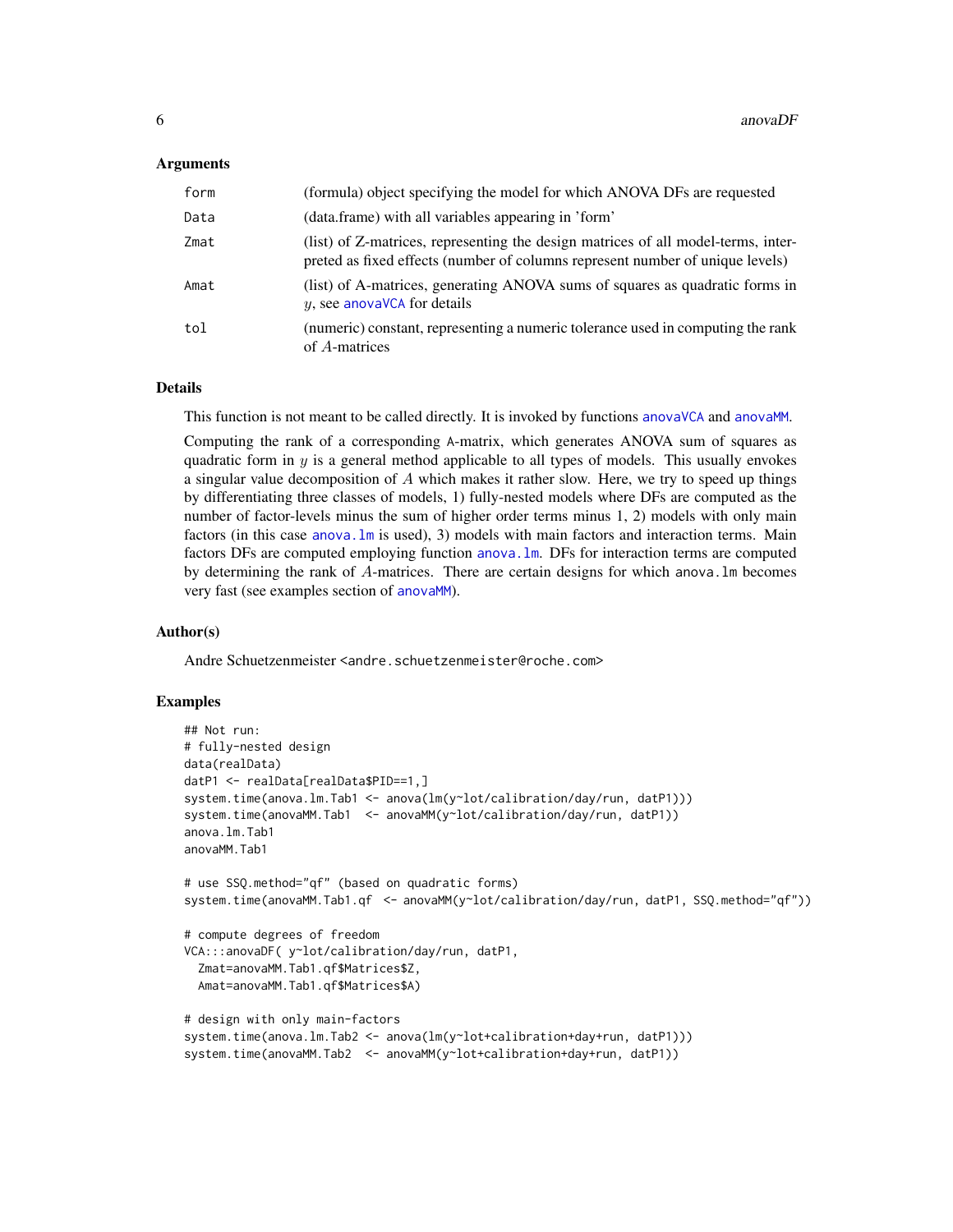#### Arguments

| form | (formula) object specifying the model for which ANOVA DFs are requested                                                                                            |
|------|--------------------------------------------------------------------------------------------------------------------------------------------------------------------|
| Data | (data.frame) with all variables appearing in 'form'                                                                                                                |
| Zmat | (list) of Z-matrices, representing the design matrices of all model-terms, inter-<br>preted as fixed effects (number of columns represent number of unique levels) |
| Amat | (list) of A-matrices, generating ANOVA sums of squares as quadratic forms in<br>$y$ , see anovaVCA for details                                                     |
| tol  | (numeric) constant, representing a numeric tolerance used in computing the rank<br>of A-matrices                                                                   |

# Details

This function is not meant to be called directly. It is invoked by functions [anovaVCA](#page-10-1) and [anovaMM](#page-6-1).

Computing the rank of a corresponding A-matrix, which generates ANOVA sum of squares as quadratic form in  $y$  is a general method applicable to all types of models. This usually envokes a singular value decomposition of  $A$  which makes it rather slow. Here, we try to speed up things by differentiating three classes of models, 1) fully-nested models where DFs are computed as the number of factor-levels minus the sum of higher order terms minus 1, 2) models with only main factors (in this case [anova.lm](#page-0-0) is used), 3) models with main factors and interaction terms. Main factors DFs are computed employing function [anova.lm](#page-0-0). DFs for interaction terms are computed by determining the rank of A-matrices. There are certain designs for which anova.lm becomes very fast (see examples section of [anovaMM](#page-6-1)).

#### Author(s)

Andre Schuetzenmeister <andre.schuetzenmeister@roche.com>

#### Examples

```
## Not run:
# fully-nested design
data(realData)
datP1 <- realData[realData$PID==1,]
system.time(anova.lm.Tab1 <- anova(lm(y~lot/calibration/day/run, datP1)))
system.time(anovaMM.Tab1 <- anovaMM(y~lot/calibration/day/run, datP1))
anova.lm.Tab1
anovaMM.Tab1
# use SSQ.method="qf" (based on quadratic forms)
system.time(anovaMM.Tab1.qf <- anovaMM(y~lot/calibration/day/run, datP1, SSQ.method="qf"))
# compute degrees of freedom
VCA:::anovaDF( y~lot/calibration/day/run, datP1,
 Zmat=anovaMM.Tab1.qf$Matrices$Z,
 Amat=anovaMM.Tab1.qf$Matrices$A)
# design with only main-factors
system.time(anova.lm.Tab2 <- anova(lm(y~lot+calibration+day+run, datP1)))
system.time(anovaMM.Tab2 <- anovaMM(y~lot+calibration+day+run, datP1))
```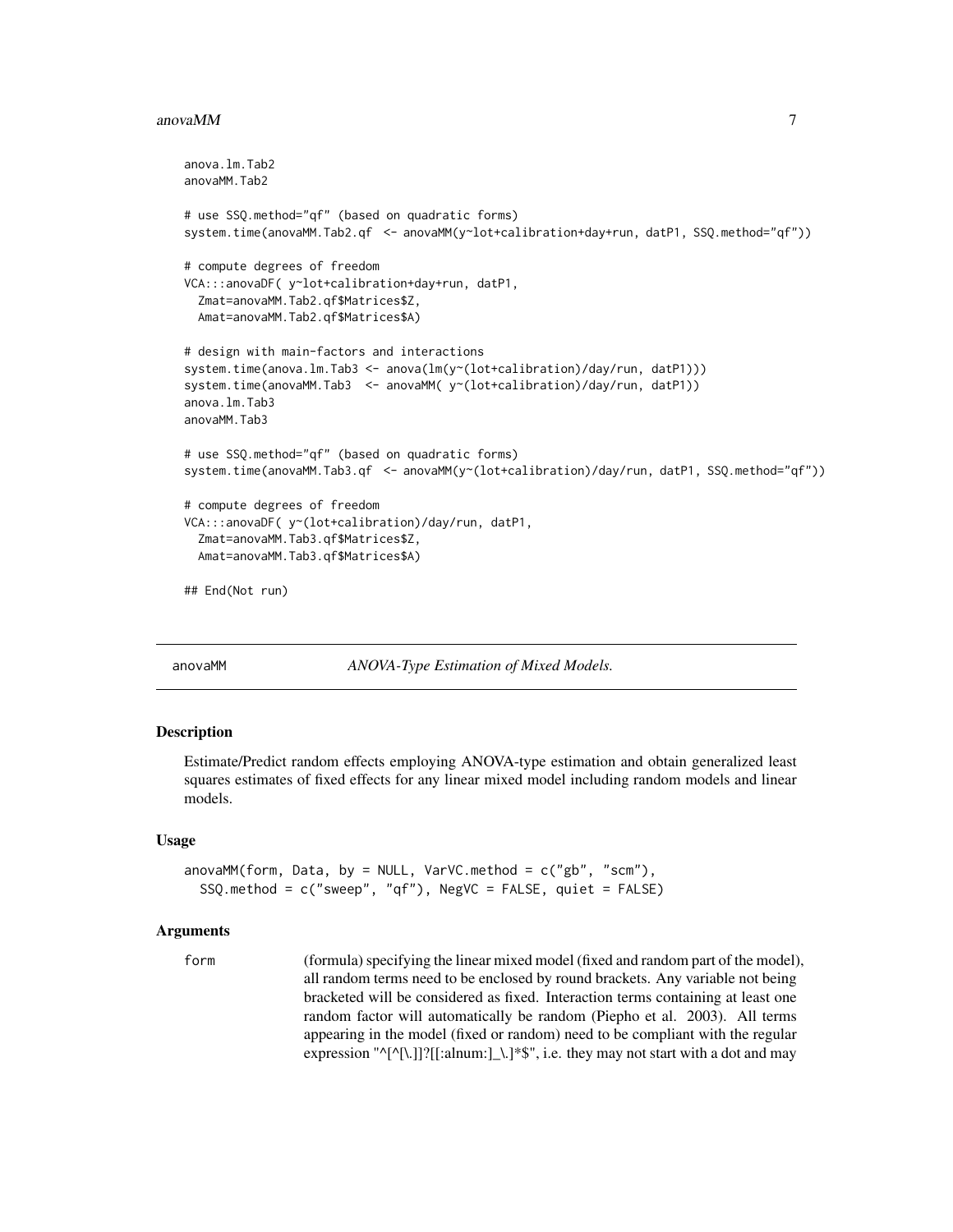#### <span id="page-6-0"></span>anova $MM$  7

```
anova.lm.Tab2
anovaMM.Tab2
# use SSQ.method="qf" (based on quadratic forms)
system.time(anovaMM.Tab2.qf <- anovaMM(y~lot+calibration+day+run, datP1, SSQ.method="qf"))
# compute degrees of freedom
VCA:::anovaDF( y~lot+calibration+day+run, datP1,
 Zmat=anovaMM.Tab2.qf$Matrices$Z,
 Amat=anovaMM.Tab2.qf$Matrices$A)
# design with main-factors and interactions
system.time(anova.lm.Tab3 <- anova(lm(y~(lot+calibration)/day/run, datP1)))
system.time(anovaMM.Tab3 <- anovaMM( y < (lot+calibration)/day/run, datP1))
anova.lm.Tab3
anovaMM.Tab3
# use SSQ.method="qf" (based on quadratic forms)
system.time(anovaMM.Tab3.qf <- anovaMM(y~(lot+calibration)/day/run, datP1, SSQ.method="qf"))
# compute degrees of freedom
VCA:::anovaDF( y~(lot+calibration)/day/run, datP1,
 Zmat=anovaMM.Tab3.qf$Matrices$Z,
 Amat=anovaMM.Tab3.qf$Matrices$A)
## End(Not run)
```
<span id="page-6-1"></span>anovaMM *ANOVA-Type Estimation of Mixed Models.*

# Description

Estimate/Predict random effects employing ANOVA-type estimation and obtain generalized least squares estimates of fixed effects for any linear mixed model including random models and linear models.

#### Usage

```
anovaMM(form, Data, by = NULL, VarVC.method = c("gb", "scm"),
  SSQ.method = c("sweep", "qf"), NegVC = FALSE, quiet = FALSE)
```
#### Arguments

form (formula) specifying the linear mixed model (fixed and random part of the model), all random terms need to be enclosed by round brackets. Any variable not being bracketed will be considered as fixed. Interaction terms containing at least one random factor will automatically be random (Piepho et al. 2003). All terms appearing in the model (fixed or random) need to be compliant with the regular expression "^[^[\.]]?[[:alnum:]\_\.]\*\$", i.e. they may not start with a dot and may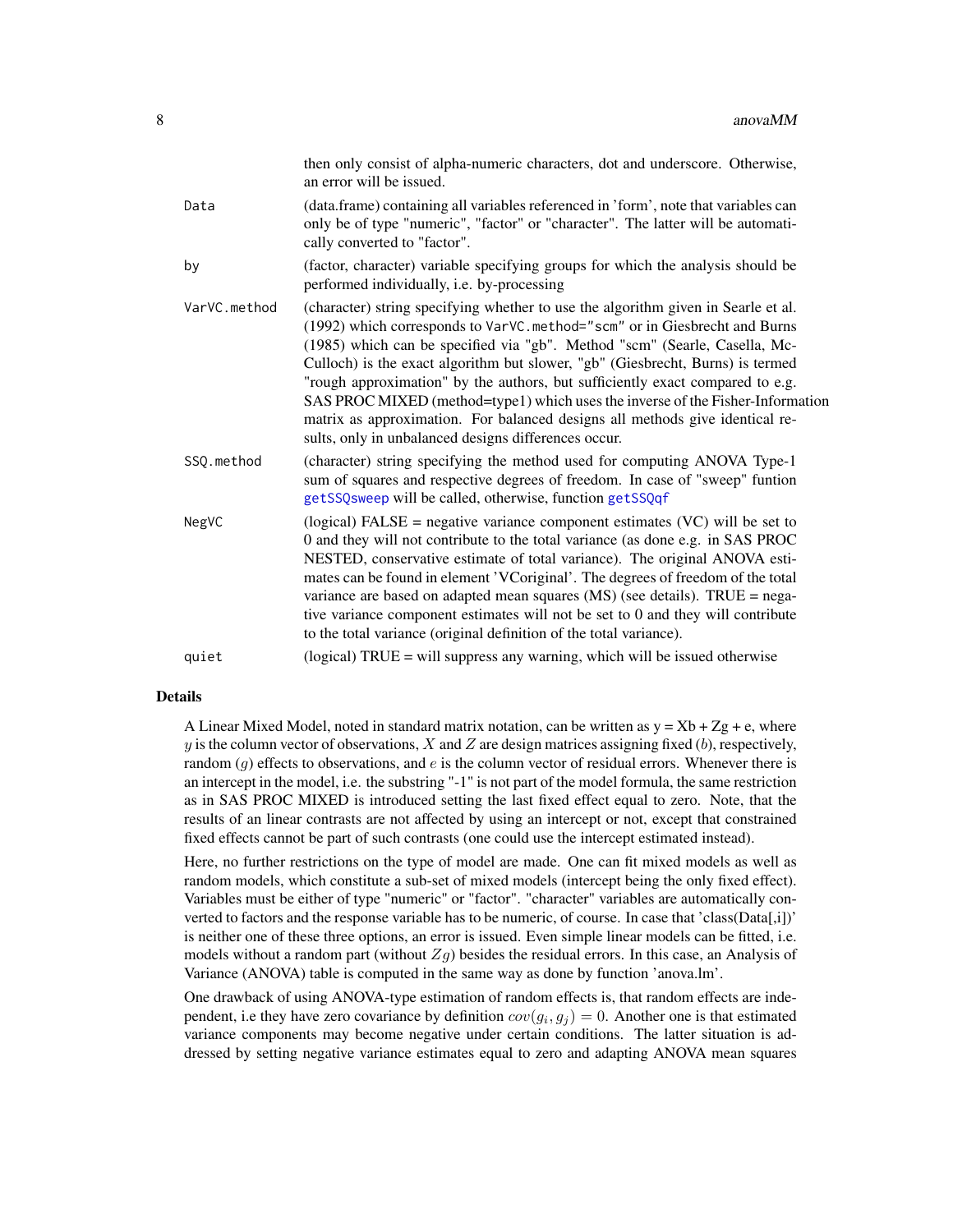|              | then only consist of alpha-numeric characters, dot and underscore. Otherwise,<br>an error will be issued.                                                                                                                                                                                                                                                                                                                                                                                                                                                                                                                                 |
|--------------|-------------------------------------------------------------------------------------------------------------------------------------------------------------------------------------------------------------------------------------------------------------------------------------------------------------------------------------------------------------------------------------------------------------------------------------------------------------------------------------------------------------------------------------------------------------------------------------------------------------------------------------------|
| Data         | (data.frame) containing all variables referenced in 'form', note that variables can<br>only be of type "numeric", "factor" or "character". The latter will be automati-<br>cally converted to "factor".                                                                                                                                                                                                                                                                                                                                                                                                                                   |
| by           | (factor, character) variable specifying groups for which the analysis should be<br>performed individually, i.e. by-processing                                                                                                                                                                                                                                                                                                                                                                                                                                                                                                             |
| VarVC.method | (character) string specifying whether to use the algorithm given in Searle et al.<br>(1992) which corresponds to VarVC.method="scm" or in Giesbrecht and Burns<br>(1985) which can be specified via "gb". Method "scm" (Searle, Casella, Mc-<br>Culloch) is the exact algorithm but slower, "gb" (Giesbrecht, Burns) is termed<br>"rough approximation" by the authors, but sufficiently exact compared to e.g.<br>SAS PROC MIXED (method=type1) which uses the inverse of the Fisher-Information<br>matrix as approximation. For balanced designs all methods give identical re-<br>sults, only in unbalanced designs differences occur. |
| SSQ.method   | (character) string specifying the method used for computing ANOVA Type-1<br>sum of squares and respective degrees of freedom. In case of "sweep" funtion<br>getSSQsweep will be called, otherwise, function getSSQqf                                                                                                                                                                                                                                                                                                                                                                                                                      |
| NegVC        | (logical) FALSE = negative variance component estimates $(VC)$ will be set to<br>0 and they will not contribute to the total variance (as done e.g. in SAS PROC<br>NESTED, conservative estimate of total variance). The original ANOVA esti-<br>mates can be found in element 'VCoriginal'. The degrees of freedom of the total<br>variance are based on adapted mean squares (MS) (see details). TRUE = nega-<br>tive variance component estimates will not be set to 0 and they will contribute<br>to the total variance (original definition of the total variance).                                                                  |
| quiet        | (logical) $TRUE = will$ suppress any warning, which will be issued otherwise                                                                                                                                                                                                                                                                                                                                                                                                                                                                                                                                                              |
|              |                                                                                                                                                                                                                                                                                                                                                                                                                                                                                                                                                                                                                                           |

#### Details

A Linear Mixed Model, noted in standard matrix notation, can be written as  $y = Xb + Zg + e$ , where y is the column vector of observations,  $X$  and  $Z$  are design matrices assigning fixed (b), respectively, random  $(g)$  effects to observations, and e is the column vector of residual errors. Whenever there is an intercept in the model, i.e. the substring "-1" is not part of the model formula, the same restriction as in SAS PROC MIXED is introduced setting the last fixed effect equal to zero. Note, that the results of an linear contrasts are not affected by using an intercept or not, except that constrained fixed effects cannot be part of such contrasts (one could use the intercept estimated instead).

Here, no further restrictions on the type of model are made. One can fit mixed models as well as random models, which constitute a sub-set of mixed models (intercept being the only fixed effect). Variables must be either of type "numeric" or "factor". "character" variables are automatically converted to factors and the response variable has to be numeric, of course. In case that 'class(Data[,i])' is neither one of these three options, an error is issued. Even simple linear models can be fitted, i.e. models without a random part (without  $Zg$ ) besides the residual errors. In this case, an Analysis of Variance (ANOVA) table is computed in the same way as done by function 'anova.lm'.

One drawback of using ANOVA-type estimation of random effects is, that random effects are independent, i.e they have zero covariance by definition  $cov(g_i, g_j) = 0$ . Another one is that estimated variance components may become negative under certain conditions. The latter situation is addressed by setting negative variance estimates equal to zero and adapting ANOVA mean squares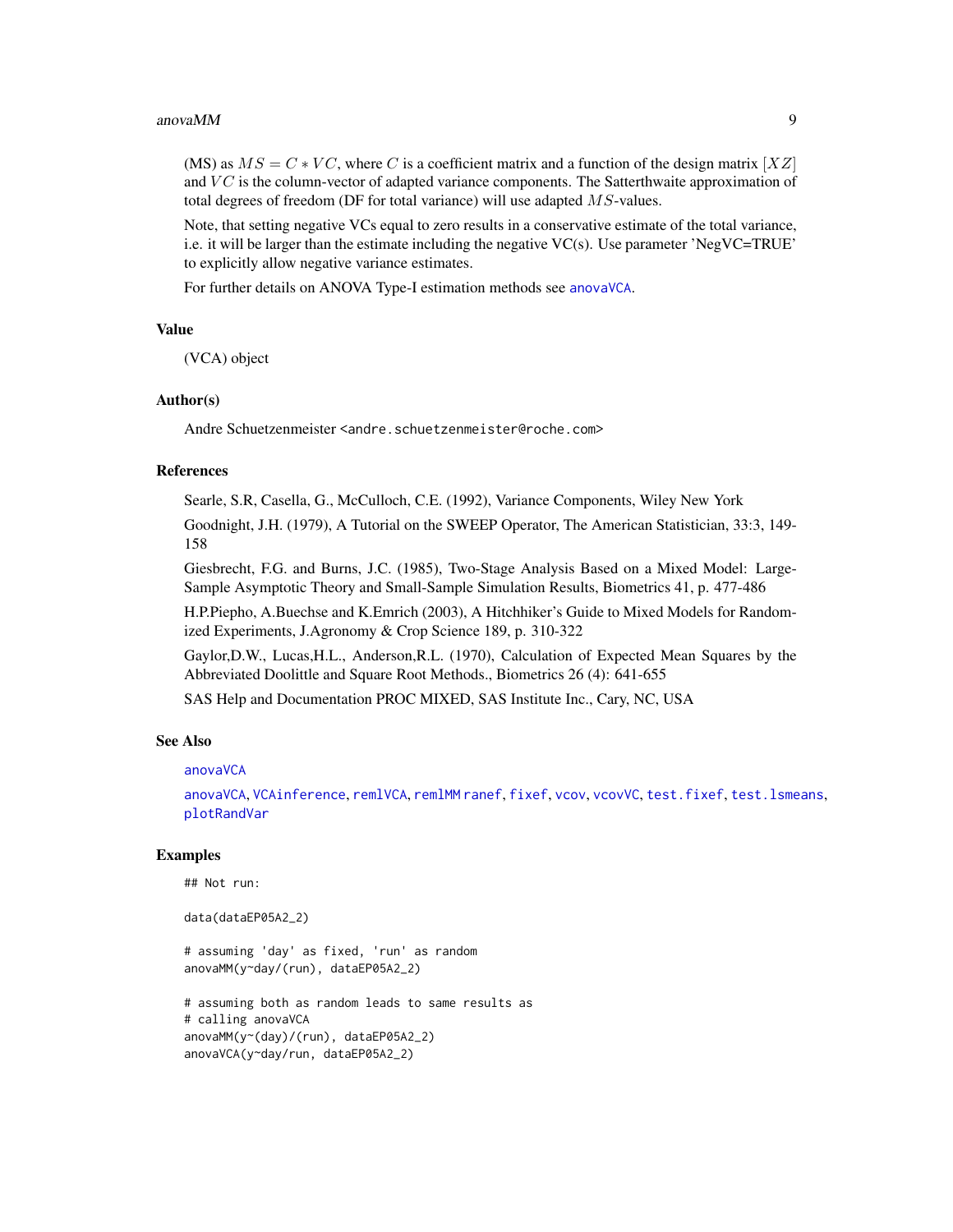#### anovaMM 9

(MS) as  $MS = C * VC$ , where C is a coefficient matrix and a function of the design matrix [XZ] and  $VC$  is the column-vector of adapted variance components. The Satterthwaite approximation of total degrees of freedom (DF for total variance) will use adapted  $MS$ -values.

Note, that setting negative VCs equal to zero results in a conservative estimate of the total variance, i.e. it will be larger than the estimate including the negative  $VC(s)$ . Use parameter 'NegVC=TRUE' to explicitly allow negative variance estimates.

For further details on ANOVA Type-I estimation methods see [anovaVCA](#page-10-1).

#### Value

(VCA) object

#### Author(s)

Andre Schuetzenmeister <andre.schuetzenmeister@roche.com>

# References

Searle, S.R, Casella, G., McCulloch, C.E. (1992), Variance Components, Wiley New York

Goodnight, J.H. (1979), A Tutorial on the SWEEP Operator, The American Statistician, 33:3, 149- 158

Giesbrecht, F.G. and Burns, J.C. (1985), Two-Stage Analysis Based on a Mixed Model: Large-Sample Asymptotic Theory and Small-Sample Simulation Results, Biometrics 41, p. 477-486

H.P.Piepho, A.Buechse and K.Emrich (2003), A Hitchhiker's Guide to Mixed Models for Randomized Experiments, J.Agronomy & Crop Science 189, p. 310-322

Gaylor,D.W., Lucas,H.L., Anderson,R.L. (1970), Calculation of Expected Mean Squares by the Abbreviated Doolittle and Square Root Methods., Biometrics 26 (4): 641-655

SAS Help and Documentation PROC MIXED, SAS Institute Inc., Cary, NC, USA

#### See Also

#### [anovaVCA](#page-10-1)

[anovaVCA](#page-10-1), [VCAinference](#page-87-1), [remlVCA](#page-64-1), [remlMM](#page-61-1) [ranef](#page-59-1), [fixef](#page-29-1), [vcov](#page-0-0), [vcovVC](#page-94-1), [test.fixef](#page-75-1), [test.lsmeans](#page-78-1), [plotRandVar](#page-56-1)

#### Examples

```
## Not run:
```
data(dataEP05A2\_2)

# assuming 'day' as fixed, 'run' as random anovaMM(y~day/(run), dataEP05A2\_2)

```
# assuming both as random leads to same results as
# calling anovaVCA
anovaMM(y~(day)/(run), dataEP05A2_2)
anovaVCA(y~day/run, dataEP05A2_2)
```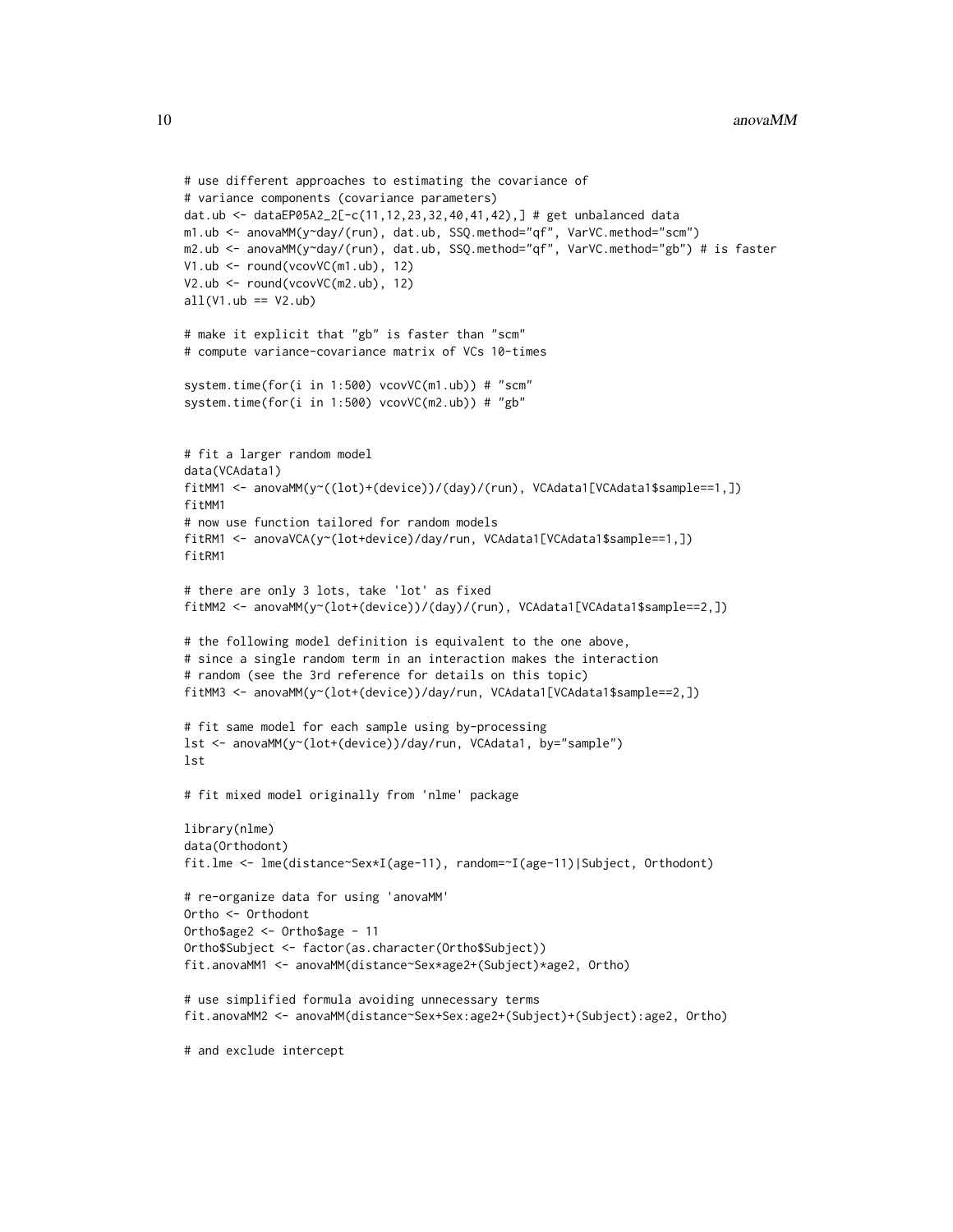```
# use different approaches to estimating the covariance of
# variance components (covariance parameters)
dat.ub <- dataEP05A2_2[-c(11,12,23,32,40,41,42),] # get unbalanced data
m1.ub <- anovaMM(y~day/(run), dat.ub, SSQ.method="qf", VarVC.method="scm")
m2.ub <- anovaMM(y~day/(run), dat.ub, SSQ.method="qf", VarVC.method="gb") # is faster
V1.ub <- round(vcovVC(m1.ub), 12)
V2.ub <- round(vcovVC(m2.ub), 12)
all(V1.ub == V2.ub)# make it explicit that "gb" is faster than "scm"
# compute variance-covariance matrix of VCs 10-times
system.time(for(i in 1:500) vcovVC(m1.ub)) # "scm"
system.time(for(i in 1:500) vcovVC(m2.ub)) # "gb"
# fit a larger random model
data(VCAdata1)
fitMM1 <- anovaMM(y~((lot)+(device))/(day)/(run), VCAdata1[VCAdata1$sample==1,])
fitMM1
# now use function tailored for random models
fitRM1 <- anovaVCA(y~(lot+device)/day/run, VCAdata1[VCAdata1$sample==1,])
fitRM1
# there are only 3 lots, take 'lot' as fixed
fitMM2 <- anovaMM(y~(lot+(device))/(day)/(run), VCAdata1[VCAdata1$sample==2,])
# the following model definition is equivalent to the one above,
# since a single random term in an interaction makes the interaction
# random (see the 3rd reference for details on this topic)
fitMM3 <- anovaMM(y~(lot+(device))/day/run, VCAdata1[VCAdata1$sample==2,])
# fit same model for each sample using by-processing
lst <- anovaMM(y~(lot+(device))/day/run, VCAdata1, by="sample")
lst
# fit mixed model originally from 'nlme' package
library(nlme)
data(Orthodont)
fit.lme <- lme(distance~Sex*I(age-11), random=~I(age-11)|Subject, Orthodont)
# re-organize data for using 'anovaMM'
Ortho <- Orthodont
Ortho$age2 <- Ortho$age - 11
Ortho$Subject <- factor(as.character(Ortho$Subject))
fit.anovaMM1 <- anovaMM(distance~Sex*age2+(Subject)*age2, Ortho)
# use simplified formula avoiding unnecessary terms
fit.anovaMM2 <- anovaMM(distance~Sex+Sex:age2+(Subject)+(Subject):age2, Ortho)
# and exclude intercept
```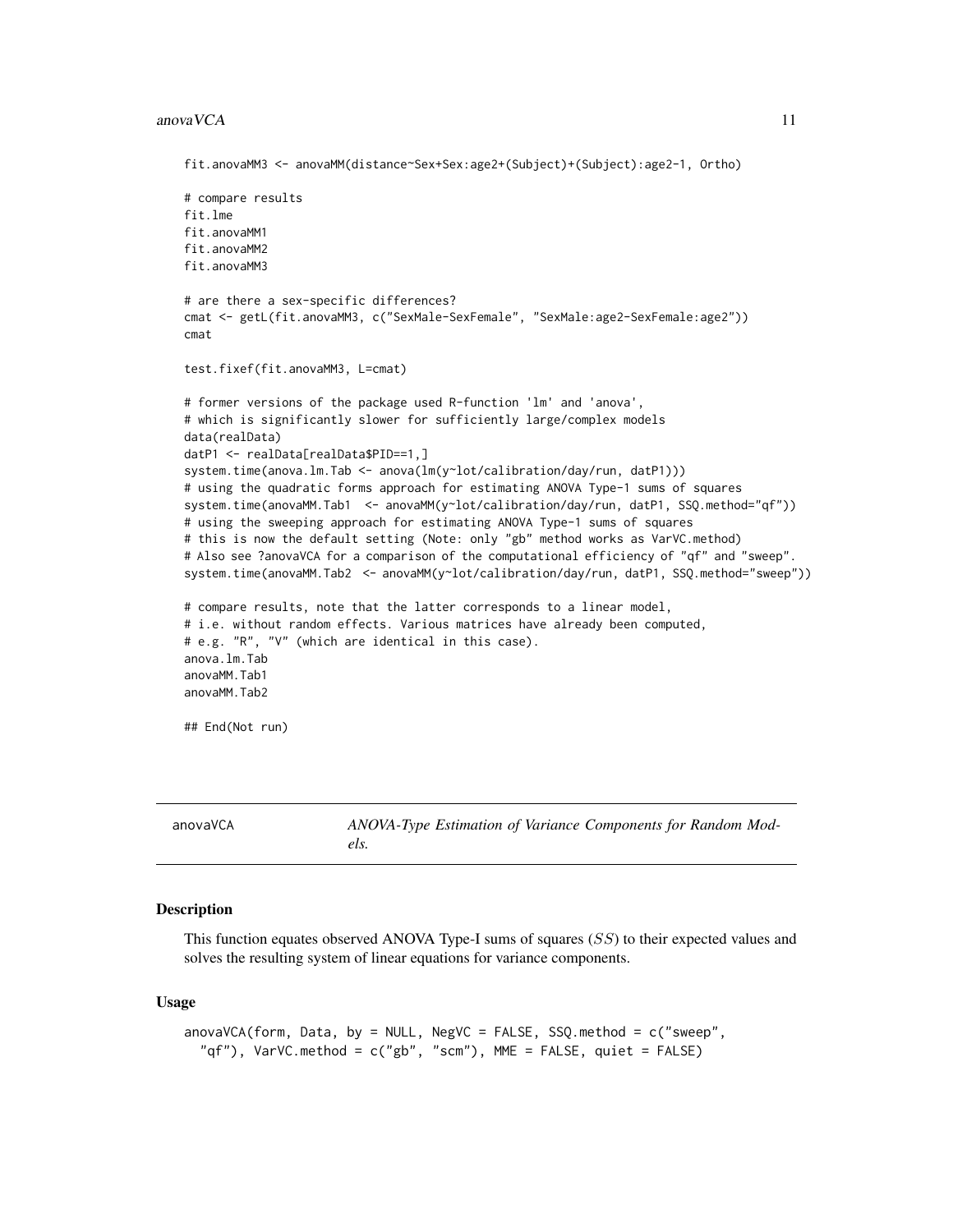#### <span id="page-10-0"></span> $anovaVCA$  11

```
fit.anovaMM3 <- anovaMM(distance~Sex+Sex:age2+(Subject)+(Subject):age2-1, Ortho)
# compare results
fit.lme
fit.anovaMM1
fit.anovaMM2
fit.anovaMM3
# are there a sex-specific differences?
cmat <- getL(fit.anovaMM3, c("SexMale-SexFemale", "SexMale:age2-SexFemale:age2"))
cmat
test.fixef(fit.anovaMM3, L=cmat)
# former versions of the package used R-function 'lm' and 'anova',
# which is significantly slower for sufficiently large/complex models
data(realData)
datP1 <- realData[realData$PID==1,]
system.time(anova.lm.Tab <- anova(lm(y~lot/calibration/day/run, datP1)))
# using the quadratic forms approach for estimating ANOVA Type-1 sums of squares
system.time(anovaMM.Tab1 <- anovaMM(y~lot/calibration/day/run, datP1, SSQ.method="qf"))
# using the sweeping approach for estimating ANOVA Type-1 sums of squares
# this is now the default setting (Note: only "gb" method works as VarVC.method)
# Also see ?anovaVCA for a comparison of the computational efficiency of "qf" and "sweep".
system.time(anovaMM.Tab2 <- anovaMM(y~lot/calibration/day/run, datP1, SSQ.method="sweep"))
# compare results, note that the latter corresponds to a linear model,
# i.e. without random effects. Various matrices have already been computed,
# e.g. "R", "V" (which are identical in this case).
anova.lm.Tab
anovaMM.Tab1
anovaMM.Tab2
## End(Not run)
```
<span id="page-10-1"></span>anovaVCA *ANOVA-Type Estimation of Variance Components for Random Models.*

#### **Description**

This function equates observed ANOVA Type-I sums of squares (SS) to their expected values and solves the resulting system of linear equations for variance components.

#### Usage

```
anovaVCA(form, Data, by = NULL, NegVC = FALSE, SSQ.method = c("sweep",
  "qf"), VarVC.method = c("gb", "scm"), MME = FALSE, quiet = FALSE)
```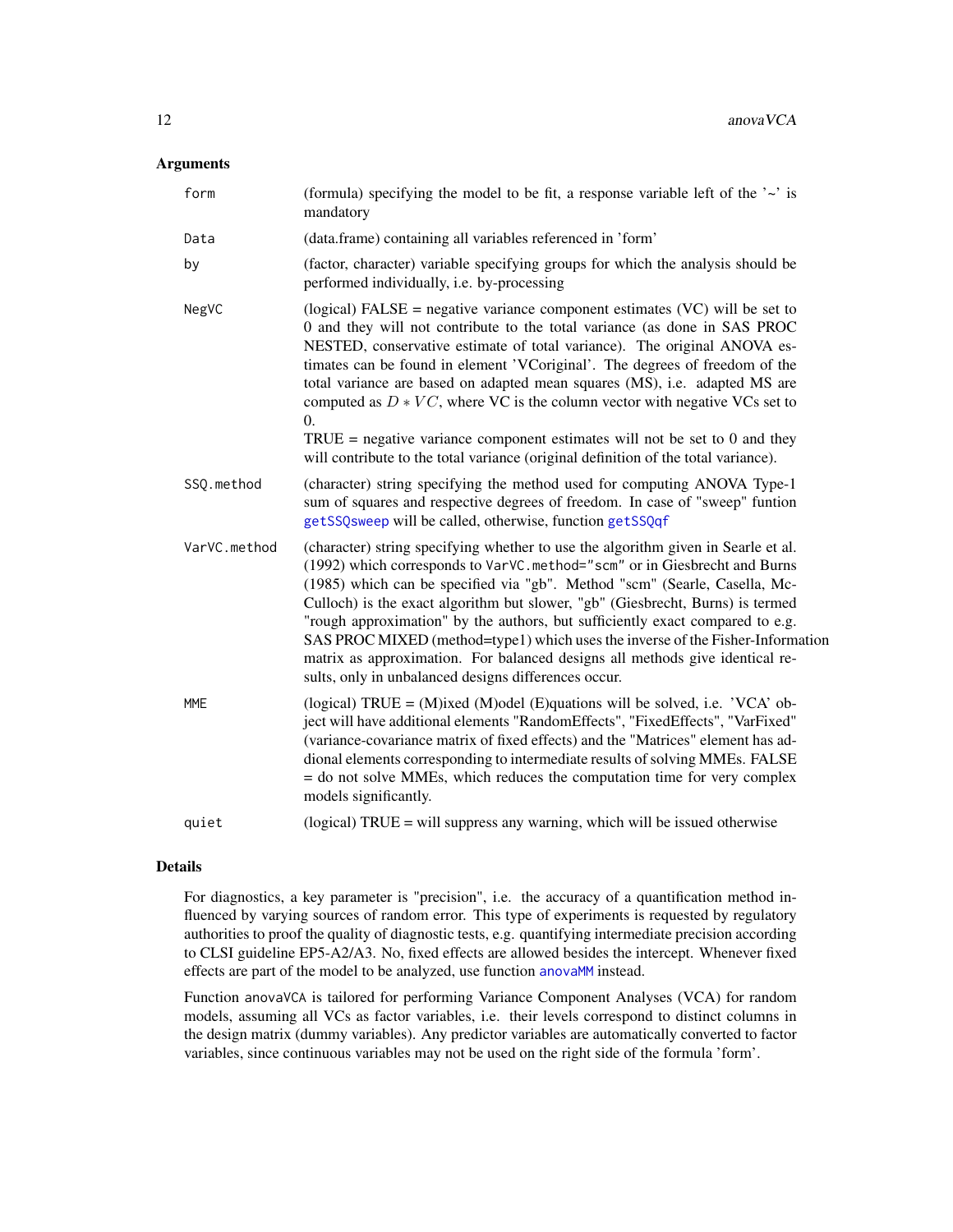# Arguments

| form         | (formula) specifying the model to be fit, a response variable left of the $\sim$ is<br>mandatory                                                                                                                                                                                                                                                                                                                                                                                                                                                                                                                                                                             |
|--------------|------------------------------------------------------------------------------------------------------------------------------------------------------------------------------------------------------------------------------------------------------------------------------------------------------------------------------------------------------------------------------------------------------------------------------------------------------------------------------------------------------------------------------------------------------------------------------------------------------------------------------------------------------------------------------|
| Data         | (data.frame) containing all variables referenced in 'form'                                                                                                                                                                                                                                                                                                                                                                                                                                                                                                                                                                                                                   |
| by           | (factor, character) variable specifying groups for which the analysis should be<br>performed individually, i.e. by-processing                                                                                                                                                                                                                                                                                                                                                                                                                                                                                                                                                |
| NegVC        | (logical) FALSE = negative variance component estimates $(VC)$ will be set to<br>0 and they will not contribute to the total variance (as done in SAS PROC<br>NESTED, conservative estimate of total variance). The original ANOVA es-<br>timates can be found in element 'VCoriginal'. The degrees of freedom of the<br>total variance are based on adapted mean squares (MS), i.e. adapted MS are<br>computed as $D * VC$ , where VC is the column vector with negative VCs set to<br>$\overline{0}$ .<br>TRUE = negative variance component estimates will not be set to 0 and they<br>will contribute to the total variance (original definition of the total variance). |
| SSQ.method   | (character) string specifying the method used for computing ANOVA Type-1<br>sum of squares and respective degrees of freedom. In case of "sweep" funtion<br>getSSQsweep will be called, otherwise, function getSSQqf                                                                                                                                                                                                                                                                                                                                                                                                                                                         |
| VarVC.method | (character) string specifying whether to use the algorithm given in Searle et al.<br>(1992) which corresponds to VarVC.method="scm" or in Giesbrecht and Burns<br>(1985) which can be specified via "gb". Method "scm" (Searle, Casella, Mc-<br>Culloch) is the exact algorithm but slower, "gb" (Giesbrecht, Burns) is termed<br>"rough approximation" by the authors, but sufficiently exact compared to e.g.<br>SAS PROC MIXED (method=type1) which uses the inverse of the Fisher-Information<br>matrix as approximation. For balanced designs all methods give identical re-<br>sults, only in unbalanced designs differences occur.                                    |
| <b>MME</b>   | (logical) TRUE = $(M)$ ixed $(M)$ odel $(E)$ quations will be solved, i.e. 'VCA' ob-<br>ject will have additional elements "RandomEffects", "FixedEffects", "VarFixed"<br>(variance-covariance matrix of fixed effects) and the "Matrices" element has ad-<br>dional elements corresponding to intermediate results of solving MMEs. FALSE<br>= do not solve MMEs, which reduces the computation time for very complex<br>models significantly.                                                                                                                                                                                                                              |
| quiet        | (logical) $TRUE =$ will suppress any warning, which will be issued otherwise                                                                                                                                                                                                                                                                                                                                                                                                                                                                                                                                                                                                 |
|              |                                                                                                                                                                                                                                                                                                                                                                                                                                                                                                                                                                                                                                                                              |

# Details

For diagnostics, a key parameter is "precision", i.e. the accuracy of a quantification method influenced by varying sources of random error. This type of experiments is requested by regulatory authorities to proof the quality of diagnostic tests, e.g. quantifying intermediate precision according to CLSI guideline EP5-A2/A3. No, fixed effects are allowed besides the intercept. Whenever fixed effects are part of the model to be analyzed, use function [anovaMM](#page-6-1) instead.

Function anovaVCA is tailored for performing Variance Component Analyses (VCA) for random models, assuming all VCs as factor variables, i.e. their levels correspond to distinct columns in the design matrix (dummy variables). Any predictor variables are automatically converted to factor variables, since continuous variables may not be used on the right side of the formula 'form'.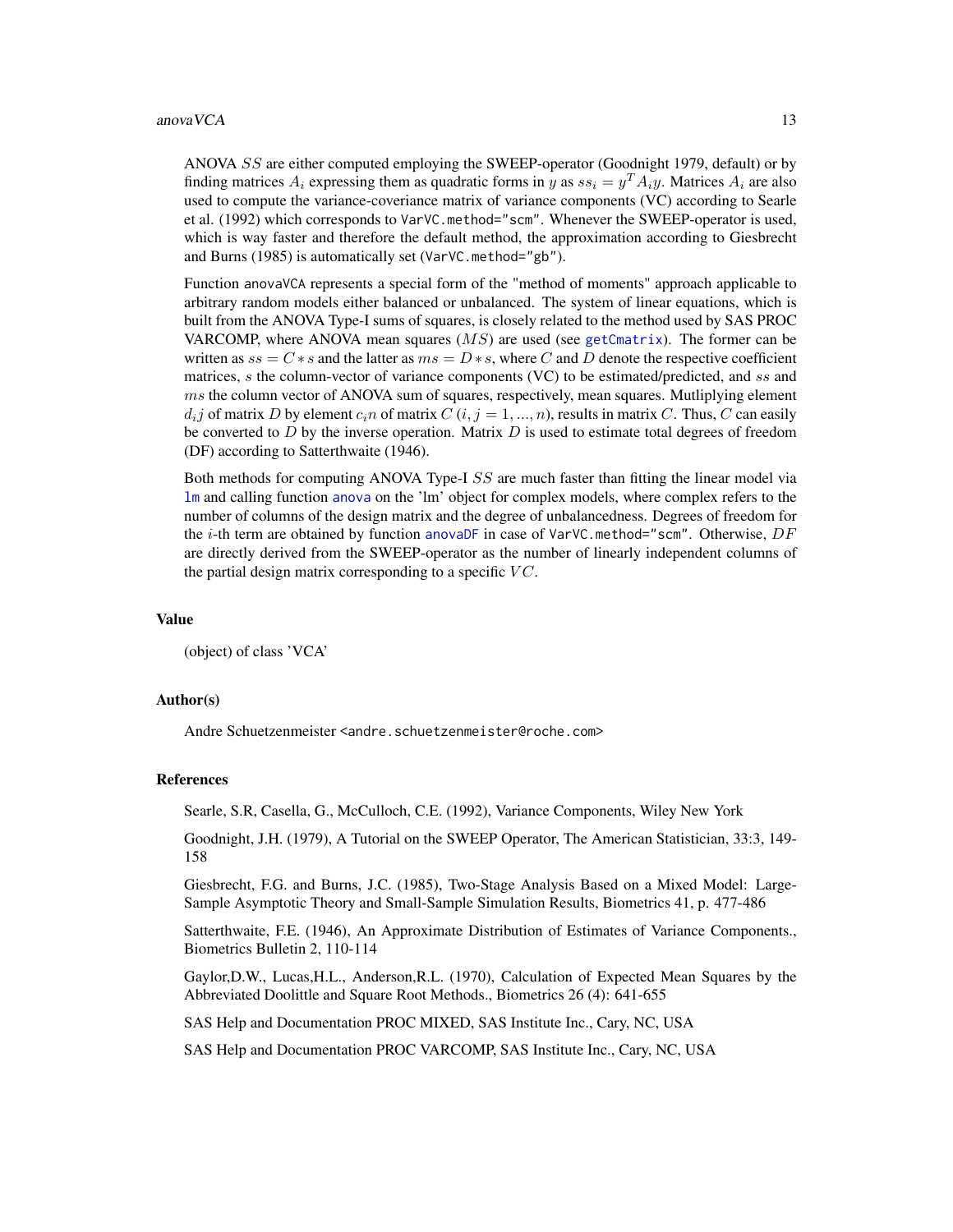#### anova VCA  $13$

ANOVA SS are either computed employing the SWEEP-operator (Goodnight 1979, default) or by finding matrices  $A_i$  expressing them as quadratic forms in y as  $ss_i = y^T A_i y$ . Matrices  $A_i$  are also used to compute the variance-coveriance matrix of variance components (VC) according to Searle et al. (1992) which corresponds to VarVC.method="scm". Whenever the SWEEP-operator is used, which is way faster and therefore the default method, the approximation according to Giesbrecht and Burns (1985) is automatically set (VarVC.method="gb").

Function anovaVCA represents a special form of the "method of moments" approach applicable to arbitrary random models either balanced or unbalanced. The system of linear equations, which is built from the ANOVA Type-I sums of squares, is closely related to the method used by SAS PROC VARCOMP, where ANOVA mean squares  $(MS)$  are used (see [getCmatrix](#page-31-1)). The former can be written as  $ss = C * s$  and the latter as  $ms = D * s$ , where C and D denote the respective coefficient matrices, s the column-vector of variance components (VC) to be estimated/predicted, and ss and  $ms$  the column vector of ANOVA sum of squares, respectively, mean squares. Mutliplying element  $d_i$  of matrix D by element  $c_i$  of matrix  $C$   $(i, j = 1, ..., n)$ , results in matrix C. Thus, C can easily be converted to  $D$  by the inverse operation. Matrix  $D$  is used to estimate total degrees of freedom (DF) according to Satterthwaite (1946).

Both methods for computing ANOVA Type-I SS are much faster than fitting the linear model via [lm](#page-0-0) and calling function [anova](#page-0-0) on the 'lm' object for complex models, where complex refers to the number of columns of the design matrix and the degree of unbalancedness. Degrees of freedom for the i-th term are obtained by function [anovaDF](#page-4-1) in case of VarVC.method="scm". Otherwise,  $DF$ are directly derived from the SWEEP-operator as the number of linearly independent columns of the partial design matrix corresponding to a specific  $VC$ .

#### Value

(object) of class 'VCA'

# Author(s)

Andre Schuetzenmeister <andre.schuetzenmeister@roche.com>

#### References

Searle, S.R, Casella, G., McCulloch, C.E. (1992), Variance Components, Wiley New York

Goodnight, J.H. (1979), A Tutorial on the SWEEP Operator, The American Statistician, 33:3, 149- 158

Giesbrecht, F.G. and Burns, J.C. (1985), Two-Stage Analysis Based on a Mixed Model: Large-Sample Asymptotic Theory and Small-Sample Simulation Results, Biometrics 41, p. 477-486

Satterthwaite, F.E. (1946), An Approximate Distribution of Estimates of Variance Components., Biometrics Bulletin 2, 110-114

Gaylor,D.W., Lucas,H.L., Anderson,R.L. (1970), Calculation of Expected Mean Squares by the Abbreviated Doolittle and Square Root Methods., Biometrics 26 (4): 641-655

SAS Help and Documentation PROC MIXED, SAS Institute Inc., Cary, NC, USA

SAS Help and Documentation PROC VARCOMP, SAS Institute Inc., Cary, NC, USA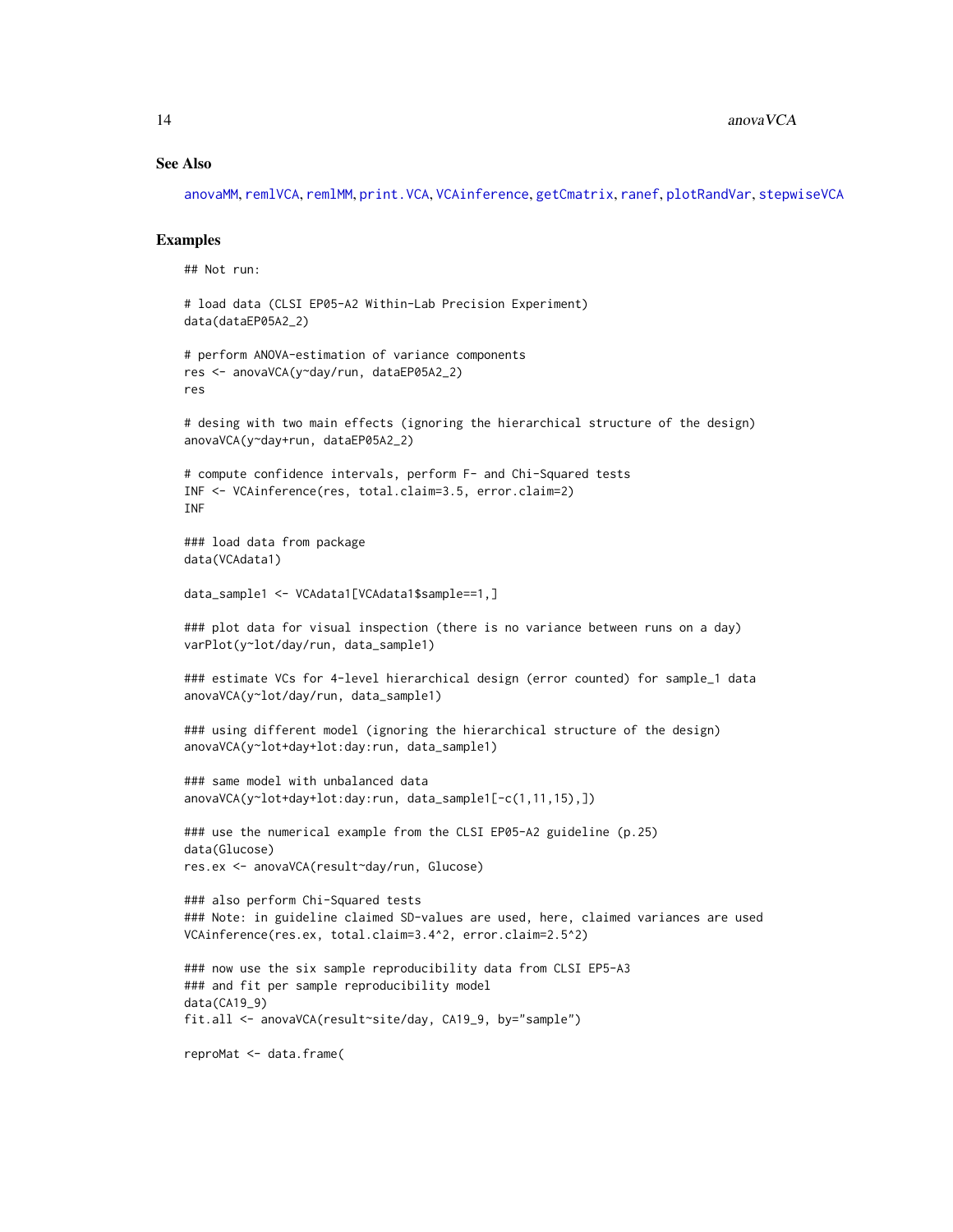#### See Also

[anovaMM](#page-6-1), [remlVCA](#page-64-1), [remlMM](#page-61-1), [print.VCA](#page-57-1), [VCAinference](#page-87-1), [getCmatrix](#page-31-1), [ranef](#page-59-1), [plotRandVar](#page-56-1), [stepwiseVCA](#page-74-1)

#### Examples

## Not run:

```
# load data (CLSI EP05-A2 Within-Lab Precision Experiment)
data(dataEP05A2_2)
```

```
# perform ANOVA-estimation of variance components
res <- anovaVCA(y~day/run, dataEP05A2_2)
res
```

```
# desing with two main effects (ignoring the hierarchical structure of the design)
anovaVCA(y~day+run, dataEP05A2_2)
```

```
# compute confidence intervals, perform F- and Chi-Squared tests
INF <- VCAinference(res, total.claim=3.5, error.claim=2)
INF
```

```
### load data from package
data(VCAdata1)
```

```
data_sample1 <- VCAdata1[VCAdata1$sample==1,]
```

```
### plot data for visual inspection (there is no variance between runs on a day)
varPlot(y~lot/day/run, data_sample1)
```

```
### estimate VCs for 4-level hierarchical design (error counted) for sample_1 data
anovaVCA(y~lot/day/run, data_sample1)
```

```
### using different model (ignoring the hierarchical structure of the design)
anovaVCA(y~lot+day+lot:day:run, data_sample1)
```

```
### same model with unbalanced data
anovaVCA(y~lot+day+lot:day:run, data_sample1[-c(1,11,15),])
```

```
### use the numerical example from the CLSI EP05-A2 guideline (p.25)
data(Glucose)
res.ex <- anovaVCA(result~day/run, Glucose)
```

```
### also perform Chi-Squared tests
### Note: in guideline claimed SD-values are used, here, claimed variances are used
VCAinference(res.ex, total.claim=3.4^2, error.claim=2.5^2)
```

```
### now use the six sample reproducibility data from CLSI EP5-A3
### and fit per sample reproducibility model
data(CA19_9)
fit.all <- anovaVCA(result~site/day, CA19_9, by="sample")
```

```
reproMat <- data.frame(
```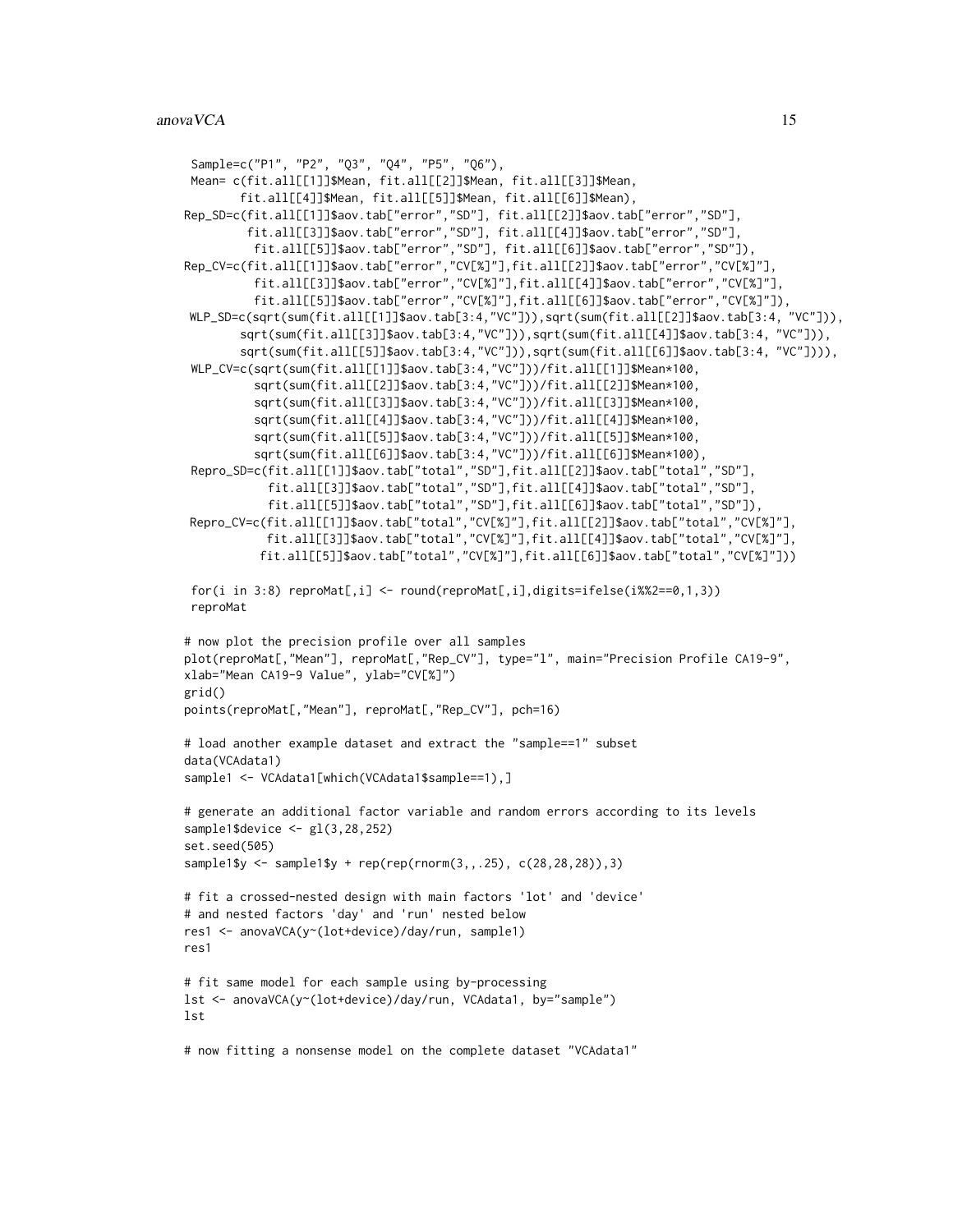```
Sample=c("P1", "P2", "Q3", "Q4", "P5", "Q6"),
 Mean= c(fit.all[[1]]$Mean, fit.all[[2]]$Mean, fit.all[[3]]$Mean,
        fit.all[[4]]$Mean, fit.all[[5]]$Mean, fit.all[[6]]$Mean),
Rep_SD=c(fit.all[[1]]$aov.tab["error","SD"], fit.all[[2]]$aov.tab["error","SD"],
         fit.all[[3]]$aov.tab["error","SD"], fit.all[[4]]$aov.tab["error","SD"],
          fit.all[[5]]$aov.tab["error","SD"], fit.all[[6]]$aov.tab["error","SD"]),
Rep_CV=c(fit.all[[1]]$aov.tab["error","CV[%]"],fit.all[[2]]$aov.tab["error","CV[%]"],
          fit.all[[3]]$aov.tab["error","CV[%]"],fit.all[[4]]$aov.tab["error","CV[%]"],
          fit.all[[5]]$aov.tab["error","CV[%]"],fit.all[[6]]$aov.tab["error","CV[%]"]),
WLP_SD=c(sqrt(sum(fit.all[[1]]$aov.tab[3:4,"VC"])),sqrt(sum(fit.all[[2]]$aov.tab[3:4, "VC"])),
        sqrt(sum(fit.all[[3]]$aov.tab[3:4,"VC"])),sqrt(sum(fit.all[[4]]$aov.tab[3:4, "VC"])),
        sqrt(sum(fit.all[[5]]$aov.tab[3:4,"VC"])),sqrt(sum(fit.all[[6]]$aov.tab[3:4, "VC"]))),
 WLP_CV=c(sqrt(sum(fit.all[[1]]$aov.tab[3:4,"VC"]))/fit.all[[1]]$Mean*100,
          sqrt(sum(fit.all[[2]]$aov.tab[3:4,"VC"]))/fit.all[[2]]$Mean*100,
          sqrt(sum(fit.all[[3]]$aov.tab[3:4,"VC"]))/fit.all[[3]]$Mean*100,
          sqrt(sum(fit.all[[4]]$aov.tab[3:4,"VC"]))/fit.all[[4]]$Mean*100,
          sqrt(sum(fit.all[[5]]$aov.tab[3:4,"VC"]))/fit.all[[5]]$Mean*100,
          sqrt(sum(fit.all[[6]]$aov.tab[3:4,"VC"]))/fit.all[[6]]$Mean*100),
 Repro_SD=c(fit.all[[1]]$aov.tab["total","SD"],fit.all[[2]]$aov.tab["total","SD"],
            fit.all[[3]]$aov.tab["total","SD"],fit.all[[4]]$aov.tab["total","SD"],
            fit.all[[5]]$aov.tab["total","SD"],fit.all[[6]]$aov.tab["total","SD"]),
Repro_CV=c(fit.all[[1]]$aov.tab["total","CV[%]"],fit.all[[2]]$aov.tab["total","CV[%]"],
            fit.all[[3]]$aov.tab["total","CV[%]"],fit.all[[4]]$aov.tab["total","CV[%]"],
           fit.all[[5]]$aov.tab["total","CV[%]"],fit.all[[6]]$aov.tab["total","CV[%]"]))
 for(i in 3:8) reproMat[,i] <- round(reproMat[,i],digits=ifelse(i%%2==0,1,3))
 reproMat
# now plot the precision profile over all samples
plot(reproMat[,"Mean"], reproMat[,"Rep_CV"], type="l", main="Precision Profile CA19-9",
xlab="Mean CA19-9 Value", ylab="CV[%]")
grid()
points(reproMat[,"Mean"], reproMat[,"Rep_CV"], pch=16)
# load another example dataset and extract the "sample==1" subset
data(VCAdata1)
sample1 <- VCAdata1[which(VCAdata1$sample==1),]
# generate an additional factor variable and random errors according to its levels
sample1$device <- gl(3,28,252)
set.seed(505)
sample1$y <- sample1$y + rep(rep(rnorm(3,,.25), c(28,28,28)),3)
# fit a crossed-nested design with main factors 'lot' and 'device'
# and nested factors 'day' and 'run' nested below
res1 <- anovaVCA(y~(lot+device)/day/run, sample1)
res1
# fit same model for each sample using by-processing
lst <- anovaVCA(y~(lot+device)/day/run, VCAdata1, by="sample")
lst
```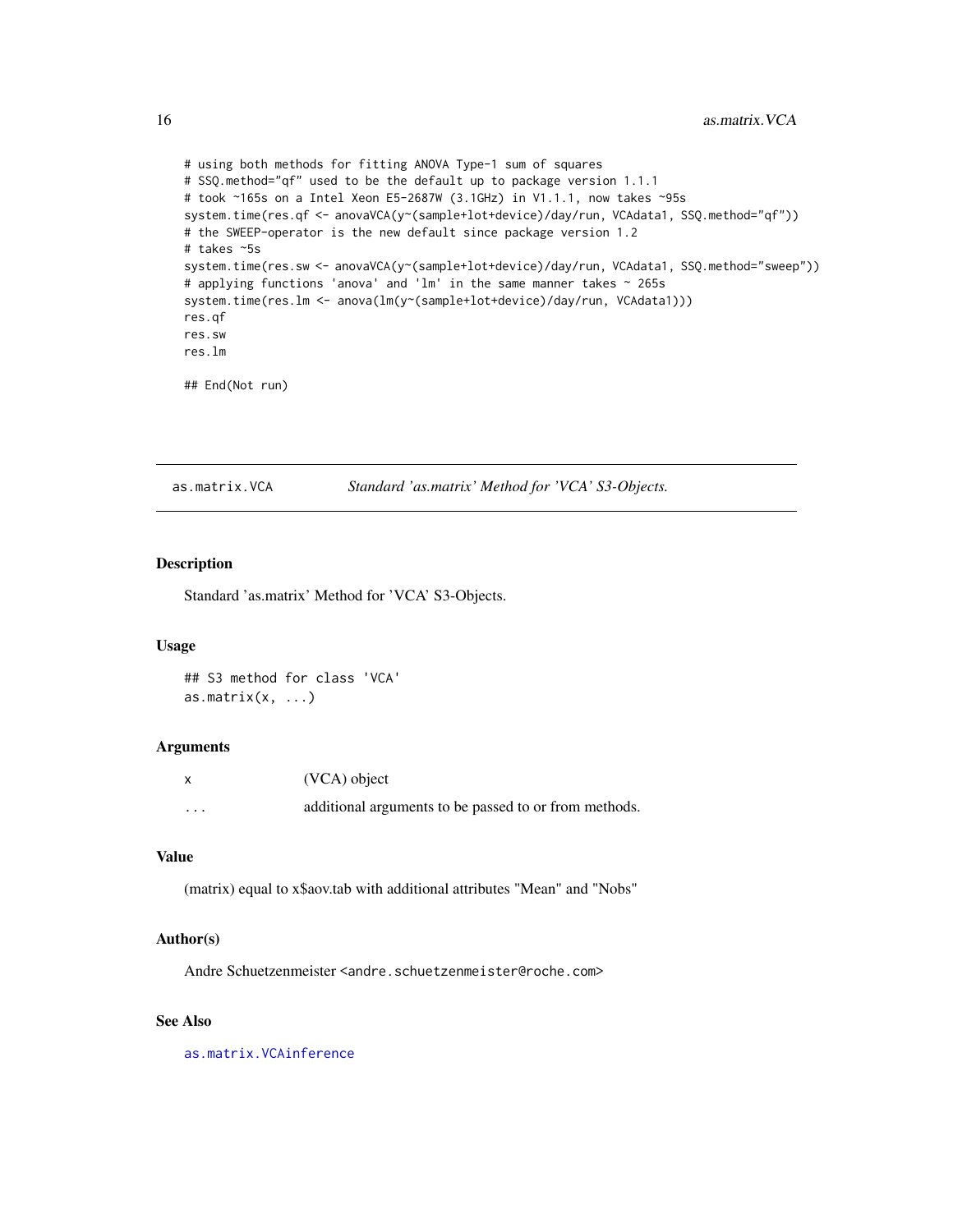```
# using both methods for fitting ANOVA Type-1 sum of squares
# SSQ.method="qf" used to be the default up to package version 1.1.1
# took ~165s on a Intel Xeon E5-2687W (3.1GHz) in V1.1.1, now takes ~95s
system.time(res.qf <- anovaVCA(y~(sample+lot+device)/day/run, VCAdata1, SSQ.method="qf"))
# the SWEEP-operator is the new default since package version 1.2
# takes ~5s
system.time(res.sw <- anovaVCA(y~(sample+lot+device)/day/run, VCAdata1, SSQ.method="sweep"))
# applying functions 'anova' and 'lm' in the same manner takes ~ 265s
system.time(res.lm <- anova(lm(y~(sample+lot+device)/day/run, VCAdata1)))
res.qf
res.sw
res.lm
## End(Not run)
```
<span id="page-15-1"></span>as.matrix.VCA *Standard 'as.matrix' Method for 'VCA' S3-Objects.*

# Description

Standard 'as.matrix' Method for 'VCA' S3-Objects.

#### Usage

## S3 method for class 'VCA' as.matrix $(x, \ldots)$ 

#### Arguments

|   | (VCA) object                                          |
|---|-------------------------------------------------------|
| . | additional arguments to be passed to or from methods. |

#### Value

(matrix) equal to x\$aov.tab with additional attributes "Mean" and "Nobs"

#### Author(s)

Andre Schuetzenmeister <andre.schuetzenmeister@roche.com>

# See Also

[as.matrix.VCAinference](#page-16-1)

<span id="page-15-0"></span>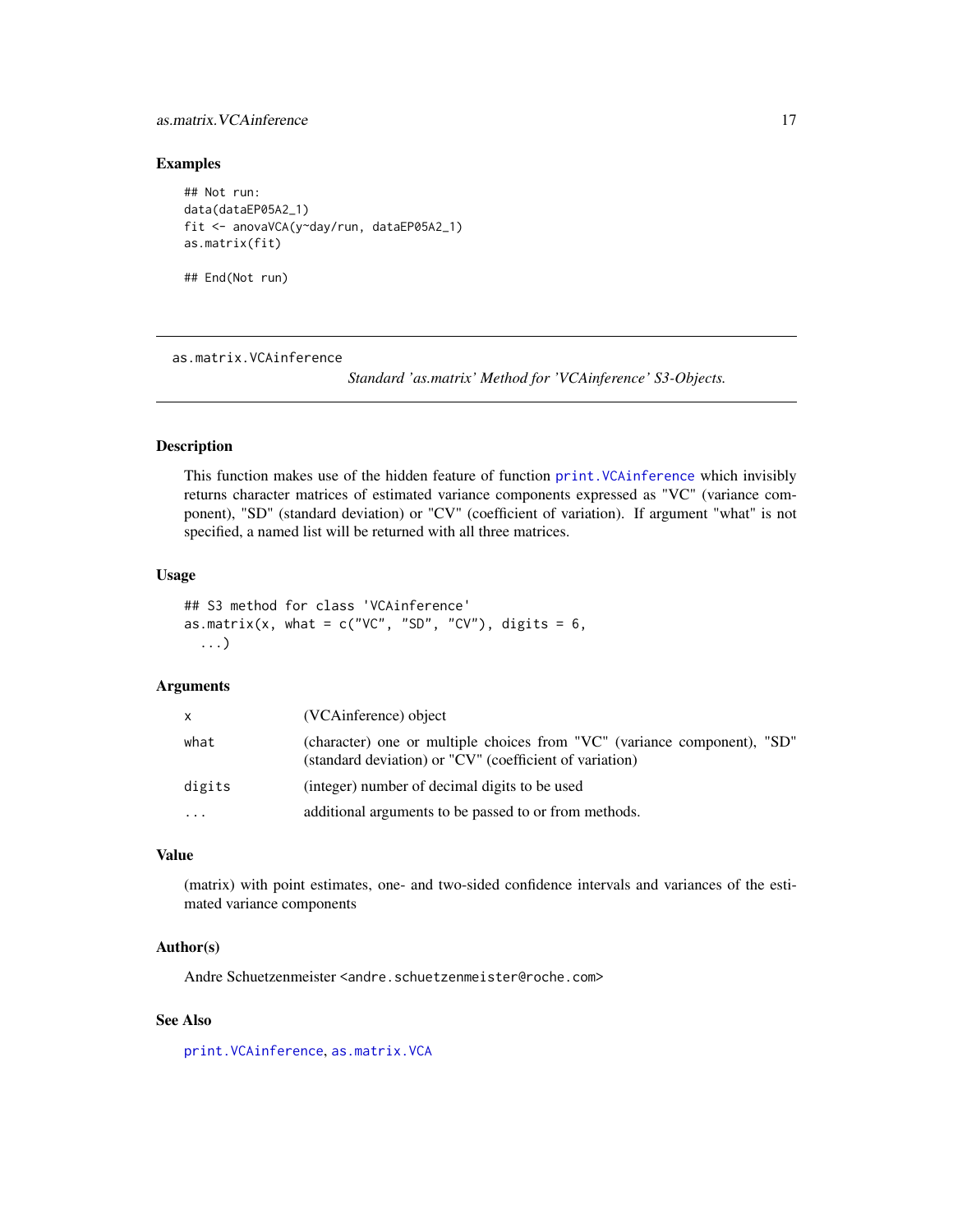# <span id="page-16-0"></span>as.matrix. VCAinference 17

#### Examples

```
## Not run:
data(dataEP05A2_1)
fit <- anovaVCA(y~day/run, dataEP05A2_1)
as.matrix(fit)
## End(Not run)
```
<span id="page-16-1"></span>as.matrix.VCAinference

*Standard 'as.matrix' Method for 'VCAinference' S3-Objects.*

# Description

This function makes use of the hidden feature of function [print.VCAinference](#page-58-1) which invisibly returns character matrices of estimated variance components expressed as "VC" (variance component), "SD" (standard deviation) or "CV" (coefficient of variation). If argument "what" is not specified, a named list will be returned with all three matrices.

#### Usage

```
## S3 method for class 'VCAinference'
as.matrix(x, what = c("VC", "SD", "CV"), digits = 6,
  ...)
```
# Arguments

| x         | (VCAinference) object                                                                                                               |
|-----------|-------------------------------------------------------------------------------------------------------------------------------------|
| what      | (character) one or multiple choices from "VC" (variance component), "SD"<br>(standard deviation) or "CV" (coefficient of variation) |
| digits    | (integer) number of decimal digits to be used                                                                                       |
| $\ddotsc$ | additional arguments to be passed to or from methods.                                                                               |

# Value

(matrix) with point estimates, one- and two-sided confidence intervals and variances of the estimated variance components

#### Author(s)

Andre Schuetzenmeister <andre.schuetzenmeister@roche.com>

# See Also

[print.VCAinference](#page-58-1), [as.matrix.VCA](#page-15-1)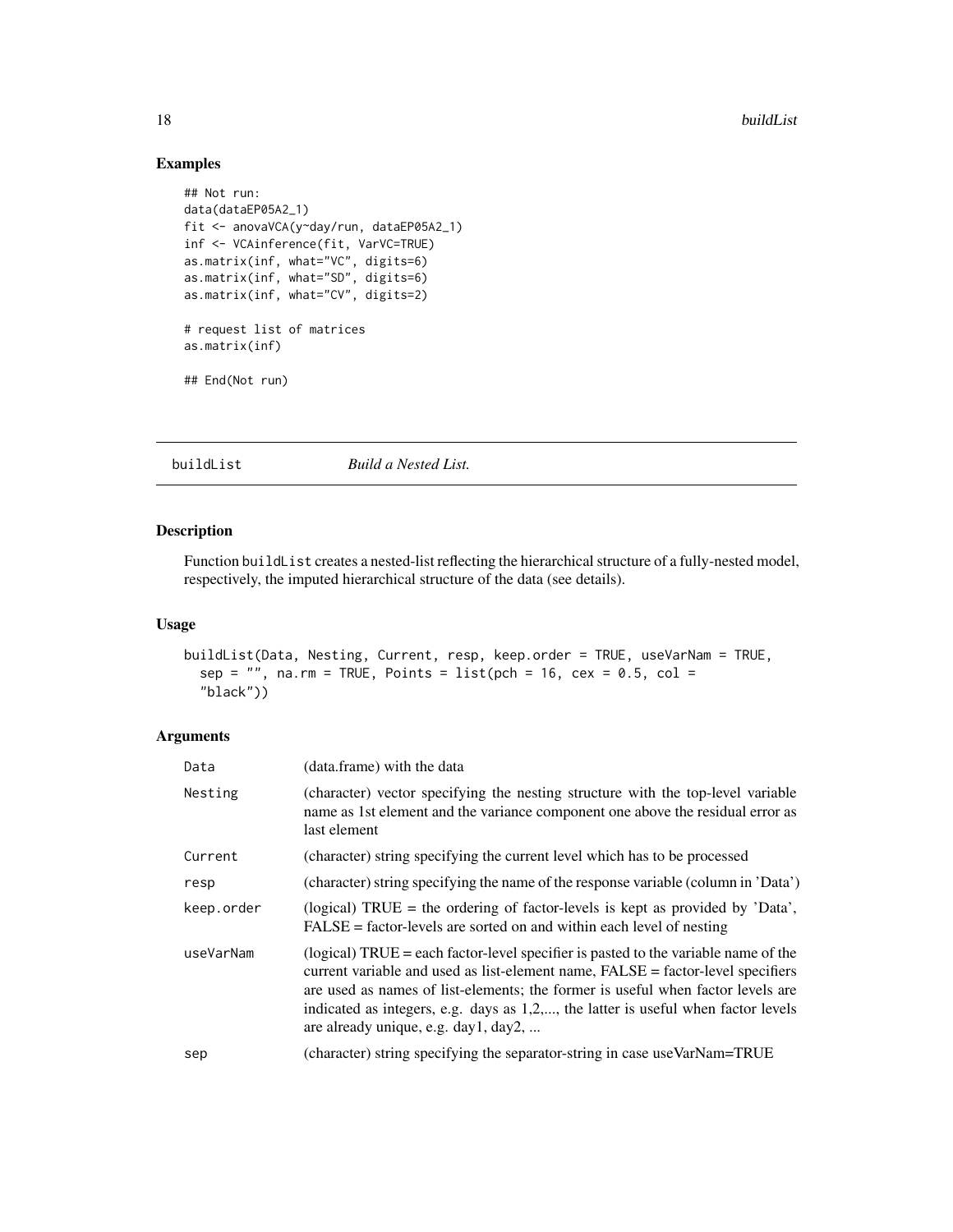# Examples

```
## Not run:
data(dataEP05A2_1)
fit <- anovaVCA(y~day/run, dataEP05A2_1)
inf <- VCAinference(fit, VarVC=TRUE)
as.matrix(inf, what="VC", digits=6)
as.matrix(inf, what="SD", digits=6)
as.matrix(inf, what="CV", digits=2)
# request list of matrices
as.matrix(inf)
## End(Not run)
```
# buildList *Build a Nested List.*

# Description

Function buildList creates a nested-list reflecting the hierarchical structure of a fully-nested model, respectively, the imputed hierarchical structure of the data (see details).

# Usage

```
buildList(Data, Nesting, Current, resp, keep.order = TRUE, useVarNam = TRUE,
  sep = "", na.rm = TRUE, Points = list(pch = 16, cex = 0.5, col =
  "black"))
```
# Arguments

| Data       | (data.frame) with the data                                                                                                                                                                                                                                                                                                                                                            |
|------------|---------------------------------------------------------------------------------------------------------------------------------------------------------------------------------------------------------------------------------------------------------------------------------------------------------------------------------------------------------------------------------------|
| Nesting    | (character) vector specifying the nesting structure with the top-level variable<br>name as 1st element and the variance component one above the residual error as<br>last element                                                                                                                                                                                                     |
| Current    | (character) string specifying the current level which has to be processed                                                                                                                                                                                                                                                                                                             |
| resp       | (character) string specifying the name of the response variable (column in 'Data')                                                                                                                                                                                                                                                                                                    |
| keep.order | (logical) TRUE = the ordering of factor-levels is kept as provided by 'Data',<br>$FALSE = factor-levels$ are sorted on and within each level of nesting                                                                                                                                                                                                                               |
| useVarNam  | (logical) TRUE = each factor-level specifier is pasted to the variable name of the<br>current variable and used as list-element name, FALSE = factor-level specifiers<br>are used as names of list-elements; the former is useful when factor levels are<br>indicated as integers, e.g. days as 1,2,, the latter is useful when factor levels<br>are already unique, e.g. day1, day2, |
| sep        | (character) string specifying the separator-string in case use VarNam=TRUE                                                                                                                                                                                                                                                                                                            |

<span id="page-17-0"></span>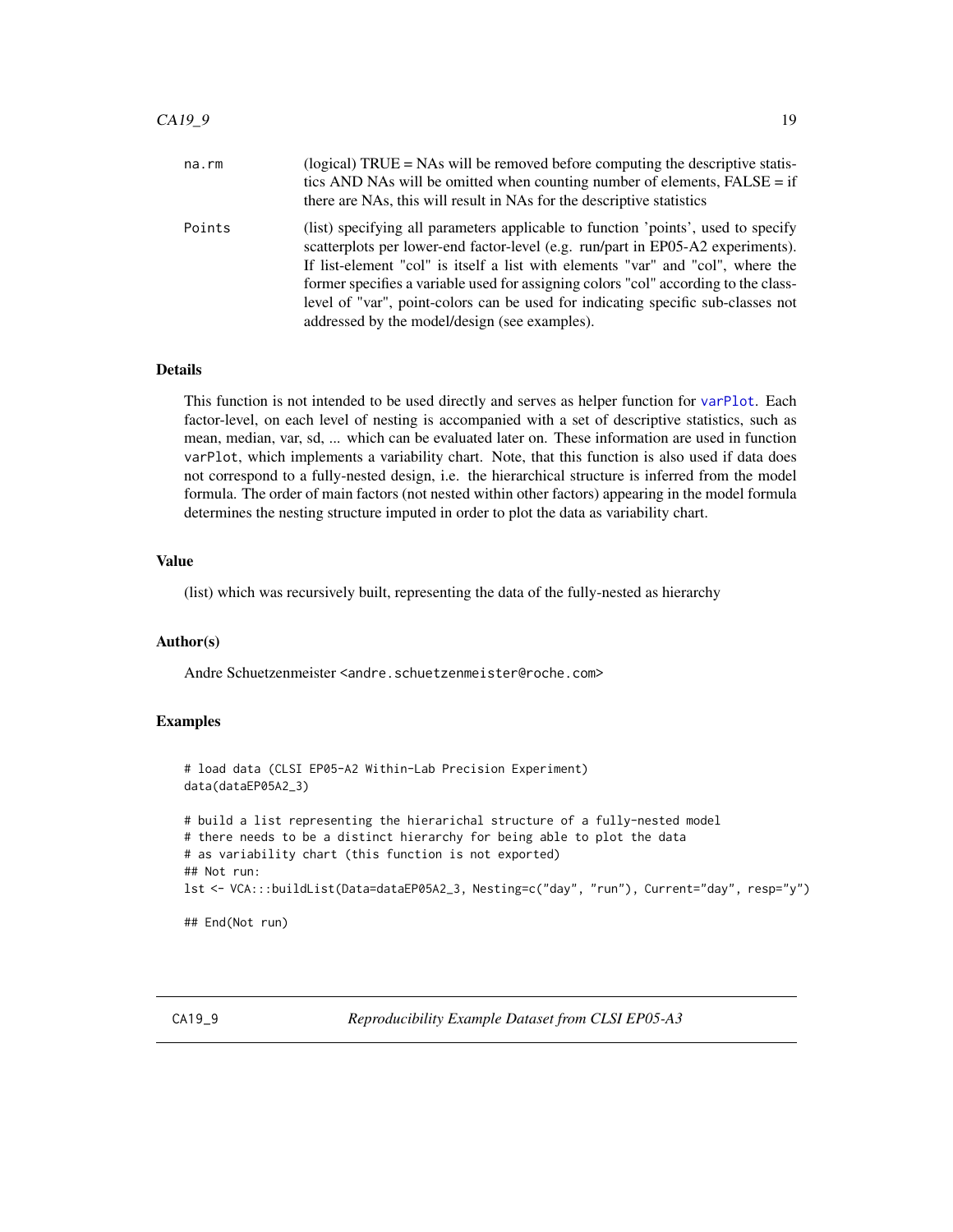<span id="page-18-0"></span>

| na.rm  | (logical) $TRUE =$ NAs will be removed before computing the descriptive statis-<br>tics AND NAs will be omitted when counting number of elements, $FALSE = if$<br>there are NAs, this will result in NAs for the descriptive statistics                                                                                                                                                                                                                                             |
|--------|-------------------------------------------------------------------------------------------------------------------------------------------------------------------------------------------------------------------------------------------------------------------------------------------------------------------------------------------------------------------------------------------------------------------------------------------------------------------------------------|
| Points | (list) specifying all parameters applicable to function 'points', used to specify<br>scatterplots per lower-end factor-level (e.g. run/part in EP05-A2 experiments).<br>If list-element "col" is itself a list with elements "var" and "col", where the<br>former specifies a variable used for assigning colors "col" according to the class-<br>level of "var", point-colors can be used for indicating specific sub-classes not<br>addressed by the model/design (see examples). |

# Details

This function is not intended to be used directly and serves as helper function for [varPlot](#page-80-1). Each factor-level, on each level of nesting is accompanied with a set of descriptive statistics, such as mean, median, var, sd, ... which can be evaluated later on. These information are used in function varPlot, which implements a variability chart. Note, that this function is also used if data does not correspond to a fully-nested design, i.e. the hierarchical structure is inferred from the model formula. The order of main factors (not nested within other factors) appearing in the model formula determines the nesting structure imputed in order to plot the data as variability chart.

# Value

(list) which was recursively built, representing the data of the fully-nested as hierarchy

# Author(s)

Andre Schuetzenmeister <andre.schuetzenmeister@roche.com>

#### Examples

```
# load data (CLSI EP05-A2 Within-Lab Precision Experiment)
data(dataEP05A2_3)
# build a list representing the hierarichal structure of a fully-nested model
# there needs to be a distinct hierarchy for being able to plot the data
# as variability chart (this function is not exported)
## Not run:
lst <- VCA:::buildList(Data=dataEP05A2_3, Nesting=c("day", "run"), Current="day", resp="y")
```
## End(Not run)

CA19\_9 *Reproducibility Example Dataset from CLSI EP05-A3*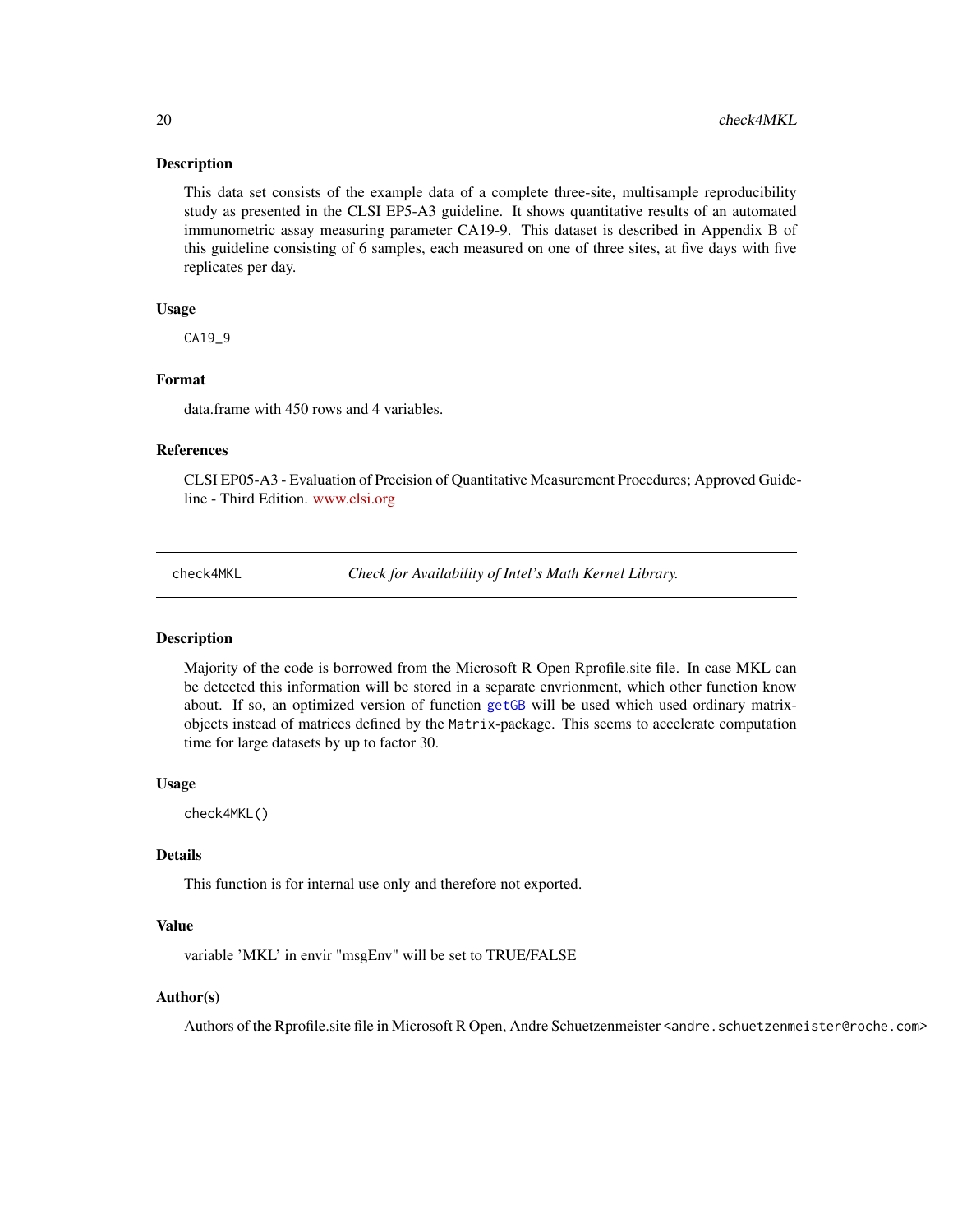This data set consists of the example data of a complete three-site, multisample reproducibility study as presented in the CLSI EP5-A3 guideline. It shows quantitative results of an automated immunometric assay measuring parameter CA19-9. This dataset is described in Appendix B of this guideline consisting of 6 samples, each measured on one of three sites, at five days with five replicates per day.

# Usage

CA19\_9

# Format

data.frame with 450 rows and 4 variables.

#### References

CLSI EP05-A3 - Evaluation of Precision of Quantitative Measurement Procedures; Approved Guideline - Third Edition. <www.clsi.org>

check4MKL *Check for Availability of Intel's Math Kernel Library.*

# Description

Majority of the code is borrowed from the Microsoft R Open Rprofile.site file. In case MKL can be detected this information will be stored in a separate envrionment, which other function know about. If so, an optimized version of function [getGB](#page-34-1) will be used which used ordinary matrixobjects instead of matrices defined by the Matrix-package. This seems to accelerate computation time for large datasets by up to factor 30.

#### Usage

check4MKL()

# Details

This function is for internal use only and therefore not exported.

# Value

variable 'MKL' in envir "msgEnv" will be set to TRUE/FALSE

#### Author(s)

Authors of the Rprofile.site file in Microsoft R Open, Andre Schuetzenmeister <andre.schuetzenmeister@roche.com>

<span id="page-19-0"></span>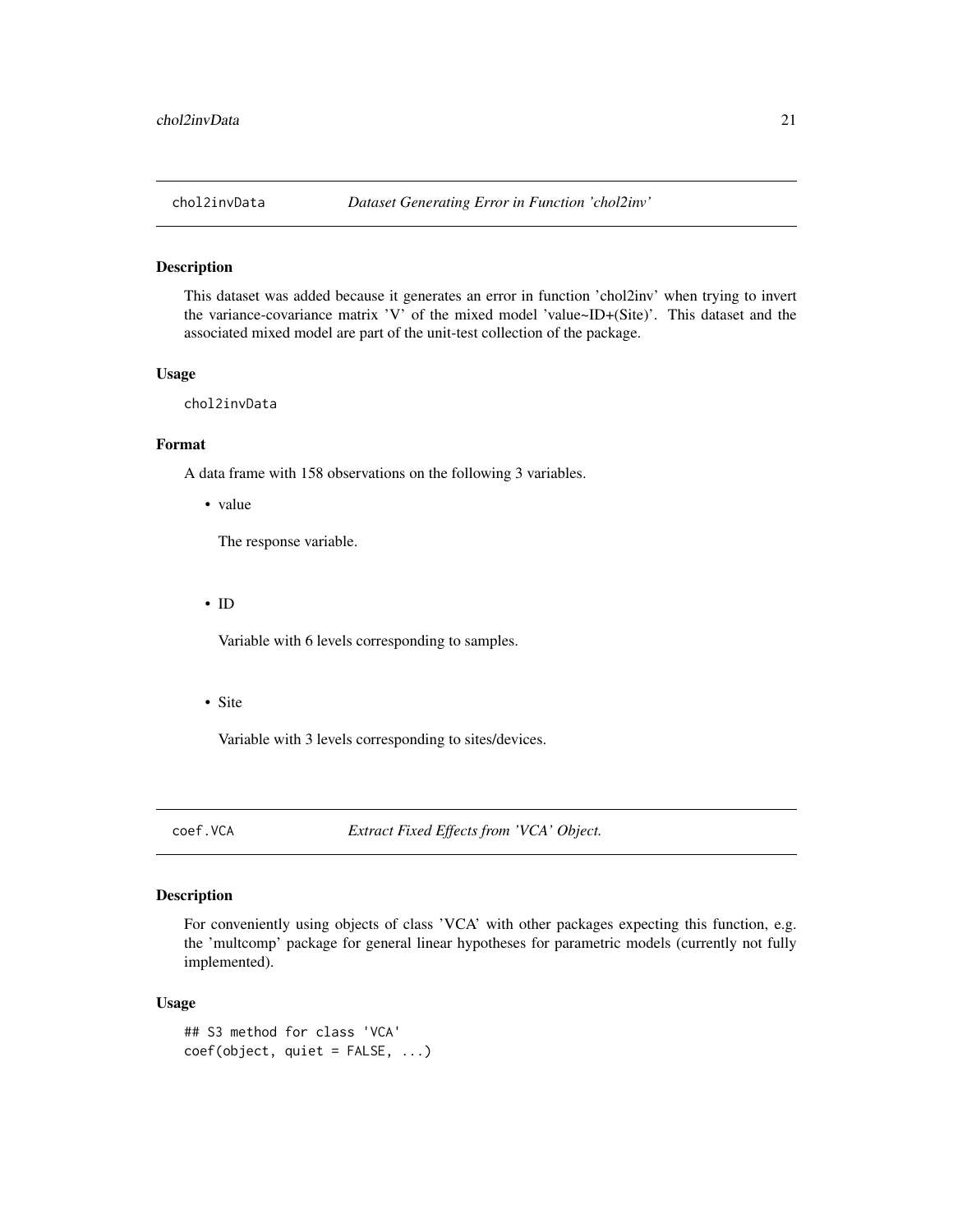<span id="page-20-0"></span>

This dataset was added because it generates an error in function 'chol2inv' when trying to invert the variance-covariance matrix 'V' of the mixed model 'value~ID+(Site)'. This dataset and the associated mixed model are part of the unit-test collection of the package.

#### Usage

chol2invData

# Format

A data frame with 158 observations on the following 3 variables.

• value

The response variable.

• ID

Variable with 6 levels corresponding to samples.

• Site

Variable with 3 levels corresponding to sites/devices.

coef.VCA *Extract Fixed Effects from 'VCA' Object.*

# Description

For conveniently using objects of class 'VCA' with other packages expecting this function, e.g. the 'multcomp' package for general linear hypotheses for parametric models (currently not fully implemented).

#### Usage

```
## S3 method for class 'VCA'
coef(object, quiet = FALSE, ...)
```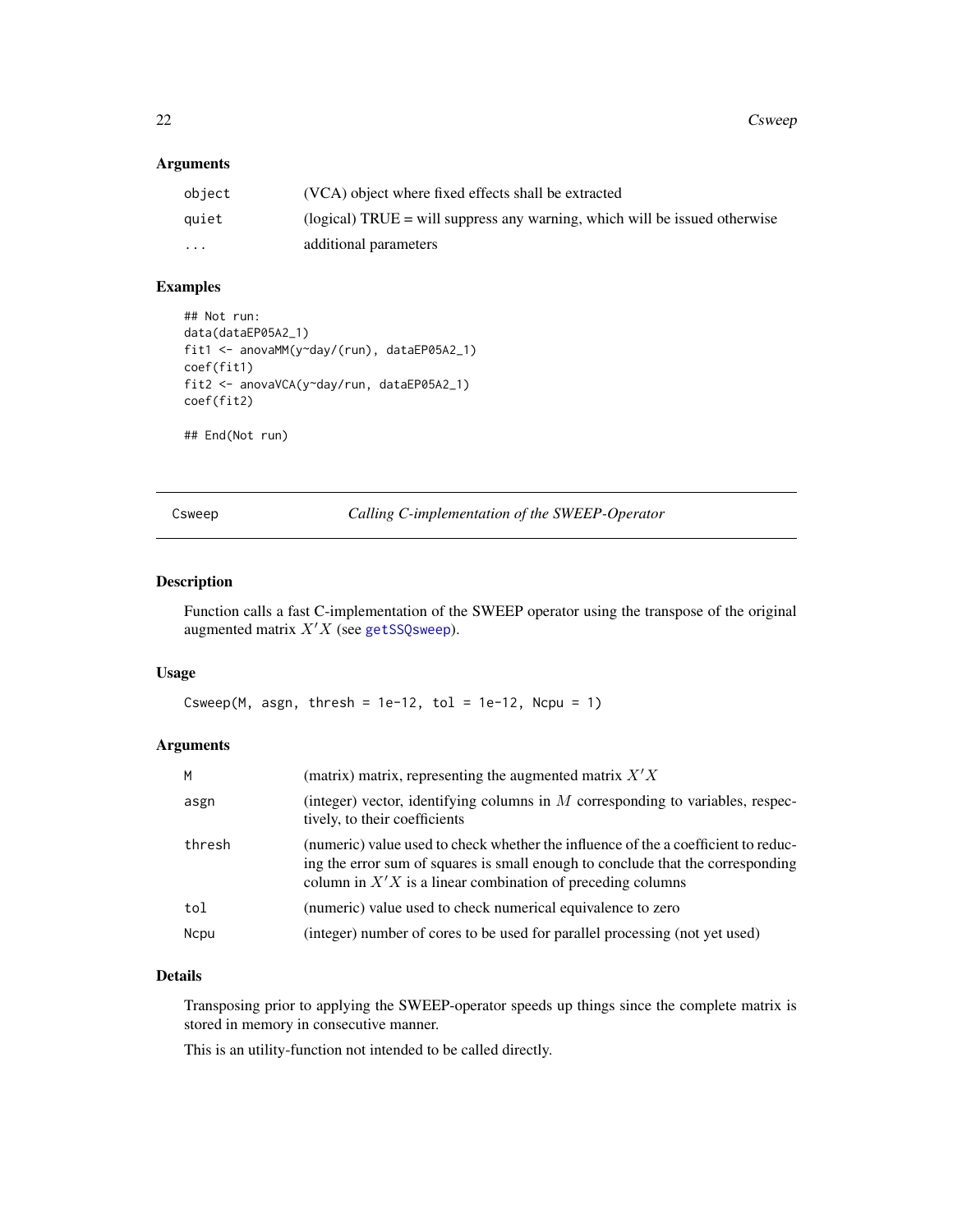# <span id="page-21-0"></span>Arguments

| object   | (VCA) object where fixed effects shall be extracted                          |
|----------|------------------------------------------------------------------------------|
| quiet    | (logical) TRUE $=$ will suppress any warning, which will be issued otherwise |
| $\cdots$ | additional parameters                                                        |

# Examples

```
## Not run:
data(dataEP05A2_1)
fit1 <- anovaMM(y~day/(run), dataEP05A2_1)
coef(fit1)
fit2 <- anovaVCA(y~day/run, dataEP05A2_1)
coef(fit2)
## End(Not run)
```
Csweep *Calling C-implementation of the SWEEP-Operator*

# Description

Function calls a fast C-implementation of the SWEEP operator using the transpose of the original augmented matrix  $X'X$  (see [getSSQsweep](#page-40-1)).

# Usage

Csweep(M, asgn, thresh =  $1e-12$ , tol =  $1e-12$ , Ncpu = 1)

# Arguments

| M      | (matrix) matrix, representing the augmented matrix $X'X$                                                                                                                                                                              |
|--------|---------------------------------------------------------------------------------------------------------------------------------------------------------------------------------------------------------------------------------------|
| asgn   | (integer) vector, identifying columns in $M$ corresponding to variables, respec-<br>tively, to their coefficients                                                                                                                     |
| thresh | (numeric) value used to check whether the influence of the a coefficient to reduc-<br>ing the error sum of squares is small enough to conclude that the corresponding<br>column in $X'X$ is a linear combination of preceding columns |
| tol    | (numeric) value used to check numerical equivalence to zero                                                                                                                                                                           |
| Ncpu   | (integer) number of cores to be used for parallel processing (not yet used)                                                                                                                                                           |

# Details

Transposing prior to applying the SWEEP-operator speeds up things since the complete matrix is stored in memory in consecutive manner.

This is an utility-function not intended to be called directly.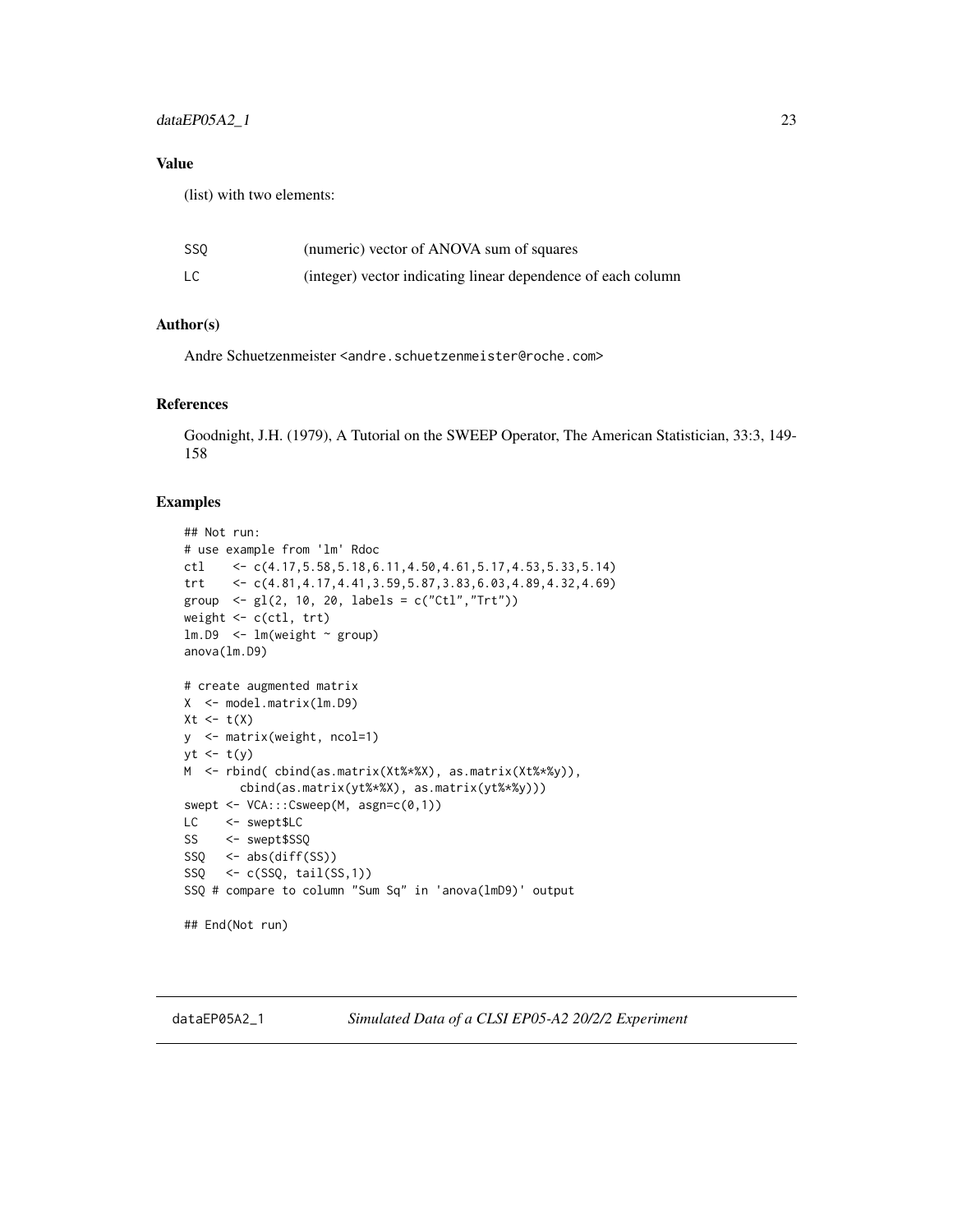# <span id="page-22-0"></span>dataEP05A2\_1 23

# Value

(list) with two elements:

| SS <sub>0</sub> | (numeric) vector of ANOVA sum of squares                     |
|-----------------|--------------------------------------------------------------|
| LC              | (integer) vector indicating linear dependence of each column |

# Author(s)

Andre Schuetzenmeister <andre.schuetzenmeister@roche.com>

# References

Goodnight, J.H. (1979), A Tutorial on the SWEEP Operator, The American Statistician, 33:3, 149- 158

#### Examples

```
## Not run:
# use example from 'lm' Rdoc
ctl <- c(4.17,5.58,5.18,6.11,4.50,4.61,5.17,4.53,5.33,5.14)
trt <- c(4.81,4.17,4.41,3.59,5.87,3.83,6.03,4.89,4.32,4.69)
group \leq gl(2, 10, 20, labels = c("Ctl","Trt"))
weight <- c(ctl, trt)
lm.D9 < - lm(weight \sim group)anova(lm.D9)
# create augmented matrix
X <- model.matrix(lm.D9)
Xt \leftarrow t(X)y <- matrix(weight, ncol=1)
yt \leftarrow t(y)M <- rbind( cbind(as.matrix(Xt%*%X), as.matrix(Xt%*%y)),
        cbind(as.matrix(yt%*%X), as.matrix(yt%*%y)))
swept <- VCA:::Csweep(M, asgn=c(0,1))
LC <- swept$LC
SS <- swept$SSQ
SSQ <- abs(diff(SS))
SSQ <- c(SSQ, tail(SS,1))
SSQ # compare to column "Sum Sq" in 'anova(lmD9)' output
## End(Not run)
```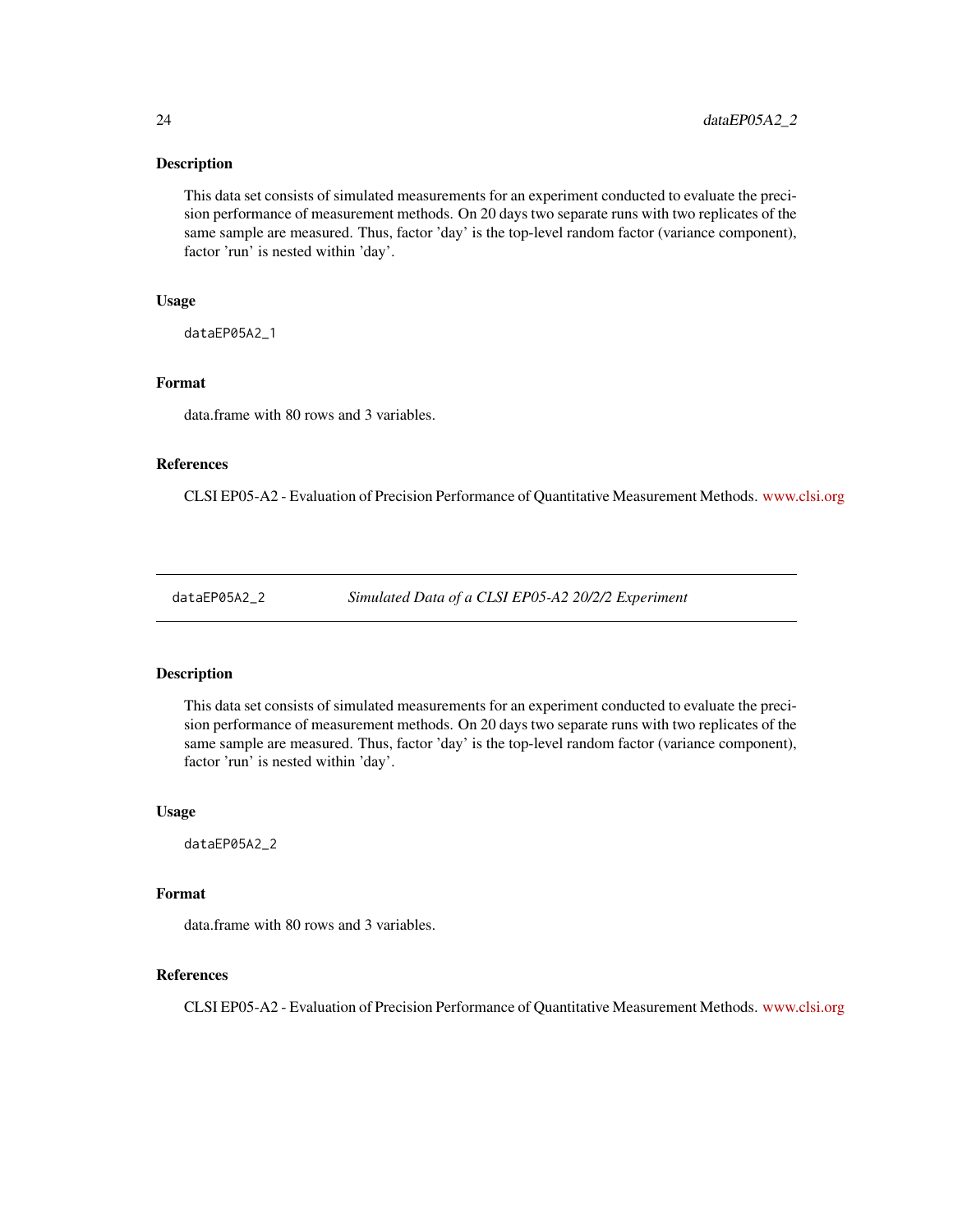<span id="page-23-0"></span>This data set consists of simulated measurements for an experiment conducted to evaluate the precision performance of measurement methods. On 20 days two separate runs with two replicates of the same sample are measured. Thus, factor 'day' is the top-level random factor (variance component), factor 'run' is nested within 'day'.

#### Usage

dataEP05A2\_1

#### Format

data.frame with 80 rows and 3 variables.

# References

CLSI EP05-A2 - Evaluation of Precision Performance of Quantitative Measurement Methods. <www.clsi.org>

dataEP05A2\_2 *Simulated Data of a CLSI EP05-A2 20/2/2 Experiment*

#### Description

This data set consists of simulated measurements for an experiment conducted to evaluate the precision performance of measurement methods. On 20 days two separate runs with two replicates of the same sample are measured. Thus, factor 'day' is the top-level random factor (variance component), factor 'run' is nested within 'day'.

#### Usage

dataEP05A2\_2

#### Format

data.frame with 80 rows and 3 variables.

# References

CLSI EP05-A2 - Evaluation of Precision Performance of Quantitative Measurement Methods. <www.clsi.org>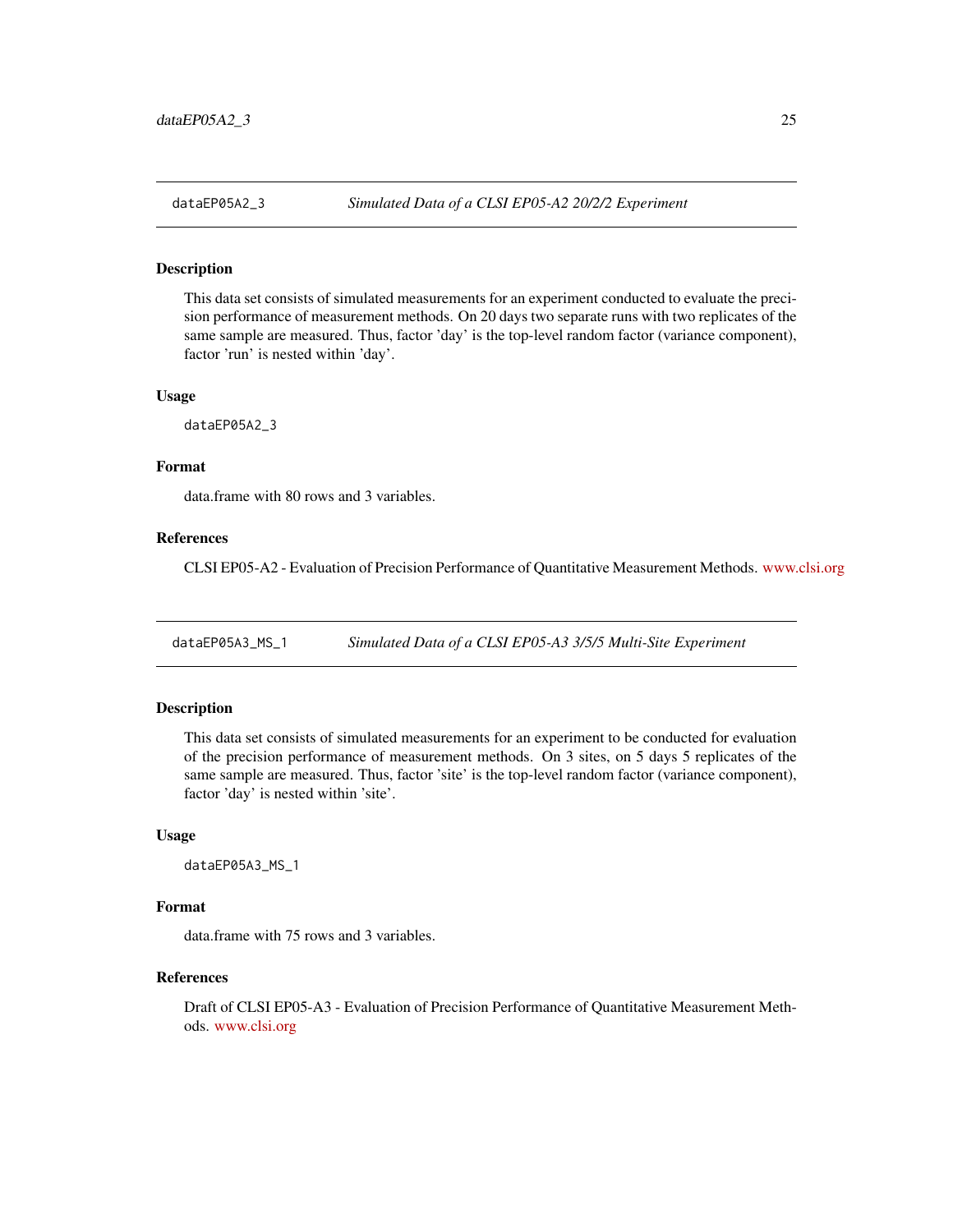<span id="page-24-0"></span>

This data set consists of simulated measurements for an experiment conducted to evaluate the precision performance of measurement methods. On 20 days two separate runs with two replicates of the same sample are measured. Thus, factor 'day' is the top-level random factor (variance component), factor 'run' is nested within 'day'.

#### Usage

dataEP05A2\_3

#### Format

data.frame with 80 rows and 3 variables.

# References

CLSI EP05-A2 - Evaluation of Precision Performance of Quantitative Measurement Methods. <www.clsi.org>

dataEP05A3\_MS\_1 *Simulated Data of a CLSI EP05-A3 3/5/5 Multi-Site Experiment*

#### Description

This data set consists of simulated measurements for an experiment to be conducted for evaluation of the precision performance of measurement methods. On 3 sites, on 5 days 5 replicates of the same sample are measured. Thus, factor 'site' is the top-level random factor (variance component), factor 'day' is nested within 'site'.

#### Usage

```
dataEP05A3_MS_1
```
# Format

data.frame with 75 rows and 3 variables.

# References

Draft of CLSI EP05-A3 - Evaluation of Precision Performance of Quantitative Measurement Methods. <www.clsi.org>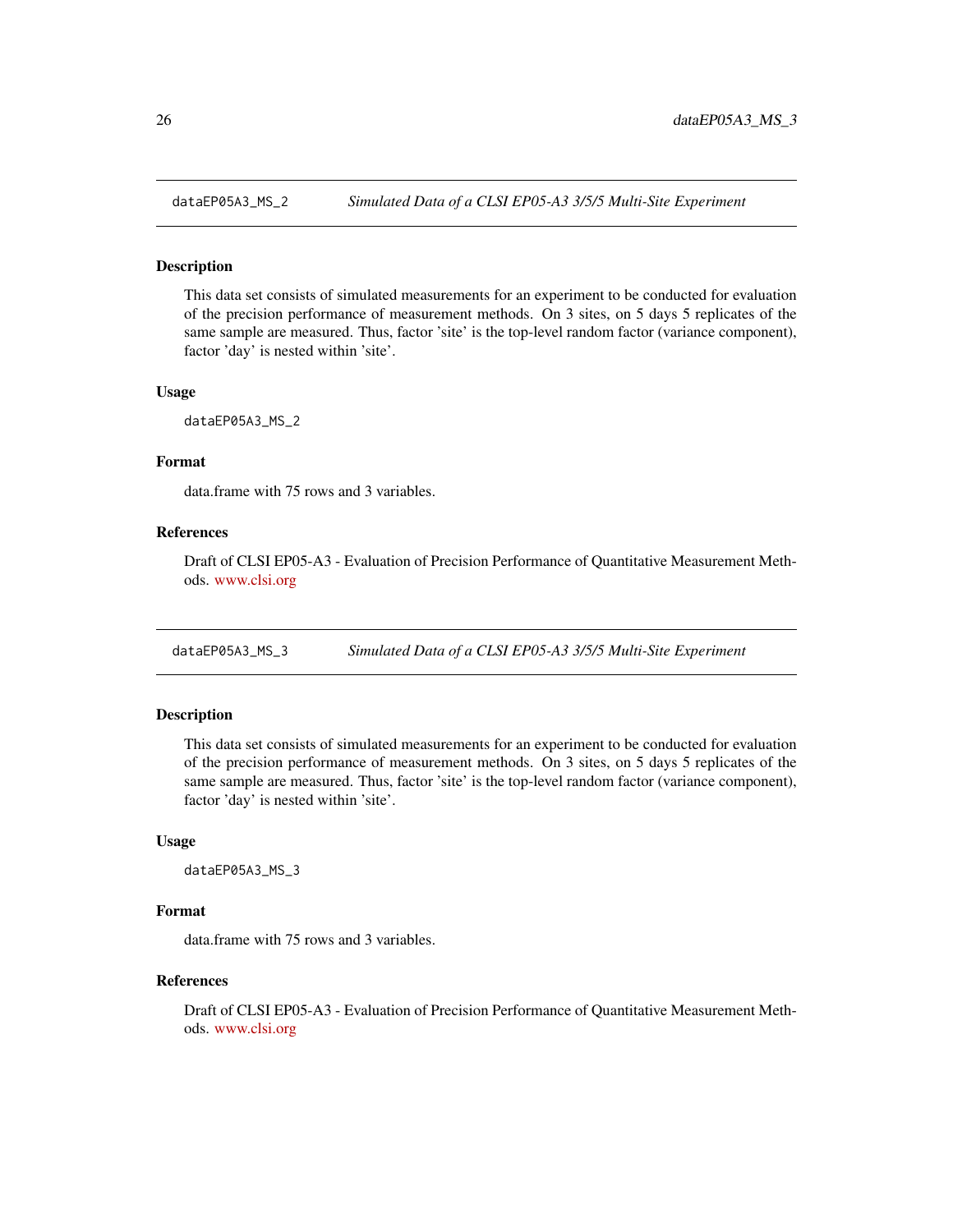<span id="page-25-0"></span>

This data set consists of simulated measurements for an experiment to be conducted for evaluation of the precision performance of measurement methods. On 3 sites, on 5 days 5 replicates of the same sample are measured. Thus, factor 'site' is the top-level random factor (variance component), factor 'day' is nested within 'site'.

#### Usage

dataEP05A3\_MS\_2

## Format

data.frame with 75 rows and 3 variables.

#### References

Draft of CLSI EP05-A3 - Evaluation of Precision Performance of Quantitative Measurement Methods. <www.clsi.org>

dataEP05A3\_MS\_3 *Simulated Data of a CLSI EP05-A3 3/5/5 Multi-Site Experiment*

# Description

This data set consists of simulated measurements for an experiment to be conducted for evaluation of the precision performance of measurement methods. On 3 sites, on 5 days 5 replicates of the same sample are measured. Thus, factor 'site' is the top-level random factor (variance component), factor 'day' is nested within 'site'.

#### Usage

dataEP05A3\_MS\_3

#### Format

data.frame with 75 rows and 3 variables.

#### References

Draft of CLSI EP05-A3 - Evaluation of Precision Performance of Quantitative Measurement Methods. <www.clsi.org>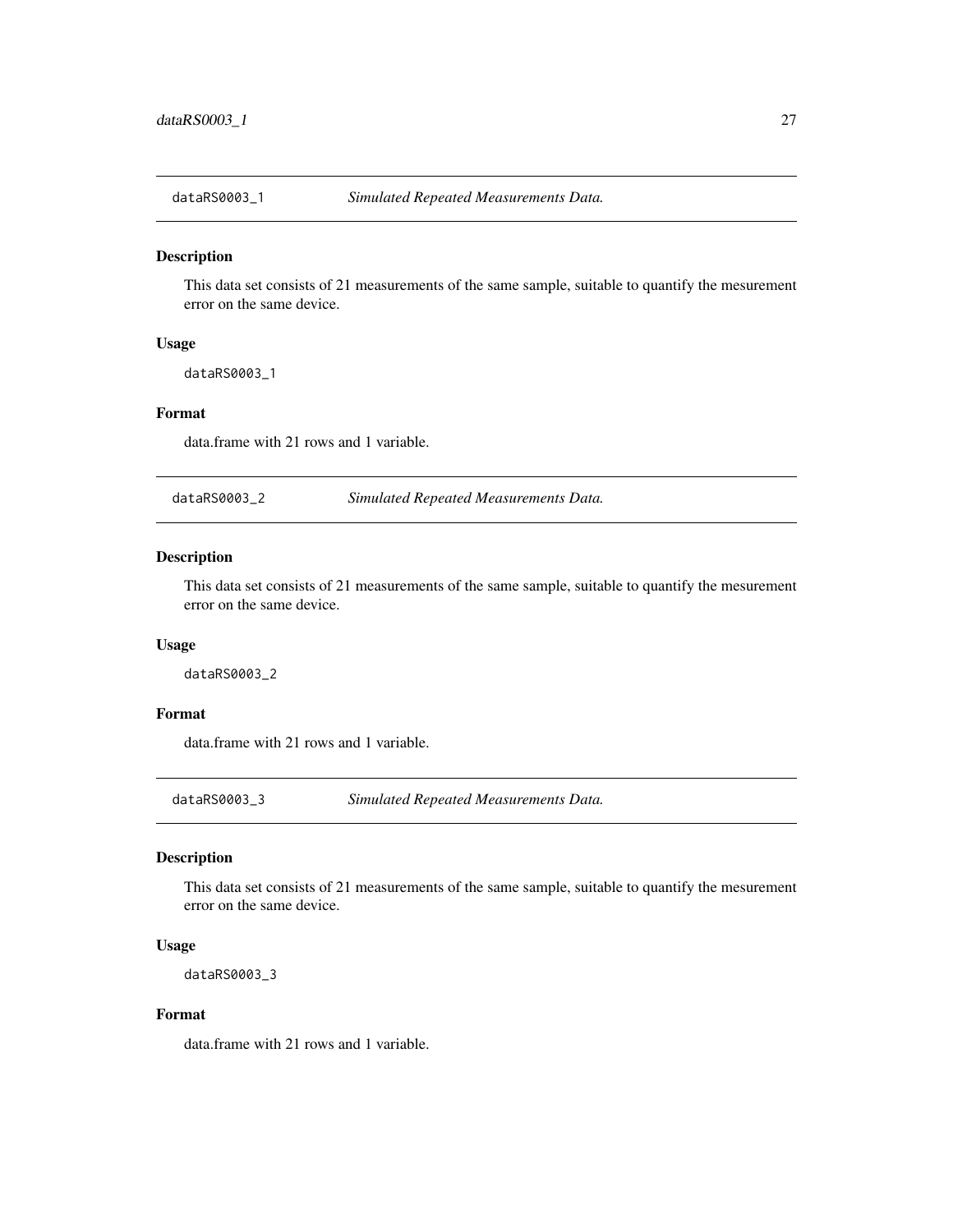<span id="page-26-0"></span>

This data set consists of 21 measurements of the same sample, suitable to quantify the mesurement error on the same device.

# Usage

dataRS0003\_1

#### Format

data.frame with 21 rows and 1 variable.

dataRS0003\_2 *Simulated Repeated Measurements Data.*

#### Description

This data set consists of 21 measurements of the same sample, suitable to quantify the mesurement error on the same device.

#### Usage

dataRS0003\_2

#### Format

data.frame with 21 rows and 1 variable.

dataRS0003\_3 *Simulated Repeated Measurements Data.*

#### Description

This data set consists of 21 measurements of the same sample, suitable to quantify the mesurement error on the same device.

#### Usage

dataRS0003\_3

#### Format

data.frame with 21 rows and 1 variable.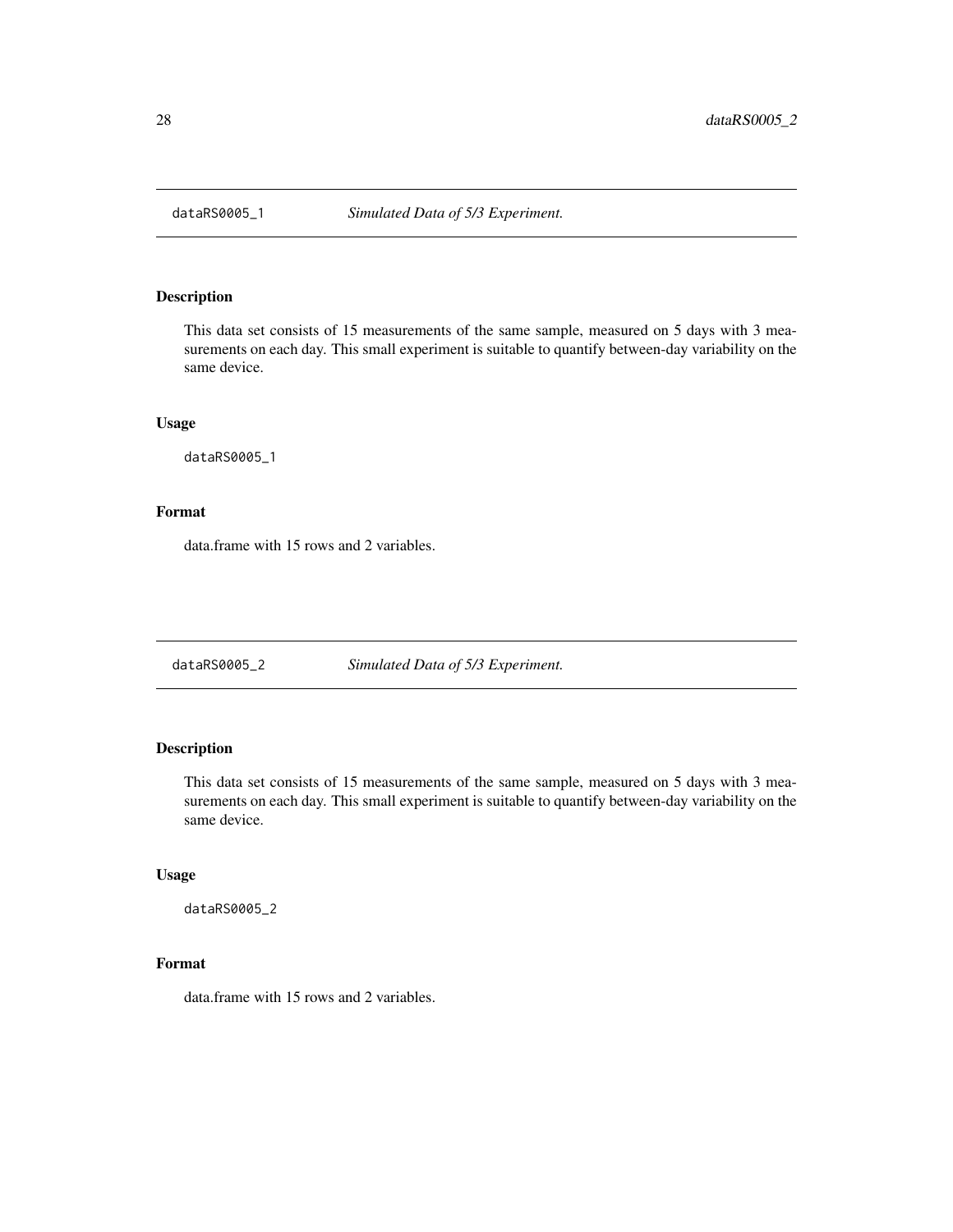<span id="page-27-0"></span>

This data set consists of 15 measurements of the same sample, measured on 5 days with 3 measurements on each day. This small experiment is suitable to quantify between-day variability on the same device.

#### Usage

dataRS0005\_1

#### Format

data.frame with 15 rows and 2 variables.

dataRS0005\_2 *Simulated Data of 5/3 Experiment.*

# Description

This data set consists of 15 measurements of the same sample, measured on 5 days with 3 measurements on each day. This small experiment is suitable to quantify between-day variability on the same device.

#### Usage

dataRS0005\_2

# Format

data.frame with 15 rows and 2 variables.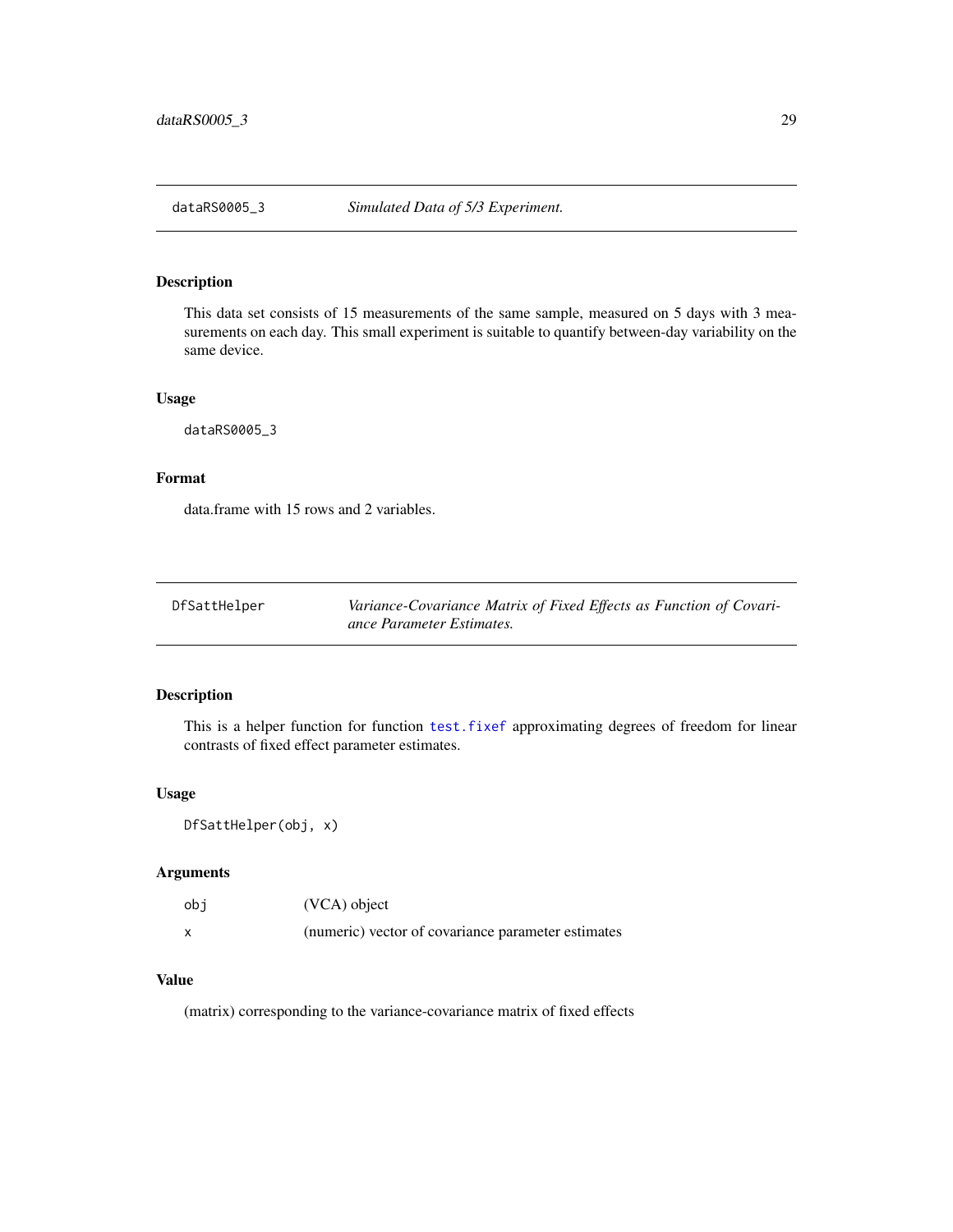<span id="page-28-0"></span>This data set consists of 15 measurements of the same sample, measured on 5 days with 3 measurements on each day. This small experiment is suitable to quantify between-day variability on the same device.

#### Usage

dataRS0005\_3

# Format

data.frame with 15 rows and 2 variables.

| DfSattHelper | Variance-Covariance Matrix of Fixed Effects as Function of Covari- |
|--------------|--------------------------------------------------------------------|
|              | ance Parameter Estimates.                                          |

# Description

This is a helper function for function [test.fixef](#page-75-1) approximating degrees of freedom for linear contrasts of fixed effect parameter estimates.

#### Usage

DfSattHelper(obj, x)

# Arguments

| obi | (VCA) object                                       |
|-----|----------------------------------------------------|
|     | (numeric) vector of covariance parameter estimates |

# Value

(matrix) corresponding to the variance-covariance matrix of fixed effects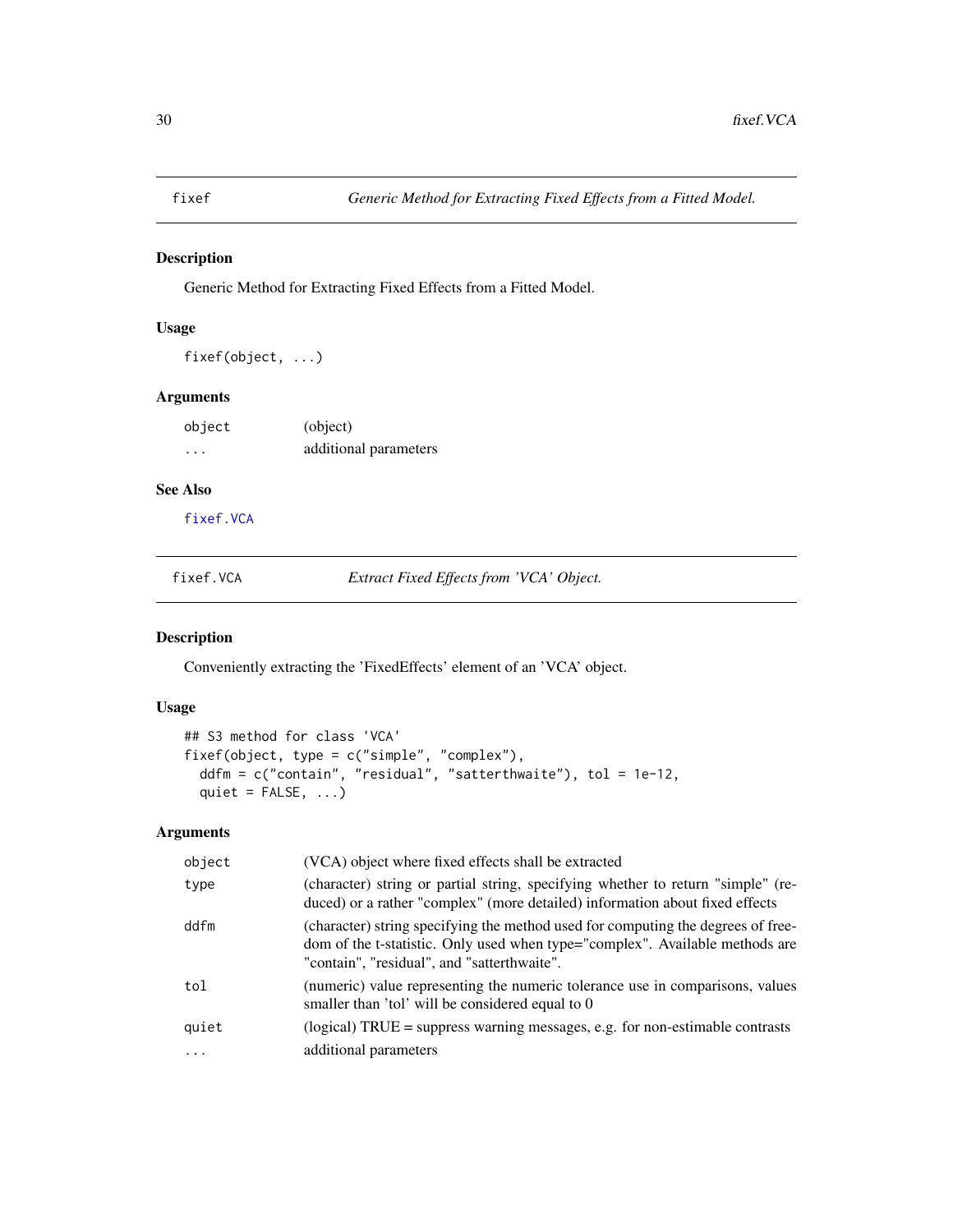<span id="page-29-1"></span><span id="page-29-0"></span>

Generic Method for Extracting Fixed Effects from a Fitted Model.

# Usage

```
fixef(object, ...)
```
#### Arguments

| object   | (object)              |
|----------|-----------------------|
| $\cdots$ | additional parameters |

# See Also

[fixef.VCA](#page-29-2)

<span id="page-29-2"></span>fixef.VCA *Extract Fixed Effects from 'VCA' Object.*

# Description

Conveniently extracting the 'FixedEffects' element of an 'VCA' object.

# Usage

```
## S3 method for class 'VCA'
fixef(object, type = c("simple", "complex"),
  ddfm = c("contain", "residual", "satterthwaite"), tol = 1e-12,
 quiet = FALSE, ...)
```
# Arguments

| object | (VCA) object where fixed effects shall be extracted                                                                                                                                                             |
|--------|-----------------------------------------------------------------------------------------------------------------------------------------------------------------------------------------------------------------|
| type   | (character) string or partial string, specifying whether to return "simple" (re-<br>duced) or a rather "complex" (more detailed) information about fixed effects                                                |
| ddfm   | (character) string specifying the method used for computing the degrees of free-<br>dom of the t-statistic. Only used when type="complex". Available methods are<br>"contain", "residual", and "satterthwaite". |
| tol    | (numeric) value representing the numeric tolerance use in comparisons, values<br>smaller than 'tol' will be considered equal to 0                                                                               |
| quiet  | (logical) TRUE = suppress warning messages, e.g. for non-estimable contrasts                                                                                                                                    |
|        | additional parameters                                                                                                                                                                                           |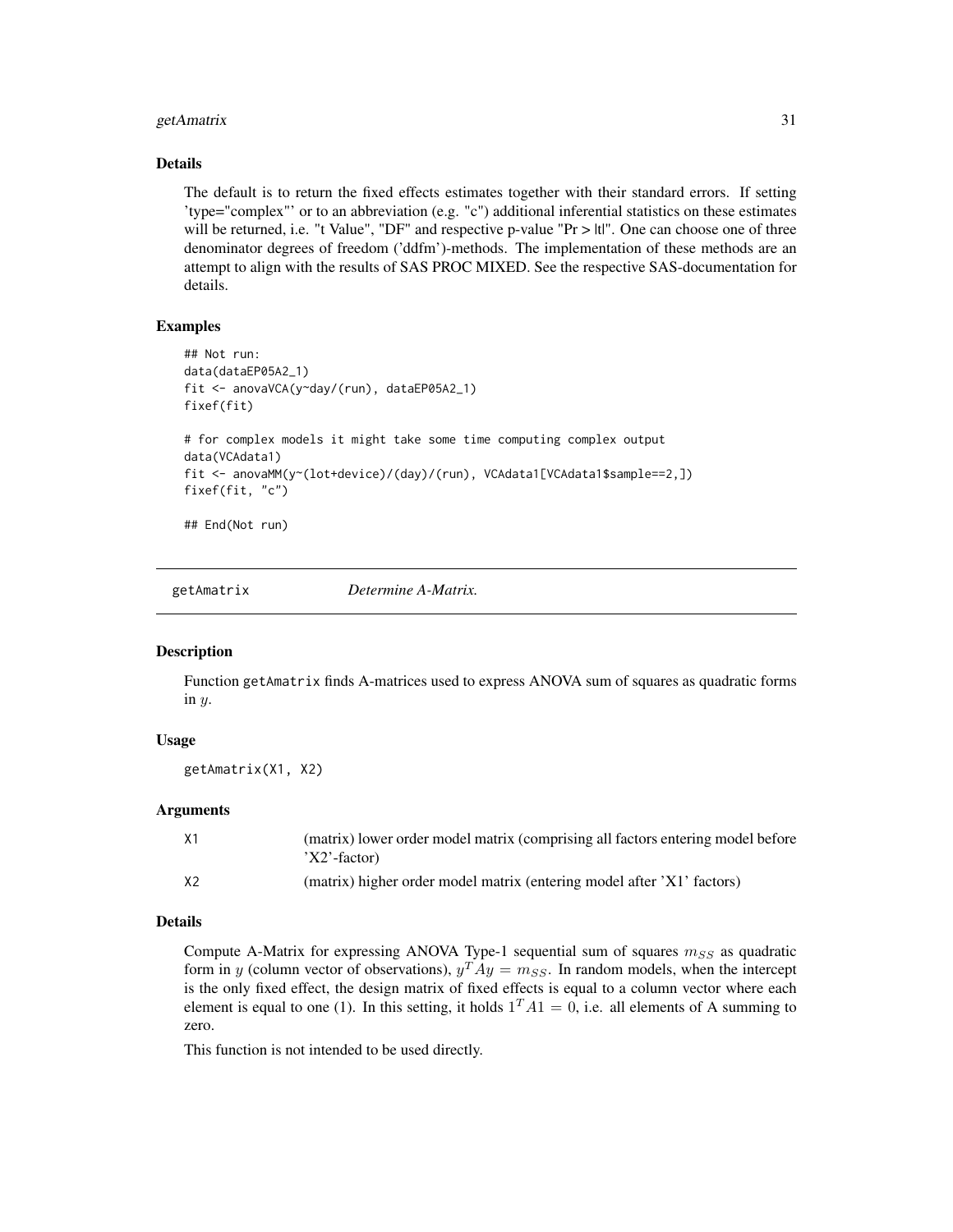#### <span id="page-30-0"></span>getAmatrix 31

#### Details

The default is to return the fixed effects estimates together with their standard errors. If setting 'type="complex"' or to an abbreviation (e.g. "c") additional inferential statistics on these estimates will be returned, i.e. "t Value", "DF" and respective p-value " $Pr > |t|$ ". One can choose one of three denominator degrees of freedom ('ddfm')-methods. The implementation of these methods are an attempt to align with the results of SAS PROC MIXED. See the respective SAS-documentation for details.

# Examples

```
## Not run:
data(dataEP05A2_1)
fit <- anovaVCA(y~day/(run), dataEP05A2_1)
fixef(fit)
# for complex models it might take some time computing complex output
data(VCAdata1)
fit <- anovaMM(y~(lot+device)/(day)/(run), VCAdata1[VCAdata1$sample==2,])
fixef(fit, "c")
```
## End(Not run)

getAmatrix *Determine A-Matrix.*

#### **Description**

Function getAmatrix finds A-matrices used to express ANOVA sum of squares as quadratic forms in y.

#### Usage

getAmatrix(X1, X2)

# Arguments

| X1 | (matrix) lower order model matrix (comprising all factors entering model before<br>$X2'$ -factor) |
|----|---------------------------------------------------------------------------------------------------|
| X2 | (matrix) higher order model matrix (entering model after 'X1' factors)                            |

# Details

Compute A-Matrix for expressing ANOVA Type-1 sequential sum of squares  $m_{SS}$  as quadratic form in y (column vector of observations),  $y^T A y = m_{SS}$ . In random models, when the intercept is the only fixed effect, the design matrix of fixed effects is equal to a column vector where each element is equal to one (1). In this setting, it holds  $1^T A 1 = 0$ , i.e. all elements of A summing to zero.

This function is not intended to be used directly.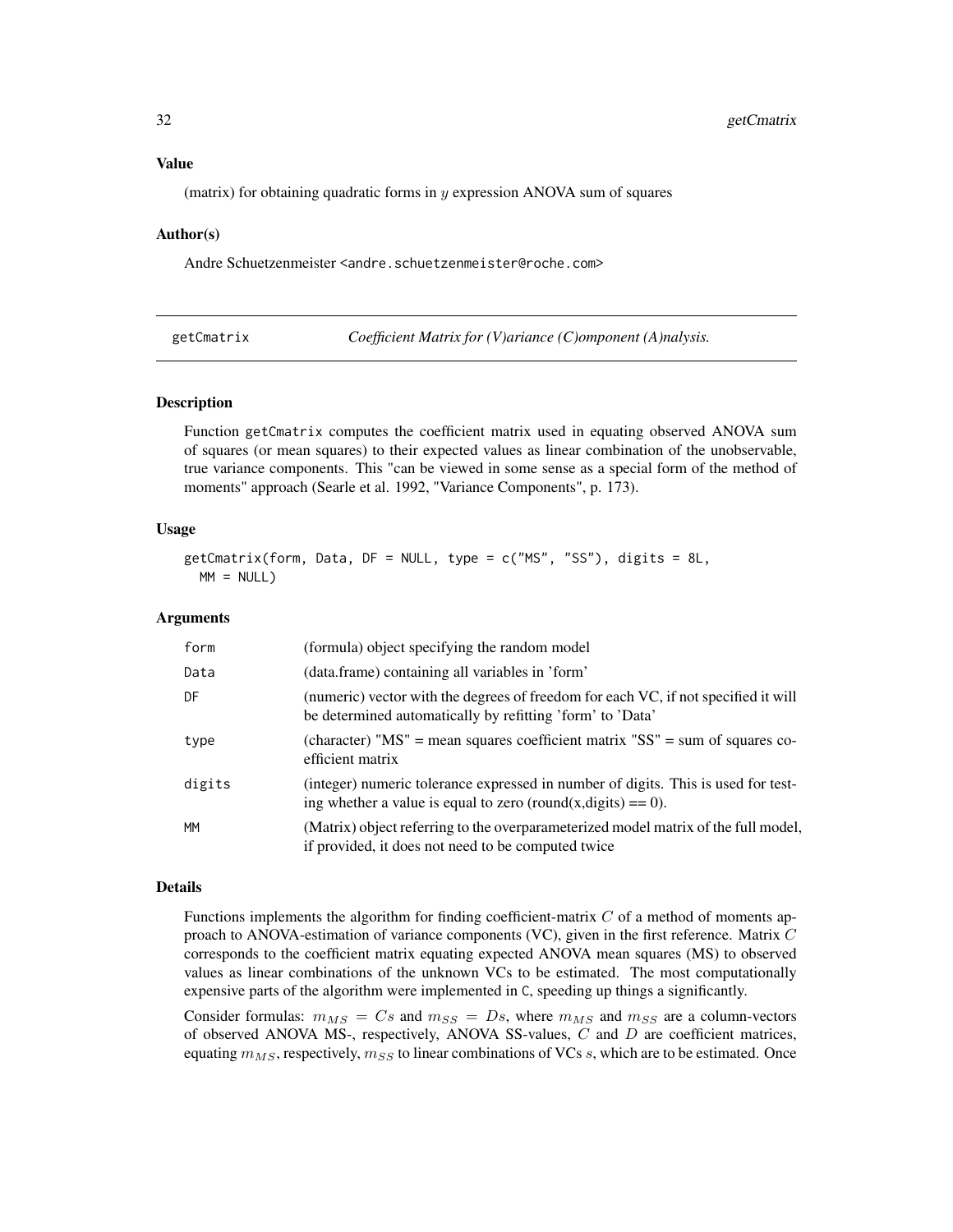#### <span id="page-31-0"></span>Value

(matrix) for obtaining quadratic forms in  $\gamma$  expression ANOVA sum of squares

#### Author(s)

Andre Schuetzenmeister <andre.schuetzenmeister@roche.com>

<span id="page-31-1"></span>

| getCmatrix |  |  |
|------------|--|--|
|            |  |  |
|            |  |  |

*Coefficient Matrix for (V)ariance (C)omponent (A)nalysis.* 

### Description

Function getCmatrix computes the coefficient matrix used in equating observed ANOVA sum of squares (or mean squares) to their expected values as linear combination of the unobservable, true variance components. This "can be viewed in some sense as a special form of the method of moments" approach (Searle et al. 1992, "Variance Components", p. 173).

#### Usage

```
getCmatrix(form, Data, DF = NULL, type = c("MS", "SS"), digits = 8L,
 MM = NULL
```
#### Arguments

| form      | (formula) object specifying the random model                                                                                                     |
|-----------|--------------------------------------------------------------------------------------------------------------------------------------------------|
| Data      | (data.frame) containing all variables in 'form'                                                                                                  |
| DF        | (numeric) vector with the degrees of freedom for each VC, if not specified it will<br>be determined automatically by refitting 'form' to 'Data'  |
| type      | (character) " $MS''$ = mean squares coefficient matrix " $SS''$ = sum of squares co-<br>efficient matrix                                         |
| digits    | (integer) numeric tolerance expressed in number of digits. This is used for test-<br>ing whether a value is equal to zero (round(x,digits) = 0). |
| <b>MM</b> | (Matrix) object referring to the overparameterized model matrix of the full model,<br>if provided, it does not need to be computed twice         |

#### Details

Functions implements the algorithm for finding coefficient-matrix  $C$  of a method of moments approach to ANOVA-estimation of variance components (VC), given in the first reference. Matrix  $C$ corresponds to the coefficient matrix equating expected ANOVA mean squares (MS) to observed values as linear combinations of the unknown VCs to be estimated. The most computationally expensive parts of the algorithm were implemented in C, speeding up things a significantly.

Consider formulas:  $m_{MS} = Cs$  and  $m_{SS} = Ds$ , where  $m_{MS}$  and  $m_{SS}$  are a column-vectors of observed ANOVA MS-, respectively, ANOVA SS-values,  $C$  and  $D$  are coefficient matrices, equating  $m_{MS}$ , respectively,  $m_{SS}$  to linear combinations of VCs s, which are to be estimated. Once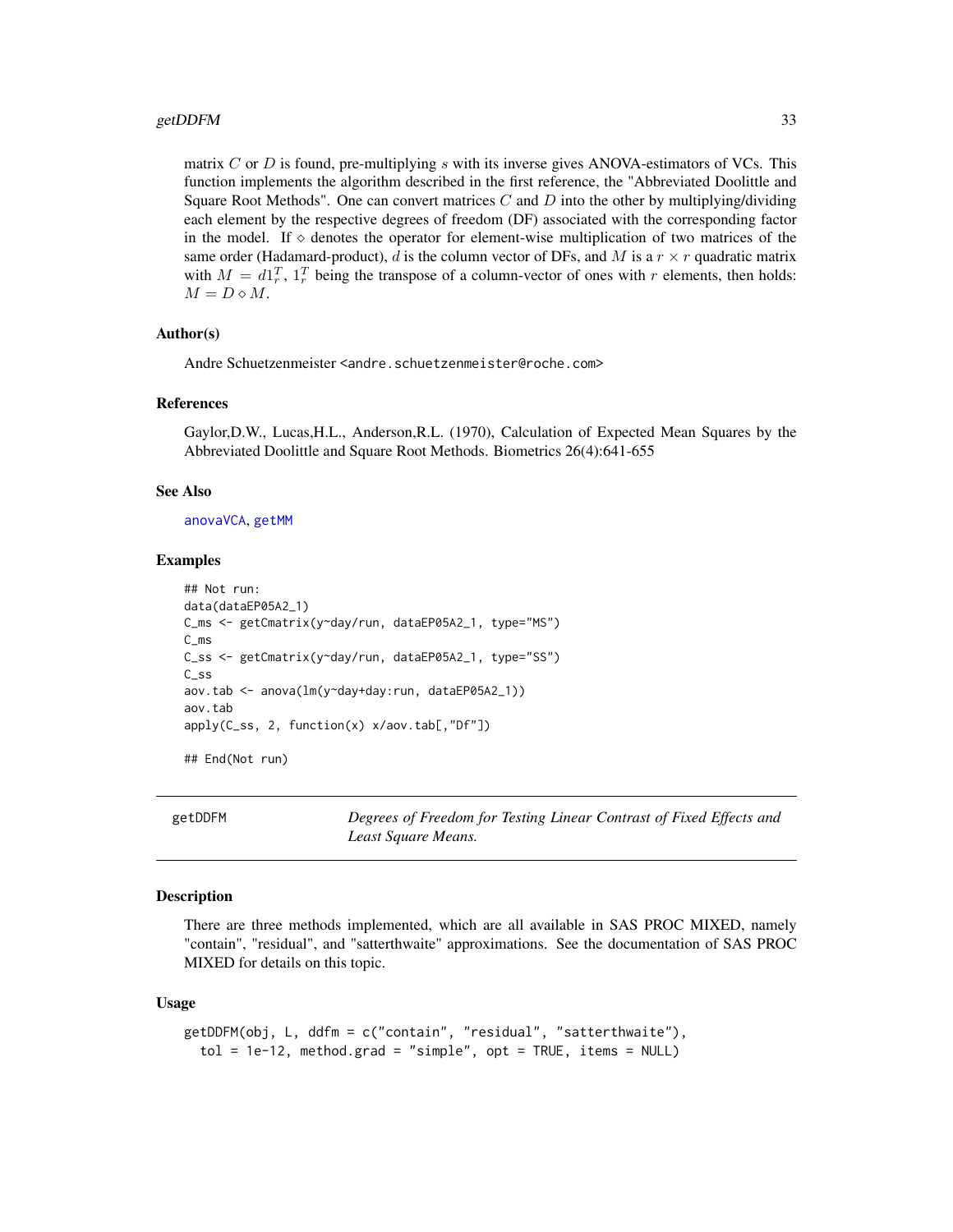#### <span id="page-32-0"></span>getDDFM 33

matrix  $C$  or  $D$  is found, pre-multiplying  $s$  with its inverse gives ANOVA-estimators of VCs. This function implements the algorithm described in the first reference, the "Abbreviated Doolittle and Square Root Methods". One can convert matrices C and D into the other by multiplying/dividing each element by the respective degrees of freedom (DF) associated with the corresponding factor in the model. If  $\diamond$  denotes the operator for element-wise multiplication of two matrices of the same order (Hadamard-product), d is the column vector of DFs, and M is a  $r \times r$  quadratic matrix with  $M = d1_r^T$ ,  $1_r^T$  being the transpose of a column-vector of ones with r elements, then holds:  $M = D \diamond M$ .

# Author(s)

Andre Schuetzenmeister <andre.schuetzenmeister@roche.com>

# References

Gaylor,D.W., Lucas,H.L., Anderson,R.L. (1970), Calculation of Expected Mean Squares by the Abbreviated Doolittle and Square Root Methods. Biometrics 26(4):641-655

#### See Also

[anovaVCA](#page-10-1), [getMM](#page-38-1)

#### Examples

```
## Not run:
data(dataEP05A2_1)
C_ms <- getCmatrix(y~day/run, dataEP05A2_1, type="MS")
C_ms
C_ss <- getCmatrix(y~day/run, dataEP05A2_1, type="SS")
C_ss
aov.tab <- anova(lm(y~day+day:run, dataEP05A2_1))
aov.tab
apply(C_ss, 2, function(x) x/aov.tab[,"Df"])
```
## End(Not run)

getDDFM *Degrees of Freedom for Testing Linear Contrast of Fixed Effects and Least Square Means.*

# Description

There are three methods implemented, which are all available in SAS PROC MIXED, namely "contain", "residual", and "satterthwaite" approximations. See the documentation of SAS PROC MIXED for details on this topic.

# Usage

```
getDDFM(obj, L, ddfm = c("contain", "residual", "satterthwaite"),
  tol = 1e-12, method.grad = "simple", opt = TRUE, items = NULL)
```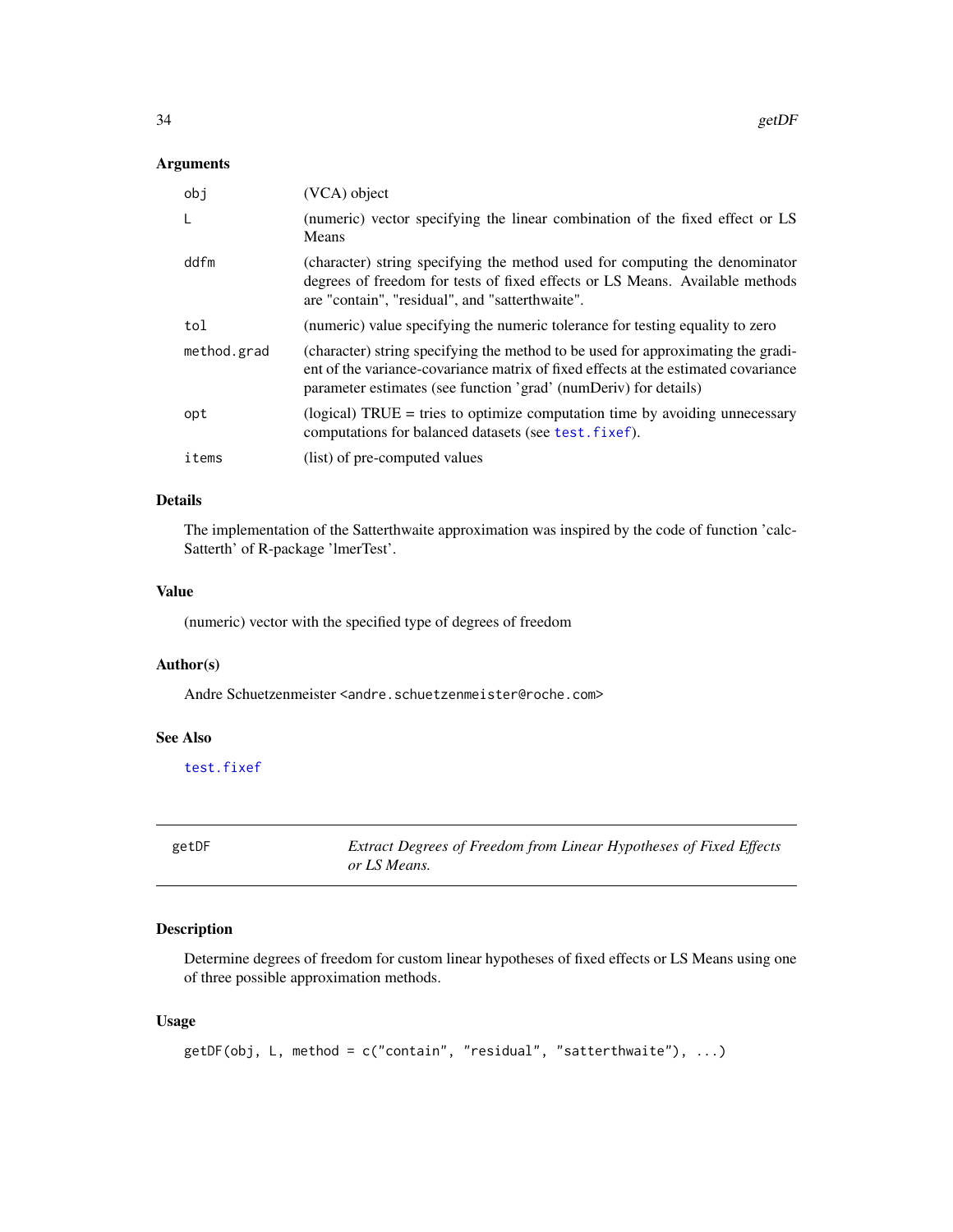#### <span id="page-33-0"></span>Arguments

| obi         | (VCA) object                                                                                                                                                                                                                               |
|-------------|--------------------------------------------------------------------------------------------------------------------------------------------------------------------------------------------------------------------------------------------|
| L           | (numeric) vector specifying the linear combination of the fixed effect or LS<br>Means                                                                                                                                                      |
| ddfm        | (character) string specifying the method used for computing the denominator<br>degrees of freedom for tests of fixed effects or LS Means. Available methods<br>are "contain", "residual", and "satterthwaite".                             |
| tol         | (numeric) value specifying the numeric tolerance for testing equality to zero                                                                                                                                                              |
| method.grad | (character) string specifying the method to be used for approximating the gradi-<br>ent of the variance-covariance matrix of fixed effects at the estimated covariance<br>parameter estimates (see function 'grad' (numDeriv) for details) |
| opt         | (logical) $TRUE = tries$ to optimize computation time by avoiding unnecessary<br>computations for balanced datasets (see test. fixef).                                                                                                     |
| items       | (list) of pre-computed values                                                                                                                                                                                                              |

# Details

The implementation of the Satterthwaite approximation was inspired by the code of function 'calc-Satterth' of R-package 'lmerTest'.

#### Value

(numeric) vector with the specified type of degrees of freedom

#### Author(s)

Andre Schuetzenmeister <andre.schuetzenmeister@roche.com>

# See Also

[test.fixef](#page-75-1)

getDF *Extract Degrees of Freedom from Linear Hypotheses of Fixed Effects or LS Means.*

# Description

Determine degrees of freedom for custom linear hypotheses of fixed effects or LS Means using one of three possible approximation methods.

# Usage

```
getDF(obj, L, method = c("contain", "residual", "satterthwaite"), ...)
```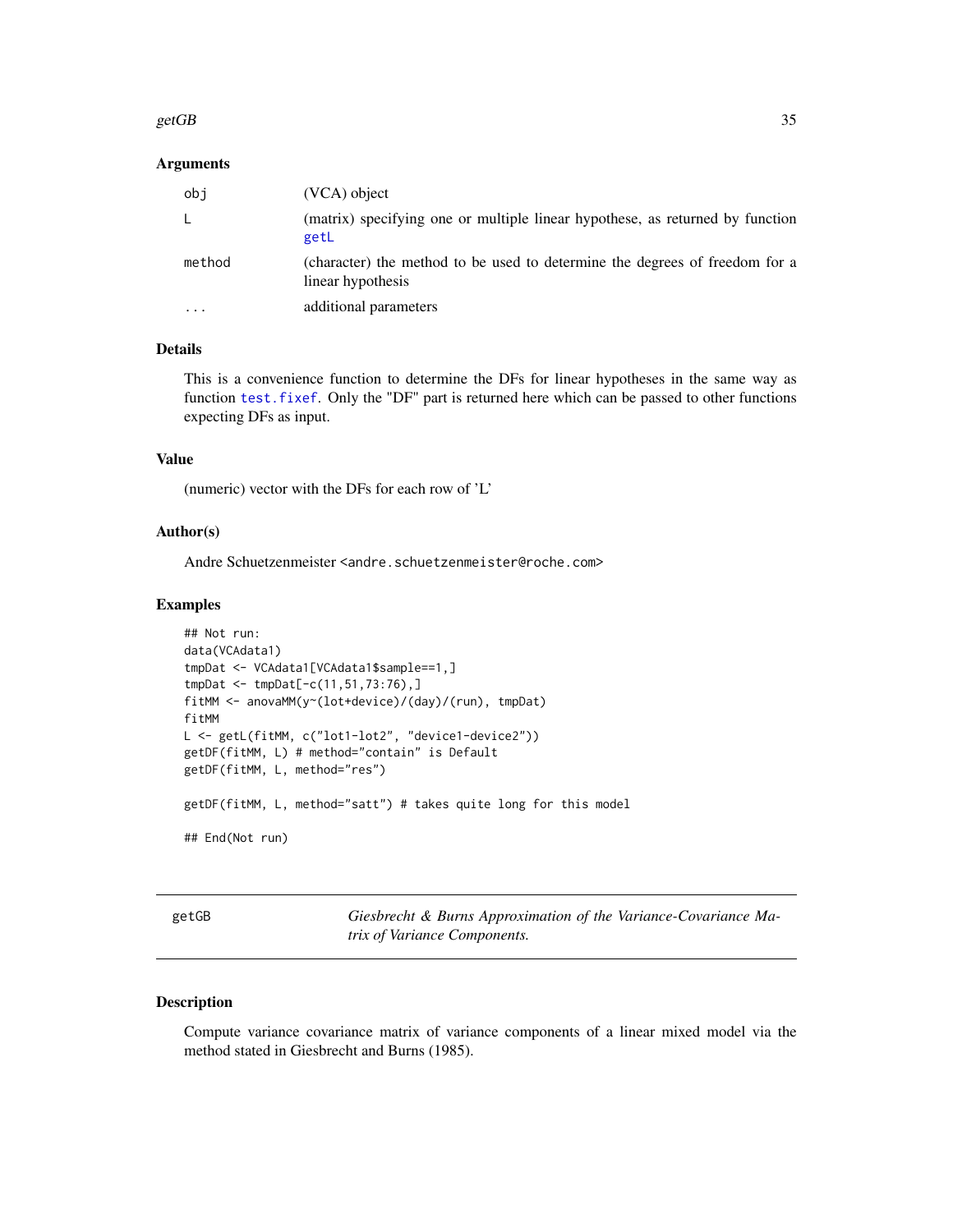#### <span id="page-34-0"></span> $\epsilon$ getGB 35

#### **Arguments**

| obi                     | $(VCA)$ object                                                                                   |
|-------------------------|--------------------------------------------------------------------------------------------------|
| L                       | (matrix) specifying one or multiple linear hypothese, as returned by function<br>getL            |
| method                  | (character) the method to be used to determine the degrees of freedom for a<br>linear hypothesis |
| $\cdot$ $\cdot$ $\cdot$ | additional parameters                                                                            |

# Details

This is a convenience function to determine the DFs for linear hypotheses in the same way as function [test.fixef](#page-75-1). Only the "DF" part is returned here which can be passed to other functions expecting DFs as input.

#### Value

(numeric) vector with the DFs for each row of 'L'

# Author(s)

Andre Schuetzenmeister <andre.schuetzenmeister@roche.com>

#### Examples

```
## Not run:
data(VCAdata1)
tmpDat <- VCAdata1[VCAdata1$sample==1,]
tmpDat <- tmpDat[-c(11,51,73:76),]
fitMM <- anovaMM(y~(lot+device)/(day)/(run), tmpDat)
fitMM
L <- getL(fitMM, c("lot1-lot2", "device1-device2"))
getDF(fitMM, L) # method="contain" is Default
getDF(fitMM, L, method="res")
getDF(fitMM, L, method="satt") # takes quite long for this model
## End(Not run)
```
<span id="page-34-1"></span>getGB *Giesbrecht & Burns Approximation of the Variance-Covariance Matrix of Variance Components.*

# Description

Compute variance covariance matrix of variance components of a linear mixed model via the method stated in Giesbrecht and Burns (1985).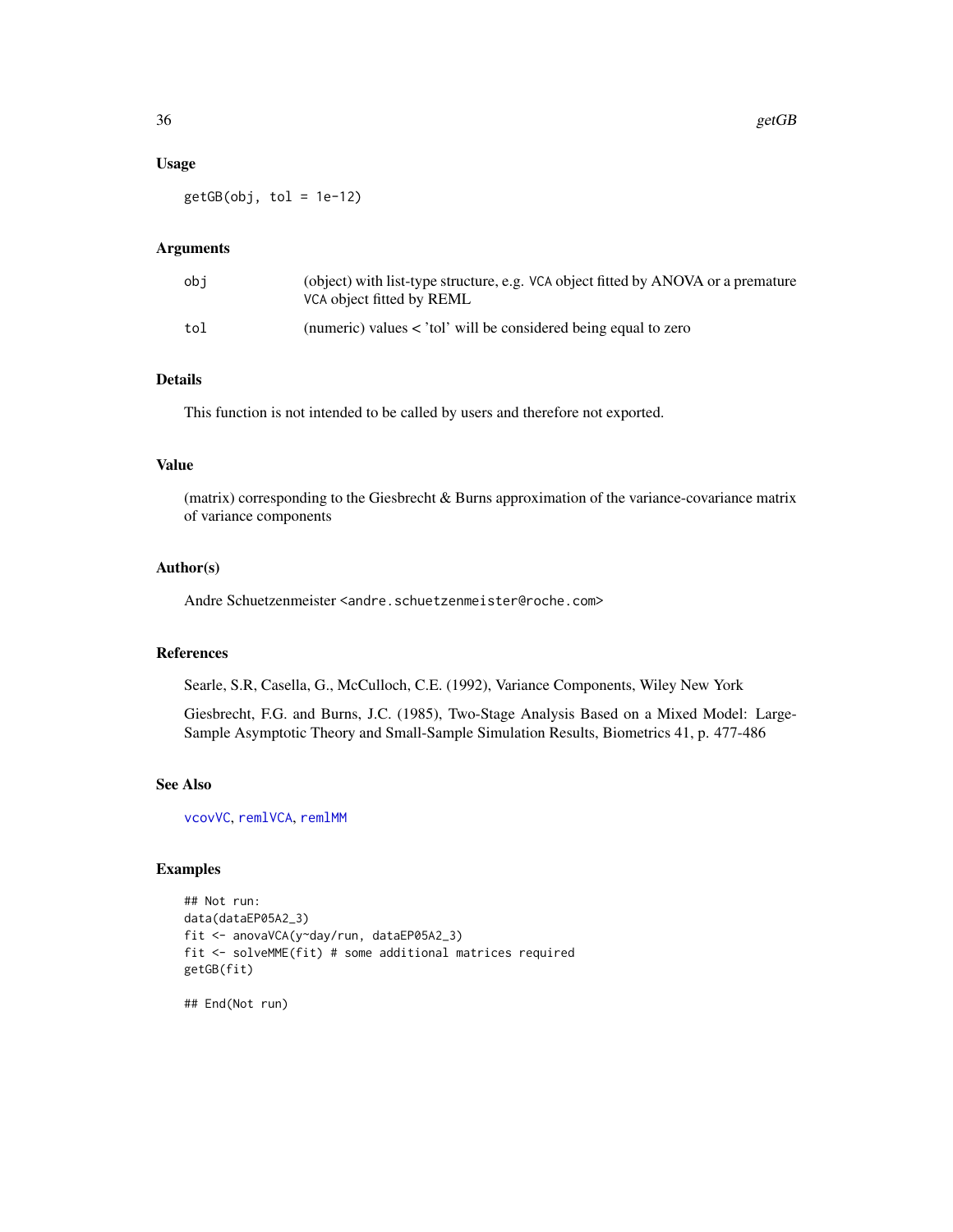#### Usage

 $getGB(obj, tol = 1e-12)$ 

# Arguments

| obi | (object) with list-type structure, e.g. VCA object fitted by ANOVA or a premature<br>VCA object fitted by REML |
|-----|----------------------------------------------------------------------------------------------------------------|
| tol | (numeric) values $\lt$ 'tol' will be considered being equal to zero                                            |

# Details

This function is not intended to be called by users and therefore not exported.

# Value

(matrix) corresponding to the Giesbrecht & Burns approximation of the variance-covariance matrix of variance components

## Author(s)

Andre Schuetzenmeister <andre.schuetzenmeister@roche.com>

#### References

Searle, S.R, Casella, G., McCulloch, C.E. (1992), Variance Components, Wiley New York

Giesbrecht, F.G. and Burns, J.C. (1985), Two-Stage Analysis Based on a Mixed Model: Large-Sample Asymptotic Theory and Small-Sample Simulation Results, Biometrics 41, p. 477-486

#### See Also

[vcovVC](#page-94-1), [remlVCA](#page-64-1), [remlMM](#page-61-1)

#### Examples

```
## Not run:
data(dataEP05A2_3)
fit <- anovaVCA(y~day/run, dataEP05A2_3)
fit <- solveMME(fit) # some additional matrices required
getGB(fit)
```
## End(Not run)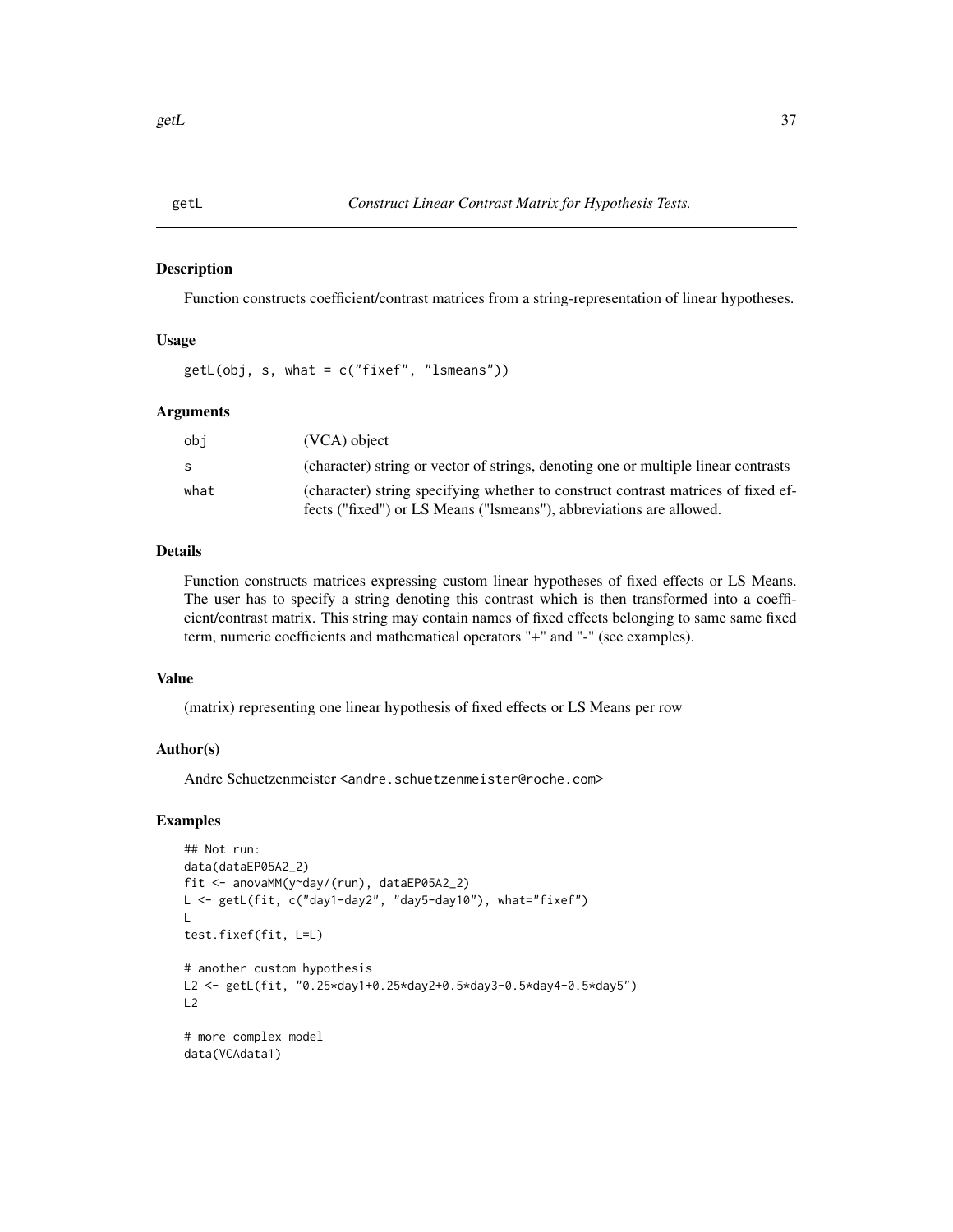getL *Construct Linear Contrast Matrix for Hypothesis Tests.*

# Description

Function constructs coefficient/contrast matrices from a string-representation of linear hypotheses.

# Usage

getL(obj, s, what = c("fixef", "lsmeans"))

# Arguments

| obi  | (VCA) object                                                                       |
|------|------------------------------------------------------------------------------------|
| S.   | (character) string or vector of strings, denoting one or multiple linear contrasts |
| what | (character) string specifying whether to construct contrast matrices of fixed ef-  |
|      | fects ("fixed") or LS Means ("Ismeans"), abbreviations are allowed.                |

# Details

Function constructs matrices expressing custom linear hypotheses of fixed effects or LS Means. The user has to specify a string denoting this contrast which is then transformed into a coefficient/contrast matrix. This string may contain names of fixed effects belonging to same same fixed term, numeric coefficients and mathematical operators "+" and "-" (see examples).

# Value

(matrix) representing one linear hypothesis of fixed effects or LS Means per row

#### Author(s)

Andre Schuetzenmeister <andre.schuetzenmeister@roche.com>

```
## Not run:
data(dataEP05A2_2)
fit <- anovaMM(y~day/(run), dataEP05A2_2)
L <- getL(fit, c("day1-day2", "day5-day10"), what="fixef")
\mathbf{L}test.fixef(fit, L=L)
# another custom hypothesis
L2 <- getL(fit, "0.25*day1+0.25*day2+0.5*day3-0.5*day4-0.5*day5")
L2
# more complex model
data(VCAdata1)
```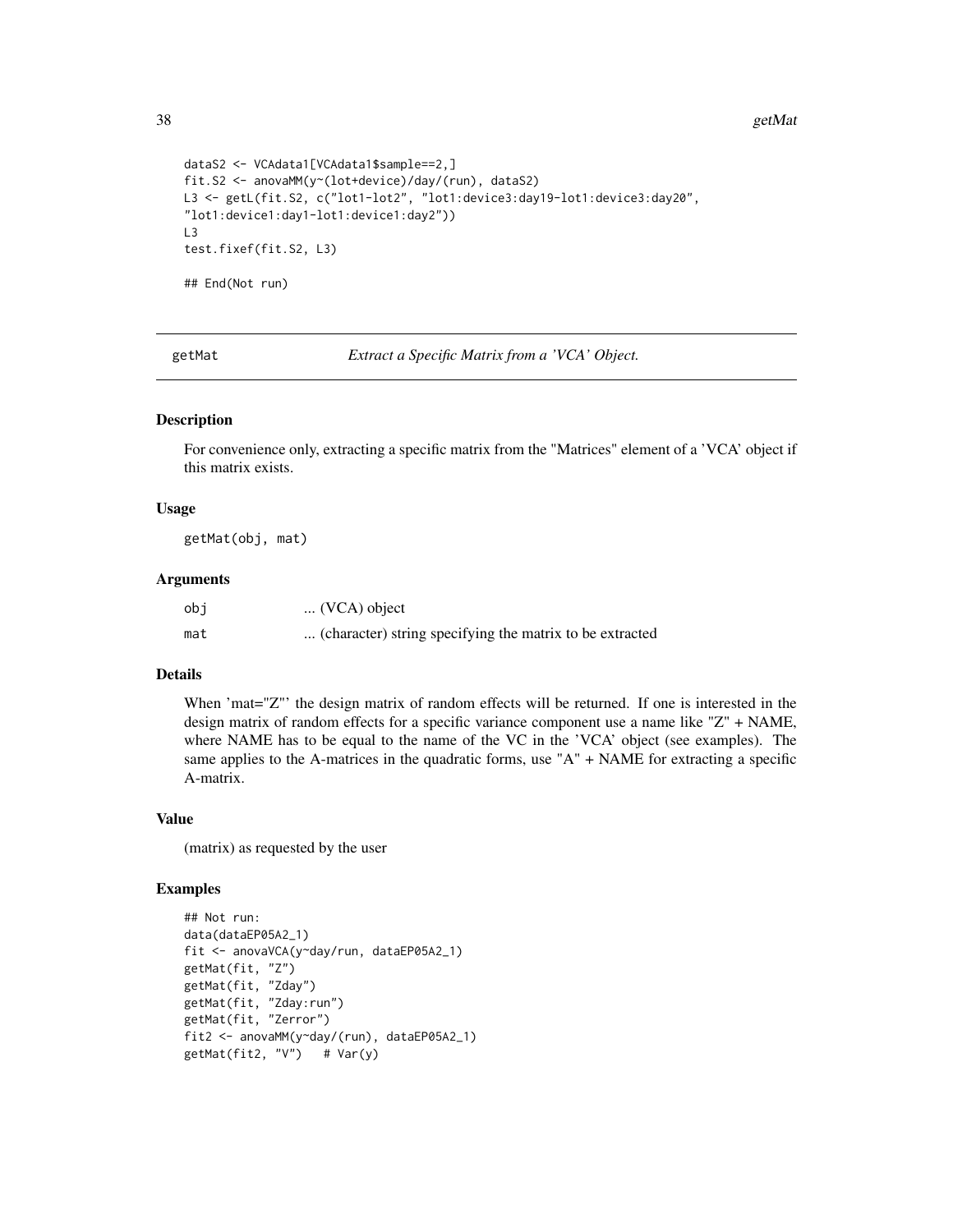#### 38 getMat

```
dataS2 <- VCAdata1[VCAdata1$sample==2,]
fit.S2 <- anovaMM(y~(lot+device)/day/(run), dataS2)
L3 <- getL(fit.S2, c("lot1-lot2", "lot1:device3:day19-lot1:device3:day20",
"lot1:device1:day1-lot1:device1:day2"))
L3
test.fixef(fit.S2, L3)
## End(Not run)
```
getMat *Extract a Specific Matrix from a 'VCA' Object.*

# Description

For convenience only, extracting a specific matrix from the "Matrices" element of a 'VCA' object if this matrix exists.

### Usage

getMat(obj, mat)

### Arguments

| obi | $\ldots$ (VCA) object                                    |
|-----|----------------------------------------------------------|
| mat | (character) string specifying the matrix to be extracted |

# Details

When 'mat="Z"' the design matrix of random effects will be returned. If one is interested in the design matrix of random effects for a specific variance component use a name like "Z" + NAME, where NAME has to be equal to the name of the VC in the 'VCA' object (see examples). The same applies to the A-matrices in the quadratic forms, use "A" + NAME for extracting a specific A-matrix.

# Value

(matrix) as requested by the user

```
## Not run:
data(dataEP05A2_1)
fit <- anovaVCA(y~day/run, dataEP05A2_1)
getMat(fit, "Z")
getMat(fit, "Zday")
getMat(fit, "Zday:run")
getMat(fit, "Zerror")
fit2 <- anovaMM(y~day/(run), dataEP05A2_1)
getMat(fit2, "V") # Var(y)
```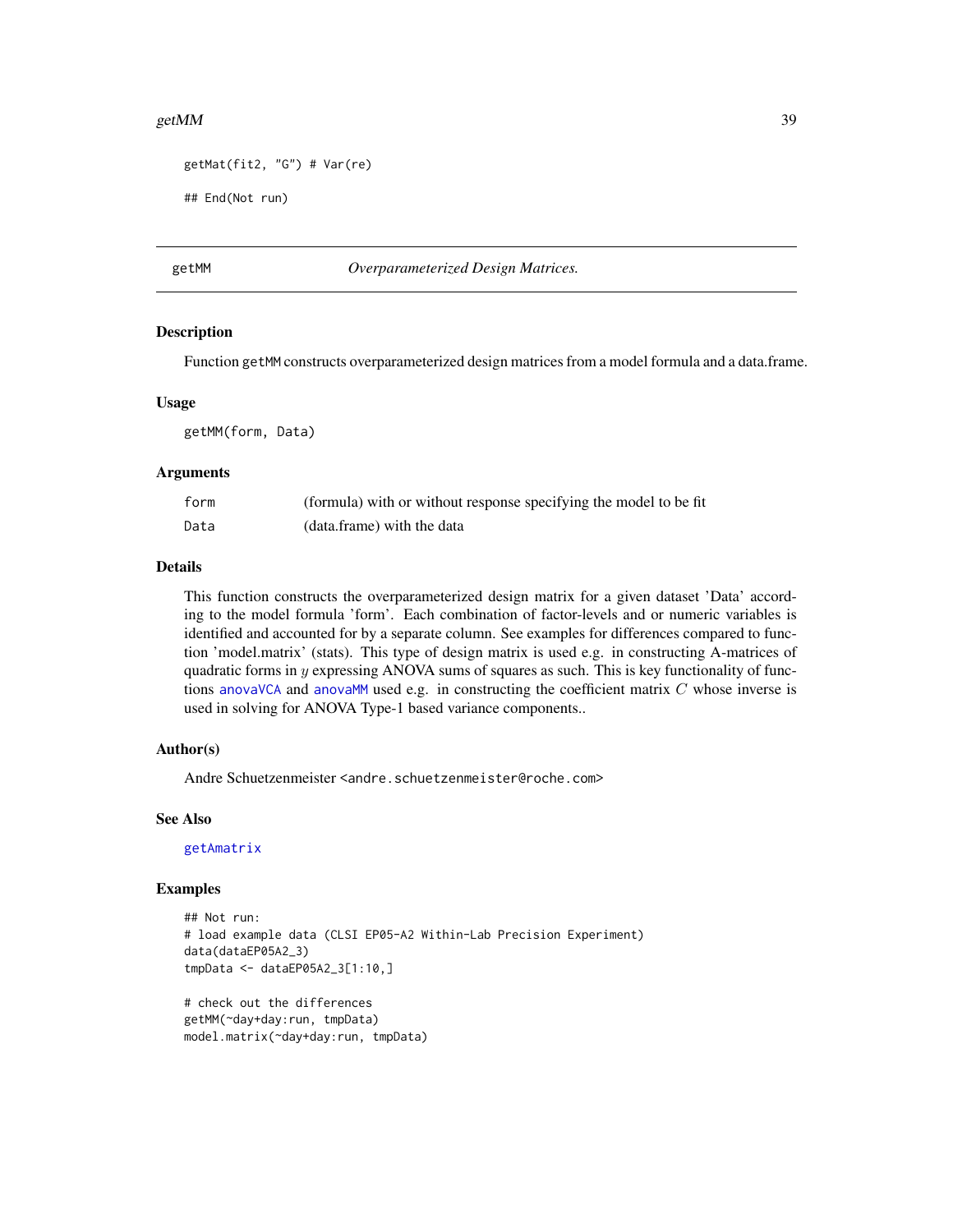#### getMM  $39$

```
getMat(fit2, "G") # Var(re)
```

```
## End(Not run)
```
getMM *Overparameterized Design Matrices.*

#### **Description**

Function getMM constructs overparameterized design matrices from a model formula and a data.frame.

#### Usage

getMM(form, Data)

### Arguments

| form | (formula) with or without response specifying the model to be fit |
|------|-------------------------------------------------------------------|
| Data | (data.frame) with the data                                        |

# Details

This function constructs the overparameterized design matrix for a given dataset 'Data' according to the model formula 'form'. Each combination of factor-levels and or numeric variables is identified and accounted for by a separate column. See examples for differences compared to function 'model.matrix' (stats). This type of design matrix is used e.g. in constructing A-matrices of quadratic forms in y expressing ANOVA sums of squares as such. This is key functionality of functions [anovaVCA](#page-10-0) and [anovaMM](#page-6-0) used e.g. in constructing the coefficient matrix  $C$  whose inverse is used in solving for ANOVA Type-1 based variance components..

# Author(s)

Andre Schuetzenmeister <andre.schuetzenmeister@roche.com>

# See Also

[getAmatrix](#page-30-0)

# Examples

```
## Not run:
# load example data (CLSI EP05-A2 Within-Lab Precision Experiment)
data(dataEP05A2_3)
tmpData <- dataEP05A2_3[1:10,]
# check out the differences
getMM(~day+day:run, tmpData)
```
model.matrix(~day+day:run, tmpData)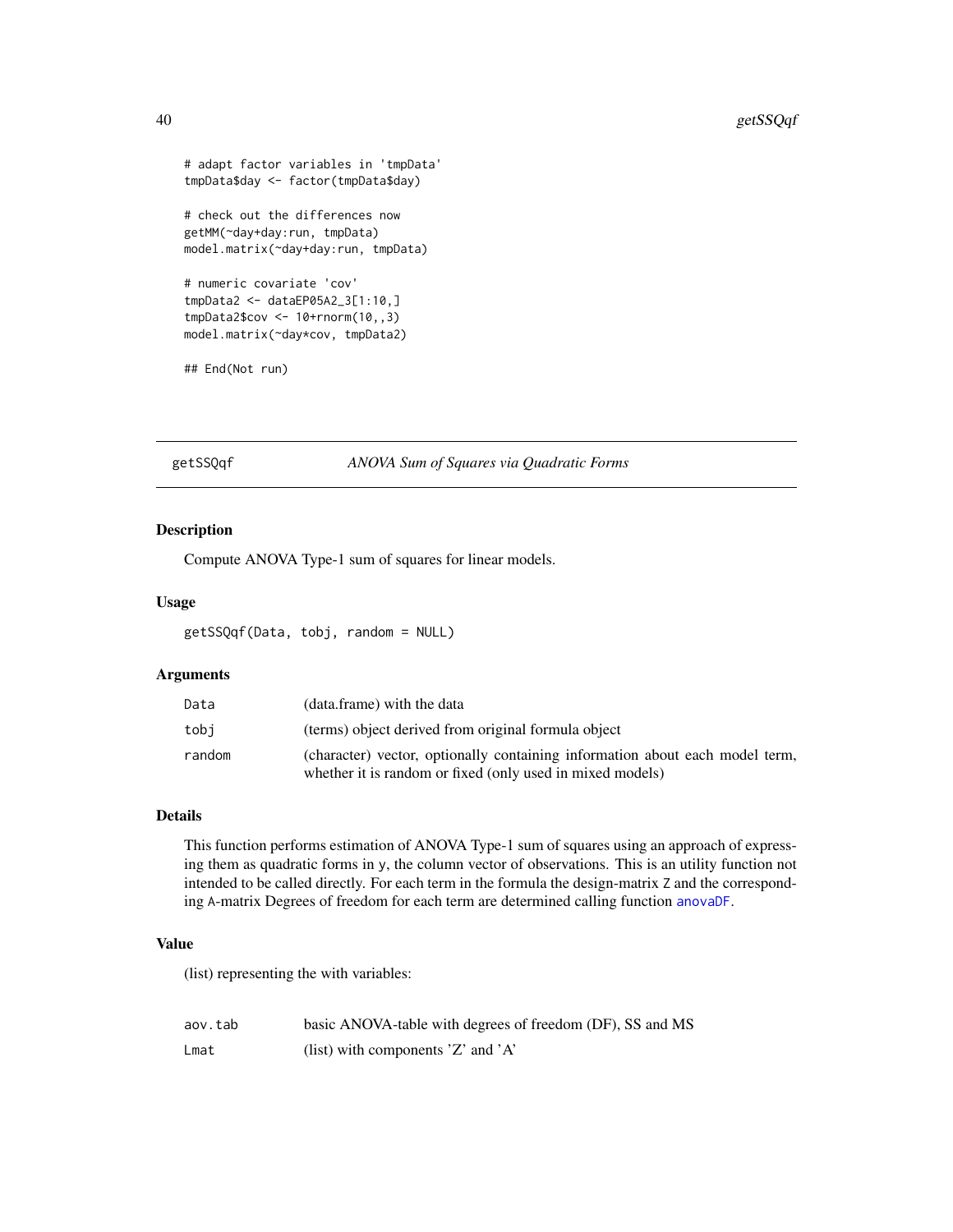```
# adapt factor variables in 'tmpData'
tmpData$day <- factor(tmpData$day)
# check out the differences now
getMM(~day+day:run, tmpData)
model.matrix(~day+day:run, tmpData)
# numeric covariate 'cov'
tmpData2 <- dataEP05A2_3[1:10,]
tmpData2$cov <- 10+rnorm(10,,3)
model.matrix(~day*cov, tmpData2)
```
## End(Not run)

getSSQqf *ANOVA Sum of Squares via Quadratic Forms*

# Description

Compute ANOVA Type-1 sum of squares for linear models.

#### Usage

getSSQqf(Data, tobj, random = NULL)

# Arguments

| Data   | (data.frame) with the data                                                   |
|--------|------------------------------------------------------------------------------|
| tobi   | (terms) object derived from original formula object                          |
| random | (character) vector, optionally containing information about each model term, |
|        | whether it is random or fixed (only used in mixed models)                    |

#### Details

This function performs estimation of ANOVA Type-1 sum of squares using an approach of expressing them as quadratic forms in y, the column vector of observations. This is an utility function not intended to be called directly. For each term in the formula the design-matrix Z and the corresponding A-matrix Degrees of freedom for each term are determined calling function [anovaDF](#page-4-0).

#### Value

(list) representing the with variables:

| aov.tab | basic ANOVA-table with degrees of freedom (DF), SS and MS |
|---------|-----------------------------------------------------------|
| Lmat    | (list) with components $Z'$ and $'A'$                     |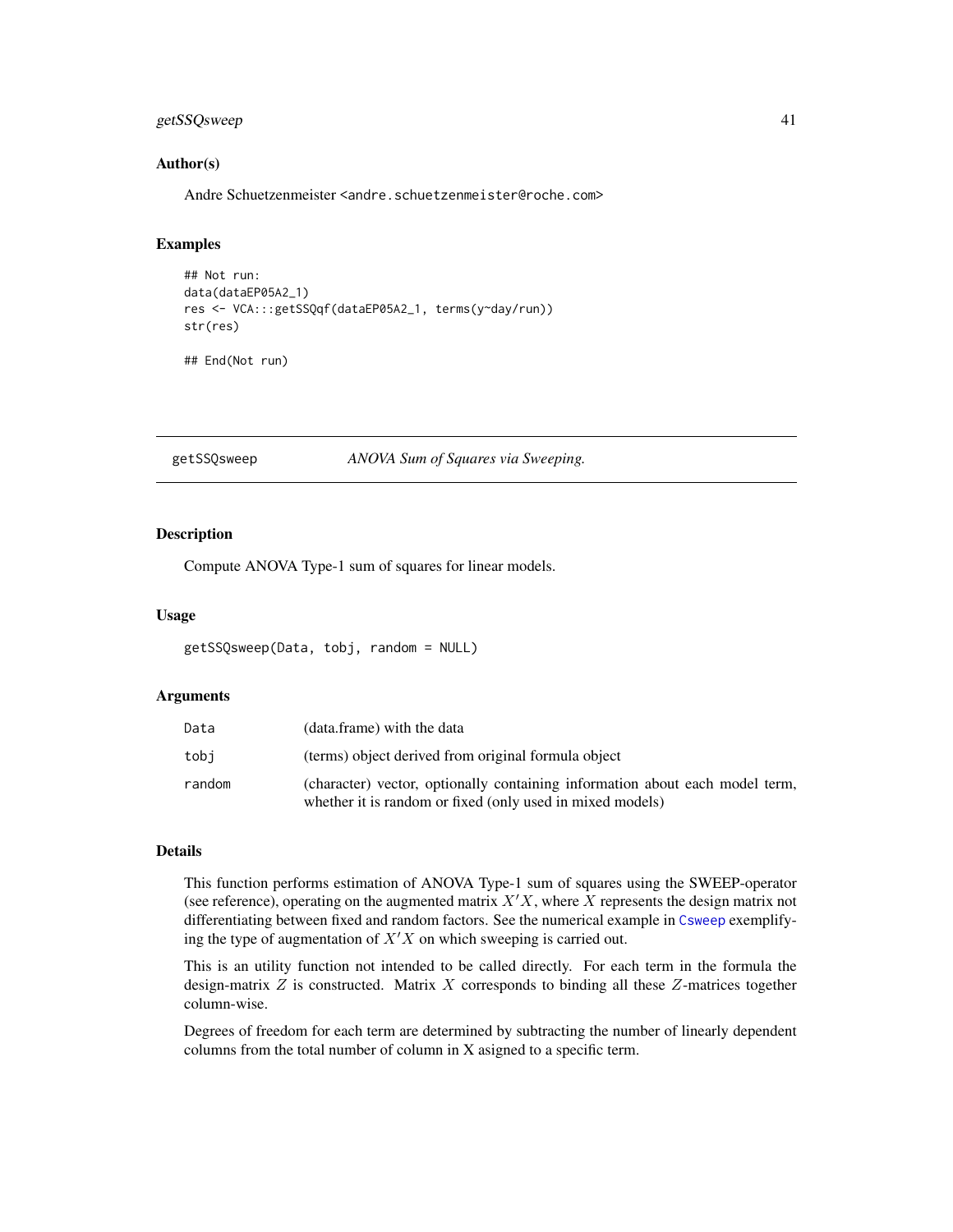# getSSQsweep 41

# Author(s)

Andre Schuetzenmeister <andre.schuetzenmeister@roche.com>

### Examples

```
## Not run:
data(dataEP05A2_1)
res <- VCA:::getSSQqf(dataEP05A2_1, terms(y~day/run))
str(res)
```
## End(Not run)

getSSQsweep *ANOVA Sum of Squares via Sweeping.*

### Description

Compute ANOVA Type-1 sum of squares for linear models.

#### Usage

```
getSSQsweep(Data, tobj, random = NULL)
```
### Arguments

| Data   | (data.frame) with the data                                                                                                                |
|--------|-------------------------------------------------------------------------------------------------------------------------------------------|
| tobi   | (terms) object derived from original formula object                                                                                       |
| random | (character) vector, optionally containing information about each model term,<br>whether it is random or fixed (only used in mixed models) |

# Details

This function performs estimation of ANOVA Type-1 sum of squares using the SWEEP-operator (see reference), operating on the augmented matrix  $X'X$ , where X represents the design matrix not differentiating between fixed and random factors. See the numerical example in [Csweep](#page-21-0) exemplifying the type of augmentation of  $X'X$  on which sweeping is carried out.

This is an utility function not intended to be called directly. For each term in the formula the design-matrix  $Z$  is constructed. Matrix  $X$  corresponds to binding all these  $Z$ -matrices together column-wise.

Degrees of freedom for each term are determined by subtracting the number of linearly dependent columns from the total number of column in X asigned to a specific term.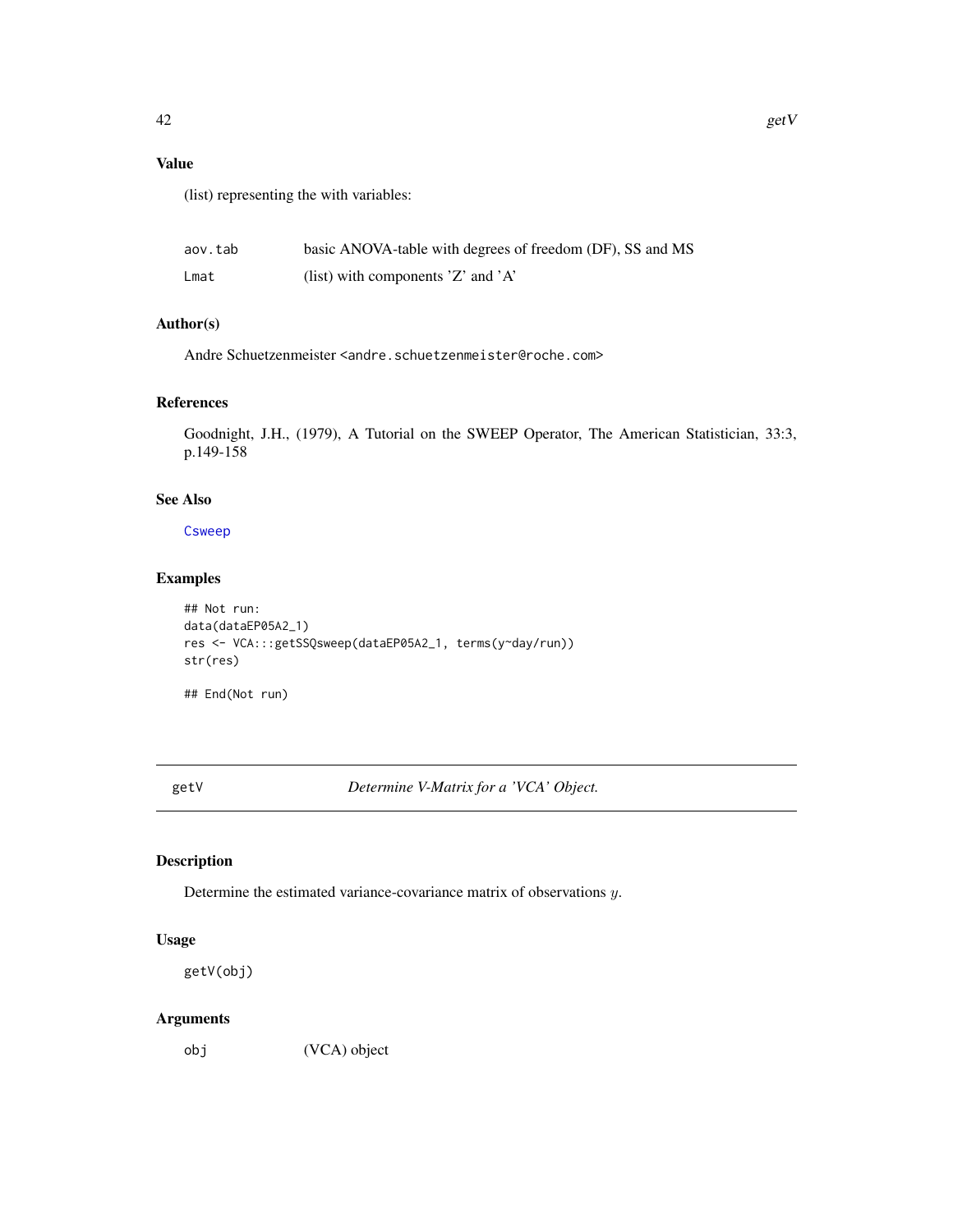(list) representing the with variables:

| aov.tab | basic ANOVA-table with degrees of freedom (DF), SS and MS |
|---------|-----------------------------------------------------------|
| Lmat    | (list) with components $Z'$ and $'A'$                     |

# Author(s)

Andre Schuetzenmeister <andre.schuetzenmeister@roche.com>

# References

Goodnight, J.H., (1979), A Tutorial on the SWEEP Operator, The American Statistician, 33:3, p.149-158

# See Also

[Csweep](#page-21-0)

# Examples

```
## Not run:
data(dataEP05A2_1)
res <- VCA:::getSSQsweep(dataEP05A2_1, terms(y~day/run))
str(res)
```
## End(Not run)

<span id="page-41-0"></span>getV *Determine V-Matrix for a 'VCA' Object.*

# Description

Determine the estimated variance-covariance matrix of observations y.

# Usage

getV(obj)

# Arguments

obj (VCA) object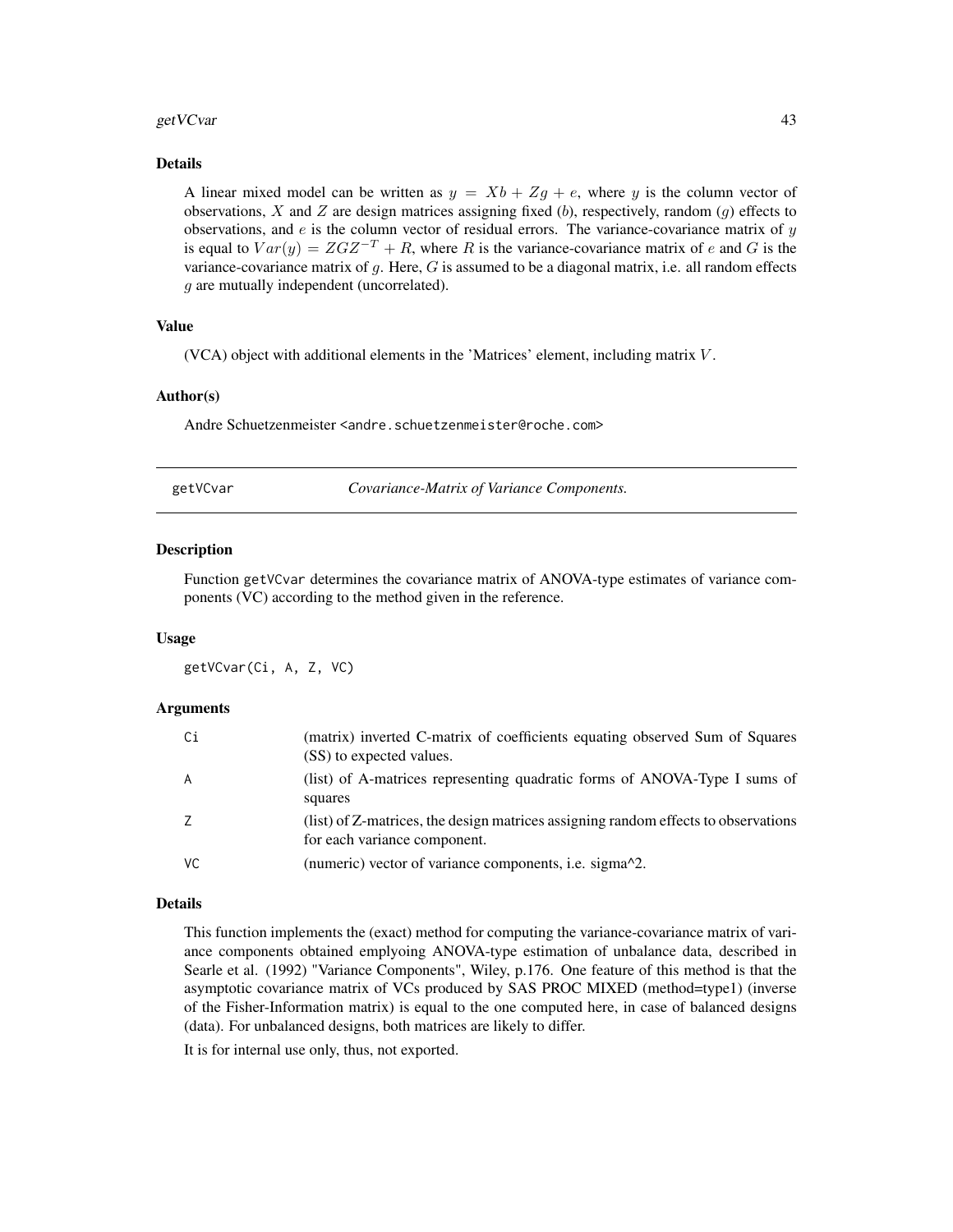#### get VCvar and the set of the set of the set of the set of the set of the set of the set of the set of the set of the set of the set of the set of the set of the set of the set of the set of the set of the set of the set of

### Details

A linear mixed model can be written as  $y = Xb + Zg + e$ , where y is the column vector of observations,  $X$  and  $Z$  are design matrices assigning fixed (b), respectively, random ( $g$ ) effects to observations, and  $e$  is the column vector of residual errors. The variance-covariance matrix of  $y$ is equal to  $Var(y) = ZGZ^{-T} + R$ , where R is the variance-covariance matrix of e and G is the variance-covariance matrix of  $g$ . Here,  $G$  is assumed to be a diagonal matrix, i.e. all random effects g are mutually independent (uncorrelated).

# Value

(VCA) object with additional elements in the 'Matrices' element, including matrix V .

#### Author(s)

Andre Schuetzenmeister <andre.schuetzenmeister@roche.com>

getVCvar *Covariance-Matrix of Variance Components.*

### **Description**

Function getVCvar determines the covariance matrix of ANOVA-type estimates of variance components (VC) according to the method given in the reference.

## Usage

getVCvar(Ci, A, Z, VC)

### Arguments

| Сi             | (matrix) inverted C-matrix of coefficients equating observed Sum of Squares<br>(SS) to expected values.            |
|----------------|--------------------------------------------------------------------------------------------------------------------|
| $\overline{A}$ | (list) of A-matrices representing quadratic forms of ANOVA-Type I sums of<br>squares                               |
| Z              | (list) of Z-matrices, the design matrices assigning random effects to observations<br>for each variance component. |
| VC             | (numeric) vector of variance components, i.e. sigma $^{2}$ .                                                       |

# Details

This function implements the (exact) method for computing the variance-covariance matrix of variance components obtained emplyoing ANOVA-type estimation of unbalance data, described in Searle et al. (1992) "Variance Components", Wiley, p.176. One feature of this method is that the asymptotic covariance matrix of VCs produced by SAS PROC MIXED (method=type1) (inverse of the Fisher-Information matrix) is equal to the one computed here, in case of balanced designs (data). For unbalanced designs, both matrices are likely to differ.

It is for internal use only, thus, not exported.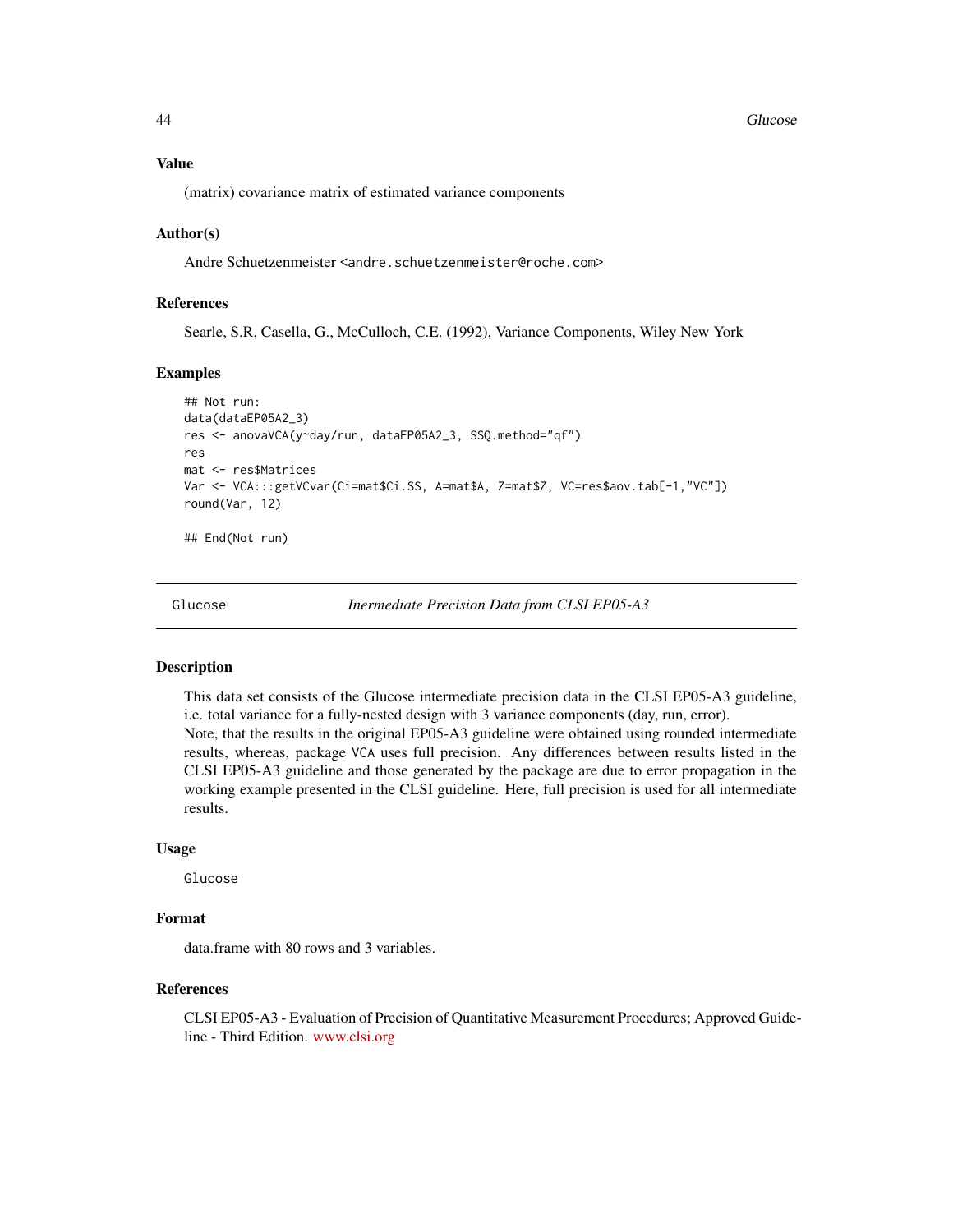44 Glucose and the contract of the contract of the contract of the contract of the contract of the contract of the contract of the contract of the contract of the contract of the contract of the contract of the contract of

(matrix) covariance matrix of estimated variance components

#### Author(s)

Andre Schuetzenmeister <andre.schuetzenmeister@roche.com>

# References

Searle, S.R, Casella, G., McCulloch, C.E. (1992), Variance Components, Wiley New York

### Examples

```
## Not run:
data(dataEP05A2_3)
res <- anovaVCA(y~day/run, dataEP05A2_3, SSQ.method="qf")
res
mat <- res$Matrices
Var <- VCA:::getVCvar(Ci=mat$Ci.SS, A=mat$A, Z=mat$Z, VC=res$aov.tab[-1,"VC"])
round(Var, 12)
```
## End(Not run)

Glucose *Inermediate Precision Data from CLSI EP05-A3*

# Description

This data set consists of the Glucose intermediate precision data in the CLSI EP05-A3 guideline, i.e. total variance for a fully-nested design with 3 variance components (day, run, error). Note, that the results in the original EP05-A3 guideline were obtained using rounded intermediate results, whereas, package VCA uses full precision. Any differences between results listed in the CLSI EP05-A3 guideline and those generated by the package are due to error propagation in the working example presented in the CLSI guideline. Here, full precision is used for all intermediate results.

### Usage

Glucose

### Format

data.frame with 80 rows and 3 variables.

# References

CLSI EP05-A3 - Evaluation of Precision of Quantitative Measurement Procedures; Approved Guideline - Third Edition. <www.clsi.org>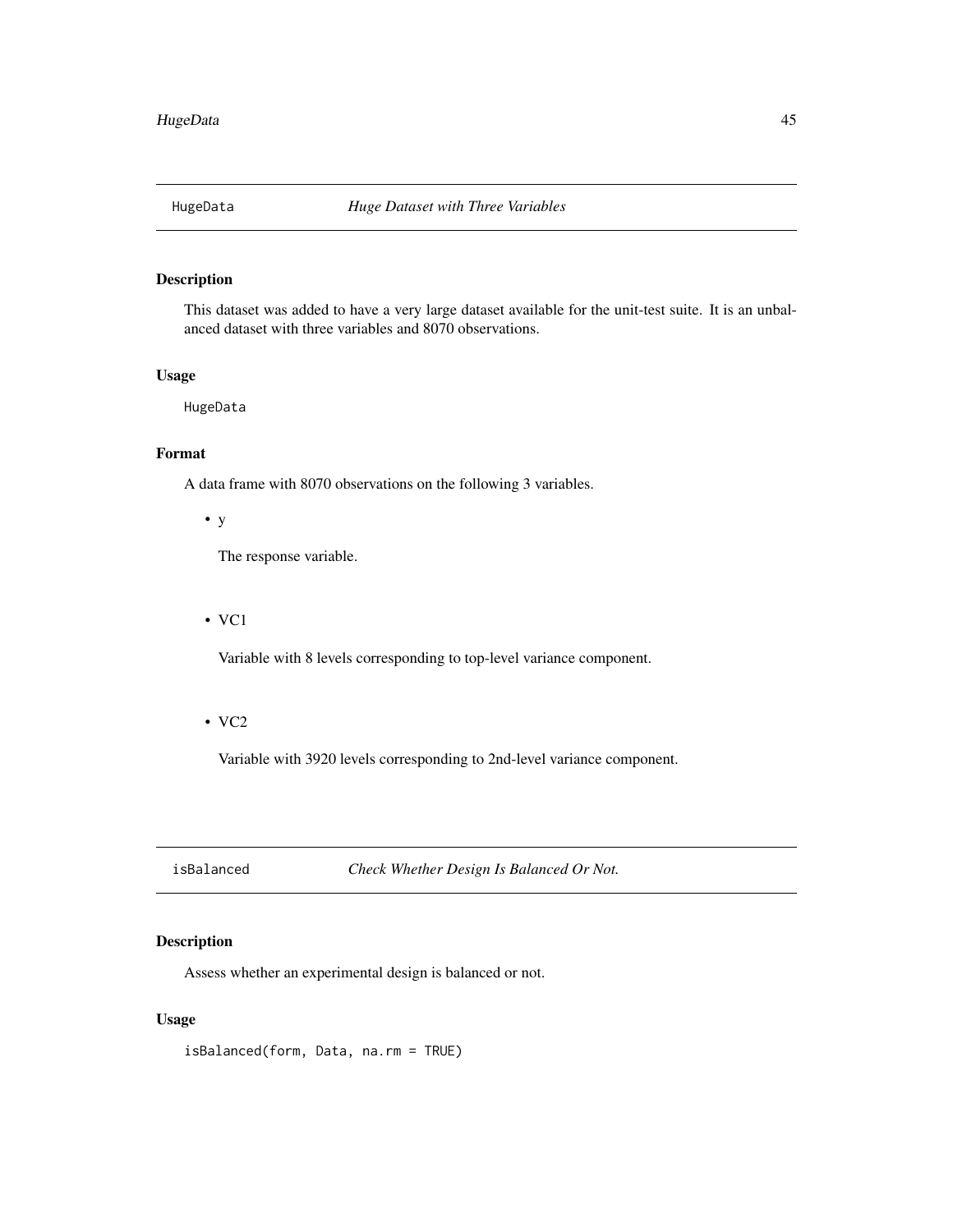# Description

This dataset was added to have a very large dataset available for the unit-test suite. It is an unbalanced dataset with three variables and 8070 observations.

# Usage

HugeData

# Format

A data frame with 8070 observations on the following 3 variables.

# • y

The response variable.

### • VC1

Variable with 8 levels corresponding to top-level variance component.

# • VC2

Variable with 3920 levels corresponding to 2nd-level variance component.

isBalanced *Check Whether Design Is Balanced Or Not.*

# Description

Assess whether an experimental design is balanced or not.

# Usage

isBalanced(form, Data, na.rm = TRUE)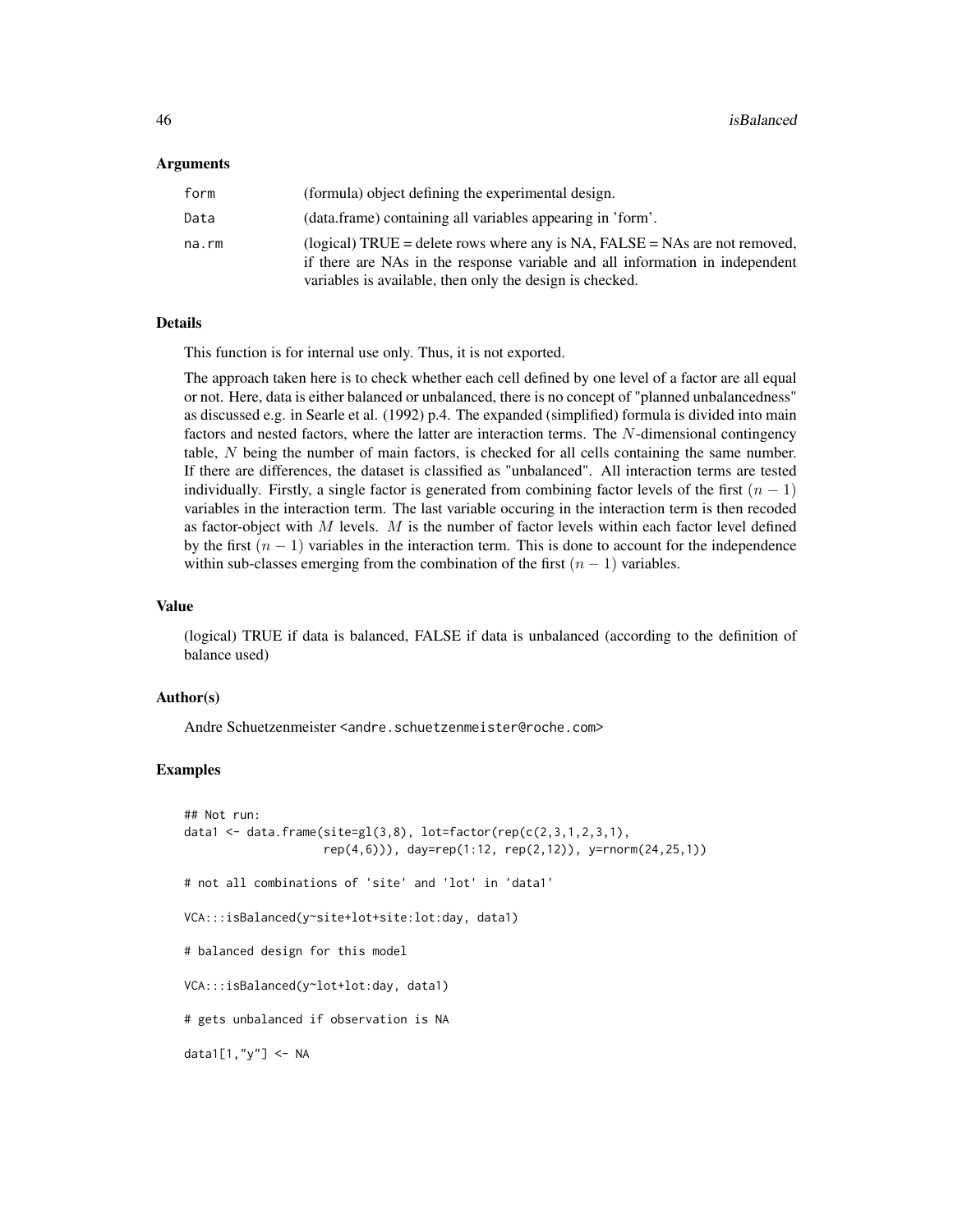### Arguments

| form  | (formula) object defining the experimental design.                                                                                                                                                                     |
|-------|------------------------------------------------------------------------------------------------------------------------------------------------------------------------------------------------------------------------|
| Data  | (data.frame) containing all variables appearing in 'form'.                                                                                                                                                             |
| na.rm | (logical) TRUE = delete rows where any is NA, FALSE = NAs are not removed,<br>if there are NAs in the response variable and all information in independent<br>variables is available, then only the design is checked. |

# Details

This function is for internal use only. Thus, it is not exported.

The approach taken here is to check whether each cell defined by one level of a factor are all equal or not. Here, data is either balanced or unbalanced, there is no concept of "planned unbalancedness" as discussed e.g. in Searle et al. (1992) p.4. The expanded (simplified) formula is divided into main factors and nested factors, where the latter are interaction terms. The N-dimensional contingency table, N being the number of main factors, is checked for all cells containing the same number. If there are differences, the dataset is classified as "unbalanced". All interaction terms are tested individually. Firstly, a single factor is generated from combining factor levels of the first  $(n - 1)$ variables in the interaction term. The last variable occuring in the interaction term is then recoded as factor-object with  $M$  levels.  $M$  is the number of factor levels within each factor level defined by the first  $(n - 1)$  variables in the interaction term. This is done to account for the independence within sub-classes emerging from the combination of the first  $(n - 1)$  variables.

# Value

(logical) TRUE if data is balanced, FALSE if data is unbalanced (according to the definition of balance used)

#### Author(s)

Andre Schuetzenmeister <andre.schuetzenmeister@roche.com>

```
## Not run:
data1 <- data.frame(site=gl(3,8), lot=factor(rep(c(2,3,1,2,3,1),
                    rep(4,6))), day=rep(1:12, rep(2,12)), y=rnorm(24,25,1))
# not all combinations of 'site' and 'lot' in 'data1'
VCA:::isBalanced(y~site+lot+site:lot:day, data1)
# balanced design for this model
VCA:::isBalanced(y~lot+lot:day, data1)
# gets unbalanced if observation is NA
data1[1,"y"] <- NA
```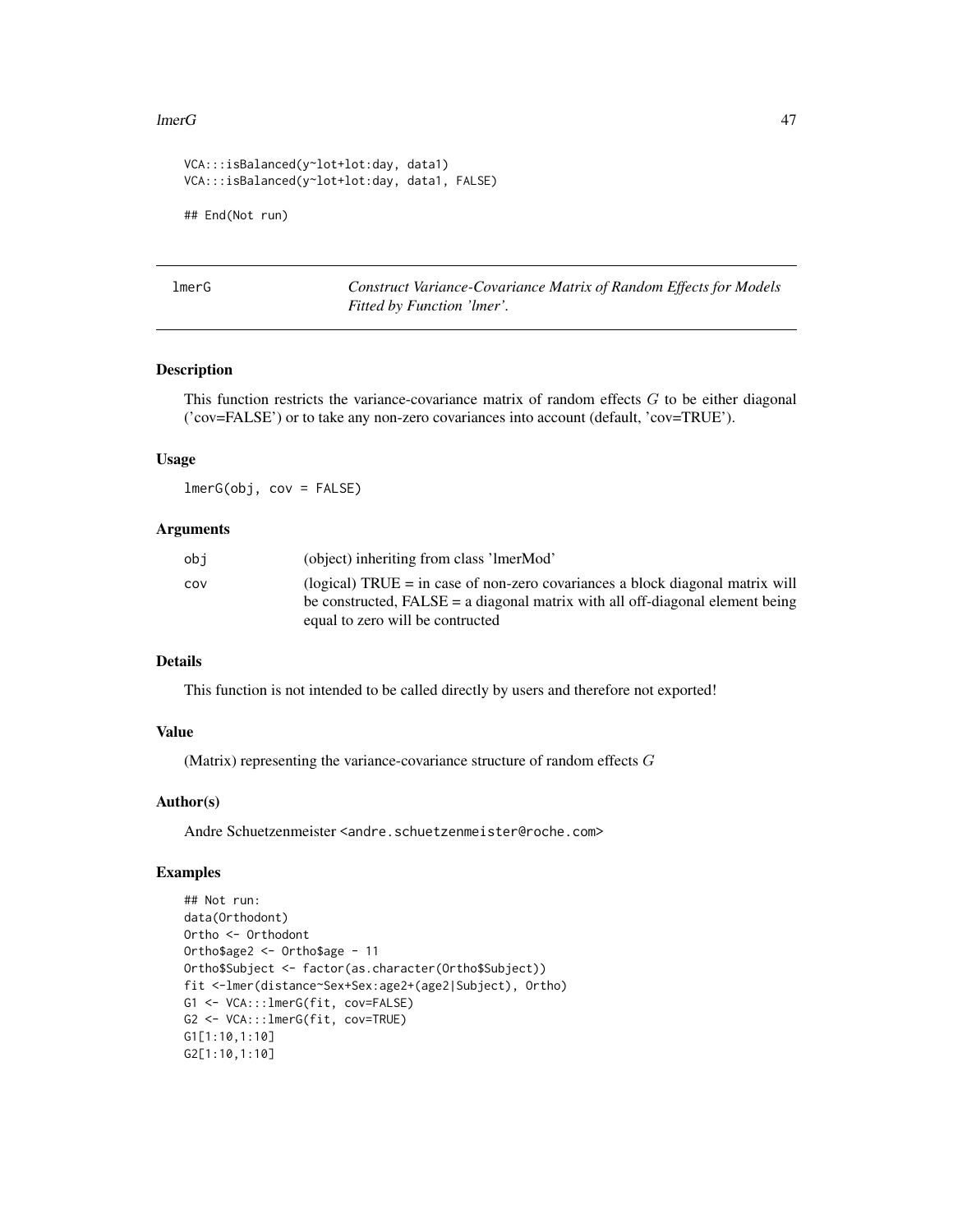#### $l$ merG  $47$

```
VCA:::isBalanced(y~lot+lot:day, data1)
VCA:::isBalanced(y~lot+lot:day, data1, FALSE)
## End(Not run)
```
lmerG *Construct Variance-Covariance Matrix of Random Effects for Models Fitted by Function 'lmer'.*

# Description

This function restricts the variance-covariance matrix of random effects  $G$  to be either diagonal ('cov=FALSE') or to take any non-zero covariances into account (default, 'cov=TRUE').

### Usage

lmerG(obj, cov = FALSE)

# Arguments

| obi | (object) inheriting from class 'lmerMod'                                        |
|-----|---------------------------------------------------------------------------------|
| cov | (logical) TRUE $=$ in case of non-zero covariances a block diagonal matrix will |
|     | be constructed, $FALSE = a diagonal matrix with all off-diagonal element being$ |
|     | equal to zero will be contructed                                                |

# Details

This function is not intended to be called directly by users and therefore not exported!

# Value

(Matrix) representing the variance-covariance structure of random effects G

# Author(s)

Andre Schuetzenmeister <andre.schuetzenmeister@roche.com>

```
## Not run:
data(Orthodont)
Ortho <- Orthodont
Ortho$age2 <- Ortho$age - 11
Ortho$Subject <- factor(as.character(Ortho$Subject))
fit <-lmer(distance~Sex+Sex:age2+(age2|Subject), Ortho)
G1 <- VCA:::lmerG(fit, cov=FALSE)
G2 <- VCA:::lmerG(fit, cov=TRUE)
G1[1:10,1:10]
G2[1:10,1:10]
```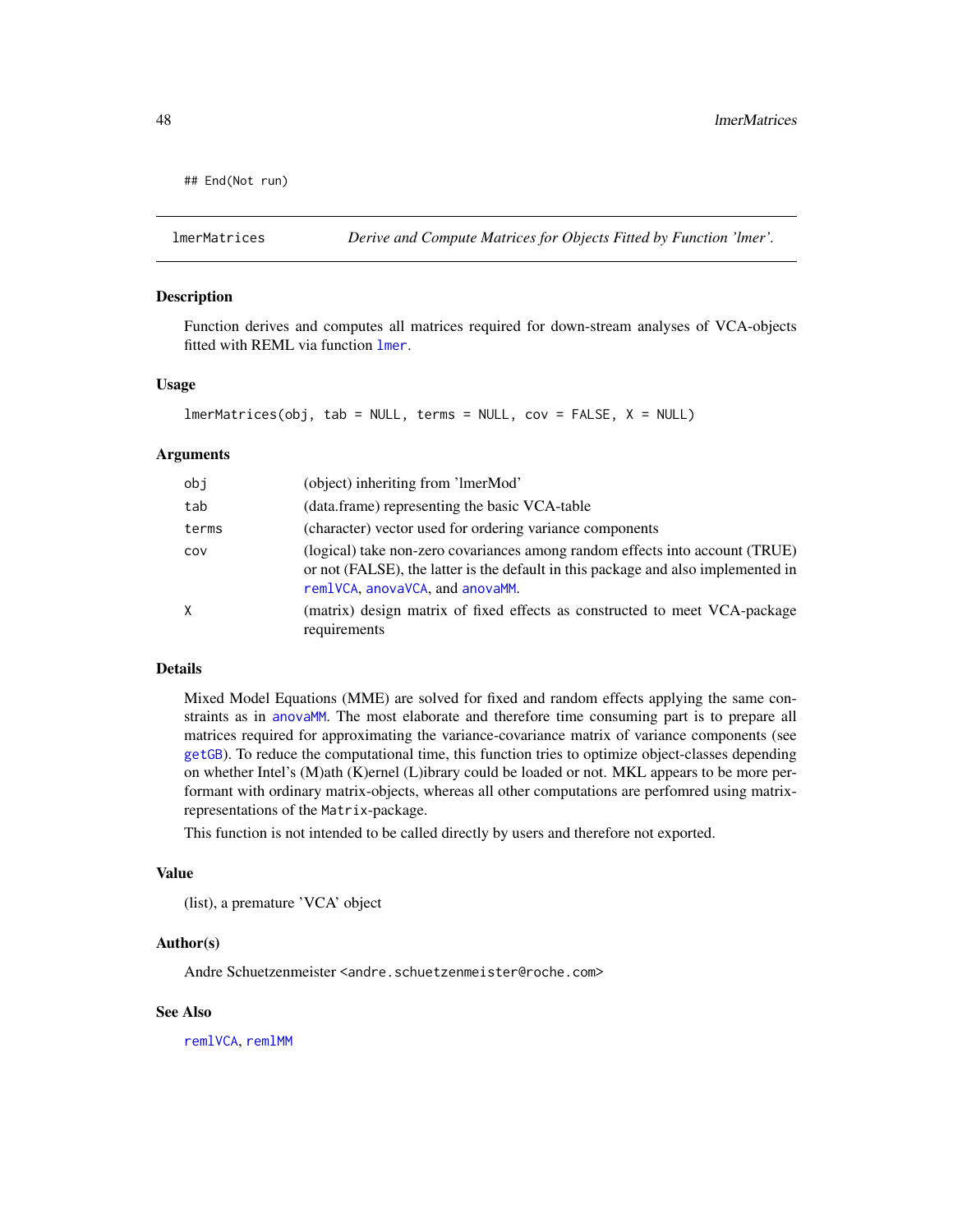```
## End(Not run)
```
# Description

Function derives and computes all matrices required for down-stream analyses of VCA-objects fitted with REML via function [lmer](#page-0-0).

### Usage

```
lmerMatrices(obj, tab = NULL, terms = NULL, cov = FALSE, X = NULL)
```
### Arguments

| obj   | (object) inheriting from 'ImerMod'                                                                                                                                                                   |
|-------|------------------------------------------------------------------------------------------------------------------------------------------------------------------------------------------------------|
| tab   | (data.frame) representing the basic VCA-table                                                                                                                                                        |
| terms | (character) vector used for ordering variance components                                                                                                                                             |
| COV   | (logical) take non-zero covariances among random effects into account (TRUE)<br>or not (FALSE), the latter is the default in this package and also implemented in<br>remlVCA, anovaVCA, and anovaMM. |
| Χ     | (matrix) design matrix of fixed effects as constructed to meet VCA-package<br>requirements                                                                                                           |

# Details

Mixed Model Equations (MME) are solved for fixed and random effects applying the same constraints as in [anovaMM](#page-6-0). The most elaborate and therefore time consuming part is to prepare all matrices required for approximating the variance-covariance matrix of variance components (see [getGB](#page-34-0)). To reduce the computational time, this function tries to optimize object-classes depending on whether Intel's (M)ath (K)ernel (L)ibrary could be loaded or not. MKL appears to be more performant with ordinary matrix-objects, whereas all other computations are perfomred using matrixrepresentations of the Matrix-package.

This function is not intended to be called directly by users and therefore not exported.

#### Value

(list), a premature 'VCA' object

#### Author(s)

Andre Schuetzenmeister <andre.schuetzenmeister@roche.com>

# See Also

[remlVCA](#page-64-0), [remlMM](#page-61-0)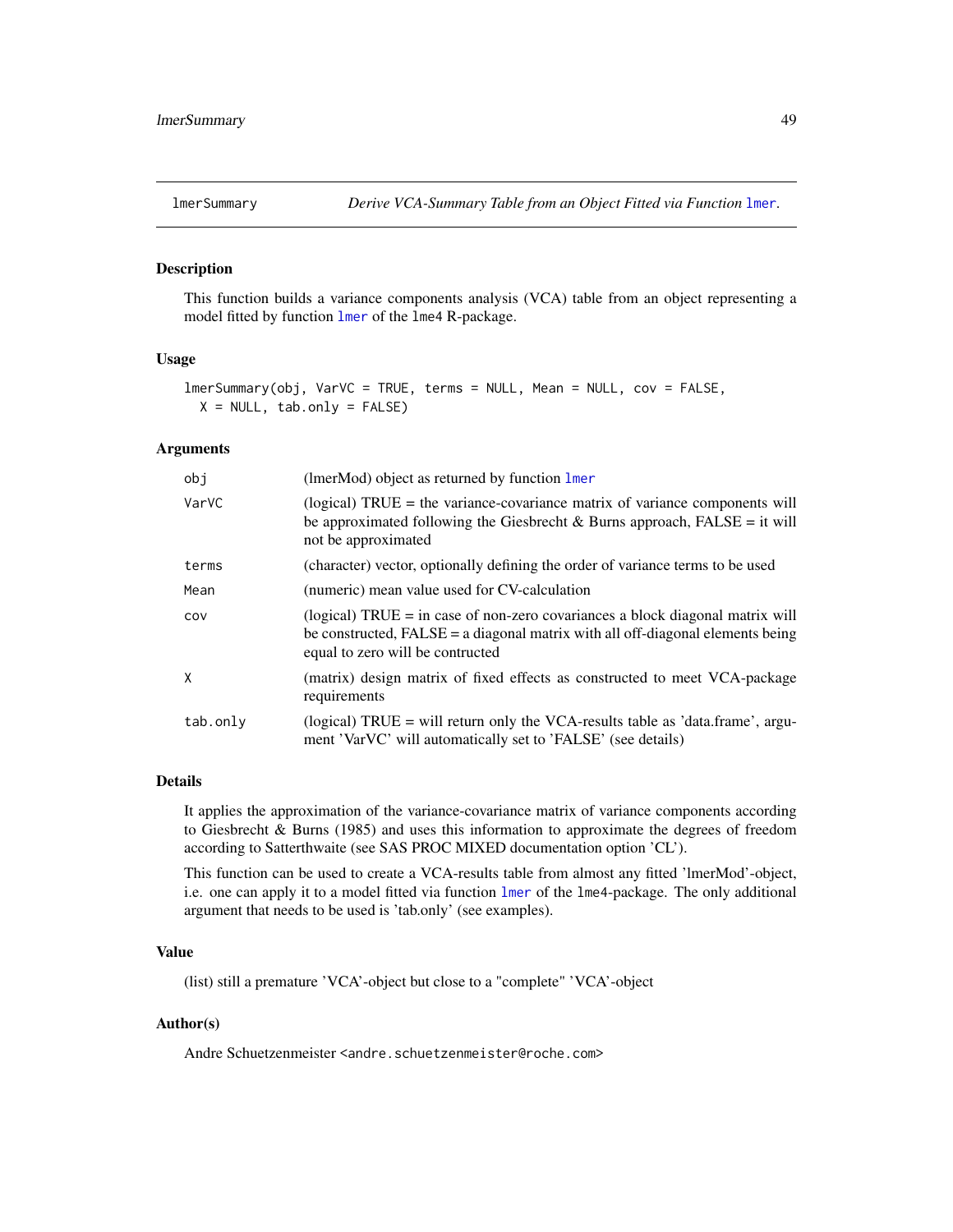### Description

This function builds a variance components analysis (VCA) table from an object representing a model fitted by function [lmer](#page-0-0) of the lme4 R-package.

# Usage

```
lmerSummary(obj, VarVC = TRUE, terms = NULL, Mean = NULL, cov = FALSE,
 X = NULL, tab.only = FALSE)
```
### Arguments

| obj      | (lmerMod) object as returned by function $lmer$                                                                                                                                                         |
|----------|---------------------------------------------------------------------------------------------------------------------------------------------------------------------------------------------------------|
| VarVC    | (logical) $TRUE =$ the variance-covariance matrix of variance components will<br>be approximated following the Giesbrecht & Burns approach, $FALSE = it$ will<br>not be approximated                    |
| terms    | (character) vector, optionally defining the order of variance terms to be used                                                                                                                          |
| Mean     | (numeric) mean value used for CV-calculation                                                                                                                                                            |
| COV      | (logical) $TRUE = in$ case of non-zero covariances a block diagonal matrix will<br>be constructed, $FALSE = a diagonal matrix with all off-diagonal elements being$<br>equal to zero will be contructed |
| X        | (matrix) design matrix of fixed effects as constructed to meet VCA-package<br>requirements                                                                                                              |
| tab.only | (logical) TRUE = will return only the VCA-results table as 'data.frame', argu-<br>ment 'VarVC' will automatically set to 'FALSE' (see details)                                                          |

# Details

It applies the approximation of the variance-covariance matrix of variance components according to Giesbrecht & Burns (1985) and uses this information to approximate the degrees of freedom according to Satterthwaite (see SAS PROC MIXED documentation option 'CL').

This function can be used to create a VCA-results table from almost any fitted 'lmerMod'-object, i.e. one can apply it to a model fitted via function [lmer](#page-0-0) of the lme4-package. The only additional argument that needs to be used is 'tab.only' (see examples).

# Value

(list) still a premature 'VCA'-object but close to a "complete" 'VCA'-object

# Author(s)

Andre Schuetzenmeister <andre.schuetzenmeister@roche.com>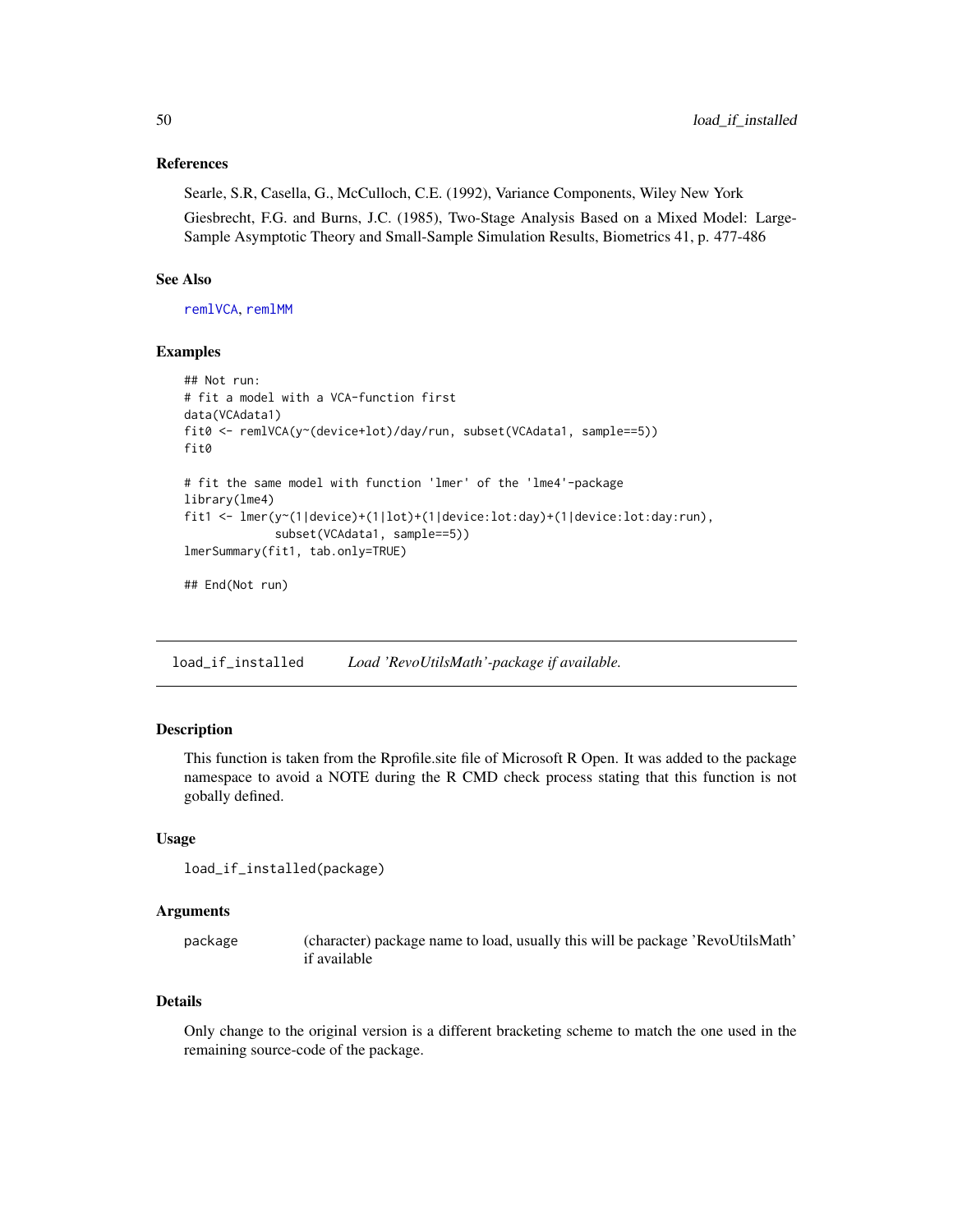# References

Searle, S.R, Casella, G., McCulloch, C.E. (1992), Variance Components, Wiley New York

Giesbrecht, F.G. and Burns, J.C. (1985), Two-Stage Analysis Based on a Mixed Model: Large-Sample Asymptotic Theory and Small-Sample Simulation Results, Biometrics 41, p. 477-486

# See Also

[remlVCA](#page-64-0), [remlMM](#page-61-0)

# Examples

```
## Not run:
# fit a model with a VCA-function first
data(VCAdata1)
fit0 <- remlVCA(y~(device+lot)/day/run, subset(VCAdata1, sample==5))
fit0
# fit the same model with function 'lmer' of the 'lme4'-package
library(lme4)
fit1 <- lmer(y~(1|device)+(1|lot)+(1|device:lot:day)+(1|device:lot:day:run),
             subset(VCAdata1, sample==5))
lmerSummary(fit1, tab.only=TRUE)
## End(Not run)
```
load\_if\_installed *Load 'RevoUtilsMath'-package if available.*

# Description

This function is taken from the Rprofile.site file of Microsoft R Open. It was added to the package namespace to avoid a NOTE during the R CMD check process stating that this function is not gobally defined.

### Usage

```
load_if_installed(package)
```
#### Arguments

| package | (character) package name to load, usually this will be package 'RevoUtilsMath' |
|---------|--------------------------------------------------------------------------------|
|         | if available                                                                   |

# Details

Only change to the original version is a different bracketing scheme to match the one used in the remaining source-code of the package.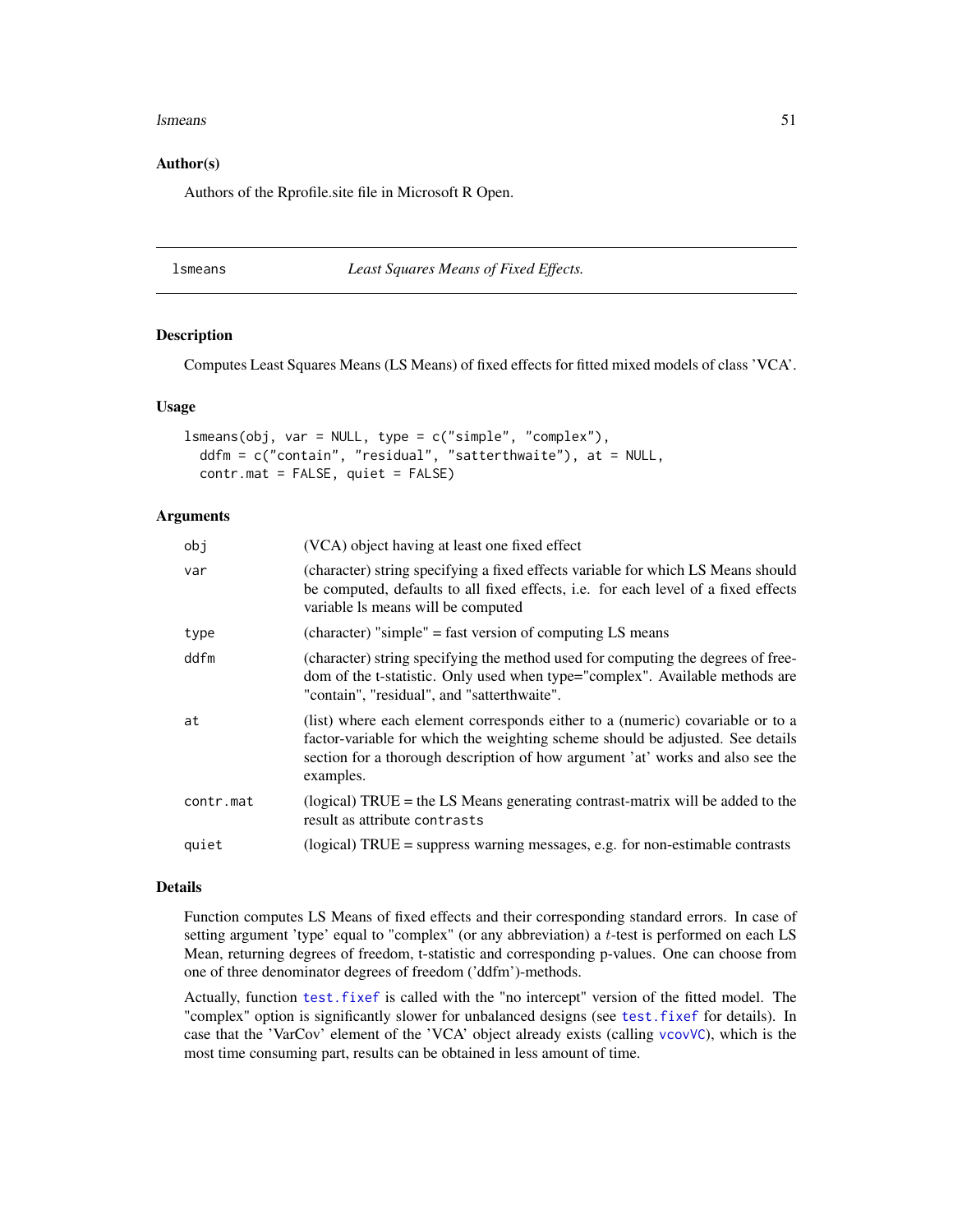#### lsmeans 51

# Author(s)

Authors of the Rprofile.site file in Microsoft R Open.

#### lsmeans *Least Squares Means of Fixed Effects.*

# Description

Computes Least Squares Means (LS Means) of fixed effects for fitted mixed models of class 'VCA'.

### Usage

```
lsmeans(obj, var = NULL, type = c("simple", "complex"),
 ddfm = c("contain", "residual", "satterthwaite"), at = NULL,
  contr.mat = FALSE, quiet = FALSE)
```
# Arguments

| obj       | (VCA) object having at least one fixed effect                                                                                                                                                                                                                   |
|-----------|-----------------------------------------------------------------------------------------------------------------------------------------------------------------------------------------------------------------------------------------------------------------|
| var       | (character) string specifying a fixed effects variable for which LS Means should<br>be computed, defaults to all fixed effects, i.e. for each level of a fixed effects<br>variable Is means will be computed                                                    |
| type      | (character) "simple" = fast version of computing LS means                                                                                                                                                                                                       |
| ddfm      | (character) string specifying the method used for computing the degrees of free-<br>dom of the t-statistic. Only used when type="complex". Available methods are<br>"contain", "residual", and "satterthwaite".                                                 |
| at        | (list) where each element corresponds either to a (numeric) covariable or to a<br>factor-variable for which the weighting scheme should be adjusted. See details<br>section for a thorough description of how argument 'at' works and also see the<br>examples. |
| contr.mat | (logical) $TRUE =$ the LS Means generating contrast-matrix will be added to the<br>result as attribute contrasts                                                                                                                                                |
| quiet     | $(logical) TRUE = suppress warning messages, e.g. for non-estimate contrasts$                                                                                                                                                                                   |
|           |                                                                                                                                                                                                                                                                 |

#### Details

Function computes LS Means of fixed effects and their corresponding standard errors. In case of setting argument 'type' equal to "complex" (or any abbreviation) a t-test is performed on each LS Mean, returning degrees of freedom, t-statistic and corresponding p-values. One can choose from one of three denominator degrees of freedom ('ddfm')-methods.

Actually, function [test.fixef](#page-75-0) is called with the "no intercept" version of the fitted model. The "complex" option is significantly slower for unbalanced designs (see [test.fixef](#page-75-0) for details). In case that the 'VarCov' element of the 'VCA' object already exists (calling [vcovVC](#page-94-0)), which is the most time consuming part, results can be obtained in less amount of time.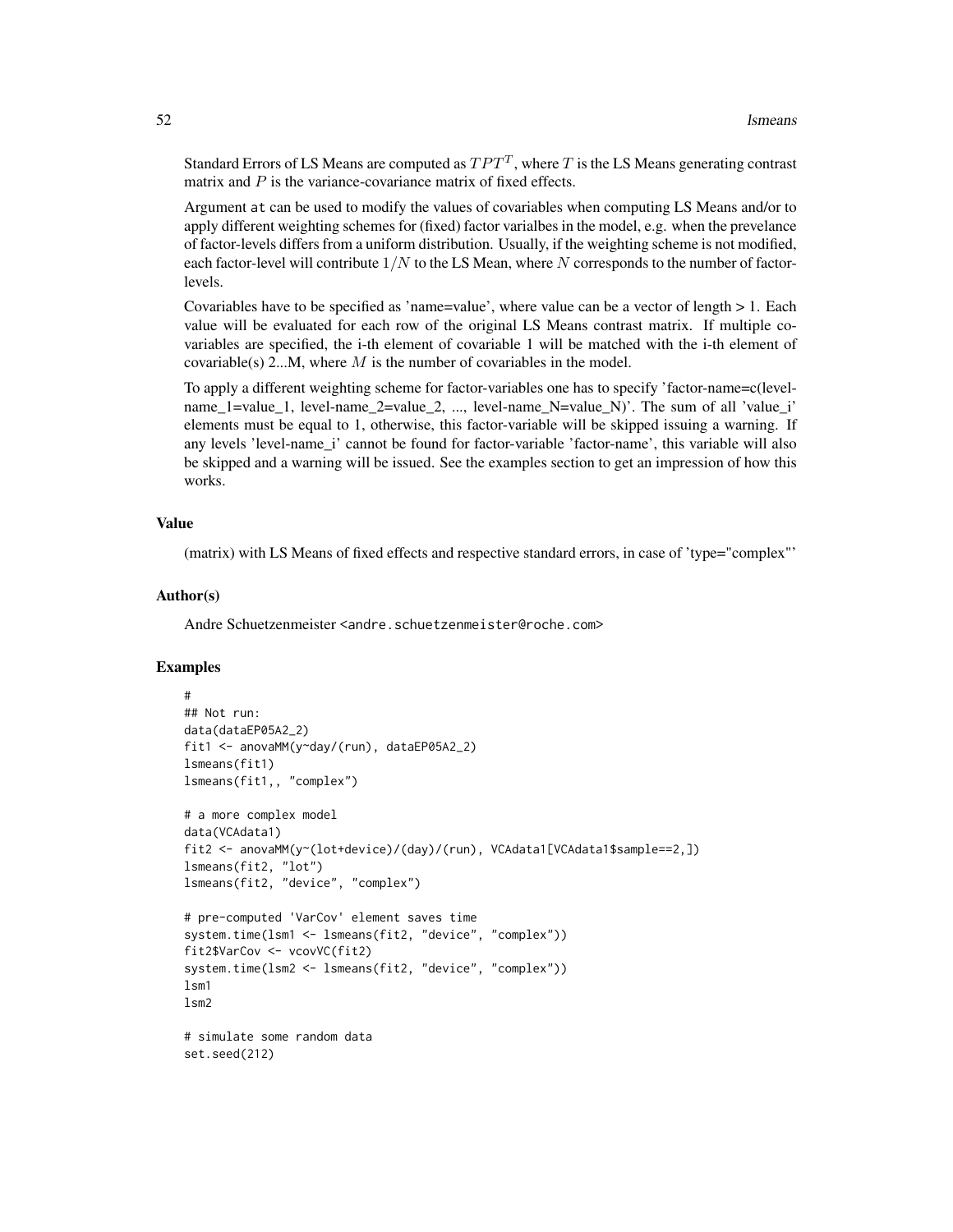Standard Errors of LS Means are computed as  $TPT^{T}$ , where T is the LS Means generating contrast matrix and  $P$  is the variance-covariance matrix of fixed effects.

Argument at can be used to modify the values of covariables when computing LS Means and/or to apply different weighting schemes for (fixed) factor varialbes in the model, e.g. when the prevelance of factor-levels differs from a uniform distribution. Usually, if the weighting scheme is not modified, each factor-level will contribute  $1/N$  to the LS Mean, where N corresponds to the number of factorlevels.

Covariables have to be specified as 'name=value', where value can be a vector of length > 1. Each value will be evaluated for each row of the original LS Means contrast matrix. If multiple covariables are specified, the i-th element of covariable 1 will be matched with the i-th element of covariable(s) 2...M, where  $M$  is the number of covariables in the model.

To apply a different weighting scheme for factor-variables one has to specify 'factor-name=c(levelname\_1=value\_1, level-name\_2=value\_2, ..., level-name\_N=value\_N)'. The sum of all 'value\_i' elements must be equal to 1, otherwise, this factor-variable will be skipped issuing a warning. If any levels 'level-name\_i' cannot be found for factor-variable 'factor-name', this variable will also be skipped and a warning will be issued. See the examples section to get an impression of how this works.

# Value

(matrix) with LS Means of fixed effects and respective standard errors, in case of 'type="complex"'

# Author(s)

Andre Schuetzenmeister <andre.schuetzenmeister@roche.com>

```
#
## Not run:
data(dataEP05A2_2)
fit1 <- anovaMM(y~day/(run), dataEP05A2_2)
lsmeans(fit1)
lsmeans(fit1,, "complex")
# a more complex model
data(VCAdata1)
fit2 <- anovaMM(y~(lot+device)/(day)/(run), VCAdata1[VCAdata1$sample==2,])
lsmeans(fit2, "lot")
lsmeans(fit2, "device", "complex")
# pre-computed 'VarCov' element saves time
system.time(lsm1 <- lsmeans(fit2, "device", "complex"))
fit2$VarCov <- vcovVC(fit2)
system.time(lsm2 <- lsmeans(fit2, "device", "complex"))
lsm1
lsm2# simulate some random data
set.seed(212)
```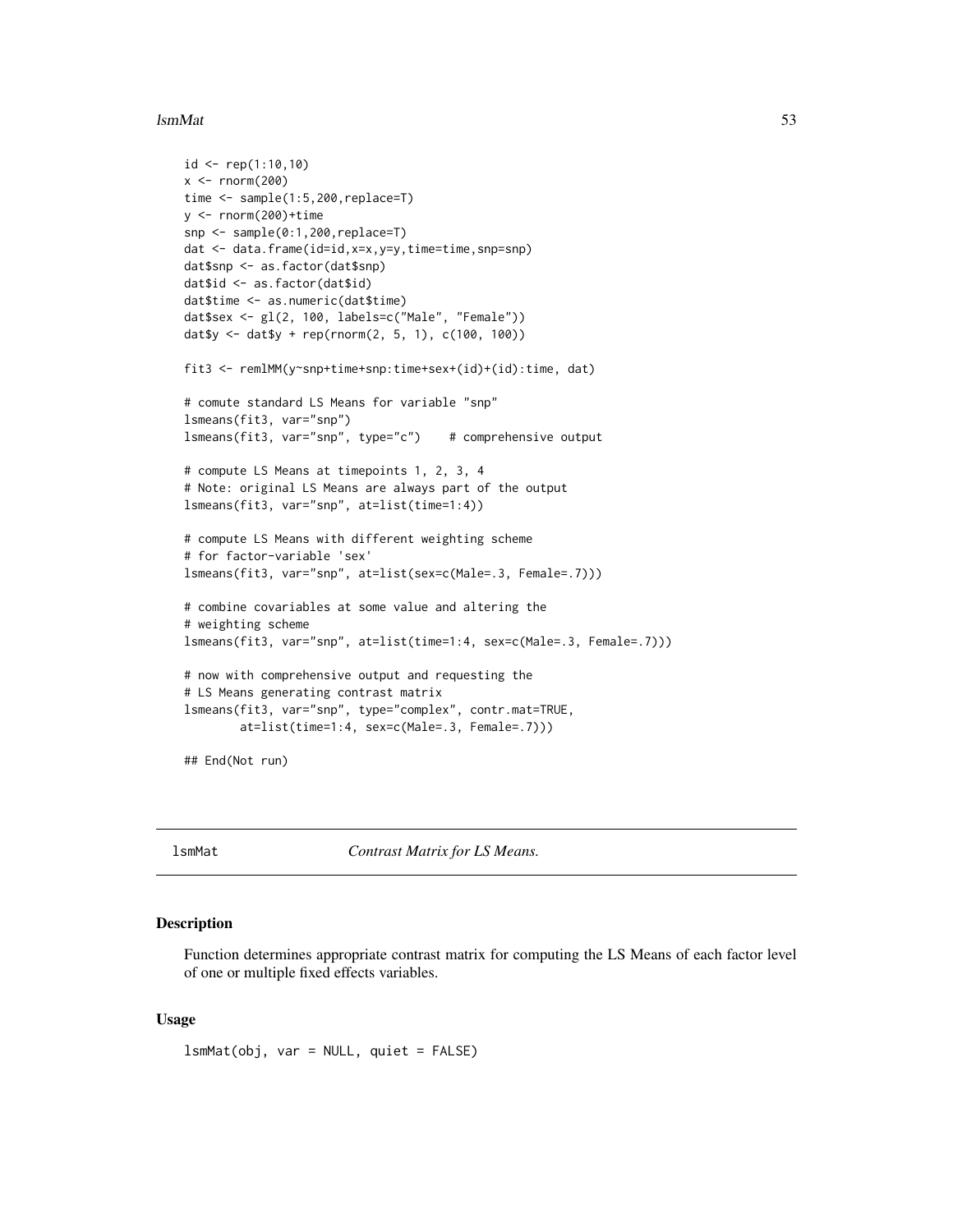#### lsmMat 53

```
id <- rep(1:10,10)
x < - rnorm(200)time <- sample(1:5,200,replace=T)
y \le - rnorm(200)+time
snp <- sample(0:1,200,replace=T)
dat <- data.frame(id=id,x=x,y=y,time=time,snp=snp)
dat$snp <- as.factor(dat$snp)
dat$id <- as.factor(dat$id)
dat$time <- as.numeric(dat$time)
dat$sex <- gl(2, 100, labels=c("Male", "Female"))
dat$y <- dat$y + rep(rnorm(2, 5, 1), c(100, 100))
fit3 <- remlMM(y~snp+time+snp:time+sex+(id)+(id):time, dat)
# comute standard LS Means for variable "snp"
lsmeans(fit3, var="snp")
lsmeans(fit3, var="snp", type="c") # comprehensive output
# compute LS Means at timepoints 1, 2, 3, 4
# Note: original LS Means are always part of the output
lsmeans(fit3, var="snp", at=list(time=1:4))
# compute LS Means with different weighting scheme
# for factor-variable 'sex'
lsmeans(fit3, var="snp", at=list(sex=c(Male=.3, Female=.7)))
# combine covariables at some value and altering the
# weighting scheme
lsmeans(fit3, var="snp", at=list(time=1:4, sex=c(Male=.3, Female=.7)))
# now with comprehensive output and requesting the
# LS Means generating contrast matrix
lsmeans(fit3, var="snp", type="complex", contr.mat=TRUE,
        at=list(time=1:4, sex=c(Male=.3, Female=.7)))
## End(Not run)
```
lsmMat *Contrast Matrix for LS Means.*

### **Description**

Function determines appropriate contrast matrix for computing the LS Means of each factor level of one or multiple fixed effects variables.

# Usage

lsmMat(obj, var = NULL, quiet = FALSE)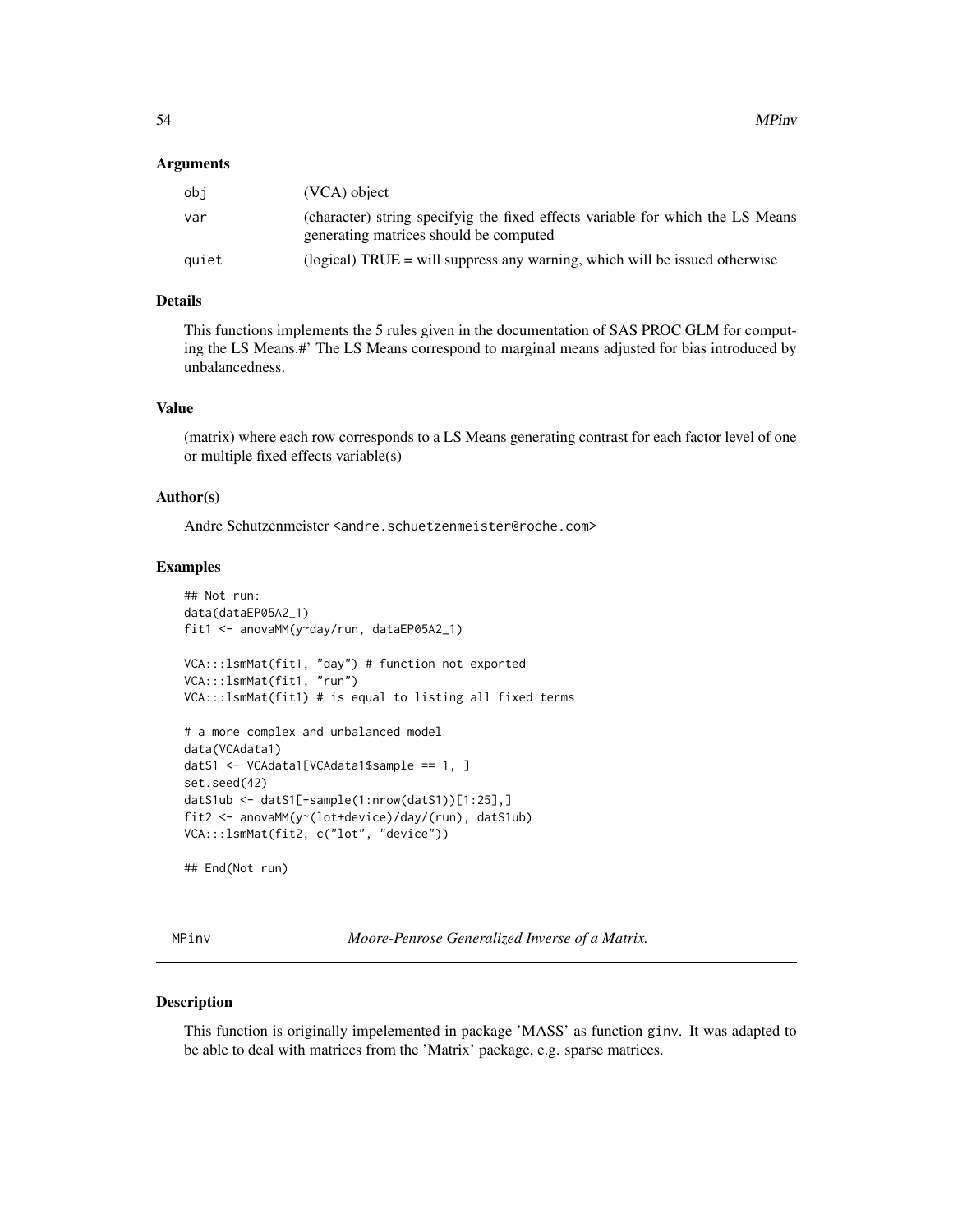# Arguments

| obi   | (VCA) object                                                                                                             |
|-------|--------------------------------------------------------------------------------------------------------------------------|
| var   | (character) string specifyig the fixed effects variable for which the LS Means<br>generating matrices should be computed |
| quiet | (logical) TRUE $=$ will suppress any warning, which will be issued otherwise                                             |

# Details

This functions implements the 5 rules given in the documentation of SAS PROC GLM for computing the LS Means.#' The LS Means correspond to marginal means adjusted for bias introduced by unbalancedness.

# Value

(matrix) where each row corresponds to a LS Means generating contrast for each factor level of one or multiple fixed effects variable(s)

# Author(s)

Andre Schutzenmeister <andre.schuetzenmeister@roche.com>

#### Examples

```
## Not run:
data(dataEP05A2_1)
fit1 <- anovaMM(y~day/run, dataEP05A2_1)
VCA:::lsmMat(fit1, "day") # function not exported
VCA:::lsmMat(fit1, "run")
VCA:::lsmMat(fit1) # is equal to listing all fixed terms
# a more complex and unbalanced model
data(VCAdata1)
datS1 <- VCAdata1[VCAdata1$sample == 1, ]
set.seed(42)
datS1ub <- datS1[-sample(1:nrow(datS1))[1:25],]
fit2 <- anovaMM(y~(lot+device)/day/(run), datS1ub)
VCA:::lsmMat(fit2, c("lot", "device"))
## End(Not run)
```
MPinv *Moore-Penrose Generalized Inverse of a Matrix.*

# Description

This function is originally impelemented in package 'MASS' as function ginv. It was adapted to be able to deal with matrices from the 'Matrix' package, e.g. sparse matrices.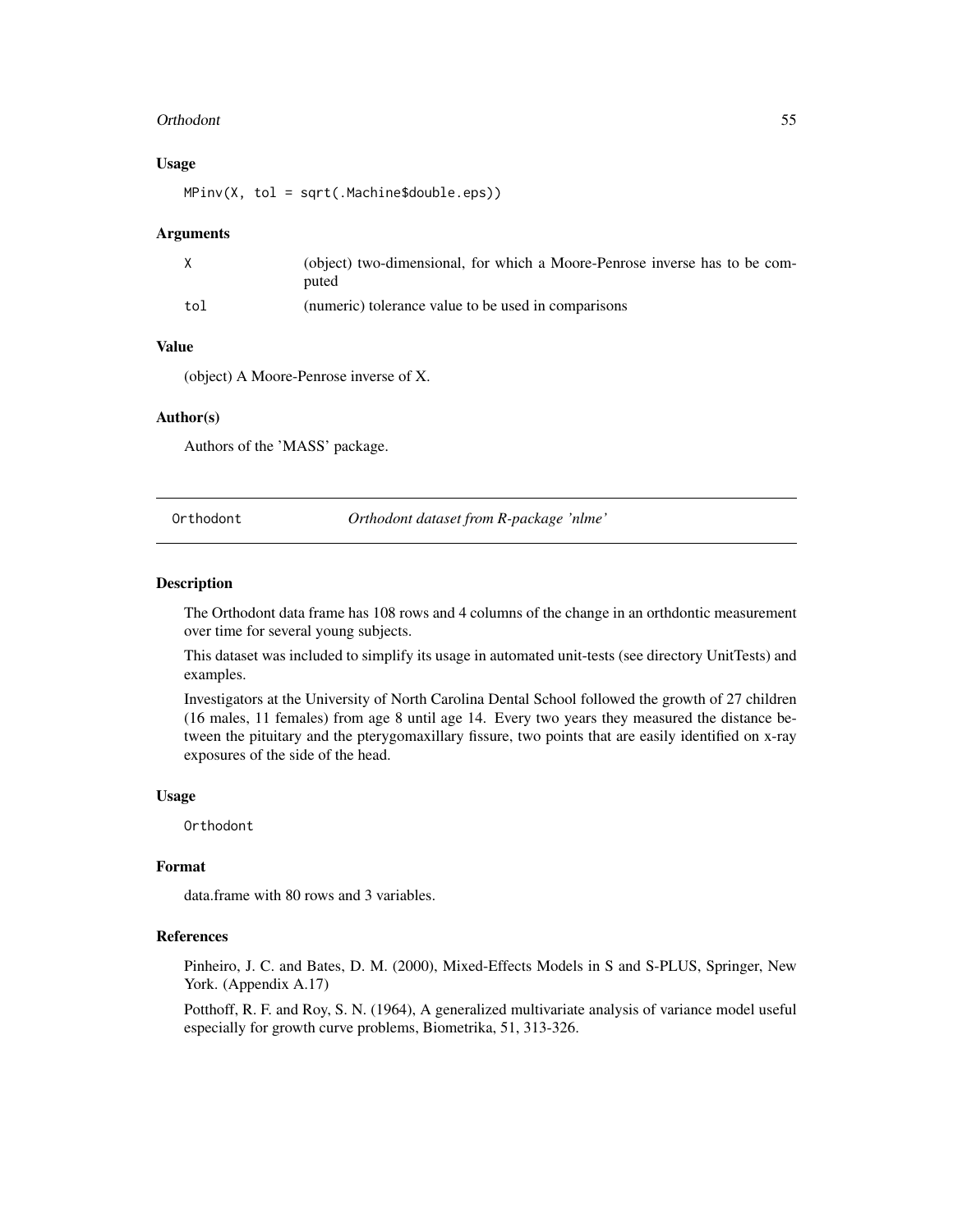#### Orthodont 55

#### Usage

MPinv(X, tol = sqrt(.Machine\$double.eps))

#### Arguments

|     | (object) two-dimensional, for which a Moore-Penrose inverse has to be com-<br>puted |
|-----|-------------------------------------------------------------------------------------|
| tol | (numeric) tolerance value to be used in comparisons                                 |

#### Value

(object) A Moore-Penrose inverse of X.

#### Author(s)

Authors of the 'MASS' package.

Orthodont *Orthodont dataset from R-package 'nlme'*

# Description

The Orthodont data frame has 108 rows and 4 columns of the change in an orthdontic measurement over time for several young subjects.

This dataset was included to simplify its usage in automated unit-tests (see directory UnitTests) and examples.

Investigators at the University of North Carolina Dental School followed the growth of 27 children (16 males, 11 females) from age 8 until age 14. Every two years they measured the distance between the pituitary and the pterygomaxillary fissure, two points that are easily identified on x-ray exposures of the side of the head.

#### Usage

Orthodont

### Format

data.frame with 80 rows and 3 variables.

### References

Pinheiro, J. C. and Bates, D. M. (2000), Mixed-Effects Models in S and S-PLUS, Springer, New York. (Appendix A.17)

Potthoff, R. F. and Roy, S. N. (1964), A generalized multivariate analysis of variance model useful especially for growth curve problems, Biometrika, 51, 313-326.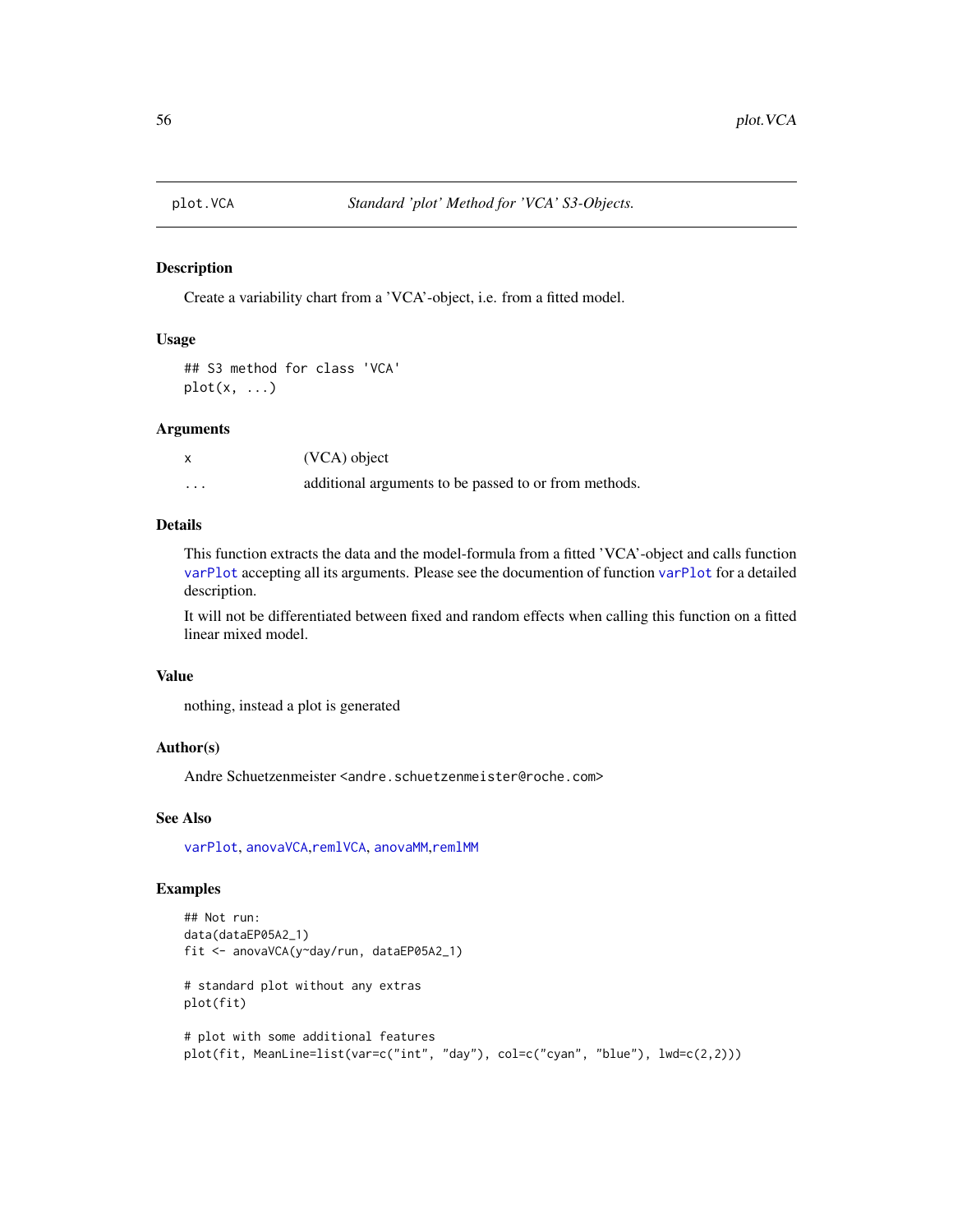### Description

Create a variability chart from a 'VCA'-object, i.e. from a fitted model.

### Usage

```
## S3 method for class 'VCA'
plot(x, \ldots)
```
#### Arguments

|   | (VCA) object                                          |
|---|-------------------------------------------------------|
| . | additional arguments to be passed to or from methods. |

# Details

This function extracts the data and the model-formula from a fitted 'VCA'-object and calls function [varPlot](#page-80-0) accepting all its arguments. Please see the documention of function [varPlot](#page-80-0) for a detailed description.

It will not be differentiated between fixed and random effects when calling this function on a fitted linear mixed model.

### Value

nothing, instead a plot is generated

### Author(s)

Andre Schuetzenmeister <andre.schuetzenmeister@roche.com>

# See Also

[varPlot](#page-80-0), [anovaVCA](#page-10-0),[remlVCA](#page-64-0), [anovaMM](#page-6-0),[remlMM](#page-61-0)

```
## Not run:
data(dataEP05A2_1)
fit <- anovaVCA(y~day/run, dataEP05A2_1)
# standard plot without any extras
plot(fit)
# plot with some additional features
plot(fit, MeanLine=list(var=c("int", "day"), col=c("cyan", "blue"), lwd=c(2,2)))
```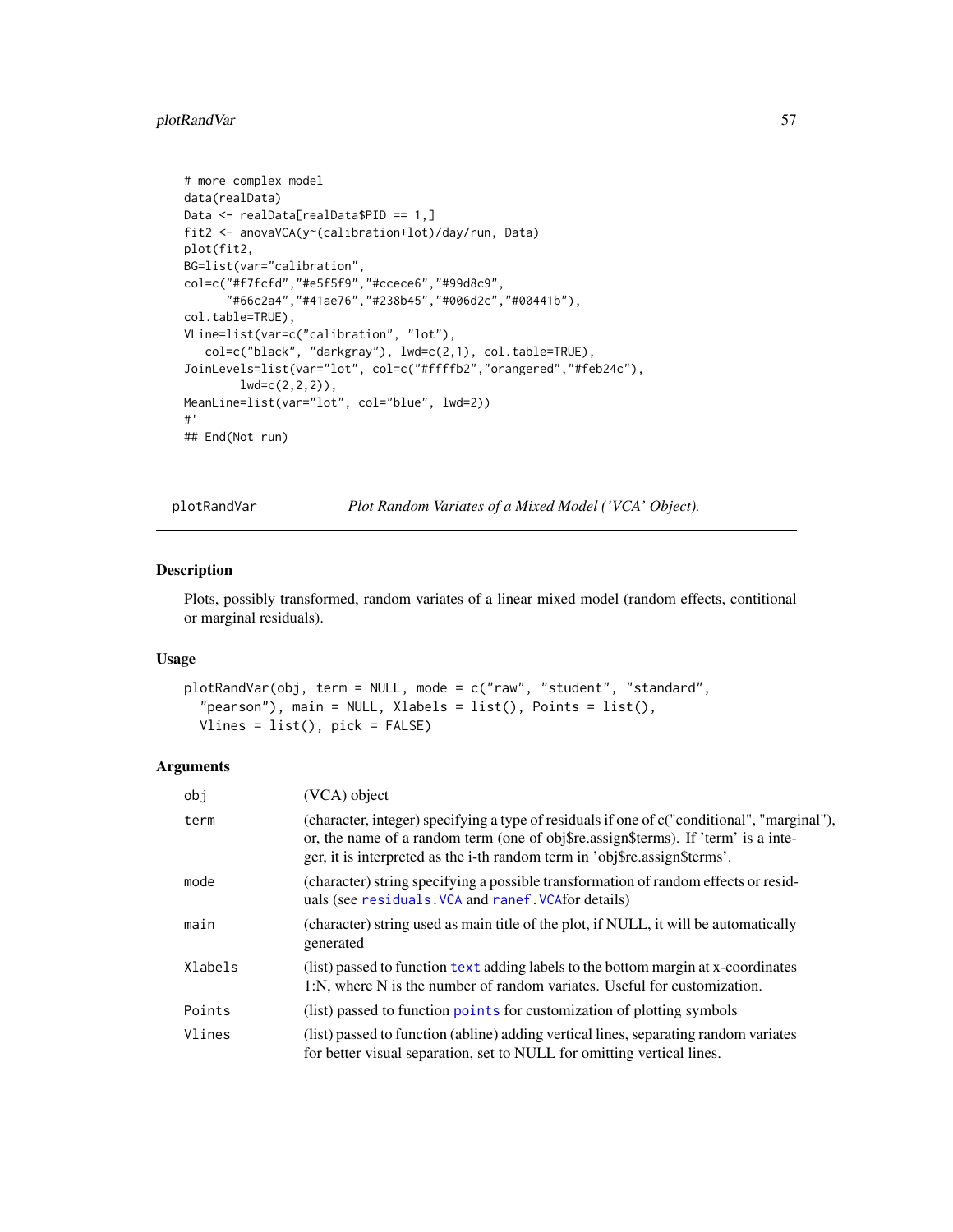# plotRandVar 57

```
# more complex model
data(realData)
Data <- realData[realData$PID == 1,]
fit2 <- anovaVCA(y~(calibration+lot)/day/run, Data)
plot(fit2,
BG=list(var="calibration",
col=c("#f7fcfd","#e5f5f9","#ccece6","#99d8c9",
      "#66c2a4","#41ae76","#238b45","#006d2c","#00441b"),
col.table=TRUE),
VLine=list(var=c("calibration", "lot"),
   col=c("black", "darkgray"), lwd=c(2,1), col.table=TRUE),
JoinLevels=list(var="lot", col=c("#ffffb2","orangered","#feb24c"),
        lwd=c(2,2,2),
MeanLine=list(var="lot", col="blue", lwd=2))
#'
## End(Not run)
```
<span id="page-56-0"></span>plotRandVar *Plot Random Variates of a Mixed Model ('VCA' Object).*

### Description

Plots, possibly transformed, random variates of a linear mixed model (random effects, contitional or marginal residuals).

# Usage

```
plotRandVar(obj, term = NULL, mode = c("raw", "student", "standard",
  "pearson"), main = NULL, Xlabels = list(), Points = list(),
 Vlines = list(), pick = FALSE)
```
### Arguments

| obj     | (VCA) object                                                                                                                                                                                                                                                    |
|---------|-----------------------------------------------------------------------------------------------------------------------------------------------------------------------------------------------------------------------------------------------------------------|
| term    | (character, integer) specifying a type of residuals if one of c("conditional", "marginal"),<br>or, the name of a random term (one of obj\$re.assign\$terms). If 'term' is a inte-<br>ger, it is interpreted as the i-th random term in 'obj\$re.assign\$terms'. |
| mode    | (character) string specifying a possible transformation of random effects or resid-<br>uals (see residuals. VCA and ranef. VCA for details)                                                                                                                     |
| main    | (character) string used as main title of the plot, if NULL, it will be automatically<br>generated                                                                                                                                                               |
| Xlabels | (list) passed to function text adding labels to the bottom margin at x-coordinates<br>1:N, where N is the number of random variates. Useful for customization.                                                                                                  |
| Points  | (list) passed to function points for customization of plotting symbols                                                                                                                                                                                          |
| Vlines  | (list) passed to function (abline) adding vertical lines, separating random variates<br>for better visual separation, set to NULL for omitting vertical lines.                                                                                                  |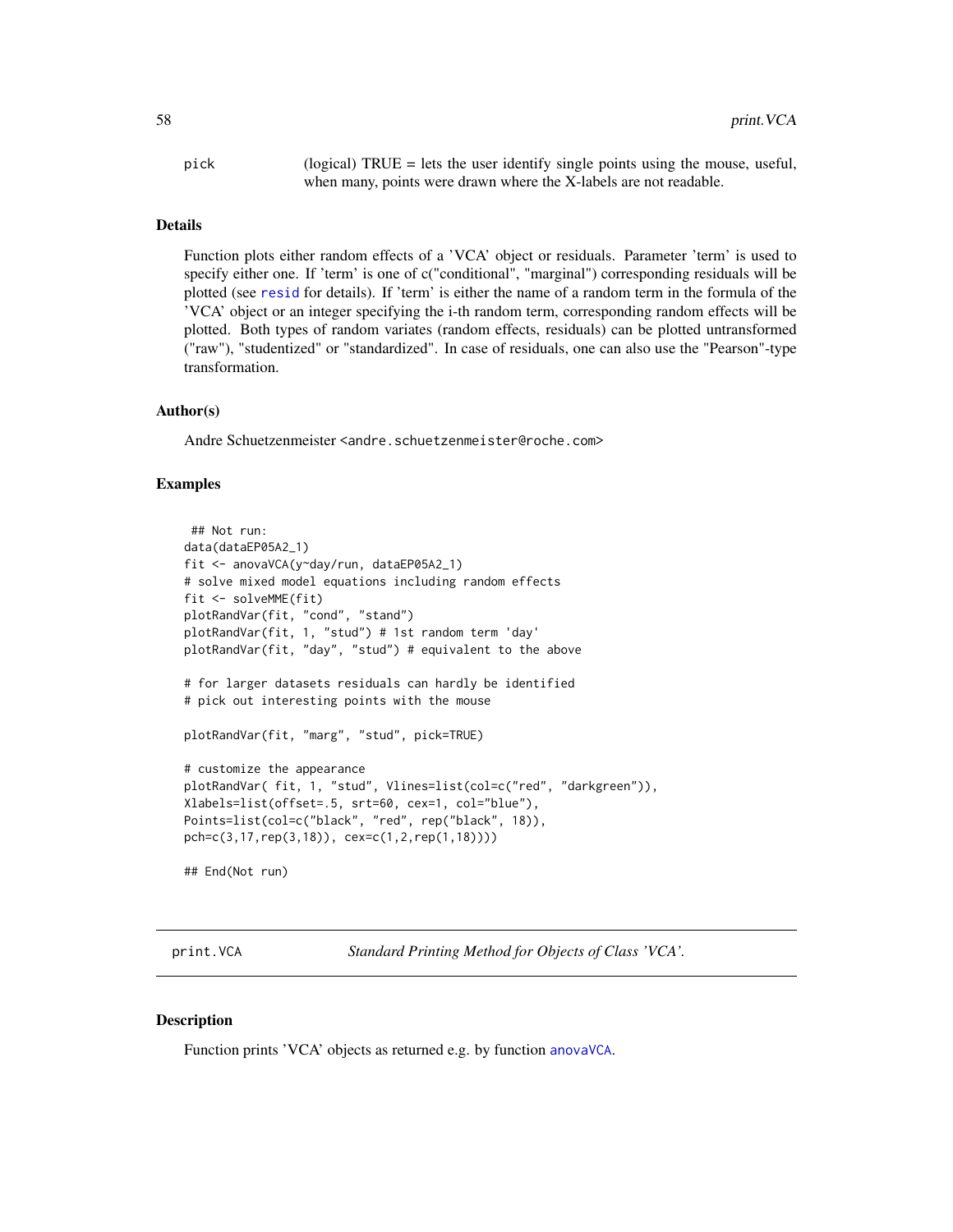pick (logical) TRUE = lets the user identify single points using the mouse, useful, when many, points were drawn where the X-labels are not readable.

#### Details

Function plots either random effects of a 'VCA' object or residuals. Parameter 'term' is used to specify either one. If 'term' is one of c("conditional", "marginal") corresponding residuals will be plotted (see [resid](#page-67-1) for details). If 'term' is either the name of a random term in the formula of the 'VCA' object or an integer specifying the i-th random term, corresponding random effects will be plotted. Both types of random variates (random effects, residuals) can be plotted untransformed ("raw"), "studentized" or "standardized". In case of residuals, one can also use the "Pearson"-type transformation.

### Author(s)

Andre Schuetzenmeister <andre.schuetzenmeister@roche.com>

## Examples

```
## Not run:
data(dataEP05A2_1)
fit <- anovaVCA(y~day/run, dataEP05A2_1)
# solve mixed model equations including random effects
fit <- solveMME(fit)
plotRandVar(fit, "cond", "stand")
plotRandVar(fit, 1, "stud") # 1st random term 'day'
plotRandVar(fit, "day", "stud") # equivalent to the above
# for larger datasets residuals can hardly be identified
# pick out interesting points with the mouse
plotRandVar(fit, "marg", "stud", pick=TRUE)
# customize the appearance
plotRandVar( fit, 1, "stud", Vlines=list(col=c("red", "darkgreen")),
Xlabels=list(offset=.5, srt=60, cex=1, col="blue"),
Points=list(col=c("black", "red", rep("black", 18)),
pch=c(3,17,rep(3,18)), cex=c(1,2,rep(1,18))))
## End(Not run)
```
print.VCA *Standard Printing Method for Objects of Class 'VCA'.*

#### Description

Function prints 'VCA' objects as returned e.g. by function [anovaVCA](#page-10-0).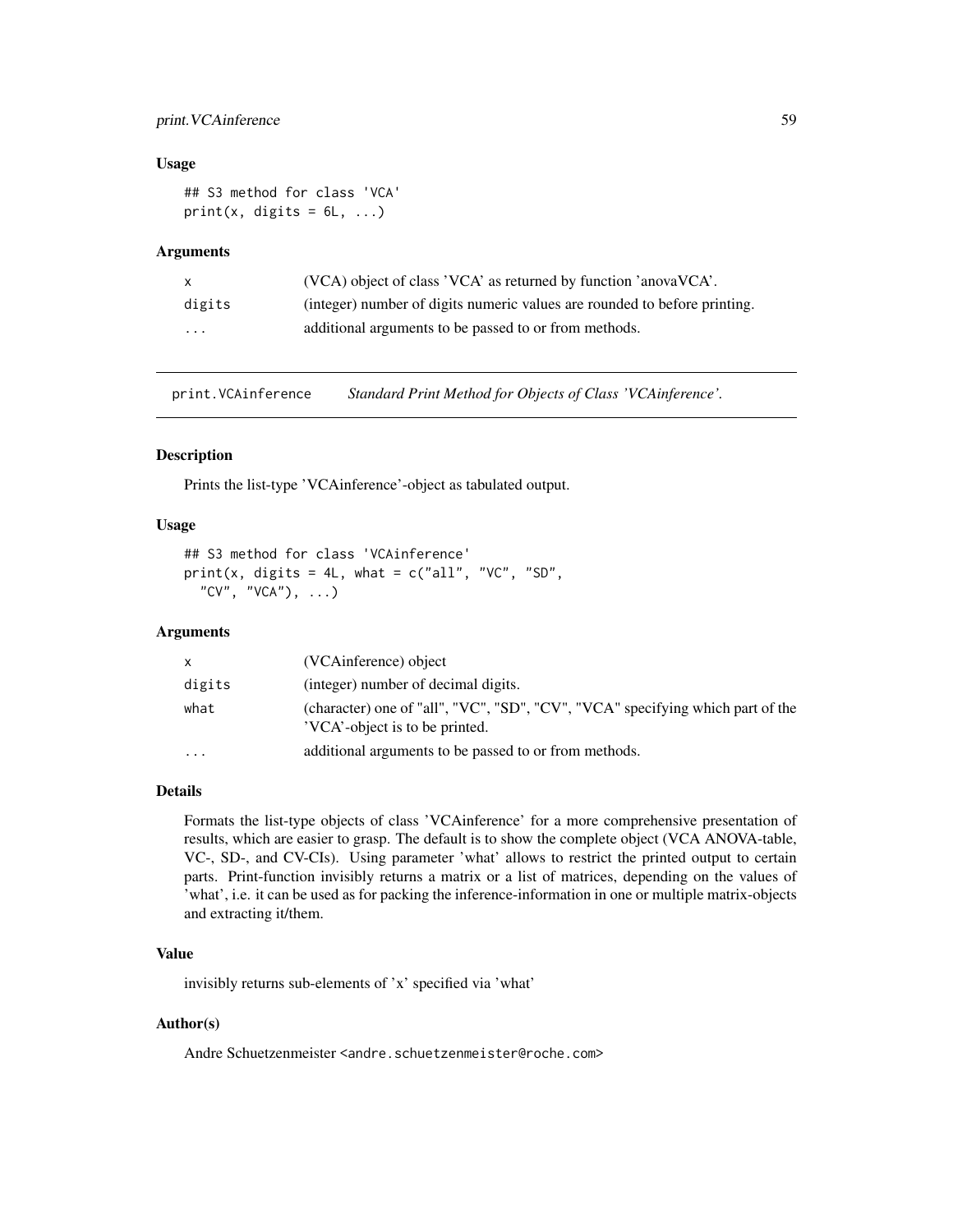# print. VCAinference 59

### Usage

```
## S3 method for class 'VCA'
print(x, digits = 6L, ...)
```
# Arguments

| $\mathsf{X}$            | (VCA) object of class 'VCA' as returned by function 'anovaVCA'.           |
|-------------------------|---------------------------------------------------------------------------|
| digits                  | (integer) number of digits numeric values are rounded to before printing. |
| $\cdot$ $\cdot$ $\cdot$ | additional arguments to be passed to or from methods.                     |

print.VCAinference *Standard Print Method for Objects of Class 'VCAinference'.*

#### Description

Prints the list-type 'VCAinference'-object as tabulated output.

### Usage

```
## S3 method for class 'VCAinference'
print(x, digits = 4L, what = c("all", "VC", "SD","CV", "VCA"), \ldots)
```
### Arguments

| x.      | (VCAinference) object                                                                                            |
|---------|------------------------------------------------------------------------------------------------------------------|
| digits  | (integer) number of decimal digits.                                                                              |
| what    | (character) one of "all", "VC", "SD", "CV", "VCA" specifying which part of the<br>'VCA'-object is to be printed. |
| $\cdot$ | additional arguments to be passed to or from methods.                                                            |

### Details

Formats the list-type objects of class 'VCAinference' for a more comprehensive presentation of results, which are easier to grasp. The default is to show the complete object (VCA ANOVA-table, VC-, SD-, and CV-CIs). Using parameter 'what' allows to restrict the printed output to certain parts. Print-function invisibly returns a matrix or a list of matrices, depending on the values of 'what', i.e. it can be used as for packing the inference-information in one or multiple matrix-objects and extracting it/them.

# Value

invisibly returns sub-elements of 'x' specified via 'what'

## Author(s)

Andre Schuetzenmeister <andre.schuetzenmeister@roche.com>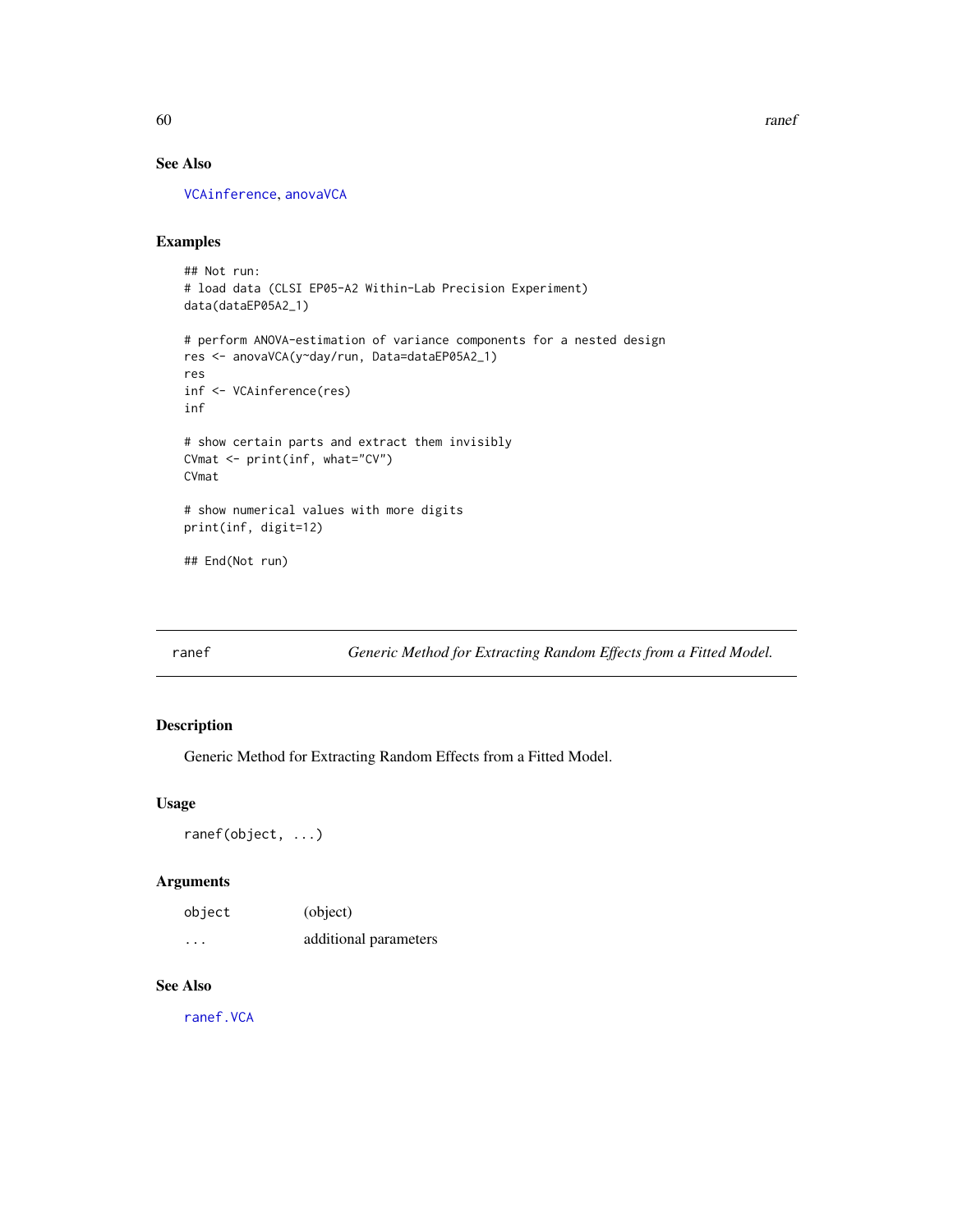60 ranef and the contract of the contract of the contract of the contract of the contract of the contract of the contract of the contract of the contract of the contract of the contract of the contract of the contract of t

# See Also

[VCAinference](#page-87-0), [anovaVCA](#page-10-0)

# Examples

```
## Not run:
# load data (CLSI EP05-A2 Within-Lab Precision Experiment)
data(dataEP05A2_1)
# perform ANOVA-estimation of variance components for a nested design
res <- anovaVCA(y~day/run, Data=dataEP05A2_1)
res
inf <- VCAinference(res)
inf
# show certain parts and extract them invisibly
CVmat <- print(inf, what="CV")
CVmat
# show numerical values with more digits
print(inf, digit=12)
## End(Not run)
```
<span id="page-59-0"></span>ranef *Generic Method for Extracting Random Effects from a Fitted Model.*

# Description

Generic Method for Extracting Random Effects from a Fitted Model.

# Usage

ranef(object, ...)

# Arguments

| object  | (object)              |
|---------|-----------------------|
| $\cdot$ | additional parameters |

# See Also

[ranef.VCA](#page-60-0)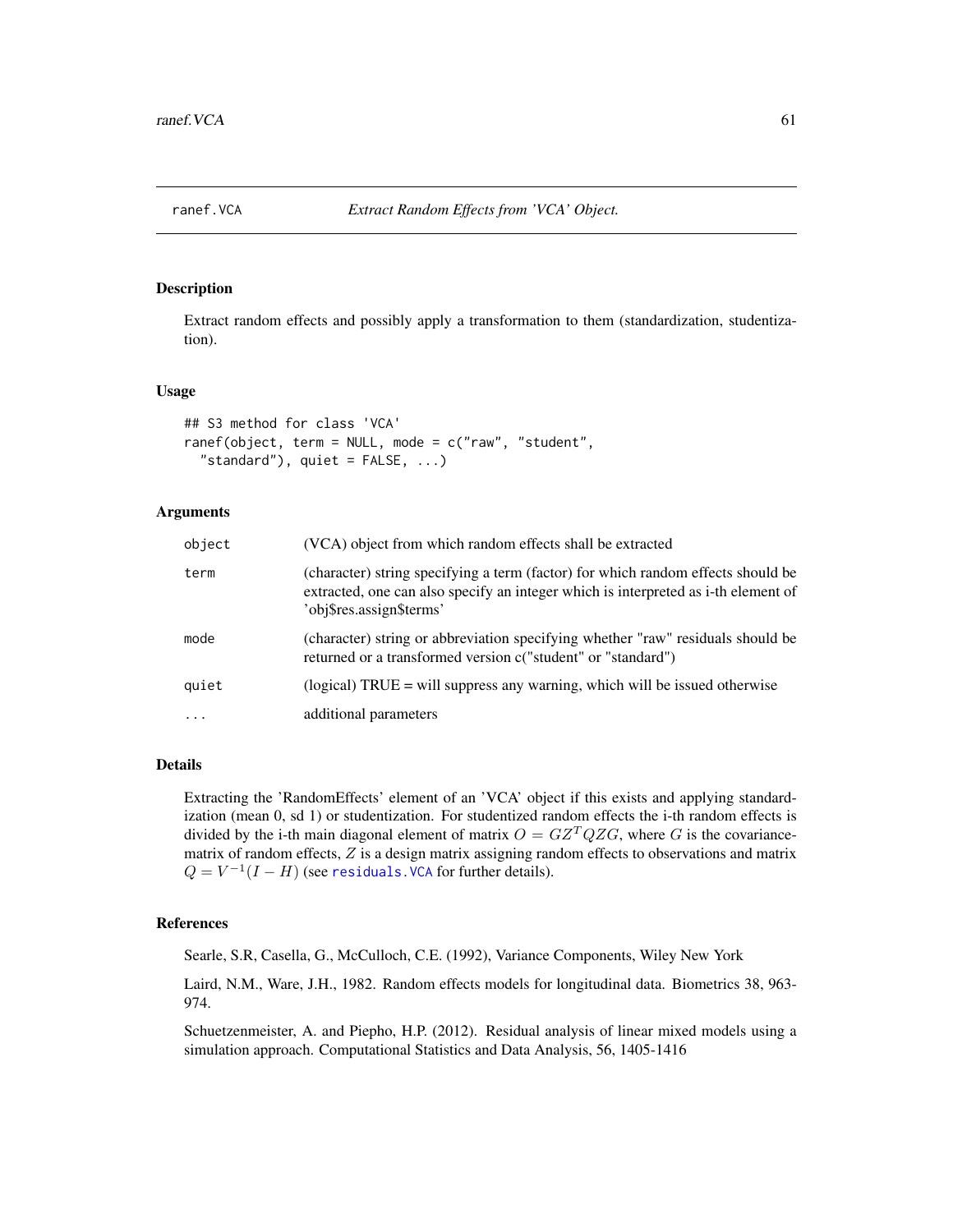<span id="page-60-0"></span>

### Description

Extract random effects and possibly apply a transformation to them (standardization, studentization).

### Usage

```
## S3 method for class 'VCA'
ranef(object, term = NULL, mode = c("raw", "student",
  "standard"), quiet = FALSE, ...)
```
# Arguments

| object   | (VCA) object from which random effects shall be extracted                                                                                                                                          |
|----------|----------------------------------------------------------------------------------------------------------------------------------------------------------------------------------------------------|
| term     | (character) string specifying a term (factor) for which random effects should be<br>extracted, one can also specify an integer which is interpreted as i-th element of<br>'obj\$res.assign\$terms' |
| mode     | (character) string or abbreviation specifying whether "raw" residuals should be<br>returned or a transformed version c("student" or "standard")                                                    |
| quiet    | (logical) $TRUE = will$ suppress any warning, which will be issued otherwise                                                                                                                       |
| $\cdots$ | additional parameters                                                                                                                                                                              |

# Details

Extracting the 'RandomEffects' element of an 'VCA' object if this exists and applying standardization (mean 0, sd 1) or studentization. For studentized random effects the i-th random effects is divided by the i-th main diagonal element of matrix  $O = GZ^TQZG$ , where G is the covariancematrix of random effects, Z is a design matrix assigning random effects to observations and matrix  $Q = V^{-1}(I - H)$  (see residuals. VCA for further details).

# References

Searle, S.R, Casella, G., McCulloch, C.E. (1992), Variance Components, Wiley New York

Laird, N.M., Ware, J.H., 1982. Random effects models for longitudinal data. Biometrics 38, 963- 974.

Schuetzenmeister, A. and Piepho, H.P. (2012). Residual analysis of linear mixed models using a simulation approach. Computational Statistics and Data Analysis, 56, 1405-1416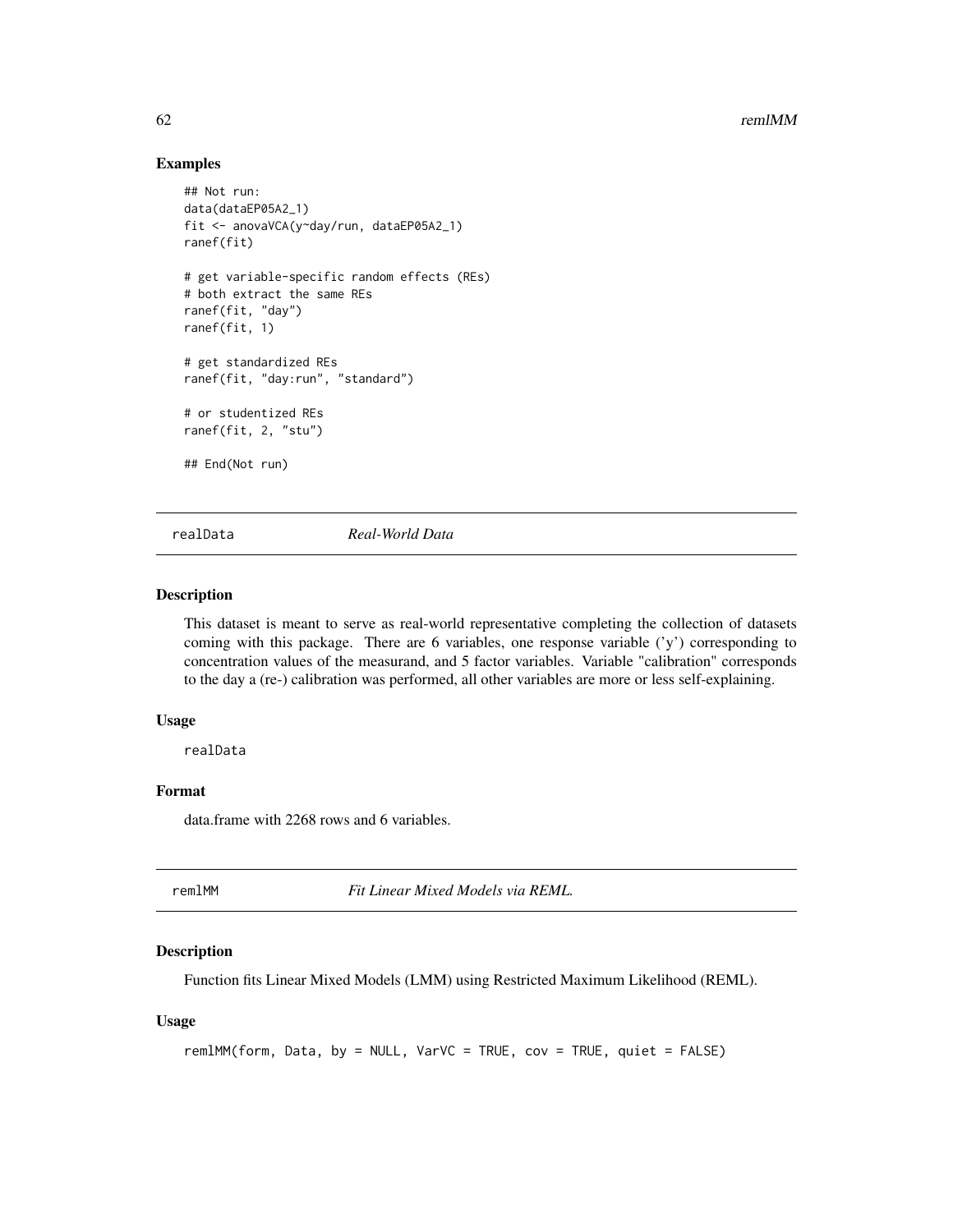# Examples

```
## Not run:
data(dataEP05A2_1)
fit <- anovaVCA(y~day/run, dataEP05A2_1)
ranef(fit)
# get variable-specific random effects (REs)
# both extract the same REs
ranef(fit, "day")
ranef(fit, 1)
# get standardized REs
ranef(fit, "day:run", "standard")
# or studentized REs
ranef(fit, 2, "stu")
## End(Not run)
```
realData *Real-World Data*

### Description

This dataset is meant to serve as real-world representative completing the collection of datasets coming with this package. There are 6 variables, one response variable  $(y')$  corresponding to concentration values of the measurand, and 5 factor variables. Variable "calibration" corresponds to the day a (re-) calibration was performed, all other variables are more or less self-explaining.

# Usage

realData

# Format

data.frame with 2268 rows and 6 variables.

<span id="page-61-0"></span>

remlMM *Fit Linear Mixed Models via REML.*

# Description

Function fits Linear Mixed Models (LMM) using Restricted Maximum Likelihood (REML).

#### Usage

```
remlMM(form, Data, by = NULL, VarVC = TRUE, cov = TRUE, quiet = FALSE)
```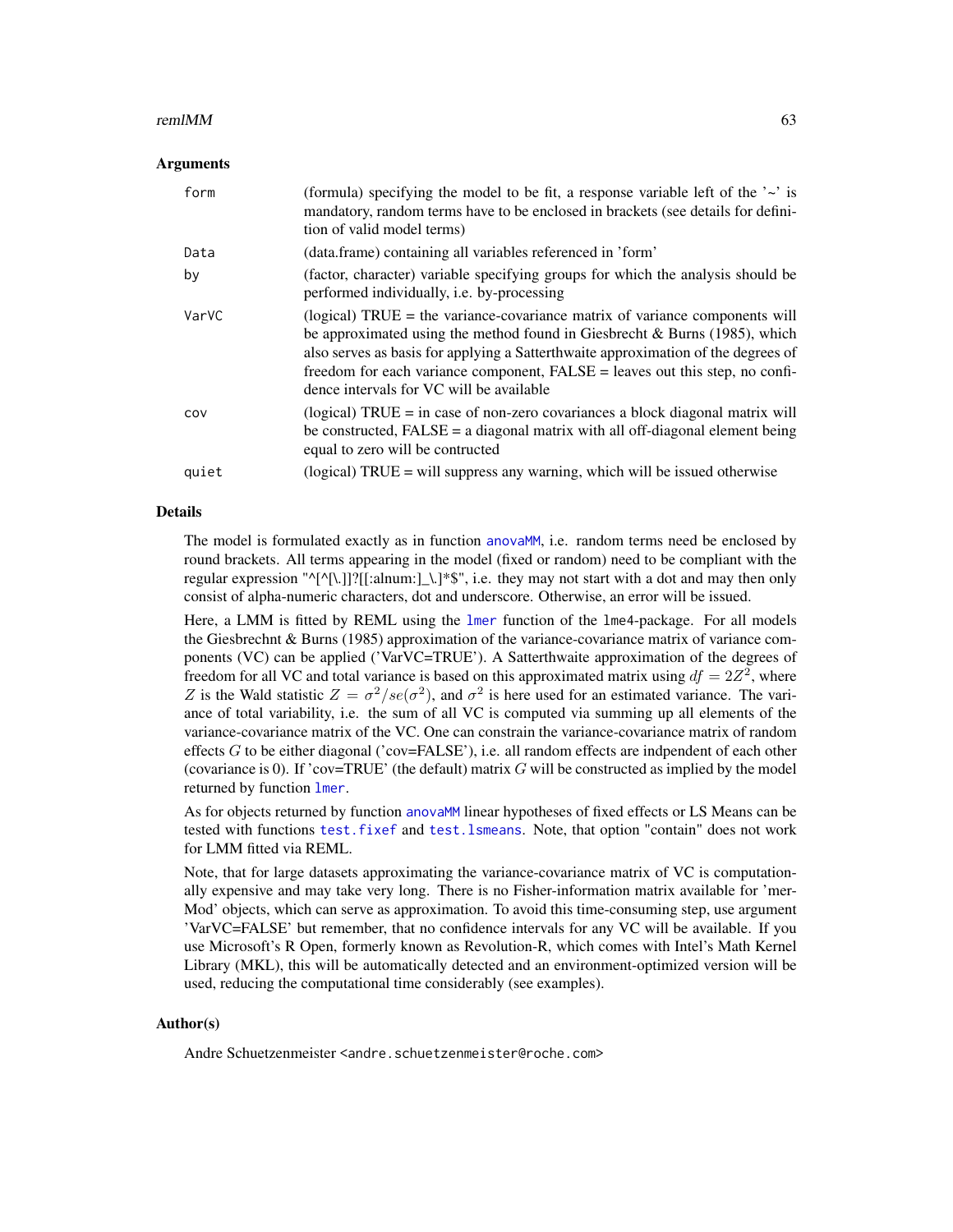#### $r = 63$

#### Arguments

| form  | (formula) specifying the model to be fit, a response variable left of the $\sim$ is<br>mandatory, random terms have to be enclosed in brackets (see details for defini-<br>tion of valid model terms)                                                                                                                                                                           |
|-------|---------------------------------------------------------------------------------------------------------------------------------------------------------------------------------------------------------------------------------------------------------------------------------------------------------------------------------------------------------------------------------|
| Data  | (data.frame) containing all variables referenced in 'form'                                                                                                                                                                                                                                                                                                                      |
| by    | (factor, character) variable specifying groups for which the analysis should be<br>performed individually, <i>i.e.</i> by-processing                                                                                                                                                                                                                                            |
| VarVC | (logical) $TRUE =$ the variance-covariance matrix of variance components will<br>be approximated using the method found in Giesbrecht & Burns $(1985)$ , which<br>also serves as basis for applying a Satterthwaite approximation of the degrees of<br>freedom for each variance component, FALSE = leaves out this step, no confi-<br>dence intervals for VC will be available |
| COV   | (logical) $TRUE = in case of non-zero covariances a block diagonal matrix will$<br>be constructed, $FALSE = a diagonal matrix with all off-diagonal element being$<br>equal to zero will be contructed                                                                                                                                                                          |
| quiet | (logical) TRUE = will suppress any warning, which will be issued otherwise                                                                                                                                                                                                                                                                                                      |

### Details

The model is formulated exactly as in function anova<sub>MM</sub>, i.e. random terms need be enclosed by round brackets. All terms appearing in the model (fixed or random) need to be compliant with the regular expression " $\binom{1}{1}$ ?[[:alnum:] \.]\*\$", i.e. they may not start with a dot and may then only consist of alpha-numeric characters, dot and underscore. Otherwise, an error will be issued.

Here, a LMM is fitted by REML using the [lmer](#page-0-0) function of the lme4-package. For all models the Giesbrechnt & Burns (1985) approximation of the variance-covariance matrix of variance components (VC) can be applied ('VarVC=TRUE'). A Satterthwaite approximation of the degrees of freedom for all VC and total variance is based on this approximated matrix using  $df = 2Z^2$ , where Z is the Wald statistic  $Z = \sigma^2 / s e(\sigma^2)$ , and  $\sigma^2$  is here used for an estimated variance. The variance of total variability, i.e. the sum of all VC is computed via summing up all elements of the variance-covariance matrix of the VC. One can constrain the variance-covariance matrix of random effects  $G$  to be either diagonal ('cov=FALSE'), i.e. all random effects are indpendent of each other (covariance is 0). If 'cov=TRUE' (the default) matrix  $G$  will be constructed as implied by the model returned by function [lmer](#page-0-0).

As for objects returned by function [anovaMM](#page-6-0) linear hypotheses of fixed effects or LS Means can be tested with functions [test.fixef](#page-75-0) and [test.lsmeans](#page-78-0). Note, that option "contain" does not work for LMM fitted via REML.

Note, that for large datasets approximating the variance-covariance matrix of VC is computationally expensive and may take very long. There is no Fisher-information matrix available for 'mer-Mod' objects, which can serve as approximation. To avoid this time-consuming step, use argument 'VarVC=FALSE' but remember, that no confidence intervals for any VC will be available. If you use Microsoft's R Open, formerly known as Revolution-R, which comes with Intel's Math Kernel Library (MKL), this will be automatically detected and an environment-optimized version will be used, reducing the computational time considerably (see examples).

# Author(s)

Andre Schuetzenmeister <andre.schuetzenmeister@roche.com>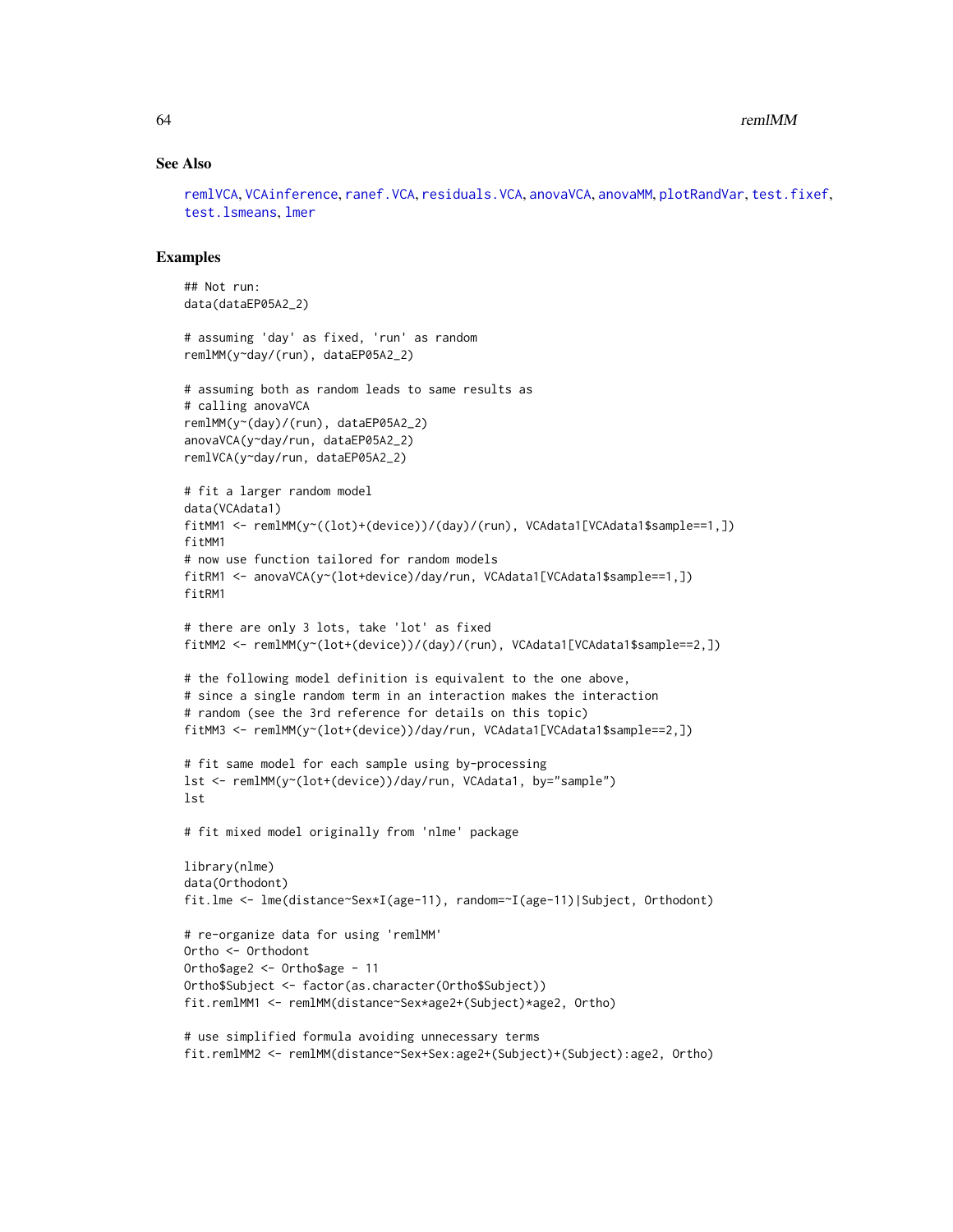### See Also

[remlVCA](#page-64-0), [VCAinference](#page-87-0), [ranef.VCA](#page-60-0), [residuals.VCA](#page-67-0), [anovaVCA](#page-10-0), [anovaMM](#page-6-0), [plotRandVar](#page-56-0), [test.fixef](#page-75-0), [test.lsmeans](#page-78-0), [lmer](#page-0-0)

```
## Not run:
data(dataEP05A2_2)
# assuming 'day' as fixed, 'run' as random
remlMM(y~day/(run), dataEP05A2_2)
# assuming both as random leads to same results as
# calling anovaVCA
remlMM(y~(day)/(run), dataEP05A2_2)
anovaVCA(y~day/run, dataEP05A2_2)
remlVCA(y~day/run, dataEP05A2_2)
# fit a larger random model
data(VCAdata1)
fitMM1 <- remlMM(y~((lot)+(device))/(day)/(run), VCAdata1[VCAdata1$sample==1,])
fitMM1
# now use function tailored for random models
fitRM1 <- anovaVCA(y~(lot+device)/day/run, VCAdata1[VCAdata1$sample==1,])
fitRM1
# there are only 3 lots, take 'lot' as fixed
fitMM2 <- remlMM(y~(lot+(device))/(day)/(run), VCAdata1[VCAdata1$sample==2,])
# the following model definition is equivalent to the one above,
# since a single random term in an interaction makes the interaction
# random (see the 3rd reference for details on this topic)
fitMM3 <- remlMM(y~(lot+(device))/day/run, VCAdata1[VCAdata1$sample==2,])
# fit same model for each sample using by-processing
lst <- remlMM(y~(lot+(device))/day/run, VCAdata1, by="sample")
lst
# fit mixed model originally from 'nlme' package
library(nlme)
data(Orthodont)
fit.lme <- lme(distance~Sex*I(age-11), random=~I(age-11)|Subject, Orthodont)
# re-organize data for using 'remlMM'
Ortho <- Orthodont
Ortho$age2 <- Ortho$age - 11
Ortho$Subject <- factor(as.character(Ortho$Subject))
fit.remlMM1 <- remlMM(distance~Sex*age2+(Subject)*age2, Ortho)
# use simplified formula avoiding unnecessary terms
fit.remlMM2 <- remlMM(distance~Sex+Sex:age2+(Subject)+(Subject):age2, Ortho)
```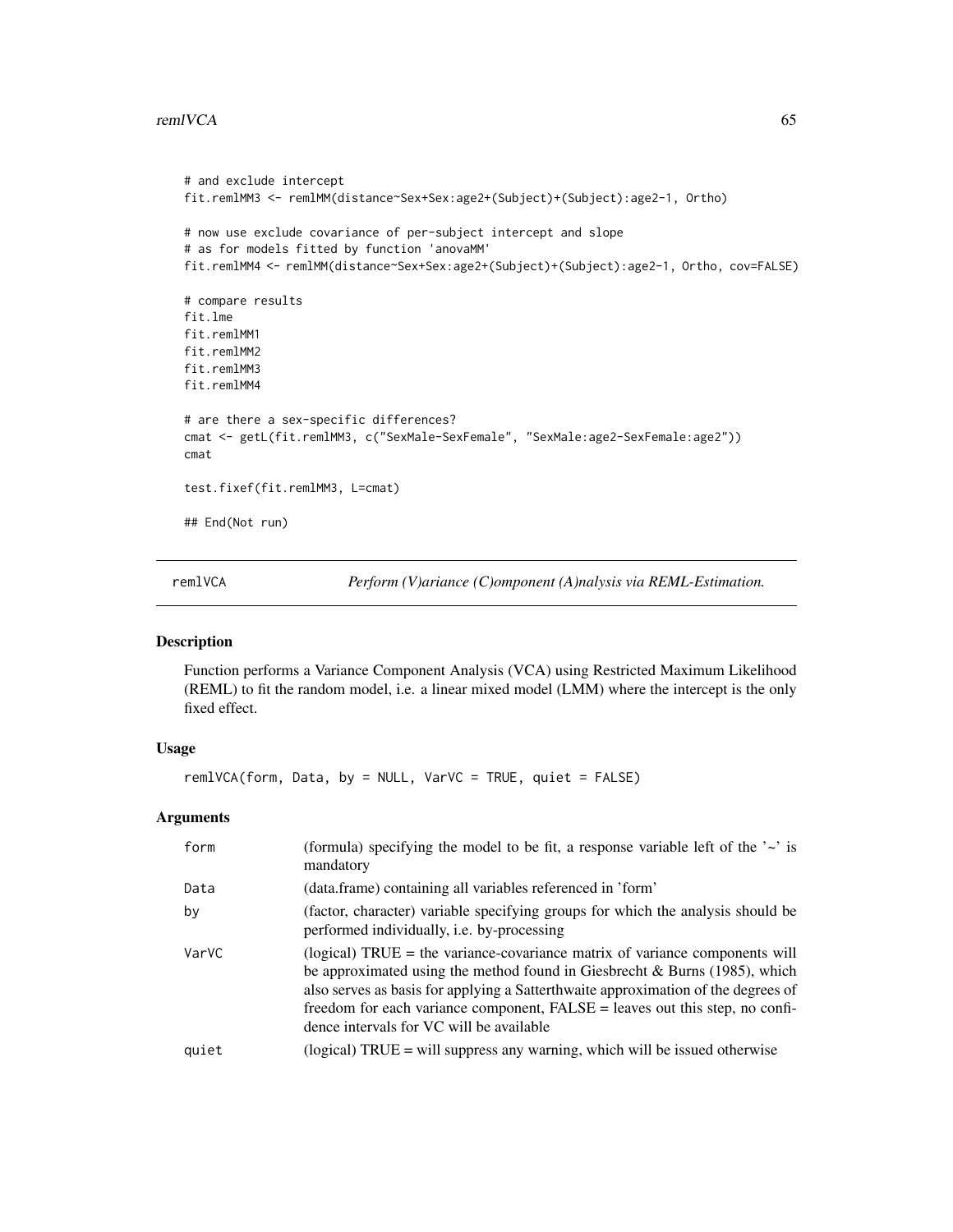### remlVCA 65

```
# and exclude intercept
fit.remlMM3 <- remlMM(distance~Sex+Sex:age2+(Subject)+(Subject):age2-1, Ortho)
# now use exclude covariance of per-subject intercept and slope
# as for models fitted by function 'anovaMM'
fit.remlMM4 <- remlMM(distance~Sex+Sex:age2+(Subject)+(Subject):age2-1, Ortho, cov=FALSE)
# compare results
fit.lme
fit.remlMM1
fit.remlMM2
fit.remlMM3
fit.remlMM4
# are there a sex-specific differences?
cmat <- getL(fit.remlMM3, c("SexMale-SexFemale", "SexMale:age2-SexFemale:age2"))
cmat
test.fixef(fit.remlMM3, L=cmat)
## End(Not run)
```
<span id="page-64-0"></span>

remlVCA *Perform (V)ariance (C)omponent (A)nalysis via REML-Estimation.*

# Description

Function performs a Variance Component Analysis (VCA) using Restricted Maximum Likelihood (REML) to fit the random model, i.e. a linear mixed model (LMM) where the intercept is the only fixed effect.

# Usage

remlVCA(form, Data, by = NULL, VarVC = TRUE, quiet = FALSE)

#### **Arguments**

| form  | (formula) specifying the model to be fit, a response variable left of the $\sim$ is<br>mandatory                                                                                                                                                                                                                                                                                       |
|-------|----------------------------------------------------------------------------------------------------------------------------------------------------------------------------------------------------------------------------------------------------------------------------------------------------------------------------------------------------------------------------------------|
| Data  | (data.frame) containing all variables referenced in 'form'                                                                                                                                                                                                                                                                                                                             |
| by    | (factor, character) variable specifying groups for which the analysis should be<br>performed individually, <i>i.e.</i> by-processing                                                                                                                                                                                                                                                   |
| VarVC | $\alpha$ (logical) TRUE = the variance-covariance matrix of variance components will<br>be approximated using the method found in Giesbrecht & Burns $(1985)$ , which<br>also serves as basis for applying a Satterthwaite approximation of the degrees of<br>freedom for each variance component, FALSE = leaves out this step, no confi-<br>dence intervals for VC will be available |
| quiet | (logical) $TRUE = will$ suppress any warning, which will be issued otherwise                                                                                                                                                                                                                                                                                                           |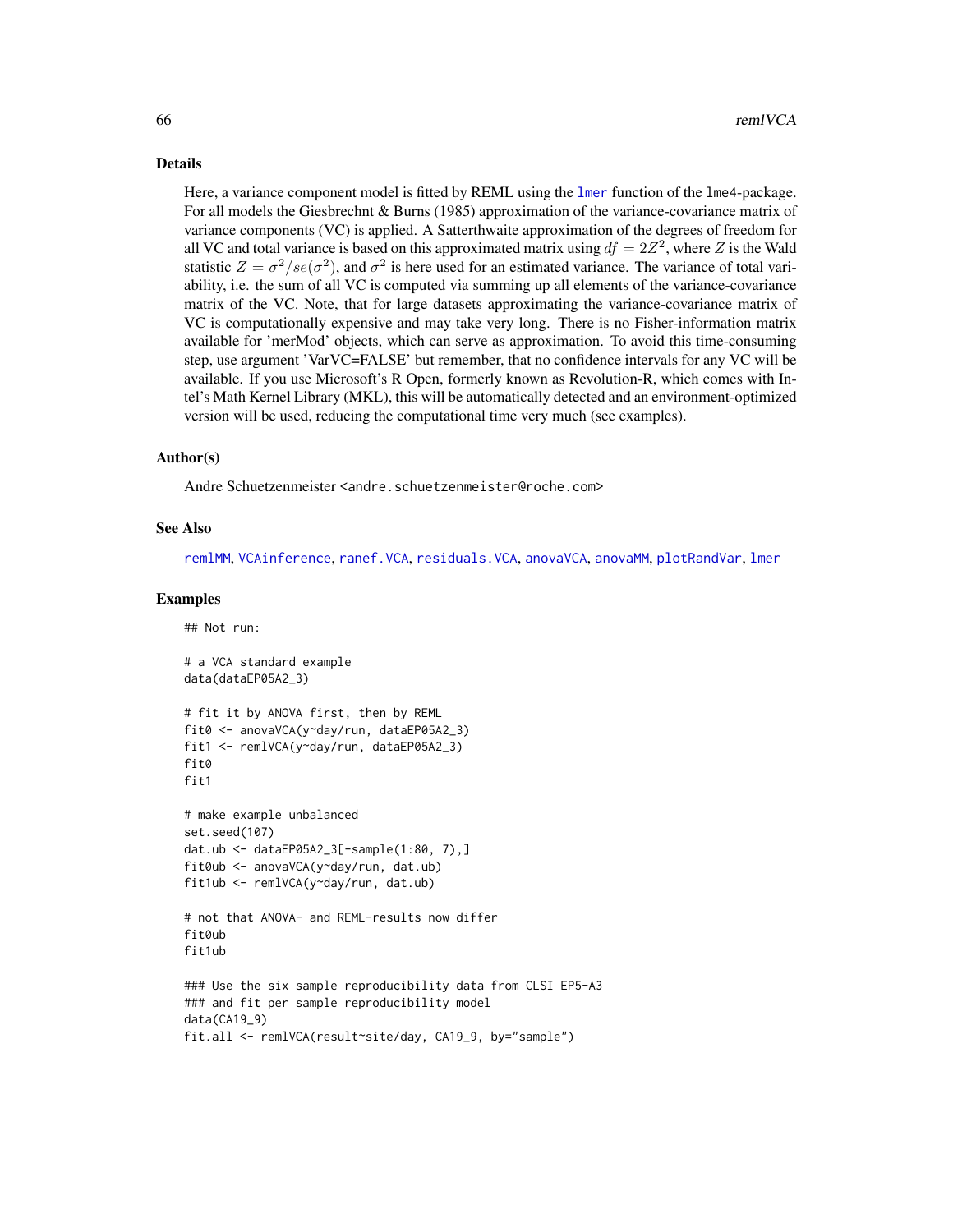### Details

Here, a variance component model is fitted by REML using the [lmer](#page-0-0) function of the lme4-package. For all models the Giesbrechnt & Burns (1985) approximation of the variance-covariance matrix of variance components (VC) is applied. A Satterthwaite approximation of the degrees of freedom for all VC and total variance is based on this approximated matrix using  $df = 2Z^2$ , where Z is the Wald statistic  $Z = \sigma^2 / se(\sigma^2)$ , and  $\sigma^2$  is here used for an estimated variance. The variance of total variability, i.e. the sum of all VC is computed via summing up all elements of the variance-covariance matrix of the VC. Note, that for large datasets approximating the variance-covariance matrix of VC is computationally expensive and may take very long. There is no Fisher-information matrix available for 'merMod' objects, which can serve as approximation. To avoid this time-consuming step, use argument 'VarVC=FALSE' but remember, that no confidence intervals for any VC will be available. If you use Microsoft's R Open, formerly known as Revolution-R, which comes with Intel's Math Kernel Library (MKL), this will be automatically detected and an environment-optimized version will be used, reducing the computational time very much (see examples).

#### Author(s)

Andre Schuetzenmeister <andre.schuetzenmeister@roche.com>

#### See Also

[remlMM](#page-61-0), [VCAinference](#page-87-0), [ranef.VCA](#page-60-0), [residuals.VCA](#page-67-0), [anovaVCA](#page-10-0), [anovaMM](#page-6-0), [plotRandVar](#page-56-0), [lmer](#page-0-0)

### Examples

## Not run:

```
# a VCA standard example
data(dataEP05A2_3)
# fit it by ANOVA first, then by REML
fit0 <- anovaVCA(y~day/run, dataEP05A2_3)
fit1 <- remlVCA(y~day/run, dataEP05A2_3)
fit0
fit1
# make example unbalanced
set.seed(107)
dat.ub <- dataEP05A2_3[-sample(1:80, 7),]
fit0ub <- anovaVCA(y~day/run, dat.ub)
fit1ub <- remlVCA(y~day/run, dat.ub)
# not that ANOVA- and REML-results now differ
fit0ub
fit1ub
### Use the six sample reproducibility data from CLSI EP5-A3
### and fit per sample reproducibility model
data(CA19_9)
fit.all <- remlVCA(result~site/day, CA19_9, by="sample")
```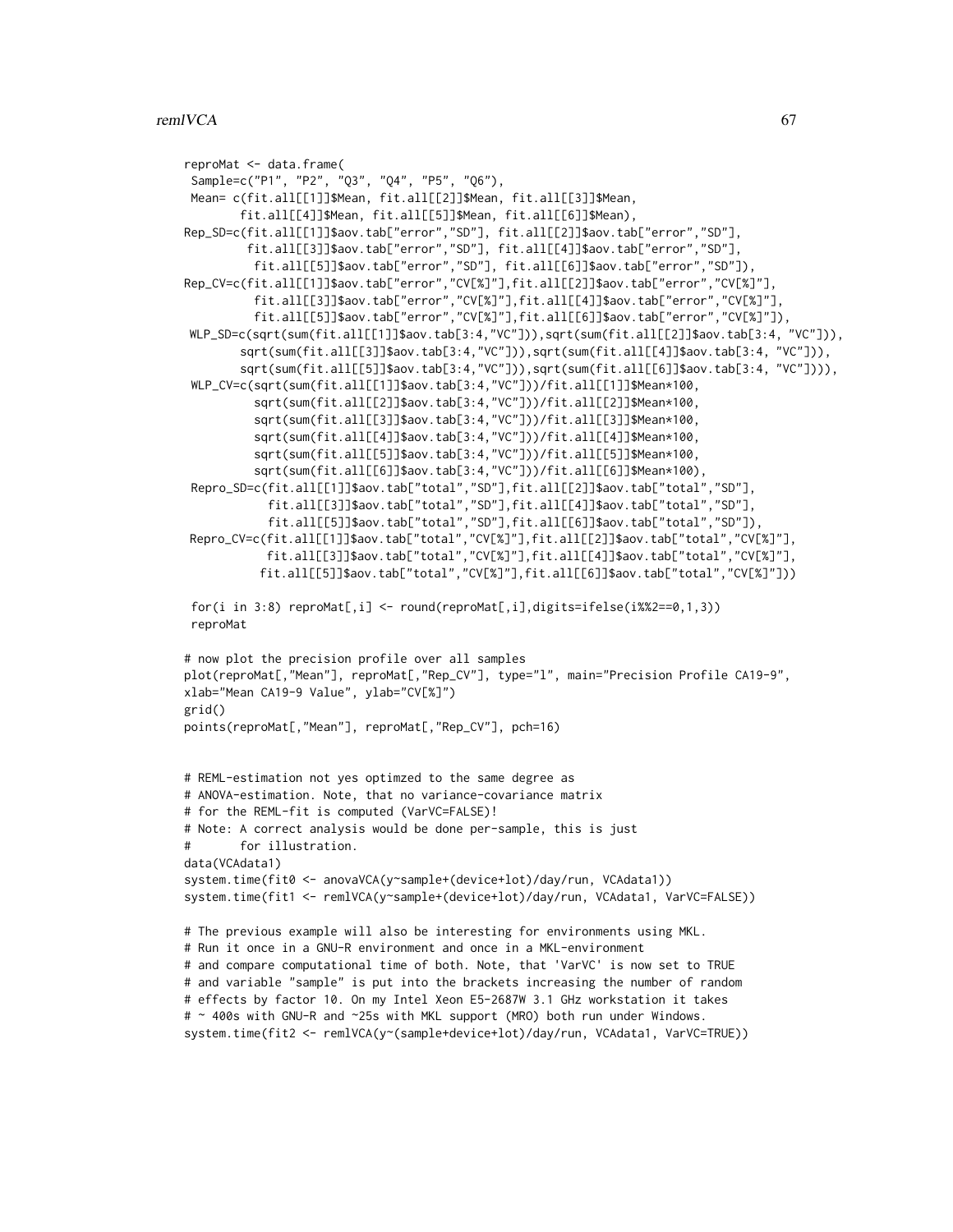```
reproMat <- data.frame(
 Sample=c("P1", "P2", "Q3", "Q4", "P5", "Q6"),
Mean= c(fit.all[[1]]$Mean, fit.all[[2]]$Mean, fit.all[[3]]$Mean,
        fit.all[[4]]$Mean, fit.all[[5]]$Mean, fit.all[[6]]$Mean),
Rep_SD=c(fit.all[[1]]$aov.tab["error","SD"], fit.all[[2]]$aov.tab["error","SD"],
         fit.all[[3]]$aov.tab["error","SD"], fit.all[[4]]$aov.tab["error","SD"],
          fit.all[[5]]$aov.tab["error","SD"], fit.all[[6]]$aov.tab["error","SD"]),
Rep_CV=c(fit.all[[1]]$aov.tab["error","CV[%]"],fit.all[[2]]$aov.tab["error","CV[%]"],
          fit.all[[3]]$aov.tab["error","CV[%]"],fit.all[[4]]$aov.tab["error","CV[%]"],
          fit.all[[5]]$aov.tab["error","CV[%]"],fit.all[[6]]$aov.tab["error","CV[%]"]),
WLP_SD=c(sqrt(sum(fit.all[[1]]$aov.tab[3:4,"VC"])),sqrt(sum(fit.all[[2]]$aov.tab[3:4, "VC"])),
        sqrt(sum(fit.all[[3]]$aov.tab[3:4,"VC"])),sqrt(sum(fit.all[[4]]$aov.tab[3:4, "VC"])),
        sqrt(sum(fit.all[[5]]$aov.tab[3:4,"VC"])),sqrt(sum(fit.all[[6]]$aov.tab[3:4, "VC"]))),
 WLP_CV=c(sqrt(sum(fit.all[[1]]$aov.tab[3:4,"VC"]))/fit.all[[1]]$Mean*100,
          sqrt(sum(fit.all[[2]]$aov.tab[3:4,"VC"]))/fit.all[[2]]$Mean*100,
          sqrt(sum(fit.all[[3]]$aov.tab[3:4,"VC"]))/fit.all[[3]]$Mean*100,
          sqrt(sum(fit.all[[4]]$aov.tab[3:4,"VC"]))/fit.all[[4]]$Mean*100,
          sqrt(sum(fit.all[[5]]$aov.tab[3:4,"VC"]))/fit.all[[5]]$Mean*100,
          sqrt(sum(fit.all[[6]]$aov.tab[3:4,"VC"]))/fit.all[[6]]$Mean*100),
 Repro_SD=c(fit.all[[1]]$aov.tab["total","SD"],fit.all[[2]]$aov.tab["total","SD"],
           fit.all[[3]]$aov.tab["total","SD"],fit.all[[4]]$aov.tab["total","SD"],
           fit.all[[5]]$aov.tab["total","SD"],fit.all[[6]]$aov.tab["total","SD"]),
Repro_CV=c(fit.all[[1]]$aov.tab["total","CV[%]"],fit.all[[2]]$aov.tab["total","CV[%]"],
           fit.all[[3]]$aov.tab["total","CV[%]"],fit.all[[4]]$aov.tab["total","CV[%]"],
          fit.all[[5]]$aov.tab["total","CV[%]"],fit.all[[6]]$aov.tab["total","CV[%]"]))
 for(i in 3:8) reproMat[,i] <- round(reproMat[,i],digits=ifelse(i%%2==0,1,3))
 reproMat
# now plot the precision profile over all samples
plot(reproMat[,"Mean"], reproMat[,"Rep_CV"], type="l", main="Precision Profile CA19-9",
xlab="Mean CA19-9 Value", ylab="CV[%]")
grid()
points(reproMat[,"Mean"], reproMat[,"Rep_CV"], pch=16)
# REML-estimation not yes optimzed to the same degree as
# ANOVA-estimation. Note, that no variance-covariance matrix
# for the REML-fit is computed (VarVC=FALSE)!
# Note: A correct analysis would be done per-sample, this is just
# for illustration.
data(VCAdata1)
system.time(fit0 <- anovaVCA(y~sample+(device+lot)/day/run, VCAdata1))
system.time(fit1 <- remlVCA(y~sample+(device+lot)/day/run, VCAdata1, VarVC=FALSE))
# The previous example will also be interesting for environments using MKL.
# Run it once in a GNU-R environment and once in a MKL-environment
# and compare computational time of both. Note, that 'VarVC' is now set to TRUE
# and variable "sample" is put into the brackets increasing the number of random
# effects by factor 10. On my Intel Xeon E5-2687W 3.1 GHz workstation it takes
# ~ 400s with GNU-R and ~25s with MKL support (MRO) both run under Windows.
system.time(fit2 <- remlVCA(y~(sample+device+lot)/day/run, VCAdata1, VarVC=TRUE))
```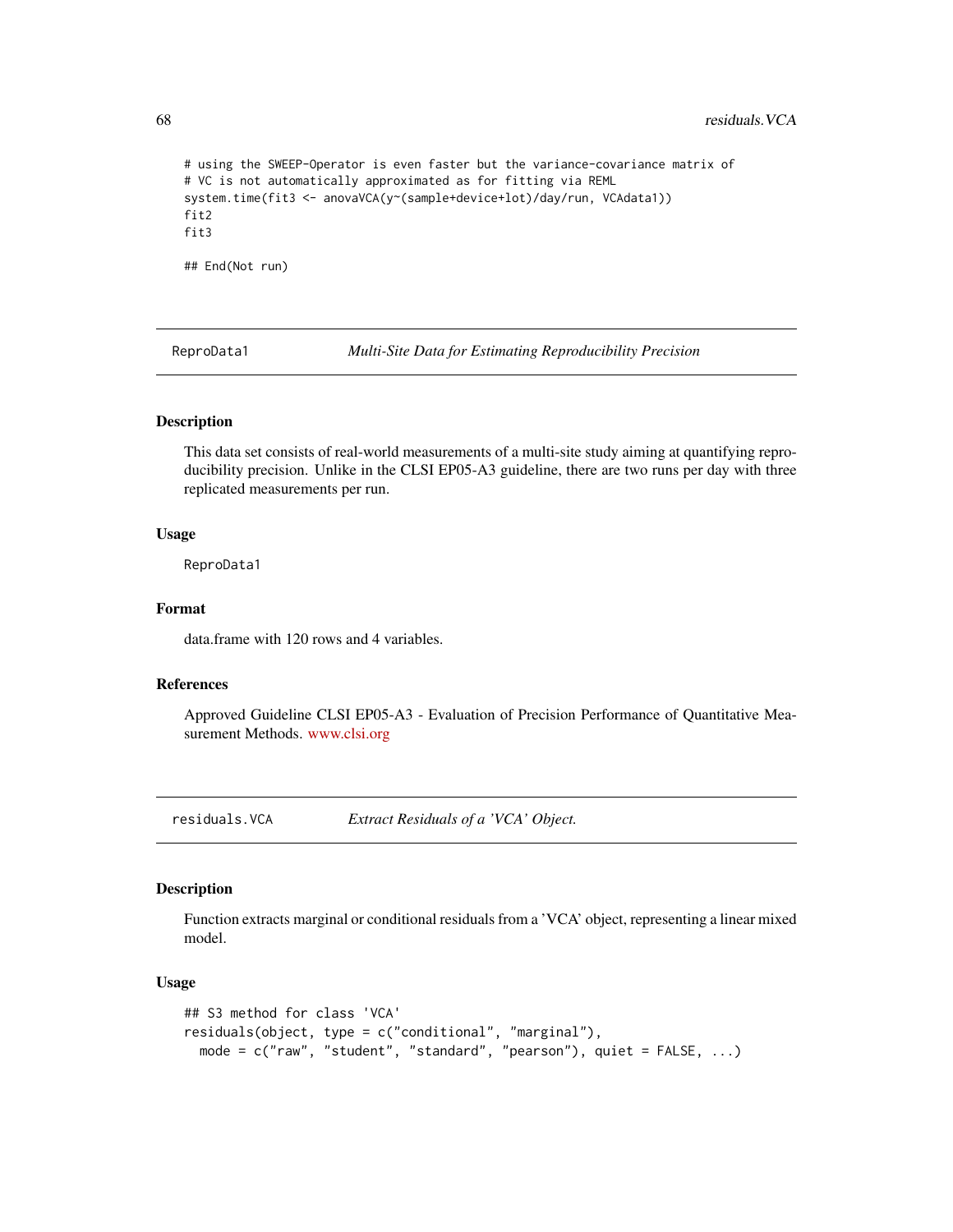```
# using the SWEEP-Operator is even faster but the variance-covariance matrix of
# VC is not automatically approximated as for fitting via REML
system.time(fit3 <- anovaVCA(y~(sample+device+lot)/day/run, VCAdata1))
fit2
fit3
## End(Not run)
```
ReproData1 *Multi-Site Data for Estimating Reproducibility Precision*

# Description

This data set consists of real-world measurements of a multi-site study aiming at quantifying reproducibility precision. Unlike in the CLSI EP05-A3 guideline, there are two runs per day with three replicated measurements per run.

# Usage

ReproData1

# Format

data.frame with 120 rows and 4 variables.

# References

Approved Guideline CLSI EP05-A3 - Evaluation of Precision Performance of Quantitative Measurement Methods. <www.clsi.org>

<span id="page-67-0"></span>residuals.VCA *Extract Residuals of a 'VCA' Object.*

# <span id="page-67-1"></span>Description

Function extracts marginal or conditional residuals from a 'VCA' object, representing a linear mixed model.

# Usage

```
## S3 method for class 'VCA'
residuals(object, type = c("conditional", "marginal"),
 mode = c("raw", "student", "standard", "pearson"), quiet = FALSE, ...)
```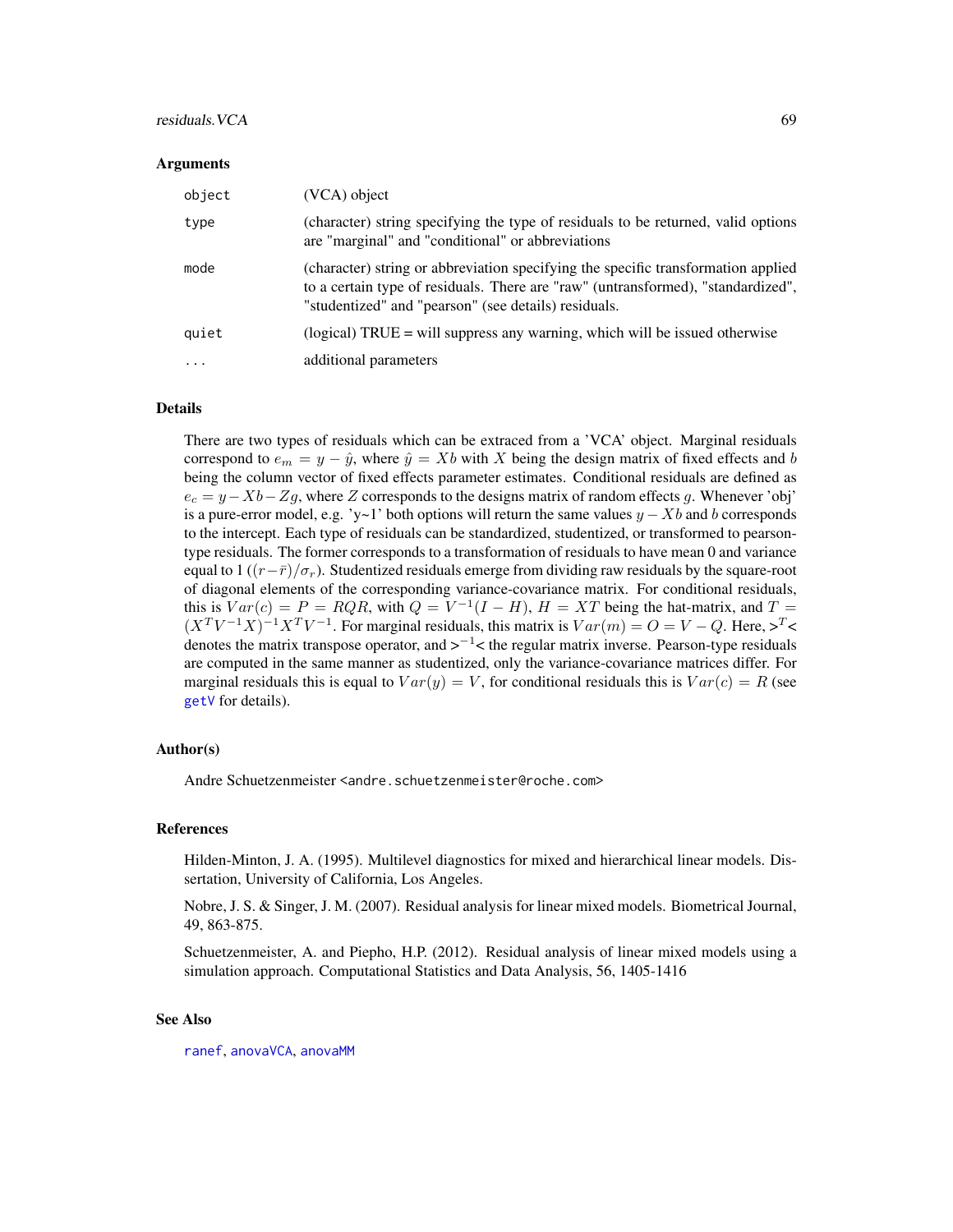### residuals. VCA 69

#### Arguments

| object   | (VCA) object                                                                                                                                                                                                                  |
|----------|-------------------------------------------------------------------------------------------------------------------------------------------------------------------------------------------------------------------------------|
| type     | (character) string specifying the type of residuals to be returned, valid options<br>are "marginal" and "conditional" or abbreviations                                                                                        |
| mode     | (character) string or abbreviation specifying the specific transformation applied<br>to a certain type of residuals. There are "raw" (untransformed), "standardized",<br>"studentized" and "pearson" (see details) residuals. |
| quiet    | (logical) $TRUE =$ will suppress any warning, which will be issued otherwise                                                                                                                                                  |
| $\cdots$ | additional parameters                                                                                                                                                                                                         |

# Details

There are two types of residuals which can be extraced from a 'VCA' object. Marginal residuals correspond to  $e_m = y - \hat{y}$ , where  $\hat{y} = Xb$  with X being the design matrix of fixed effects and b being the column vector of fixed effects parameter estimates. Conditional residuals are defined as  $e_c = y - Xb - Zg$ , where Z corresponds to the designs matrix of random effects g. Whenever 'obj' is a pure-error model, e.g. 'y~1' both options will return the same values  $y - Xb$  and b corresponds to the intercept. Each type of residuals can be standardized, studentized, or transformed to pearsontype residuals. The former corresponds to a transformation of residuals to have mean 0 and variance equal to 1  $((r-\bar{r})/\sigma_r)$ . Studentized residuals emerge from dividing raw residuals by the square-root of diagonal elements of the corresponding variance-covariance matrix. For conditional residuals, this is  $Var(c) = P = RQR$ , with  $Q = V^{-1}(I - H)$ ,  $H = XT$  being the hat-matrix, and  $T =$  $(X^T V^{-1} X)^{-1} X^T V^{-1}$ . For marginal residuals, this matrix is  $Var(m) = O = V - Q$ . Here,  $>^T <$ denotes the matrix transpose operator, and  $>^{-1}$  < the regular matrix inverse. Pearson-type residuals are computed in the same manner as studentized, only the variance-covariance matrices differ. For marginal residuals this is equal to  $Var(y) = V$ , for conditional residuals this is  $Var(c) = R$  (see [getV](#page-41-0) for details).

# Author(s)

Andre Schuetzenmeister <andre.schuetzenmeister@roche.com>

### References

Hilden-Minton, J. A. (1995). Multilevel diagnostics for mixed and hierarchical linear models. Dissertation, University of California, Los Angeles.

Nobre, J. S. & Singer, J. M. (2007). Residual analysis for linear mixed models. Biometrical Journal, 49, 863-875.

Schuetzenmeister, A. and Piepho, H.P. (2012). Residual analysis of linear mixed models using a simulation approach. Computational Statistics and Data Analysis, 56, 1405-1416

### See Also

[ranef](#page-59-0), [anovaVCA](#page-10-0), [anovaMM](#page-6-0)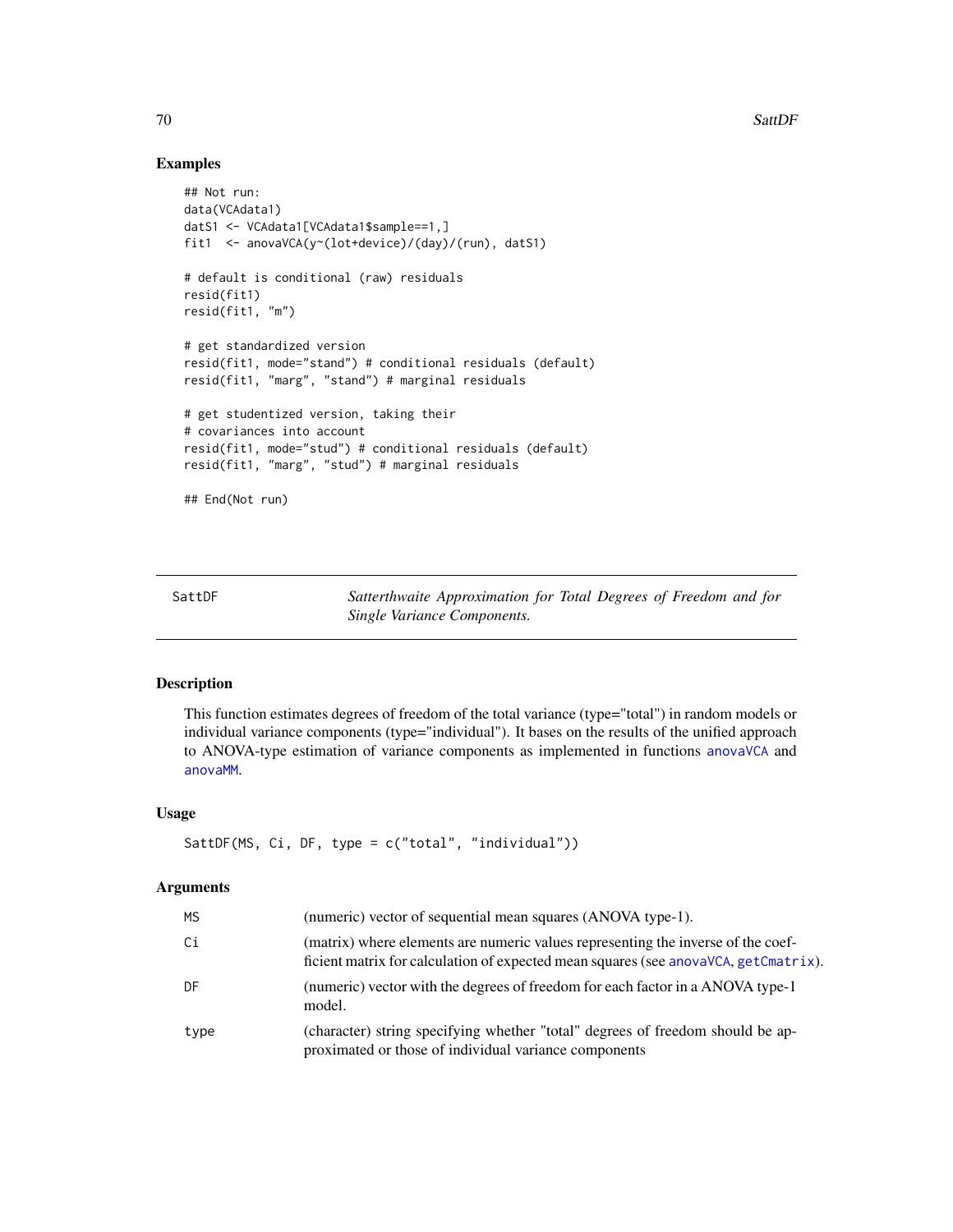# Examples

```
## Not run:
data(VCAdata1)
datS1 <- VCAdata1[VCAdata1$sample==1,]
fit1 <- anovaVCA(y~(lot+device)/(day)/(run), datS1)
# default is conditional (raw) residuals
resid(fit1)
resid(fit1, "m")
# get standardized version
resid(fit1, mode="stand") # conditional residuals (default)
resid(fit1, "marg", "stand") # marginal residuals
# get studentized version, taking their
# covariances into account
resid(fit1, mode="stud") # conditional residuals (default)
resid(fit1, "marg", "stud") # marginal residuals
## End(Not run)
```
SattDF *Satterthwaite Approximation for Total Degrees of Freedom and for Single Variance Components.*

# Description

This function estimates degrees of freedom of the total variance (type="total") in random models or individual variance components (type="individual"). It bases on the results of the unified approach to ANOVA-type estimation of variance components as implemented in functions [anovaVCA](#page-10-0) and [anovaMM](#page-6-0).

# Usage

```
SattDF(MS, Ci, DF, type = c("total", "individual"))
```
#### Arguments

| <b>MS</b> | (numeric) vector of sequential mean squares (ANOVA type-1).                                                                                                             |
|-----------|-------------------------------------------------------------------------------------------------------------------------------------------------------------------------|
| Ci        | (matrix) where elements are numeric values representing the inverse of the coef-<br>ficient matrix for calculation of expected mean squares (see anovaVCA, getCmatrix). |
| DF        | (numeric) vector with the degrees of freedom for each factor in a ANOVA type-1<br>model.                                                                                |
| type      | (character) string specifying whether "total" degrees of freedom should be ap-<br>proximated or those of individual variance components                                 |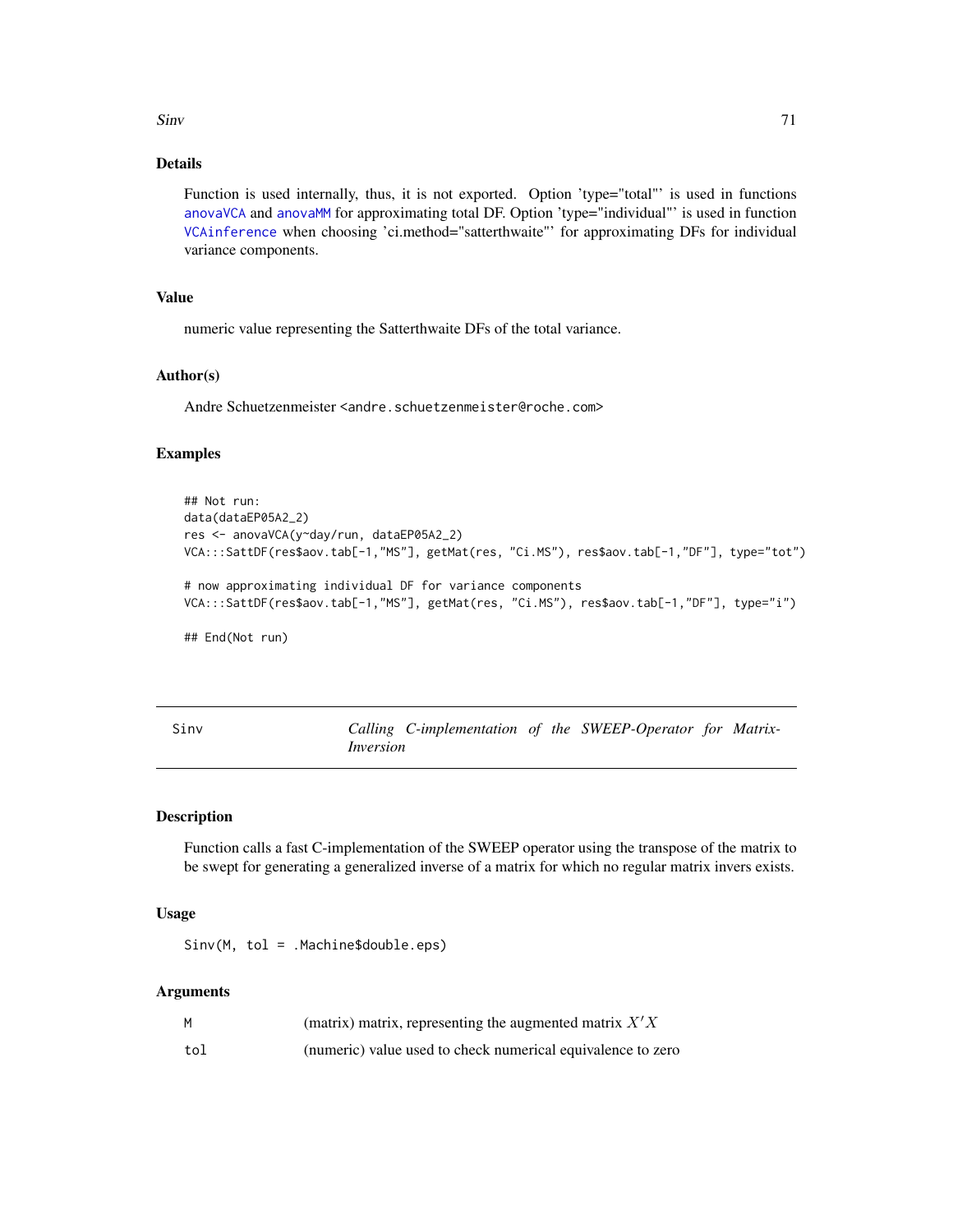$S$ inv  $71$ 

# Details

Function is used internally, thus, it is not exported. Option 'type="total"' is used in functions [anovaVCA](#page-10-0) and [anovaMM](#page-6-0) for approximating total DF. Option 'type="individual"' is used in function [VCAinference](#page-87-0) when choosing 'ci.method="satterthwaite"' for approximating DFs for individual variance components.

# Value

numeric value representing the Satterthwaite DFs of the total variance.

# Author(s)

Andre Schuetzenmeister <andre.schuetzenmeister@roche.com>

# Examples

```
## Not run:
data(dataEP05A2_2)
res <- anovaVCA(y~day/run, dataEP05A2_2)
VCA:::SattDF(res$aov.tab[-1,"MS"], getMat(res, "Ci.MS"), res$aov.tab[-1,"DF"], type="tot")
# now approximating individual DF for variance components
VCA:::SattDF(res$aov.tab[-1,"MS"], getMat(res, "Ci.MS"), res$aov.tab[-1,"DF"], type="i")
## End(Not run)
```
Sinv *Calling C-implementation of the SWEEP-Operator for Matrix-Inversion*

# Description

Function calls a fast C-implementation of the SWEEP operator using the transpose of the matrix to be swept for generating a generalized inverse of a matrix for which no regular matrix invers exists.

#### Usage

Sinv(M, tol = .Machine\$double.eps)

#### Arguments

| М   | (matrix) matrix, representing the augmented matrix $X'X$    |
|-----|-------------------------------------------------------------|
| tol | (numeric) value used to check numerical equivalence to zero |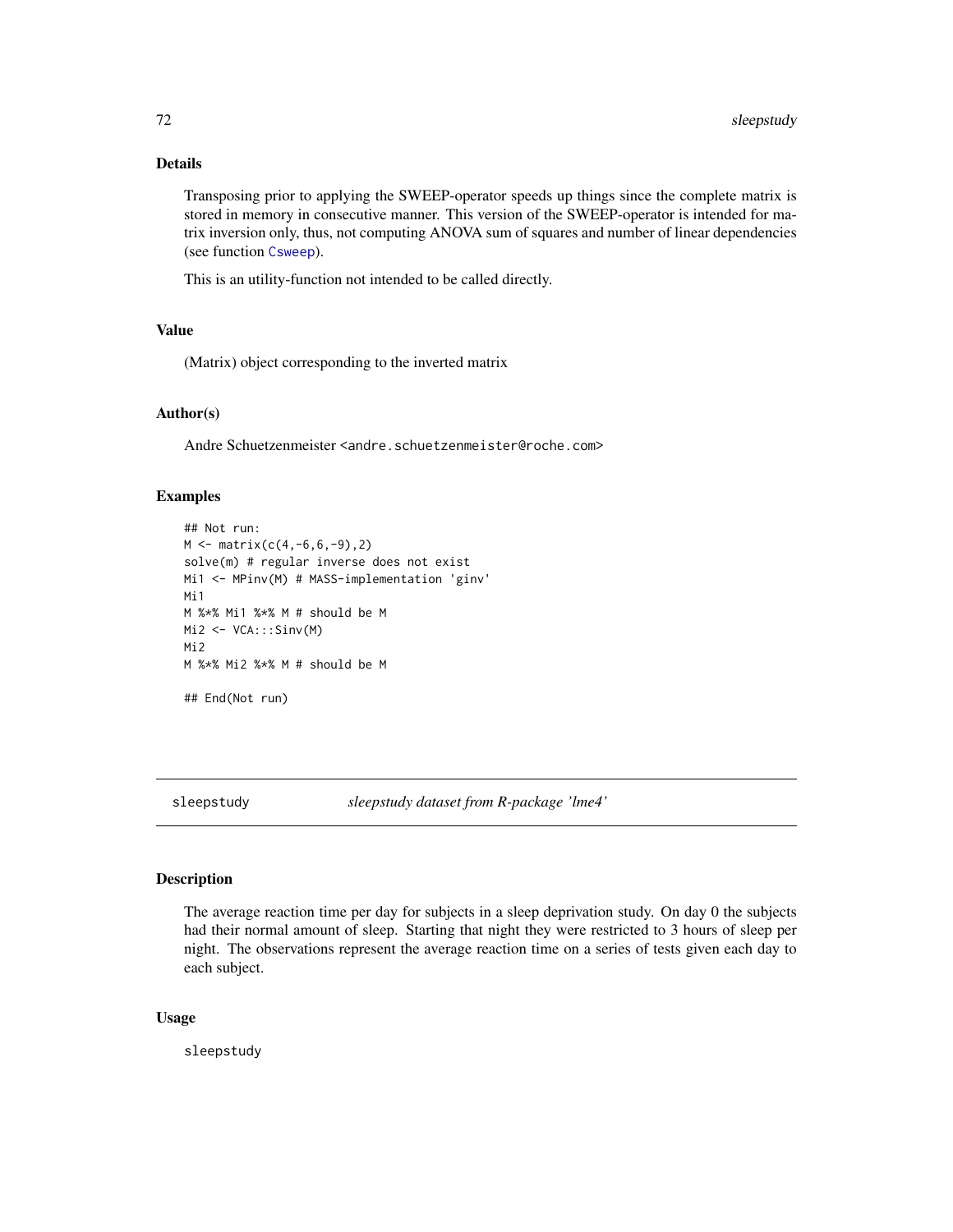# Details

Transposing prior to applying the SWEEP-operator speeds up things since the complete matrix is stored in memory in consecutive manner. This version of the SWEEP-operator is intended for matrix inversion only, thus, not computing ANOVA sum of squares and number of linear dependencies (see function [Csweep](#page-21-0)).

This is an utility-function not intended to be called directly.

# Value

(Matrix) object corresponding to the inverted matrix

### Author(s)

Andre Schuetzenmeister <andre.schuetzenmeister@roche.com>

# Examples

```
## Not run:
M \leq - matrix(c(4,-6,6,-9),2)
solve(m) # regular inverse does not exist
Mi1 <- MPinv(M) # MASS-implementation 'ginv'
Mi1
M %*% Mi1 %*% M # should be M
Mi2 <- VCA:::Sinv(M)
Mi2
M %*% Mi2 %*% M # should be M
## End(Not run)
```
sleepstudy *sleepstudy dataset from R-package 'lme4'*

### Description

The average reaction time per day for subjects in a sleep deprivation study. On day 0 the subjects had their normal amount of sleep. Starting that night they were restricted to 3 hours of sleep per night. The observations represent the average reaction time on a series of tests given each day to each subject.

### Usage

sleepstudy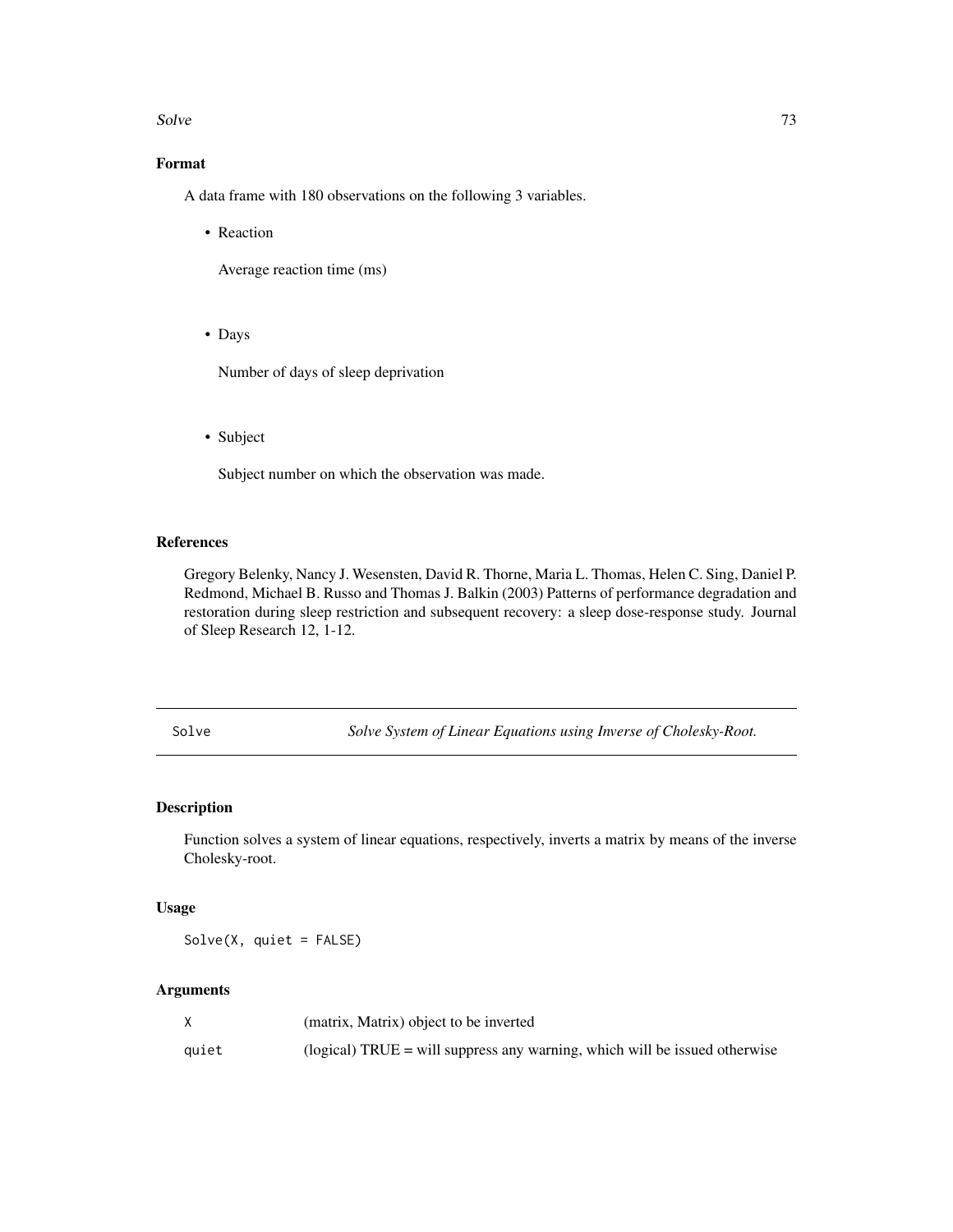#### <span id="page-72-0"></span>Solve 73

# Format

A data frame with 180 observations on the following 3 variables.

• Reaction

Average reaction time (ms)

• Days

Number of days of sleep deprivation

• Subject

Subject number on which the observation was made.

# References

Gregory Belenky, Nancy J. Wesensten, David R. Thorne, Maria L. Thomas, Helen C. Sing, Daniel P. Redmond, Michael B. Russo and Thomas J. Balkin (2003) Patterns of performance degradation and restoration during sleep restriction and subsequent recovery: a sleep dose-response study. Journal of Sleep Research 12, 1-12.

Solve *Solve System of Linear Equations using Inverse of Cholesky-Root.*

# Description

Function solves a system of linear equations, respectively, inverts a matrix by means of the inverse Cholesky-root.

# Usage

Solve(X, quiet = FALSE)

#### Arguments

|       | (matrix, Matrix) object to be inverted                                              |
|-------|-------------------------------------------------------------------------------------|
| auiet | $\alpha$ (logical) TRUE = will suppress any warning, which will be issued otherwise |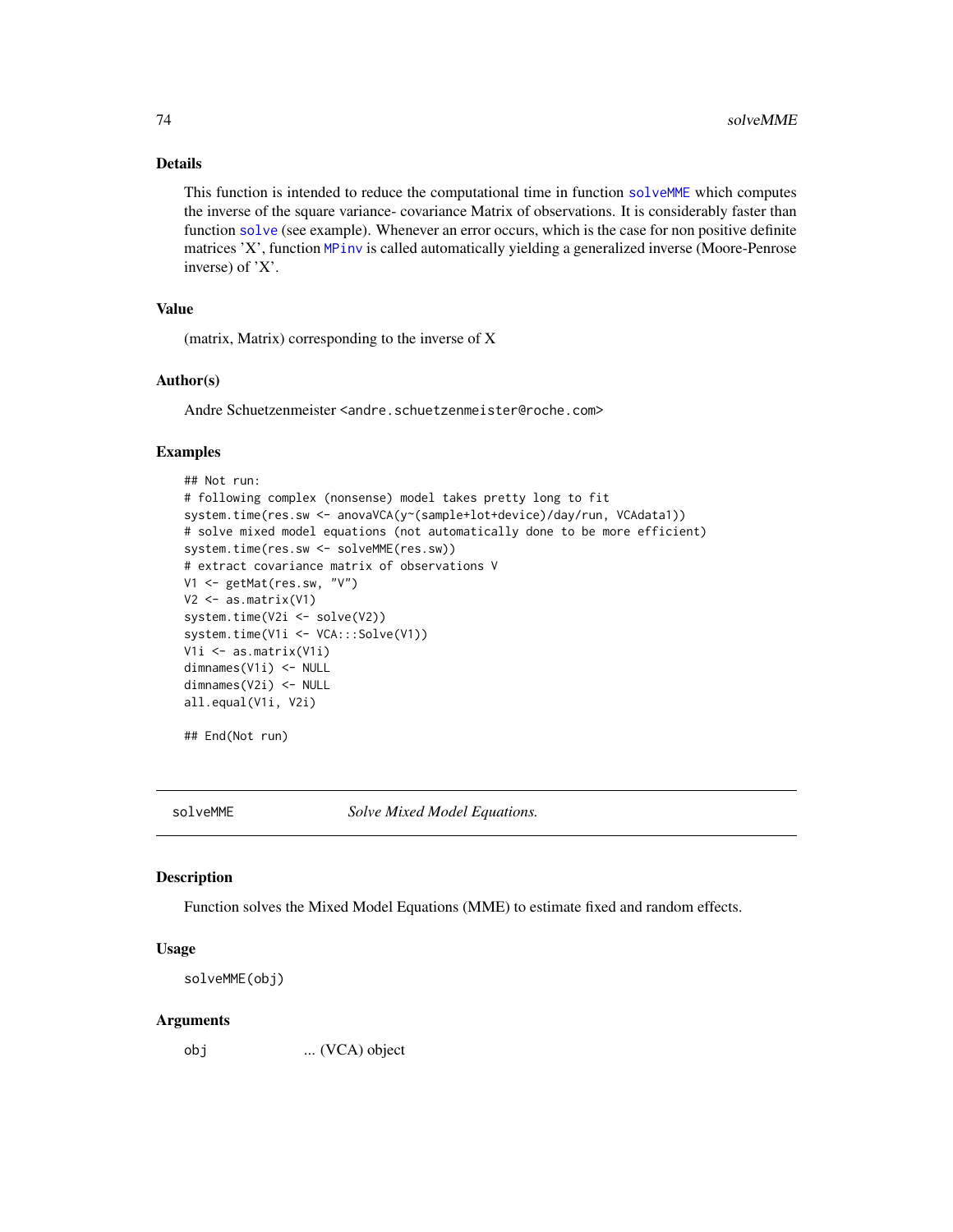# Details

This function is intended to reduce the computational time in function [solveMME](#page-73-0) which computes the inverse of the square variance- covariance Matrix of observations. It is considerably faster than function [solve](#page-0-0) (see example). Whenever an error occurs, which is the case for non positive definite matrices 'X', function [MPinv](#page-53-0) is called automatically yielding a generalized inverse (Moore-Penrose inverse) of 'X'.

# Value

(matrix, Matrix) corresponding to the inverse of X

#### Author(s)

Andre Schuetzenmeister <andre.schuetzenmeister@roche.com>

# Examples

```
## Not run:
# following complex (nonsense) model takes pretty long to fit
system.time(res.sw <- anovaVCA(y~(sample+lot+device)/day/run, VCAdata1))
# solve mixed model equations (not automatically done to be more efficient)
system.time(res.sw <- solveMME(res.sw))
# extract covariance matrix of observations V
V1 <- getMat(res.sw, "V")
V2 \leftarrow as.matrix(V1)system.time(V2i <- solve(V2))
system.time(V1i <- VCA:::Solve(V1))
V1i <- as.matrix(V1i)
dimnames(V1i) <- NULL
dimnames(V2i) <- NULL
all.equal(V1i, V2i)
```
## End(Not run)

<span id="page-73-0"></span>

solveMME *Solve Mixed Model Equations.*

## Description

Function solves the Mixed Model Equations (MME) to estimate fixed and random effects.

#### Usage

```
solveMME(obj)
```
#### Arguments

obj ... (VCA) object

<span id="page-73-1"></span>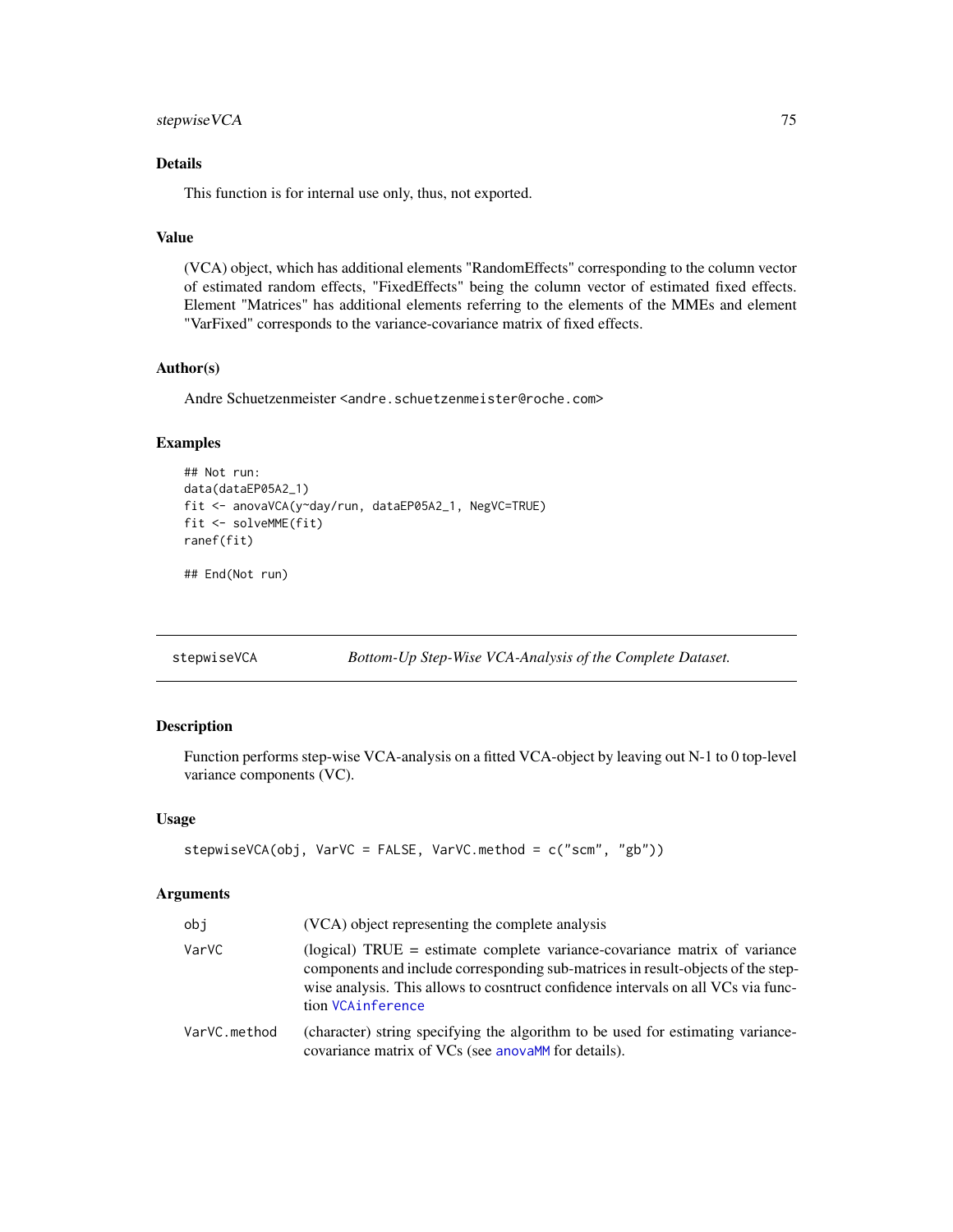# <span id="page-74-0"></span>stepwise VCA 75

# Details

This function is for internal use only, thus, not exported.

# Value

(VCA) object, which has additional elements "RandomEffects" corresponding to the column vector of estimated random effects, "FixedEffects" being the column vector of estimated fixed effects. Element "Matrices" has additional elements referring to the elements of the MMEs and element "VarFixed" corresponds to the variance-covariance matrix of fixed effects.

# Author(s)

Andre Schuetzenmeister <andre.schuetzenmeister@roche.com>

# Examples

```
## Not run:
data(dataEP05A2_1)
fit <- anovaVCA(y~day/run, dataEP05A2_1, NegVC=TRUE)
fit <- solveMME(fit)
ranef(fit)
```
## End(Not run)

stepwiseVCA *Bottom-Up Step-Wise VCA-Analysis of the Complete Dataset.*

# Description

Function performs step-wise VCA-analysis on a fitted VCA-object by leaving out N-1 to 0 top-level variance components (VC).

# Usage

```
stepwiseVCA(obj, VarVC = FALSE, VarVC.method = c("scm", "gb"))
```
# Arguments

| obj          | (VCA) object representing the complete analysis                                                                                                                                                                                                                         |
|--------------|-------------------------------------------------------------------------------------------------------------------------------------------------------------------------------------------------------------------------------------------------------------------------|
| VarVC        | (logical) TRUE = estimate complete variance-covariance matrix of variance<br>components and include corresponding sub-matrices in result-objects of the step-<br>wise analysis. This allows to cosntruct confidence intervals on all VCs via func-<br>tion VCAinference |
| VarVC.method | (character) string specifying the algorithm to be used for estimating variance-<br>covariance matrix of VCs (see anovaMM for details).                                                                                                                                  |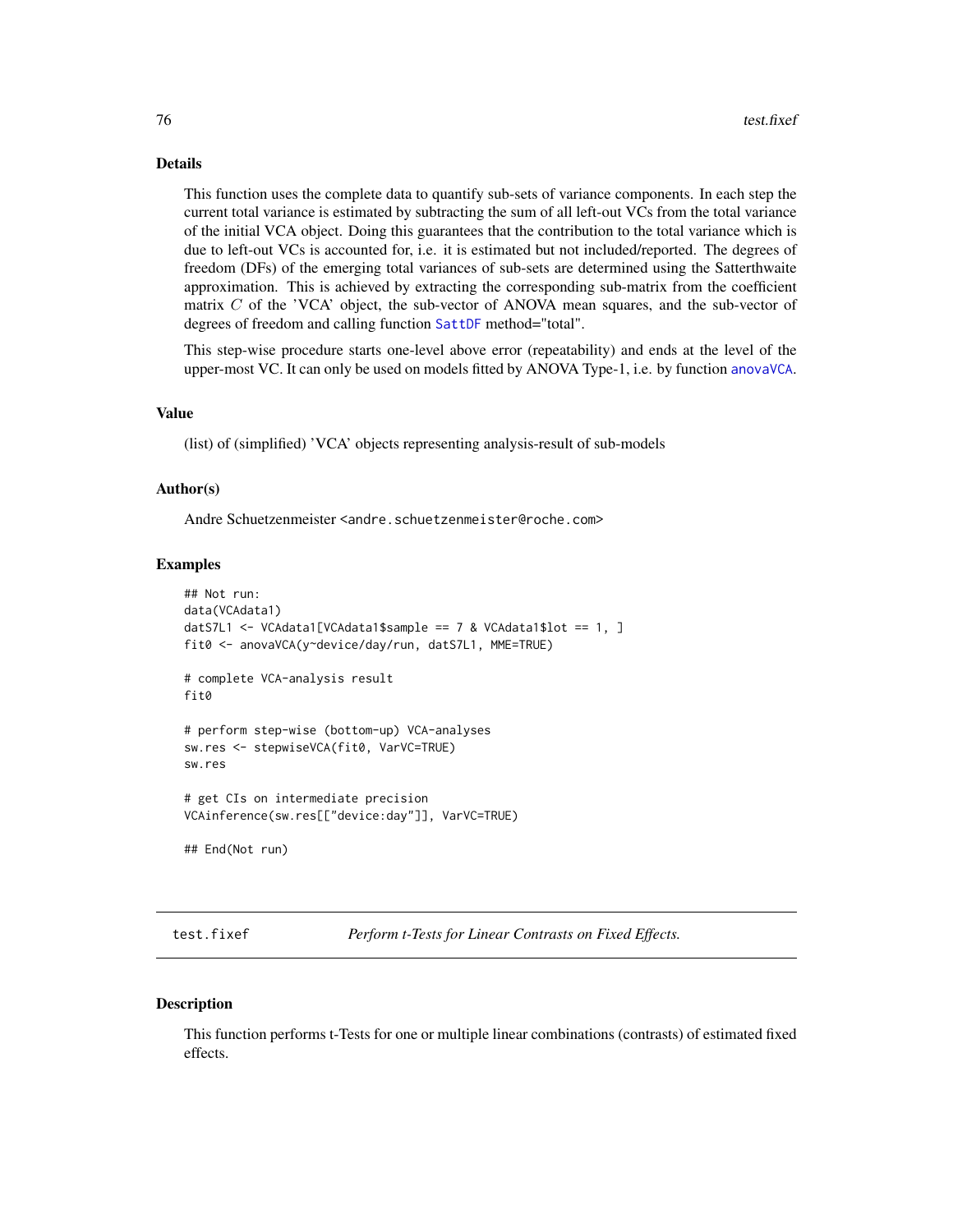# <span id="page-75-1"></span>Details

This function uses the complete data to quantify sub-sets of variance components. In each step the current total variance is estimated by subtracting the sum of all left-out VCs from the total variance of the initial VCA object. Doing this guarantees that the contribution to the total variance which is due to left-out VCs is accounted for, i.e. it is estimated but not included/reported. The degrees of freedom (DFs) of the emerging total variances of sub-sets are determined using the Satterthwaite approximation. This is achieved by extracting the corresponding sub-matrix from the coefficient matrix  $C$  of the 'VCA' object, the sub-vector of ANOVA mean squares, and the sub-vector of degrees of freedom and calling function [SattDF](#page-69-0) method="total".

This step-wise procedure starts one-level above error (repeatability) and ends at the level of the upper-most VC. It can only be used on models fitted by ANOVA Type-1, i.e. by function anova VCA.

#### Value

(list) of (simplified) 'VCA' objects representing analysis-result of sub-models

# Author(s)

Andre Schuetzenmeister <andre.schuetzenmeister@roche.com>

# Examples

```
## Not run:
data(VCAdata1)
datS7L1 <- VCAdata1[VCAdata1$sample == 7 & VCAdata1$lot == 1, ]
fit0 <- anovaVCA(y~device/day/run, datS7L1, MME=TRUE)
# complete VCA-analysis result
fit0
# perform step-wise (bottom-up) VCA-analyses
sw.res <- stepwiseVCA(fit0, VarVC=TRUE)
sw.res
# get CIs on intermediate precision
VCAinference(sw.res[["device:day"]], VarVC=TRUE)
## End(Not run)
```
<span id="page-75-0"></span>test.fixef *Perform t-Tests for Linear Contrasts on Fixed Effects.*

#### Description

This function performs t-Tests for one or multiple linear combinations (contrasts) of estimated fixed effects.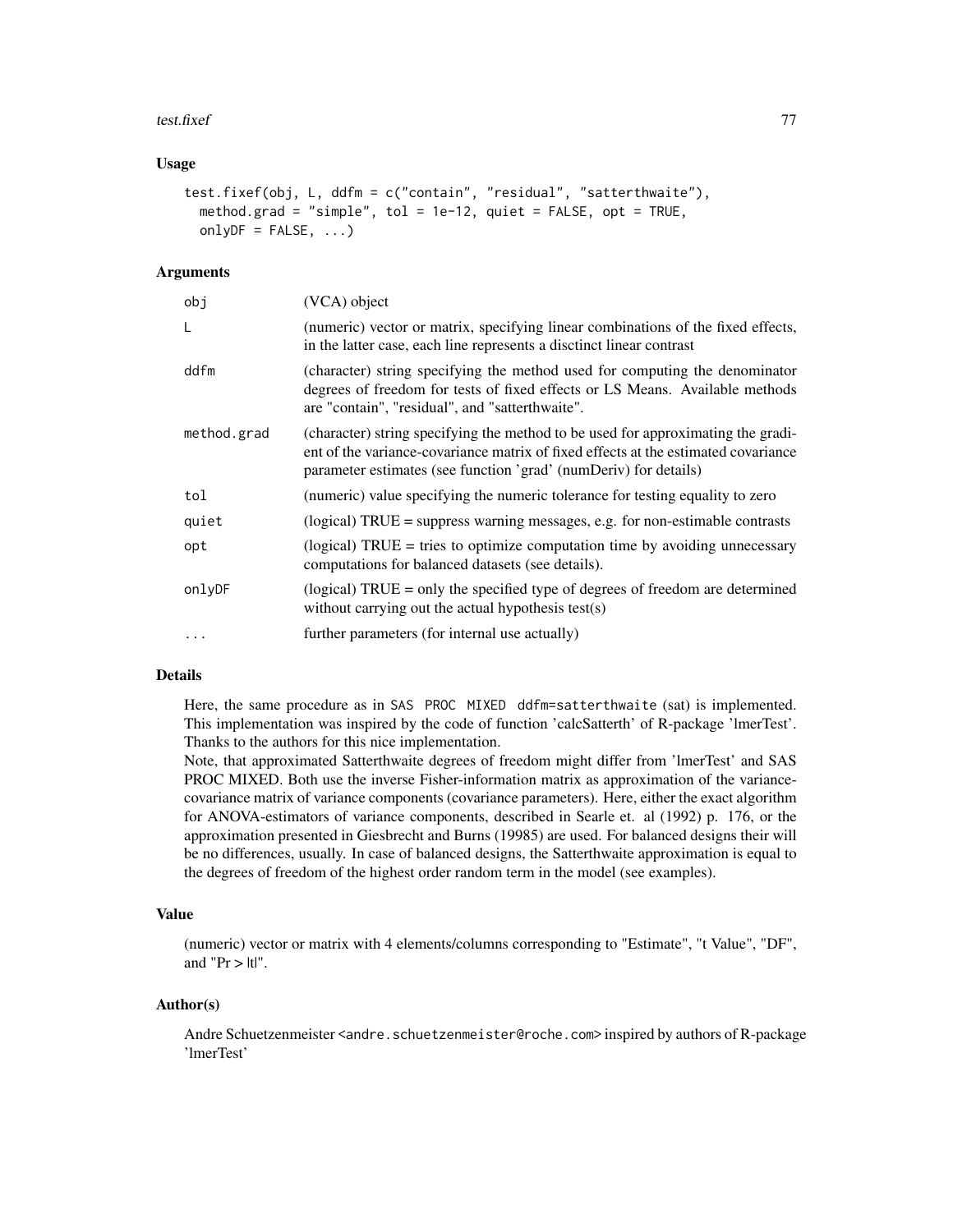#### test.fixef 77

# Usage

```
test.fixef(obj, L, ddfm = c("contain", "residual", "satterthwaite"),
 method.grad = "simple", tol = 1e-12, quiet = FALSE, opt = TRUE,
 onlyDF = FALSE, ...)
```
# Arguments

| obj         | (VCA) object                                                                                                                                                                                                                               |
|-------------|--------------------------------------------------------------------------------------------------------------------------------------------------------------------------------------------------------------------------------------------|
| L           | (numeric) vector or matrix, specifying linear combinations of the fixed effects,<br>in the latter case, each line represents a disctinct linear contrast                                                                                   |
| ddfm        | (character) string specifying the method used for computing the denominator<br>degrees of freedom for tests of fixed effects or LS Means. Available methods<br>are "contain", "residual", and "satterthwaite".                             |
| method.grad | (character) string specifying the method to be used for approximating the gradi-<br>ent of the variance-covariance matrix of fixed effects at the estimated covariance<br>parameter estimates (see function 'grad' (numDeriv) for details) |
| tol         | (numeric) value specifying the numeric tolerance for testing equality to zero                                                                                                                                                              |
| quiet       | $(logical) TRUE = suppress warning messages, e.g. for non-estimate contrasts$                                                                                                                                                              |
| opt         | (logical) $TRUE =$ tries to optimize computation time by avoiding unnecessary<br>computations for balanced datasets (see details).                                                                                                         |
| onlyDF      | (logical) $TRUE = only$ the specified type of degrees of freedom are determined<br>without carrying out the actual hypothesis test(s)                                                                                                      |
| $\cdots$    | further parameters (for internal use actually)                                                                                                                                                                                             |

# Details

Here, the same procedure as in SAS PROC MIXED ddfm=satterthwaite (sat) is implemented. This implementation was inspired by the code of function 'calcSatterth' of R-package 'lmerTest'. Thanks to the authors for this nice implementation.

Note, that approximated Satterthwaite degrees of freedom might differ from 'lmerTest' and SAS PROC MIXED. Both use the inverse Fisher-information matrix as approximation of the variancecovariance matrix of variance components (covariance parameters). Here, either the exact algorithm for ANOVA-estimators of variance components, described in Searle et. al (1992) p. 176, or the approximation presented in Giesbrecht and Burns (19985) are used. For balanced designs their will be no differences, usually. In case of balanced designs, the Satterthwaite approximation is equal to the degrees of freedom of the highest order random term in the model (see examples).

#### Value

(numeric) vector or matrix with 4 elements/columns corresponding to "Estimate", "t Value", "DF", and " $Pr$  >  $|t|$ ".

#### Author(s)

Andre Schuetzenmeister <andre.schuetzenmeister@roche.com> inspired by authors of R-package 'lmerTest'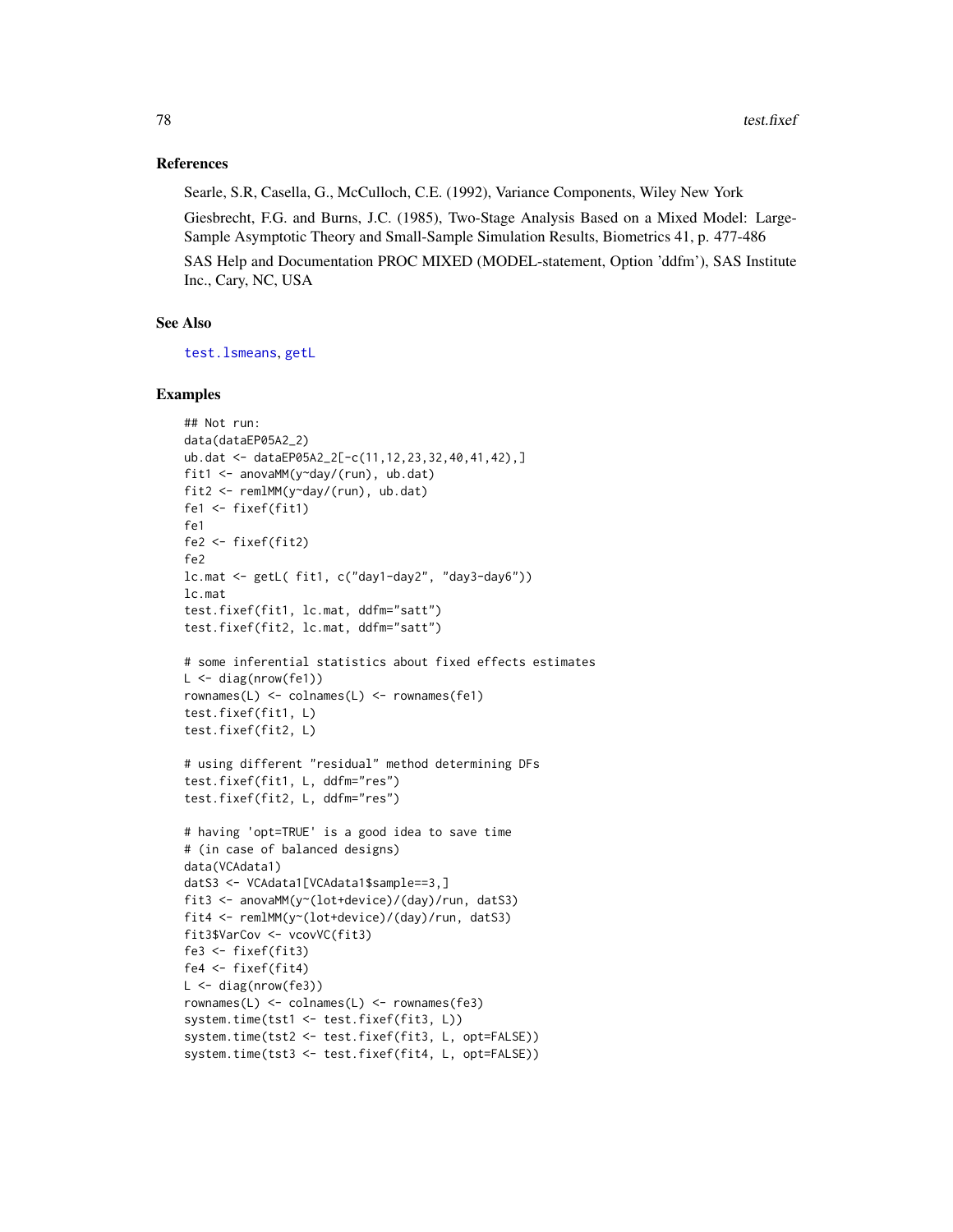# <span id="page-77-0"></span>References

Searle, S.R, Casella, G., McCulloch, C.E. (1992), Variance Components, Wiley New York Giesbrecht, F.G. and Burns, J.C. (1985), Two-Stage Analysis Based on a Mixed Model: Large-Sample Asymptotic Theory and Small-Sample Simulation Results, Biometrics 41, p. 477-486

SAS Help and Documentation PROC MIXED (MODEL-statement, Option 'ddfm'), SAS Institute Inc., Cary, NC, USA

# See Also

[test.lsmeans](#page-78-0), [getL](#page-36-0)

### Examples

```
## Not run:
data(dataEP05A2_2)
ub.dat <- dataEP05A2_2[-c(11,12,23,32,40,41,42),]
fit1 <- anovaMM(y~day/(run), ub.dat)
fit2 <- remlMM(y~day/(run), ub.dat)
fe1 <- fixef(fit1)
fe1
fe2 <- fixef(fit2)
fe2
lc.mat <- getL( fit1, c("day1-day2", "day3-day6"))
lc.mat
test.fixef(fit1, lc.mat, ddfm="satt")
test.fixef(fit2, lc.mat, ddfm="satt")
# some inferential statistics about fixed effects estimates
L \leftarrow diag(nrow(fe1))rownames(L) <- colnames(L) <- rownames(fe1)
test.fixef(fit1, L)
test.fixef(fit2, L)
# using different "residual" method determining DFs
test.fixef(fit1, L, ddfm="res")
test.fixef(fit2, L, ddfm="res")
# having 'opt=TRUE' is a good idea to save time
# (in case of balanced designs)
data(VCAdata1)
datS3 <- VCAdata1[VCAdata1$sample==3,]
fit3 <- anovaMM(y~(lot+device)/(day)/run, datS3)
fit4 <- remlMM(y~(lot+device)/(day)/run, datS3)
fit3$VarCov <- vcovVC(fit3)
fe3 <- fixef(fit3)
fe4 <- fixef(fit4)
L \leftarrow diag(nrow(fe3))rownames(L) <- colnames(L) <- rownames(fe3)
system.time(tst1 <- test.fixef(fit3, L))
system.time(tst2 <- test.fixef(fit3, L, opt=FALSE))
system.time(tst3 <- test.fixef(fit4, L, opt=FALSE))
```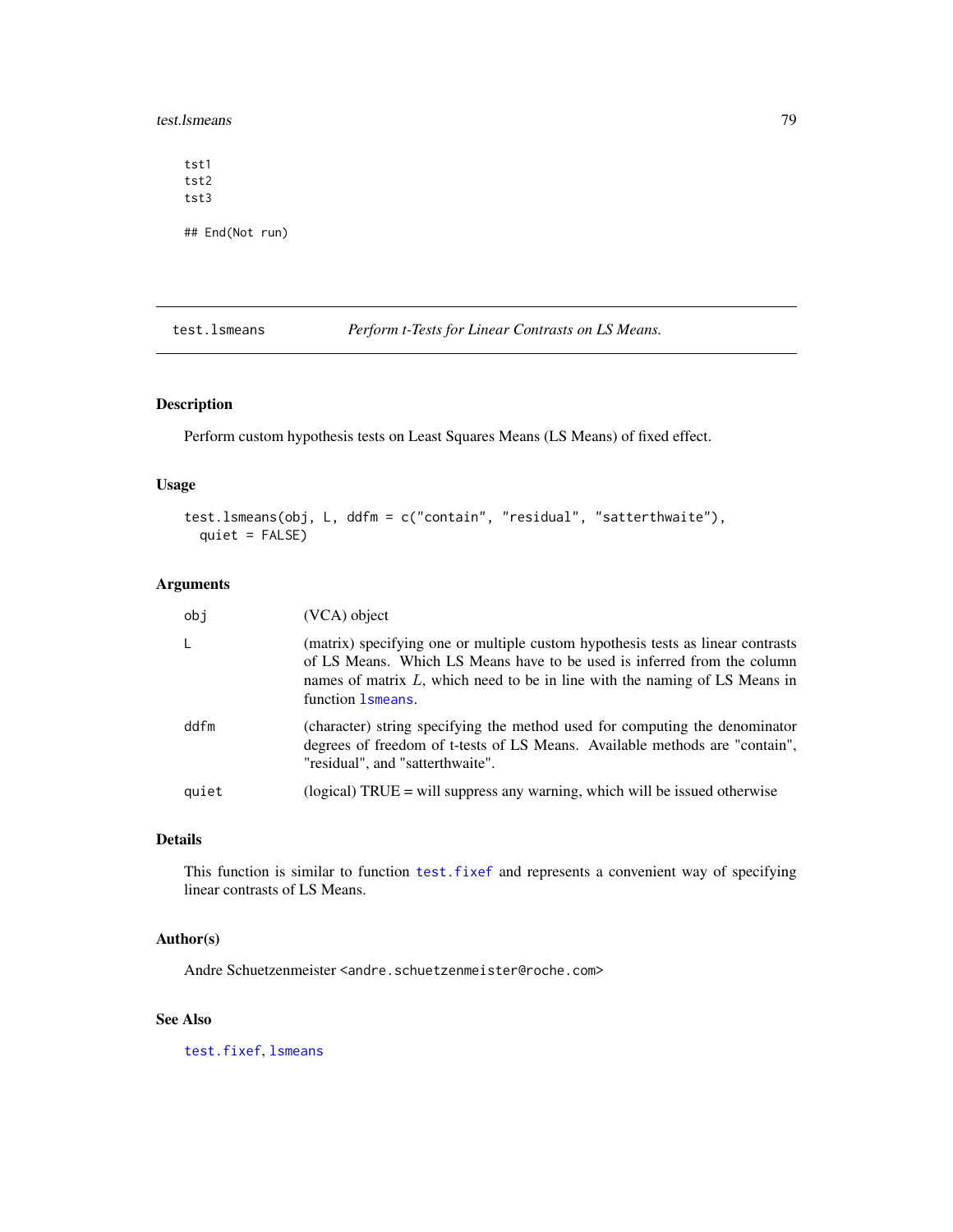<span id="page-78-1"></span>test.lsmeans 79

tst1 tst2 tst3 ## End(Not run)

<span id="page-78-0"></span>test.lsmeans *Perform t-Tests for Linear Contrasts on LS Means.*

# Description

Perform custom hypothesis tests on Least Squares Means (LS Means) of fixed effect.

# Usage

```
test.lsmeans(obj, L, ddfm = c("contain", "residual", "satterthwaite"),
 quiet = FALSE)
```
# Arguments

| obi   | (VCA) object                                                                                                                                                                                                                                                      |
|-------|-------------------------------------------------------------------------------------------------------------------------------------------------------------------------------------------------------------------------------------------------------------------|
| L     | (matrix) specifying one or multiple custom hypothesis tests as linear contrasts<br>of LS Means. Which LS Means have to be used is inferred from the column<br>names of matrix $L$ , which need to be in line with the naming of LS Means in<br>function 1 smeans. |
| ddfm  | (character) string specifying the method used for computing the denominator<br>degrees of freedom of t-tests of LS Means. Available methods are "contain",<br>"residual", and "satterthwaite".                                                                    |
| quiet | (logical) $TRUE =$ will suppress any warning, which will be issued otherwise                                                                                                                                                                                      |

# Details

This function is similar to function [test.fixef](#page-75-0) and represents a convenient way of specifying linear contrasts of LS Means.

# Author(s)

Andre Schuetzenmeister <andre.schuetzenmeister@roche.com>

# See Also

[test.fixef](#page-75-0), [lsmeans](#page-50-0)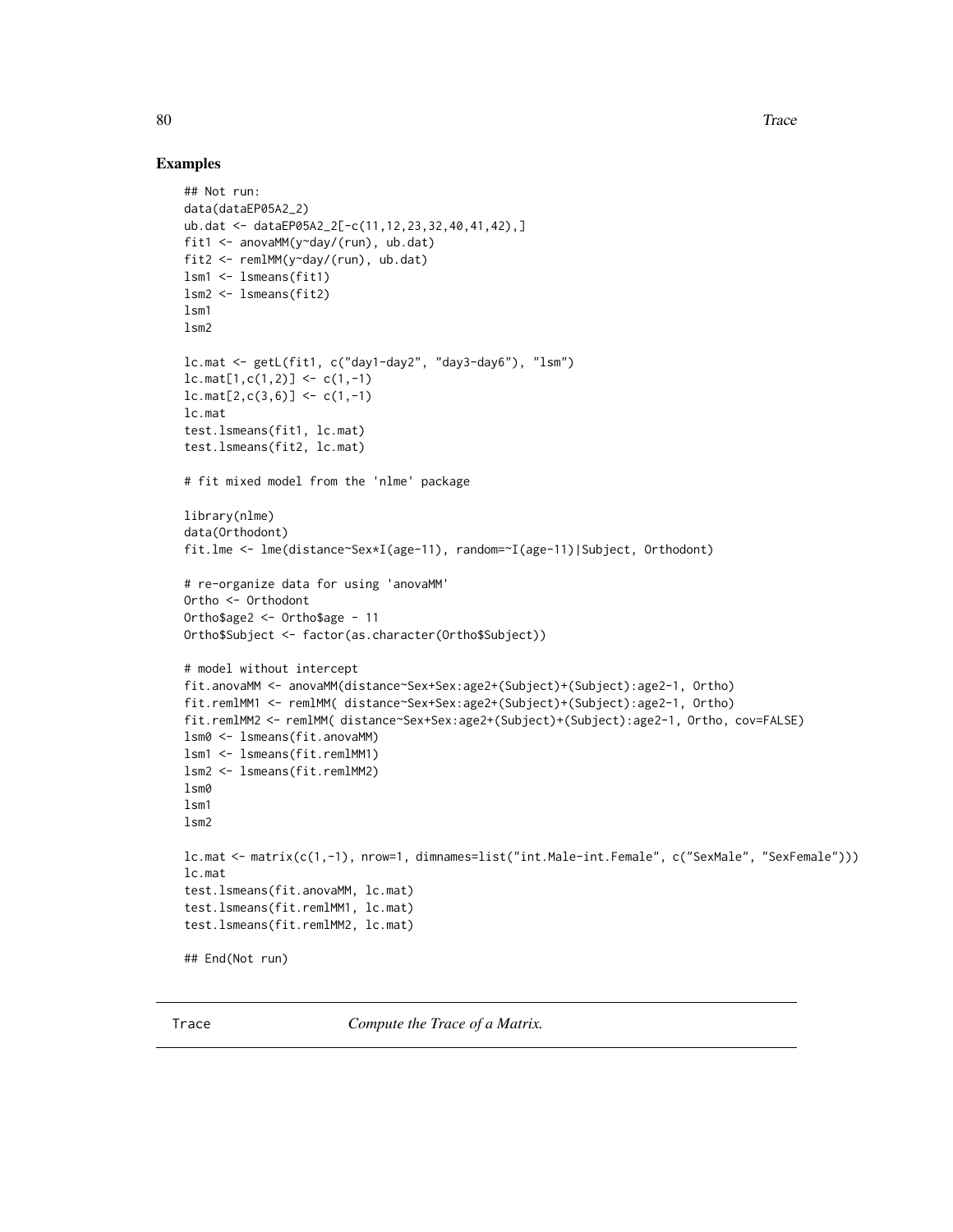# Examples

```
## Not run:
data(dataEP05A2_2)
ub.dat <- dataEP05A2_2[-c(11,12,23,32,40,41,42),]
fit1 <- anovaMM(y~day/(run), ub.dat)
fit2 <- remlMM(y~day/(run), ub.dat)
lsm1 <- lsmeans(fit1)
lsm2 <- lsmeans(fit2)
lsm1
lsm2
lc.mat <- getL(fit1, c("day1-day2", "day3-day6"), "lsm")
lc.max[1, c(1,2)] \leftarrow c(1,-1)lc.max[2, c(3,6)] \leftarrow c(1,-1)lc.mat
test.lsmeans(fit1, lc.mat)
test.lsmeans(fit2, lc.mat)
# fit mixed model from the 'nlme' package
library(nlme)
data(Orthodont)
fit.lme <- lme(distance~Sex*I(age-11), random=~I(age-11)|Subject, Orthodont)
# re-organize data for using 'anovaMM'
Ortho <- Orthodont
Ortho$age2 <- Ortho$age - 11
Ortho$Subject <- factor(as.character(Ortho$Subject))
# model without intercept
fit.anovaMM <- anovaMM(distance~Sex+Sex:age2+(Subject)+(Subject):age2-1, Ortho)
fit.remlMM1 <- remlMM( distance~Sex+Sex:age2+(Subject)+(Subject):age2-1, Ortho)
fit.remlMM2 <- remlMM( distance~Sex+Sex:age2+(Subject)+(Subject):age2-1, Ortho, cov=FALSE)
lsm0 <- lsmeans(fit.anovaMM)
lsm1 <- lsmeans(fit.remlMM1)
lsm2 <- lsmeans(fit.remlMM2)
lsm0
lsm1
lsm2
lc.mat <- matrix(c(1,-1), nrow=1, dimnames=list("int.Male-int.Female", c("SexMale", "SexFemale")))
lc.mat
test.lsmeans(fit.anovaMM, lc.mat)
test.lsmeans(fit.remlMM1, lc.mat)
test.lsmeans(fit.remlMM2, lc.mat)
## End(Not run)
```
Trace *Compute the Trace of a Matrix.*

<span id="page-79-0"></span>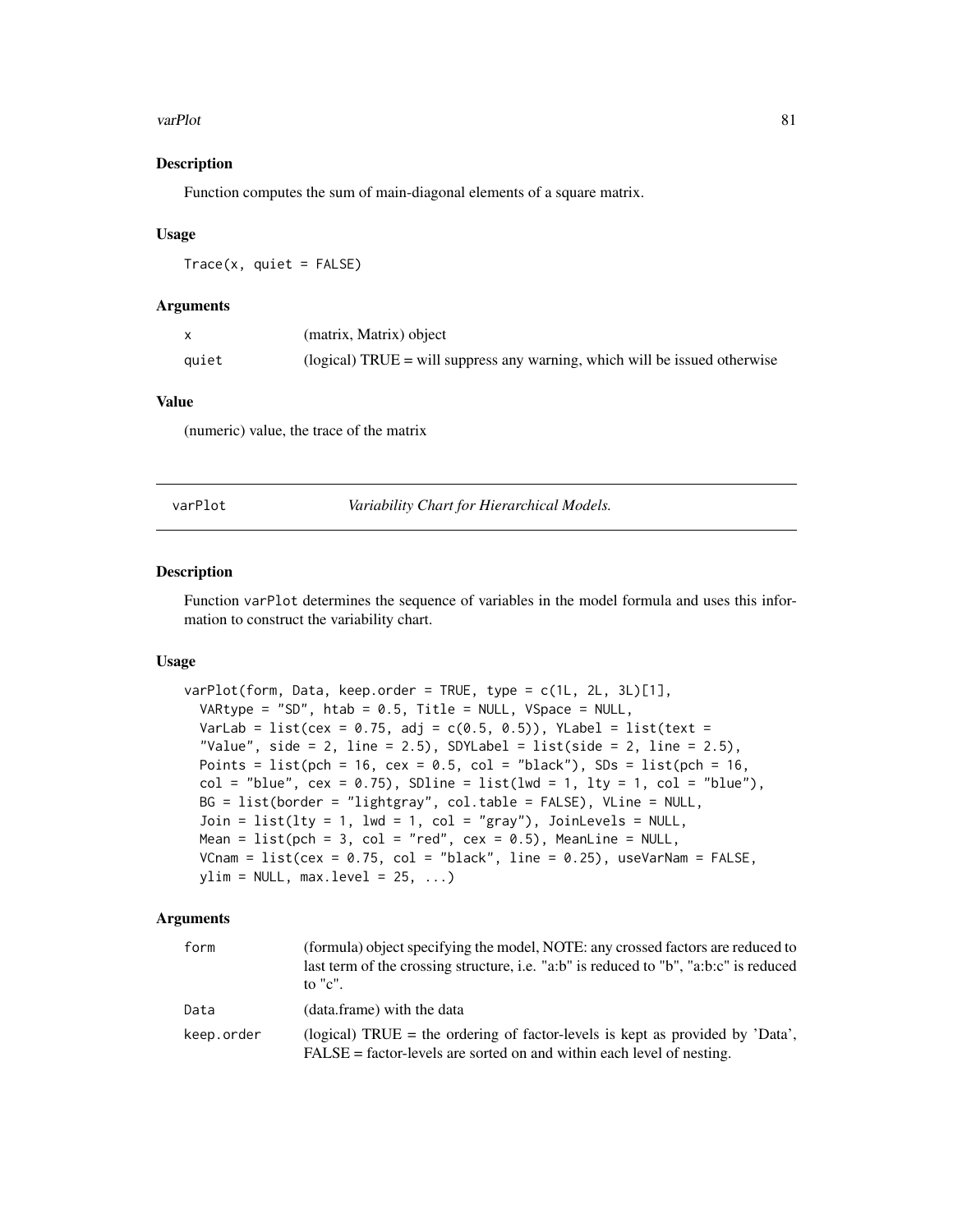#### <span id="page-80-0"></span>varPlot 81

# Description

Function computes the sum of main-diagonal elements of a square matrix.

# Usage

 $Trace(x, quite = FALSE)$ 

#### Arguments

|       | (matrix, Matrix) object                                                      |
|-------|------------------------------------------------------------------------------|
| quiet | (logical) $TRUE =$ will suppress any warning, which will be issued otherwise |

# Value

(numeric) value, the trace of the matrix

varPlot *Variability Chart for Hierarchical Models.*

#### Description

Function varPlot determines the sequence of variables in the model formula and uses this information to construct the variability chart.

#### Usage

```
varPlot(form, Data, keep.order = TRUE, type = c(1L, 2L, 3L)[1],
 VARtype = "SD", htab = 0.5, Title = NULL, VSpace = NULL,
 VarLab = list(cex = 0.75, adj = c(0.5, 0.5)), YLabel = list(text =
  "Value", side = 2, line = 2.5), SDYLabel = list(side = 2, line = 2.5),
 Points = list(pch = 16, cex = 0.5, col = "black"), SDs = list(pch = 16,
  col = "blue", cex = 0.75), SDline = list(lwd = 1, lty = 1, col = "blue"),BG = list(border = "lightgray", col.table = FALSE), VLine = NULL,
  Join = list(lty = 1, lwd = 1, col = "gray"), JoinLevels = NULL,
 Mean = list(pch = 3, col = "red", cex = 0.5), MeanLine = NULL,
 VCnam = list(cex = 0.75, col = "black", line = 0.25), useVarNam = FALSE,
 ylim = NULL, max. level = 25, ...
```
# **Arguments**

| form       | (formula) object specifying the model, NOTE: any crossed factors are reduced to<br>last term of the crossing structure, i.e. "a:b" is reduced to "b", "a:b:c" is reduced<br>to " $c$ ". |
|------------|-----------------------------------------------------------------------------------------------------------------------------------------------------------------------------------------|
| Data       | (data.frame) with the data                                                                                                                                                              |
| keep.order | (logical) TRUE = the ordering of factor-levels is kept as provided by 'Data',<br>$FALSE = factor-levels$ are sorted on and within each level of nesting.                                |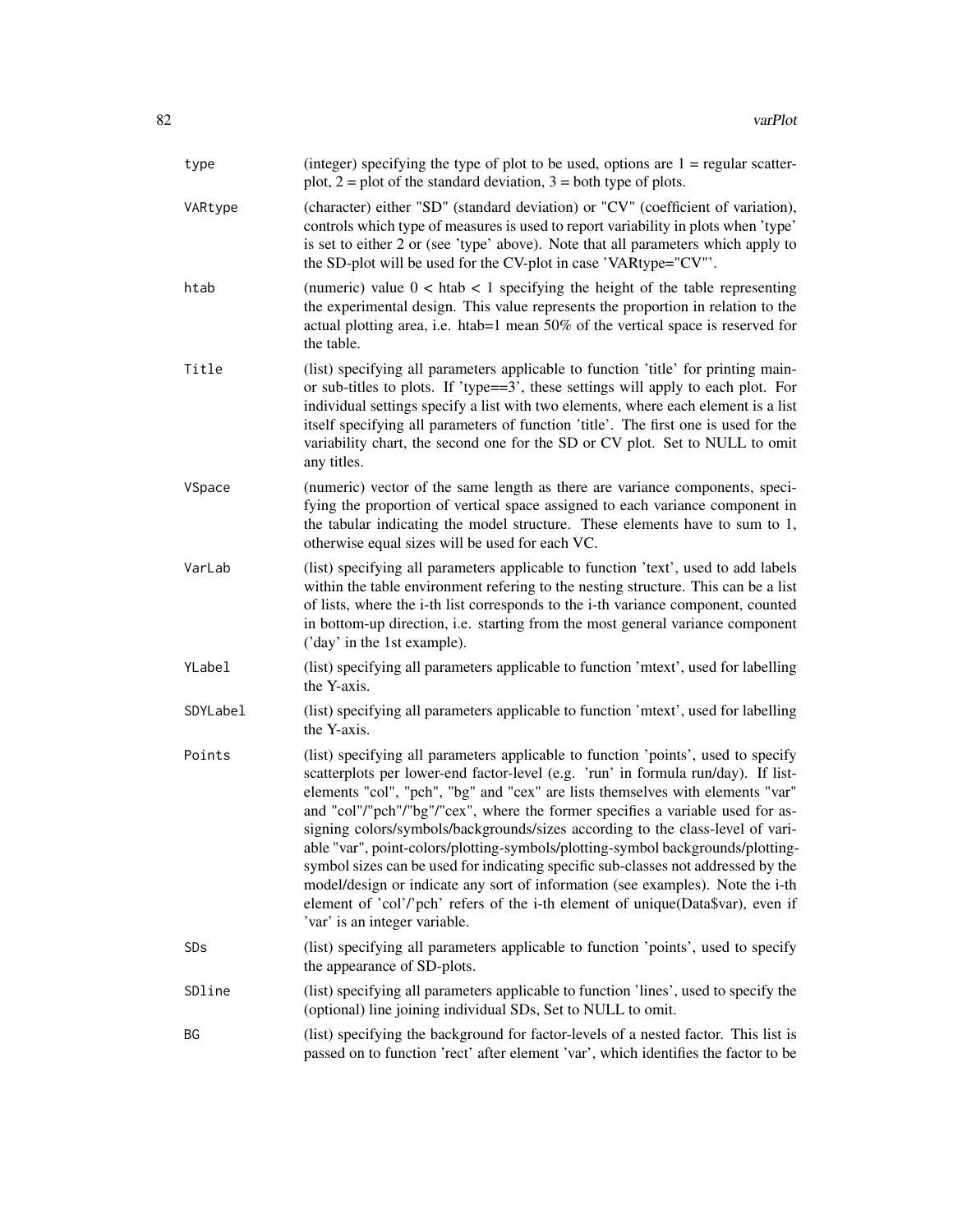| type     | (integer) specifying the type of plot to be used, options are $1 =$ regular scatter-<br>plot, $2 =$ plot of the standard deviation, $3 =$ both type of plots.                                                                                                                                                                                                                                                                                                                                                                                                                                                                                                                                                                                                                                              |
|----------|------------------------------------------------------------------------------------------------------------------------------------------------------------------------------------------------------------------------------------------------------------------------------------------------------------------------------------------------------------------------------------------------------------------------------------------------------------------------------------------------------------------------------------------------------------------------------------------------------------------------------------------------------------------------------------------------------------------------------------------------------------------------------------------------------------|
| VARtype  | (character) either "SD" (standard deviation) or "CV" (coefficient of variation),<br>controls which type of measures is used to report variability in plots when 'type'<br>is set to either 2 or (see 'type' above). Note that all parameters which apply to<br>the SD-plot will be used for the CV-plot in case 'VARtype="CV"'.                                                                                                                                                                                                                                                                                                                                                                                                                                                                            |
| htab     | (numeric) value $0 < h$ tab $< 1$ specifying the height of the table representing<br>the experimental design. This value represents the proportion in relation to the<br>actual plotting area, i.e. htab=1 mean 50% of the vertical space is reserved for<br>the table.                                                                                                                                                                                                                                                                                                                                                                                                                                                                                                                                    |
| Title    | (list) specifying all parameters applicable to function 'title' for printing main-<br>or sub-titles to plots. If 'type==3', these settings will apply to each plot. For<br>individual settings specify a list with two elements, where each element is a list<br>itself specifying all parameters of function 'title'. The first one is used for the<br>variability chart, the second one for the SD or CV plot. Set to NULL to omit<br>any titles.                                                                                                                                                                                                                                                                                                                                                        |
| VSpace   | (numeric) vector of the same length as there are variance components, speci-<br>fying the proportion of vertical space assigned to each variance component in<br>the tabular indicating the model structure. These elements have to sum to 1,<br>otherwise equal sizes will be used for each VC.                                                                                                                                                                                                                                                                                                                                                                                                                                                                                                           |
| VarLab   | (list) specifying all parameters applicable to function 'text', used to add labels<br>within the table environment refering to the nesting structure. This can be a list<br>of lists, where the i-th list corresponds to the i-th variance component, counted<br>in bottom-up direction, i.e. starting from the most general variance component<br>('day' in the 1st example).                                                                                                                                                                                                                                                                                                                                                                                                                             |
| YLabel   | (list) specifying all parameters applicable to function 'mtext', used for labelling<br>the Y-axis.                                                                                                                                                                                                                                                                                                                                                                                                                                                                                                                                                                                                                                                                                                         |
| SDYLabel | (list) specifying all parameters applicable to function 'mtext', used for labelling<br>the Y-axis.                                                                                                                                                                                                                                                                                                                                                                                                                                                                                                                                                                                                                                                                                                         |
| Points   | (list) specifying all parameters applicable to function 'points', used to specify<br>scatterplots per lower-end factor-level (e.g. 'run' in formula run/day). If list-<br>elements "col", "pch", "bg" and "cex" are lists themselves with elements "var"<br>and "col"/"pch"/"bg"/"cex", where the former specifies a variable used for as-<br>signing colors/symbols/backgrounds/sizes according to the class-level of vari-<br>able "var", point-colors/plotting-symbols/plotting-symbol backgrounds/plotting-<br>symbol sizes can be used for indicating specific sub-classes not addressed by the<br>model/design or indicate any sort of information (see examples). Note the i-th<br>element of 'col'/'pch' refers of the i-th element of unique(Data\$var), even if<br>'var' is an integer variable. |
| SDs      | (list) specifying all parameters applicable to function 'points', used to specify<br>the appearance of SD-plots.                                                                                                                                                                                                                                                                                                                                                                                                                                                                                                                                                                                                                                                                                           |
| SDline   | (list) specifying all parameters applicable to function 'lines', used to specify the<br>(optional) line joining individual SDs, Set to NULL to omit.                                                                                                                                                                                                                                                                                                                                                                                                                                                                                                                                                                                                                                                       |
| BG       | (list) specifying the background for factor-levels of a nested factor. This list is<br>passed on to function 'rect' after element 'var', which identifies the factor to be                                                                                                                                                                                                                                                                                                                                                                                                                                                                                                                                                                                                                                 |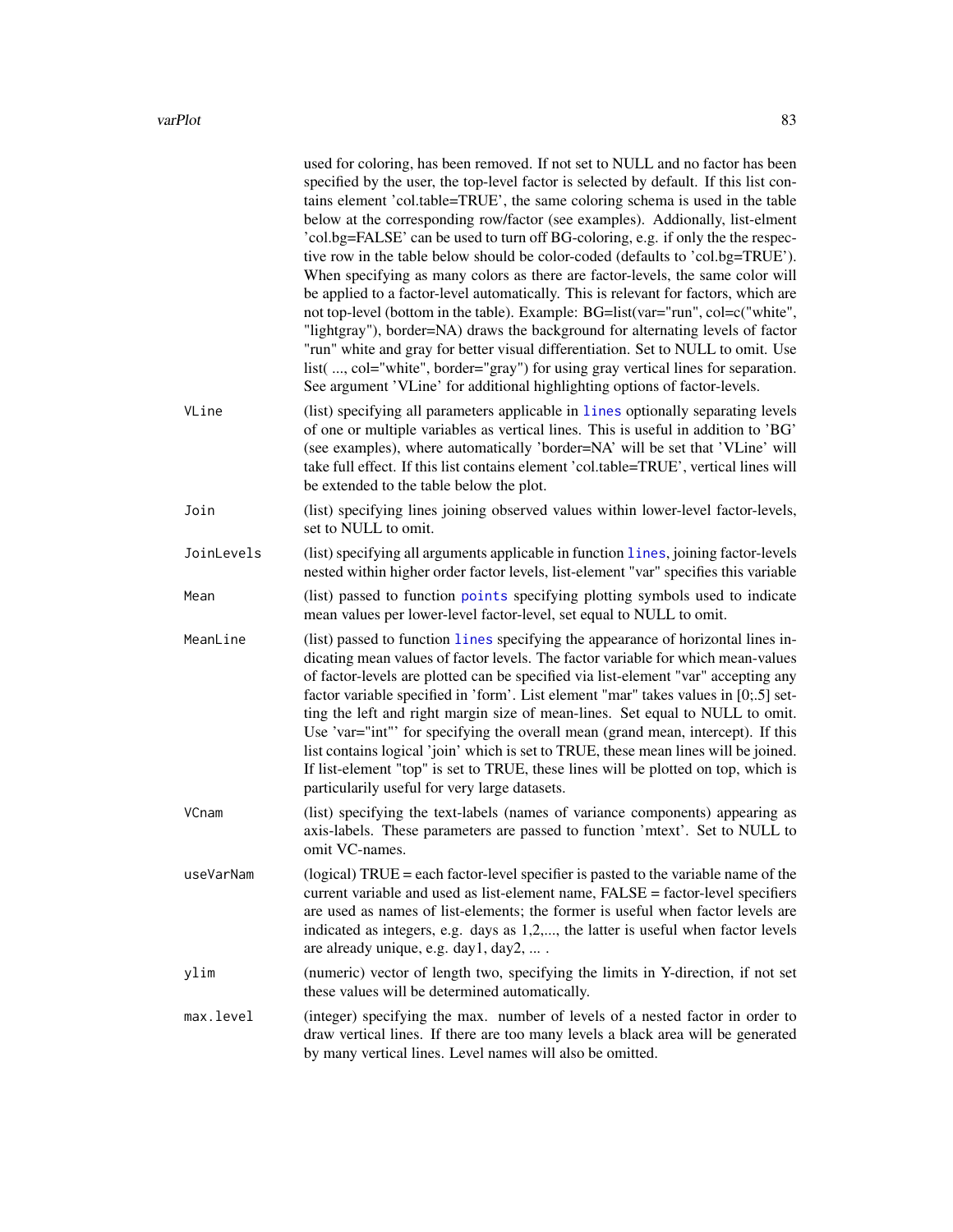<span id="page-82-0"></span>

|            | used for coloring, has been removed. If not set to NULL and no factor has been<br>specified by the user, the top-level factor is selected by default. If this list con-<br>tains element 'col.table=TRUE', the same coloring schema is used in the table<br>below at the corresponding row/factor (see examples). Addionally, list-elment<br>'col.bg=FALSE' can be used to turn off BG-coloring, e.g. if only the the respec-<br>tive row in the table below should be color-coded (defaults to 'col.bg=TRUE').<br>When specifying as many colors as there are factor-levels, the same color will<br>be applied to a factor-level automatically. This is relevant for factors, which are<br>not top-level (bottom in the table). Example: BG=list(var="run", col=c("white",<br>"lightgray"), border=NA) draws the background for alternating levels of factor<br>"run" white and gray for better visual differentiation. Set to NULL to omit. Use<br>list( , col="white", border="gray") for using gray vertical lines for separation.<br>See argument 'VLine' for additional highlighting options of factor-levels. |
|------------|----------------------------------------------------------------------------------------------------------------------------------------------------------------------------------------------------------------------------------------------------------------------------------------------------------------------------------------------------------------------------------------------------------------------------------------------------------------------------------------------------------------------------------------------------------------------------------------------------------------------------------------------------------------------------------------------------------------------------------------------------------------------------------------------------------------------------------------------------------------------------------------------------------------------------------------------------------------------------------------------------------------------------------------------------------------------------------------------------------------------|
| VLine      | (list) specifying all parameters applicable in lines optionally separating levels<br>of one or multiple variables as vertical lines. This is useful in addition to 'BG'<br>(see examples), where automatically 'border=NA' will be set that 'VLine' will<br>take full effect. If this list contains element 'col.table=TRUE', vertical lines will<br>be extended to the table below the plot.                                                                                                                                                                                                                                                                                                                                                                                                                                                                                                                                                                                                                                                                                                                        |
| Join       | (list) specifying lines joining observed values within lower-level factor-levels,<br>set to NULL to omit.                                                                                                                                                                                                                                                                                                                                                                                                                                                                                                                                                                                                                                                                                                                                                                                                                                                                                                                                                                                                            |
| JoinLevels | (list) specifying all arguments applicable in function lines, joining factor-levels<br>nested within higher order factor levels, list-element "var" specifies this variable                                                                                                                                                                                                                                                                                                                                                                                                                                                                                                                                                                                                                                                                                                                                                                                                                                                                                                                                          |
| Mean       | (list) passed to function points specifying plotting symbols used to indicate<br>mean values per lower-level factor-level, set equal to NULL to omit.                                                                                                                                                                                                                                                                                                                                                                                                                                                                                                                                                                                                                                                                                                                                                                                                                                                                                                                                                                |
| MeanLine   | (list) passed to function lines specifying the appearance of horizontal lines in-<br>dicating mean values of factor levels. The factor variable for which mean-values<br>of factor-levels are plotted can be specified via list-element "var" accepting any<br>factor variable specified in 'form'. List element "mar" takes values in [0;.5] set-<br>ting the left and right margin size of mean-lines. Set equal to NULL to omit.<br>Use 'var="int"' for specifying the overall mean (grand mean, intercept). If this<br>list contains logical 'join' which is set to TRUE, these mean lines will be joined.<br>If list-element "top" is set to TRUE, these lines will be plotted on top, which is<br>particularily useful for very large datasets.                                                                                                                                                                                                                                                                                                                                                                |
| VCnam      | (list) specifying the text-labels (names of variance components) appearing as<br>axis-labels. These parameters are passed to function 'mtext'. Set to NULL to<br>omit VC-names.                                                                                                                                                                                                                                                                                                                                                                                                                                                                                                                                                                                                                                                                                                                                                                                                                                                                                                                                      |
| useVarNam  | (logical) TRUE = each factor-level specifier is pasted to the variable name of the<br>current variable and used as list-element name, FALSE = factor-level specifiers<br>are used as names of list-elements; the former is useful when factor levels are<br>indicated as integers, e.g. days as 1,2,, the latter is useful when factor levels<br>are already unique, e.g. day1, day2,                                                                                                                                                                                                                                                                                                                                                                                                                                                                                                                                                                                                                                                                                                                                |
| ylim       | (numeric) vector of length two, specifying the limits in Y-direction, if not set<br>these values will be determined automatically.                                                                                                                                                                                                                                                                                                                                                                                                                                                                                                                                                                                                                                                                                                                                                                                                                                                                                                                                                                                   |
| max.level  | (integer) specifying the max. number of levels of a nested factor in order to<br>draw vertical lines. If there are too many levels a black area will be generated<br>by many vertical lines. Level names will also be omitted.                                                                                                                                                                                                                                                                                                                                                                                                                                                                                                                                                                                                                                                                                                                                                                                                                                                                                       |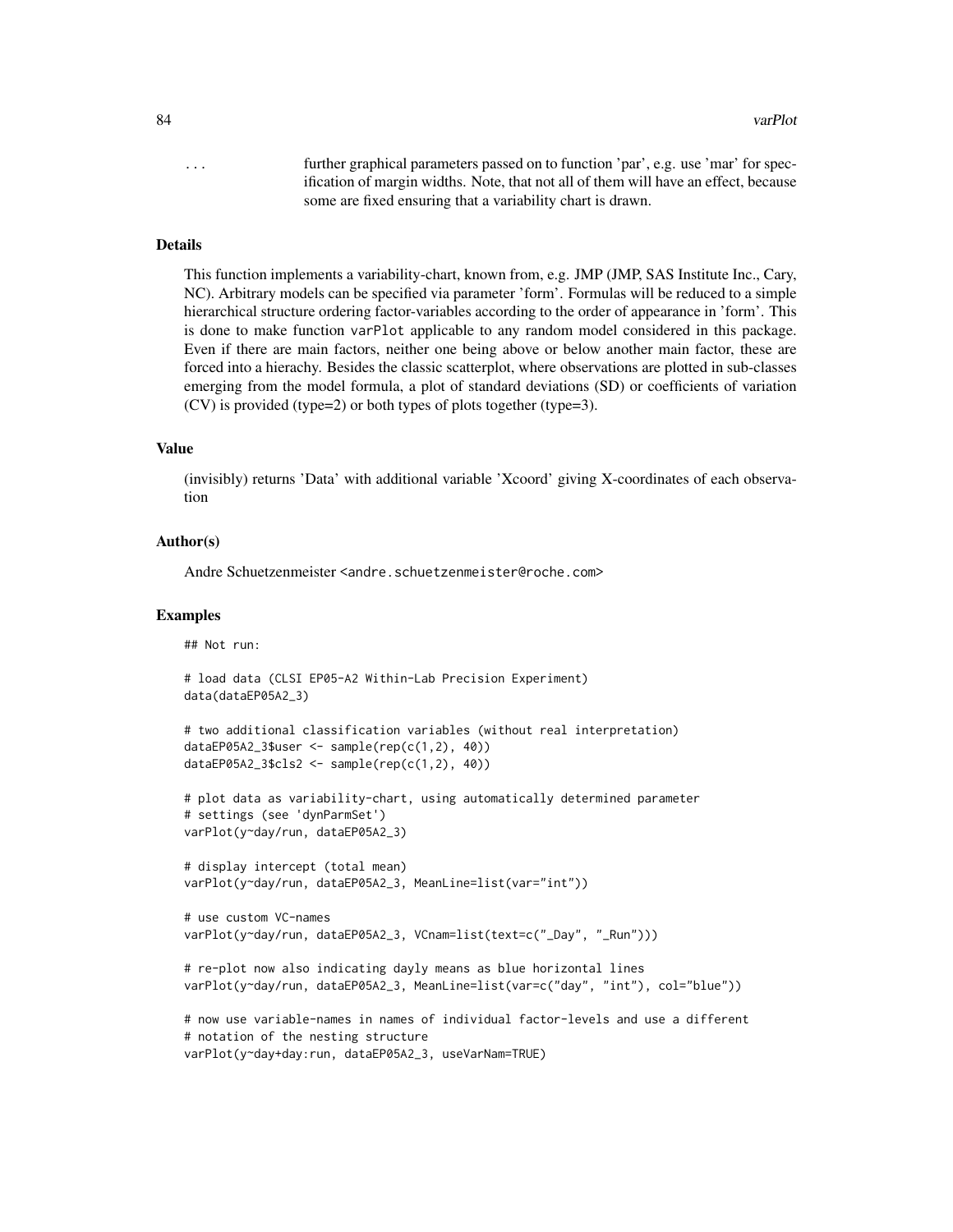84 varPlot

... further graphical parameters passed on to function 'par', e.g. use 'mar' for specification of margin widths. Note, that not all of them will have an effect, because some are fixed ensuring that a variability chart is drawn.

# Details

This function implements a variability-chart, known from, e.g. JMP (JMP, SAS Institute Inc., Cary, NC). Arbitrary models can be specified via parameter 'form'. Formulas will be reduced to a simple hierarchical structure ordering factor-variables according to the order of appearance in 'form'. This is done to make function varPlot applicable to any random model considered in this package. Even if there are main factors, neither one being above or below another main factor, these are forced into a hierachy. Besides the classic scatterplot, where observations are plotted in sub-classes emerging from the model formula, a plot of standard deviations (SD) or coefficients of variation (CV) is provided (type=2) or both types of plots together (type=3).

# Value

(invisibly) returns 'Data' with additional variable 'Xcoord' giving X-coordinates of each observation

# Author(s)

Andre Schuetzenmeister <andre.schuetzenmeister@roche.com>

# Examples

## Not run:

```
# load data (CLSI EP05-A2 Within-Lab Precision Experiment)
data(dataEP05A2_3)
# two additional classification variables (without real interpretation)
dataEP05A2_3$user <- sample(rep(c(1,2), 40))
dataEP05A2_3$cls2 <- sample(rep(c(1,2), 40))
# plot data as variability-chart, using automatically determined parameter
# settings (see 'dynParmSet')
varPlot(y~day/run, dataEP05A2_3)
# display intercept (total mean)
varPlot(y~day/run, dataEP05A2_3, MeanLine=list(var="int"))
# use custom VC-names
varPlot(y~day/run, dataEP05A2_3, VCnam=list(text=c("_Day", "_Run")))
# re-plot now also indicating dayly means as blue horizontal lines
varPlot(y~day/run, dataEP05A2_3, MeanLine=list(var=c("day", "int"), col="blue"))
# now use variable-names in names of individual factor-levels and use a different
# notation of the nesting structure
varPlot(y~day+day:run, dataEP05A2_3, useVarNam=TRUE)
```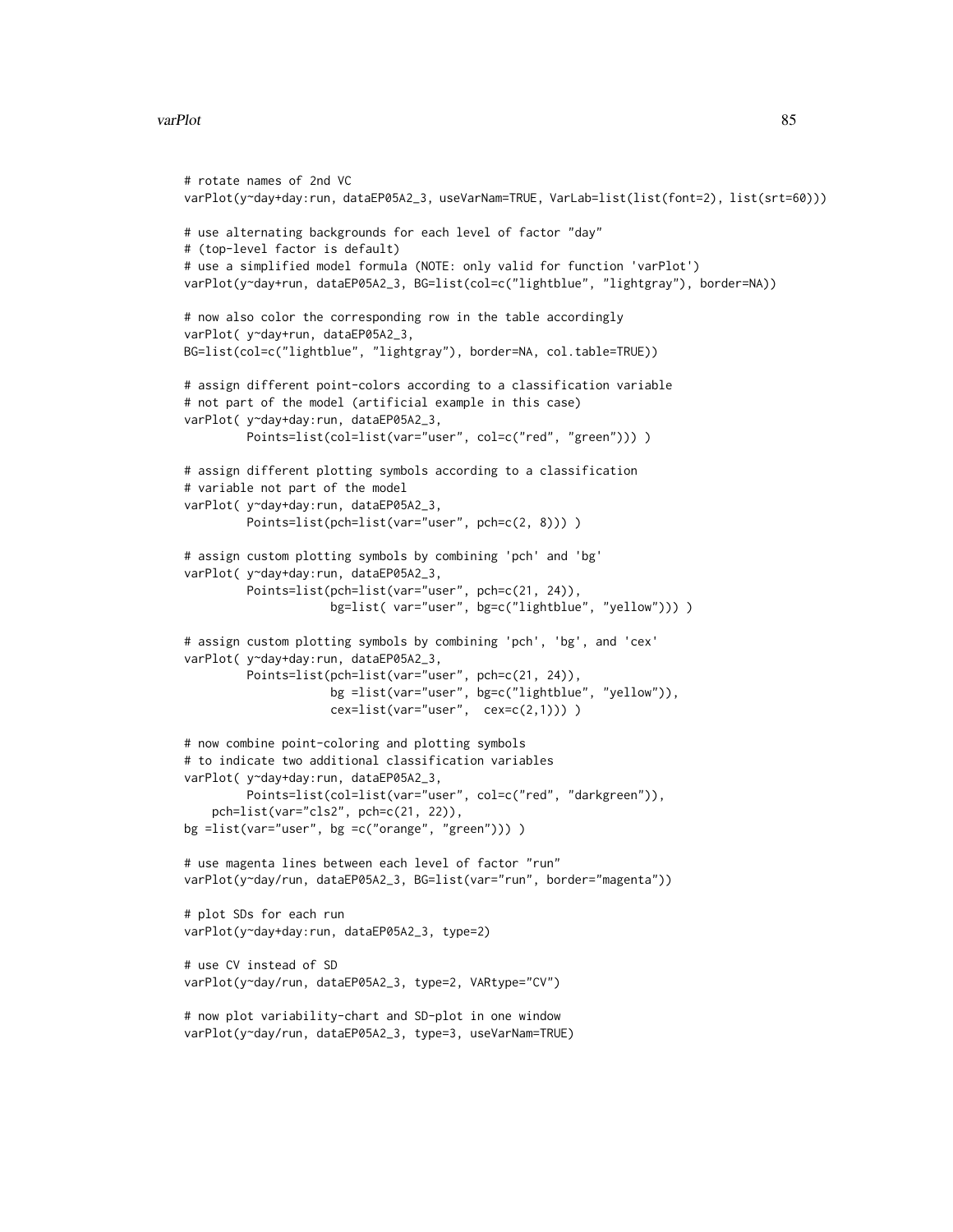#### varPlot 85

```
# rotate names of 2nd VC
varPlot(y~day+day:run, dataEP05A2_3, useVarNam=TRUE, VarLab=list(list(font=2), list(srt=60)))
# use alternating backgrounds for each level of factor "day"
# (top-level factor is default)
# use a simplified model formula (NOTE: only valid for function 'varPlot')
varPlot(y~day+run, dataEP05A2_3, BG=list(col=c("lightblue", "lightgray"), border=NA))
# now also color the corresponding row in the table accordingly
varPlot( y~day+run, dataEP05A2_3,
BG=list(col=c("lightblue", "lightgray"), border=NA, col.table=TRUE))
# assign different point-colors according to a classification variable
# not part of the model (artificial example in this case)
varPlot( y~day+day:run, dataEP05A2_3,
         Points=list(col=list(var="user", col=c("red", "green"))) )
# assign different plotting symbols according to a classification
# variable not part of the model
varPlot( y~day+day:run, dataEP05A2_3,
         Points=list(pch=list(var="user", pch=c(2, 8)))))
# assign custom plotting symbols by combining 'pch' and 'bg'
varPlot( y~day+day:run, dataEP05A2_3,
         Points=list(pch=list(var="user", pch=c(21, 24)),
                     bg=list( var="user", bg=c("lightblue", "yellow"))) )
# assign custom plotting symbols by combining 'pch', 'bg', and 'cex'
varPlot( y~day+day:run, dataEP05A2_3,
        Points=list(pch=list(var="user", pch=c(21, 24)),
                    bg =list(var="user", bg=c("lightblue", "yellow")),
                    cex=list(var="user", cex=c(2,1)))# now combine point-coloring and plotting symbols
# to indicate two additional classification variables
varPlot( y~day+day:run, dataEP05A2_3,
        Points=list(col=list(var="user", col=c("red", "darkgreen")),
    pch=list(var="cls2", pch=c(21, 22)),
bg =list(var="user", bg =c("orange", "green"))) )
# use magenta lines between each level of factor "run"
varPlot(y~day/run, dataEP05A2_3, BG=list(var="run", border="magenta"))
# plot SDs for each run
varPlot(y~day+day:run, dataEP05A2_3, type=2)
# use CV instead of SD
varPlot(y~day/run, dataEP05A2_3, type=2, VARtype="CV")
# now plot variability-chart and SD-plot in one window
varPlot(y~day/run, dataEP05A2_3, type=3, useVarNam=TRUE)
```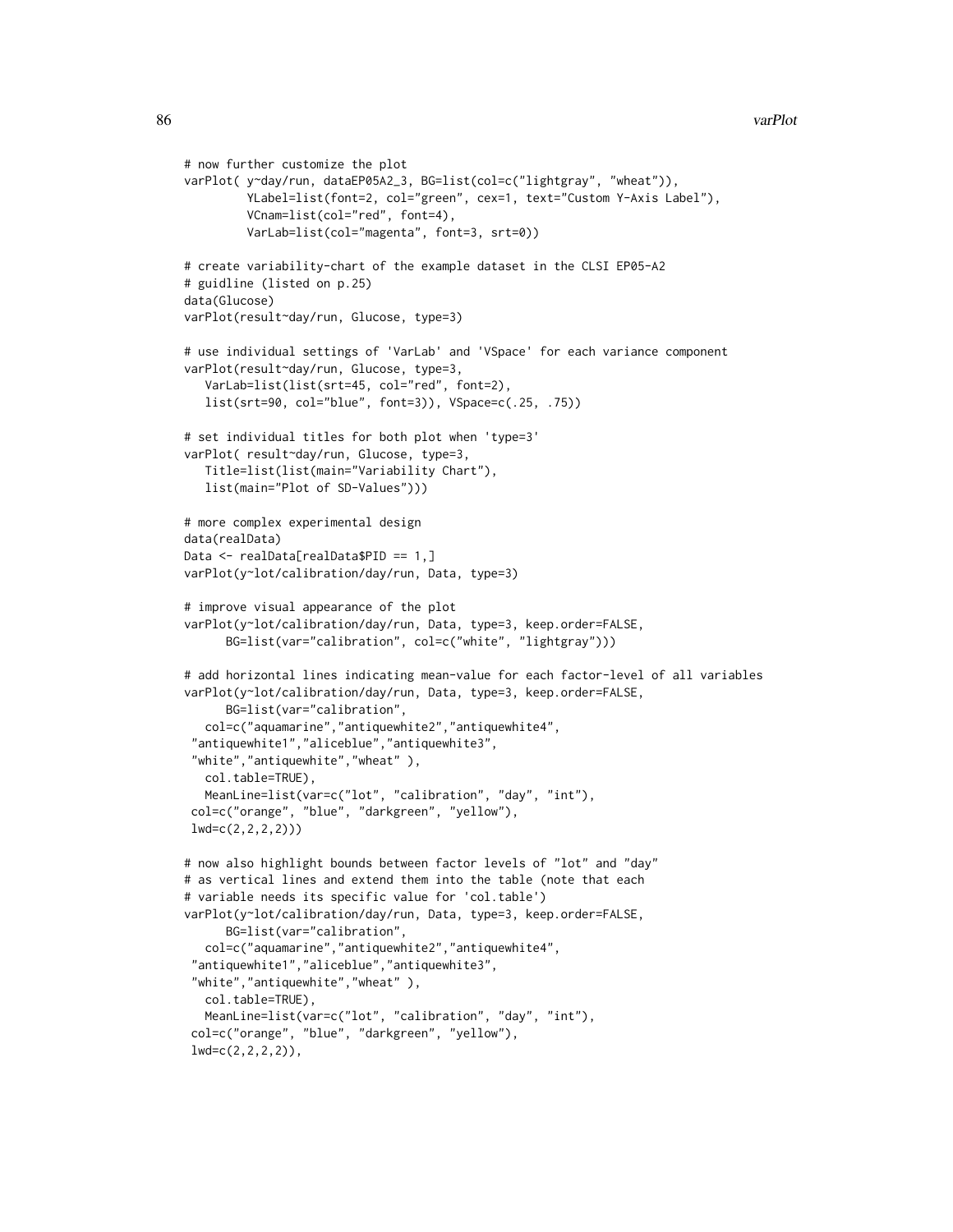```
# now further customize the plot
varPlot( y~day/run, dataEP05A2_3, BG=list(col=c("lightgray", "wheat")),
         YLabel=list(font=2, col="green", cex=1, text="Custom Y-Axis Label"),
        VCnam=list(col="red", font=4),
        VarLab=list(col="magenta", font=3, srt=0))
# create variability-chart of the example dataset in the CLSI EP05-A2
# guidline (listed on p.25)
data(Glucose)
varPlot(result~day/run, Glucose, type=3)
# use individual settings of 'VarLab' and 'VSpace' for each variance component
varPlot(result~day/run, Glucose, type=3,
  VarLab=list(list(srt=45, col="red", font=2),
  list(srt=90, col="blue", font=3)), VSpace=c(.25, .75))
# set individual titles for both plot when 'type=3'
varPlot( result~day/run, Glucose, type=3,
  Title=list(list(main="Variability Chart"),
  list(main="Plot of SD-Values")))
# more complex experimental design
data(realData)
Data <- realData[realData$PID == 1,]
varPlot(y~lot/calibration/day/run, Data, type=3)
# improve visual appearance of the plot
varPlot(y~lot/calibration/day/run, Data, type=3, keep.order=FALSE,
     BG=list(var="calibration", col=c("white", "lightgray")))
# add horizontal lines indicating mean-value for each factor-level of all variables
varPlot(y~lot/calibration/day/run, Data, type=3, keep.order=FALSE,
     BG=list(var="calibration",
  col=c("aquamarine","antiquewhite2","antiquewhite4",
 "antiquewhite1","aliceblue","antiquewhite3",
 "white","antiquewhite","wheat" ),
  col.table=TRUE),
  MeanLine=list(var=c("lot", "calibration", "day", "int"),
 col=c("orange", "blue", "darkgreen", "yellow"),
 lwd=c(2,2,2,2)))
# now also highlight bounds between factor levels of "lot" and "day"
# as vertical lines and extend them into the table (note that each
# variable needs its specific value for 'col.table')
varPlot(y~lot/calibration/day/run, Data, type=3, keep.order=FALSE,
     BG=list(var="calibration",
   col=c("aquamarine","antiquewhite2","antiquewhite4",
 "antiquewhite1","aliceblue","antiquewhite3",
 "white","antiquewhite","wheat" ),
  col.table=TRUE),
  MeanLine=list(var=c("lot", "calibration", "day", "int"),
 col=c("orange", "blue", "darkgreen", "yellow"),
 lwd=c(2,2,2,2),
```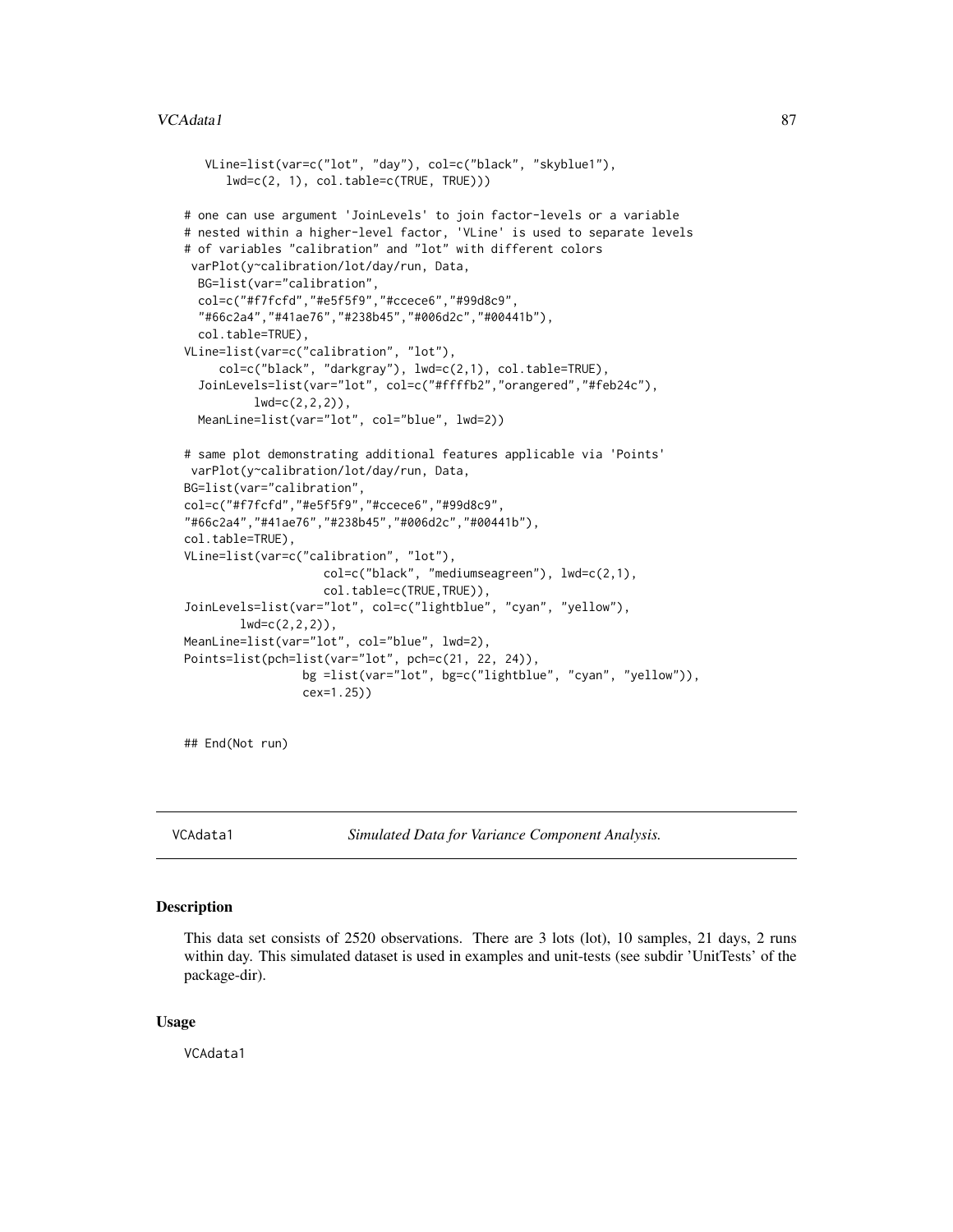# <span id="page-86-0"></span>VCAdata1 87

```
VLine=list(var=c("lot", "day"), col=c("black", "skyblue1"),
      lwd=c(2, 1), col.table=c(TRUE, TRUE)))
# one can use argument 'JoinLevels' to join factor-levels or a variable
# nested within a higher-level factor, 'VLine' is used to separate levels
# of variables "calibration" and "lot" with different colors
varPlot(y~calibration/lot/day/run, Data,
 BG=list(var="calibration",
 col=c("#f7fcfd","#e5f5f9","#ccece6","#99d8c9",
  "#66c2a4","#41ae76","#238b45","#006d2c","#00441b"),
 col.table=TRUE),
VLine=list(var=c("calibration", "lot"),
     col=c("black", "darkgray"), lwd=c(2,1), col.table=TRUE),
 JoinLevels=list(var="lot", col=c("#ffffb2","orangered","#feb24c"),
          lwd=c(2,2,2),
 MeanLine=list(var="lot", col="blue", lwd=2))
# same plot demonstrating additional features applicable via 'Points'
varPlot(y~calibration/lot/day/run, Data,
BG=list(var="calibration",
col=c("#f7fcfd","#e5f5f9","#ccece6","#99d8c9",
"#66c2a4","#41ae76","#238b45","#006d2c","#00441b"),
col.table=TRUE),
VLine=list(var=c("calibration", "lot"),
                    col=c("black", "mediumseagreen"), lwd=c(2,1),
                    col.table=c(TRUE,TRUE)),
JoinLevels=list(var="lot", col=c("lightblue", "cyan", "yellow"),
       lwd=c(2,2,2),
MeanLine=list(var="lot", col="blue", lwd=2),
Points=list(pch=list(var="lot", pch=c(21, 22, 24)),
                 bg =list(var="lot", bg=c("lightblue", "cyan", "yellow")),
                 cex=1.25))
```
## End(Not run)

VCAdata1 *Simulated Data for Variance Component Analysis.*

# Description

This data set consists of 2520 observations. There are 3 lots (lot), 10 samples, 21 days, 2 runs within day. This simulated dataset is used in examples and unit-tests (see subdir 'UnitTests' of the package-dir).

#### Usage

VCAdata1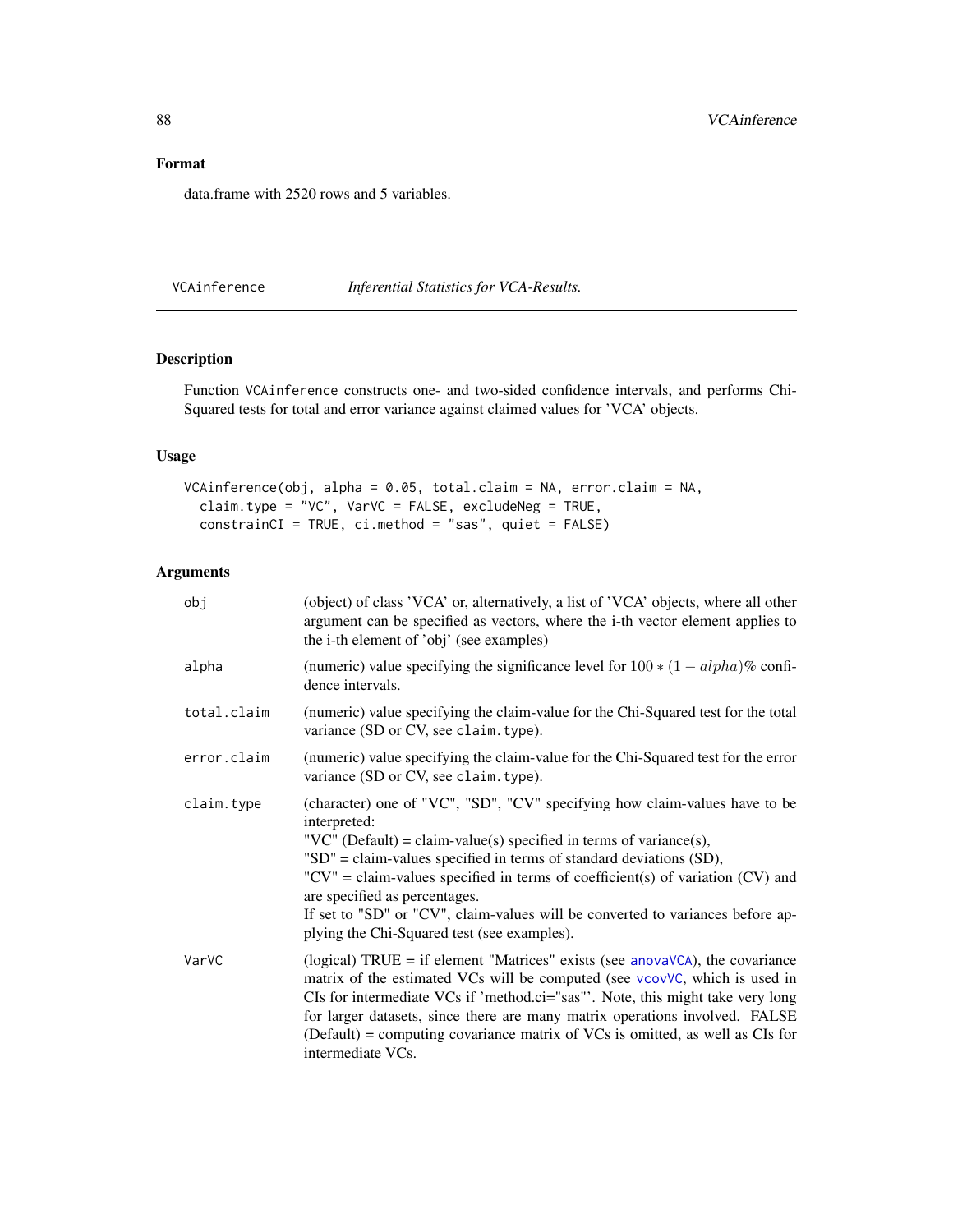<span id="page-87-1"></span>data.frame with 2520 rows and 5 variables.

<span id="page-87-0"></span>VCAinference *Inferential Statistics for VCA-Results.*

# Description

Function VCAinference constructs one- and two-sided confidence intervals, and performs Chi-Squared tests for total and error variance against claimed values for 'VCA' objects.

# Usage

```
VCAinference(obj, alpha = 0.05, total.claim = NA, error.claim = NA,
  claim.type = "VC", VarVC = FALSE, excludeNeg = TRUE,
 constrainCI = TRUE, ci.method = "sas", quiet = FALSE)
```
# Arguments

| obj         | (object) of class 'VCA' or, alternatively, a list of 'VCA' objects, where all other<br>argument can be specified as vectors, where the i-th vector element applies to<br>the i-th element of 'obj' (see examples)                                                                                                                                                                                                                                                                                          |
|-------------|------------------------------------------------------------------------------------------------------------------------------------------------------------------------------------------------------------------------------------------------------------------------------------------------------------------------------------------------------------------------------------------------------------------------------------------------------------------------------------------------------------|
| alpha       | (numeric) value specifying the significance level for $100 * (1 - alpha)\%$ confi-<br>dence intervals.                                                                                                                                                                                                                                                                                                                                                                                                     |
| total.claim | (numeric) value specifying the claim-value for the Chi-Squared test for the total<br>variance (SD or CV, see claim. type).                                                                                                                                                                                                                                                                                                                                                                                 |
| error.claim | (numeric) value specifying the claim-value for the Chi-Squared test for the error<br>variance (SD or CV, see claim. type).                                                                                                                                                                                                                                                                                                                                                                                 |
| claim.type  | (character) one of "VC", "SD", "CV" specifying how claim-values have to be<br>interpreted:<br>"VC" (Default) = claim-value(s) specified in terms of variance(s),<br>" $SD$ " = claim-values specified in terms of standard deviations $(SD)$ ,<br>" $CV$ " = claim-values specified in terms of coefficient(s) of variation ( $CV$ ) and<br>are specified as percentages.<br>If set to "SD" or "CV", claim-values will be converted to variances before ap-<br>plying the Chi-Squared test (see examples). |
| VarVC       | (logical) $TRUE = if element$ "Matrices" exists (see anovaVCA), the covariance<br>matrix of the estimated VCs will be computed (see vcovVC, which is used in<br>CIs for intermediate VCs if 'method.ci="sas"'. Note, this might take very long<br>for larger datasets, since there are many matrix operations involved. FALSE<br>$(Default) = computing covariance matrix of VCs$ is omitted, as well as CIs for<br>intermediate VCs.                                                                      |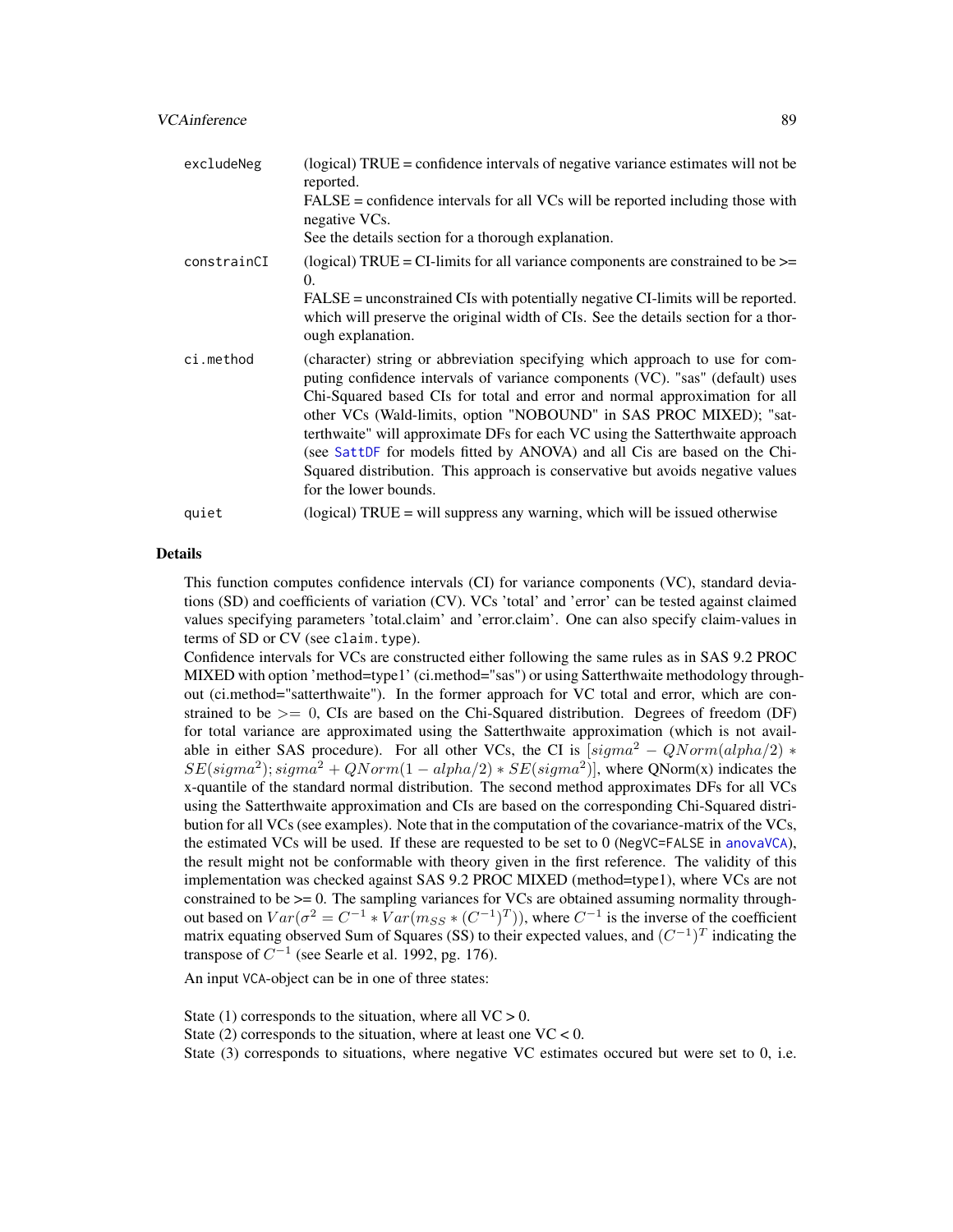# <span id="page-88-0"></span>VCAinference 89

| excludeNeg  | (logical) TRUE = confidence intervals of negative variance estimates will not be<br>reported.<br>$FALSE = confidence$ intervals for all VCs will be reported including those with<br>negative VCs.<br>See the details section for a thorough explanation.                                                                                                                                                                                                                                                                                                                                  |
|-------------|--------------------------------------------------------------------------------------------------------------------------------------------------------------------------------------------------------------------------------------------------------------------------------------------------------------------------------------------------------------------------------------------------------------------------------------------------------------------------------------------------------------------------------------------------------------------------------------------|
| constrainCI | (logical) TRUE = CI-limits for all variance components are constrained to be $\ge$ =<br>$\Omega$ .<br>FALSE = unconstrained CIs with potentially negative CI-limits will be reported.<br>which will preserve the original width of CIs. See the details section for a thor-<br>ough explanation.                                                                                                                                                                                                                                                                                           |
| ci.method   | (character) string or abbreviation specifying which approach to use for com-<br>puting confidence intervals of variance components (VC). "sas" (default) uses<br>Chi-Squared based CIs for total and error and normal approximation for all<br>other VCs (Wald-limits, option "NOBOUND" in SAS PROC MIXED); "sat-<br>terthwaite" will approximate DFs for each VC using the Satterthwaite approach<br>(see SattDF for models fitted by ANOVA) and all Cis are based on the Chi-<br>Squared distribution. This approach is conservative but avoids negative values<br>for the lower bounds. |
| quiet       | (logical) TRUE = will suppress any warning, which will be issued otherwise                                                                                                                                                                                                                                                                                                                                                                                                                                                                                                                 |

#### Details

This function computes confidence intervals (CI) for variance components (VC), standard deviations (SD) and coefficients of variation (CV). VCs 'total' and 'error' can be tested against claimed values specifying parameters 'total.claim' and 'error.claim'. One can also specify claim-values in terms of SD or CV (see claim.type).

Confidence intervals for VCs are constructed either following the same rules as in SAS 9.2 PROC MIXED with option 'method=type1' (ci.method="sas") or using Satterthwaite methodology throughout (ci.method="satterthwaite"). In the former approach for VC total and error, which are constrained to be  $\geq$  0, CIs are based on the Chi-Squared distribution. Degrees of freedom (DF) for total variance are approximated using the Satterthwaite approximation (which is not available in either SAS procedure). For all other VCs, the CI is  $[sigma^2 - QNorm(alpha/2)$  \*  $SE(signa^2)$ ;  $sigma^2 + QNorm(1 - alpha/2) * SE(signa^2)$ ], where QNorm(x) indicates the x-quantile of the standard normal distribution. The second method approximates DFs for all VCs using the Satterthwaite approximation and CIs are based on the corresponding Chi-Squared distribution for all VCs (see examples). Note that in the computation of the covariance-matrix of the VCs, the estimated VCs will be used. If these are requested to be set to 0 (NegVC=FALSE in [anovaVCA](#page-10-0)), the result might not be conformable with theory given in the first reference. The validity of this implementation was checked against SAS 9.2 PROC MIXED (method=type1), where VCs are not constrained to be >= 0. The sampling variances for VCs are obtained assuming normality throughout based on  $Var(\sigma^2 = C^{-1} * Var(m_{SS} * (C^{-1})^T))$ , where  $C^{-1}$  is the inverse of the coefficient matrix equating observed Sum of Squares (SS) to their expected values, and  $(C^{-1})^T$  indicating the transpose of  $C^{-1}$  (see Searle et al. 1992, pg. 176).

An input VCA-object can be in one of three states:

State (1) corresponds to the situation, where all  $VC > 0$ .

State (2) corresponds to the situation, where at least one  $VC < 0$ .

State (3) corresponds to situations, where negative VC estimates occured but were set to 0, i.e.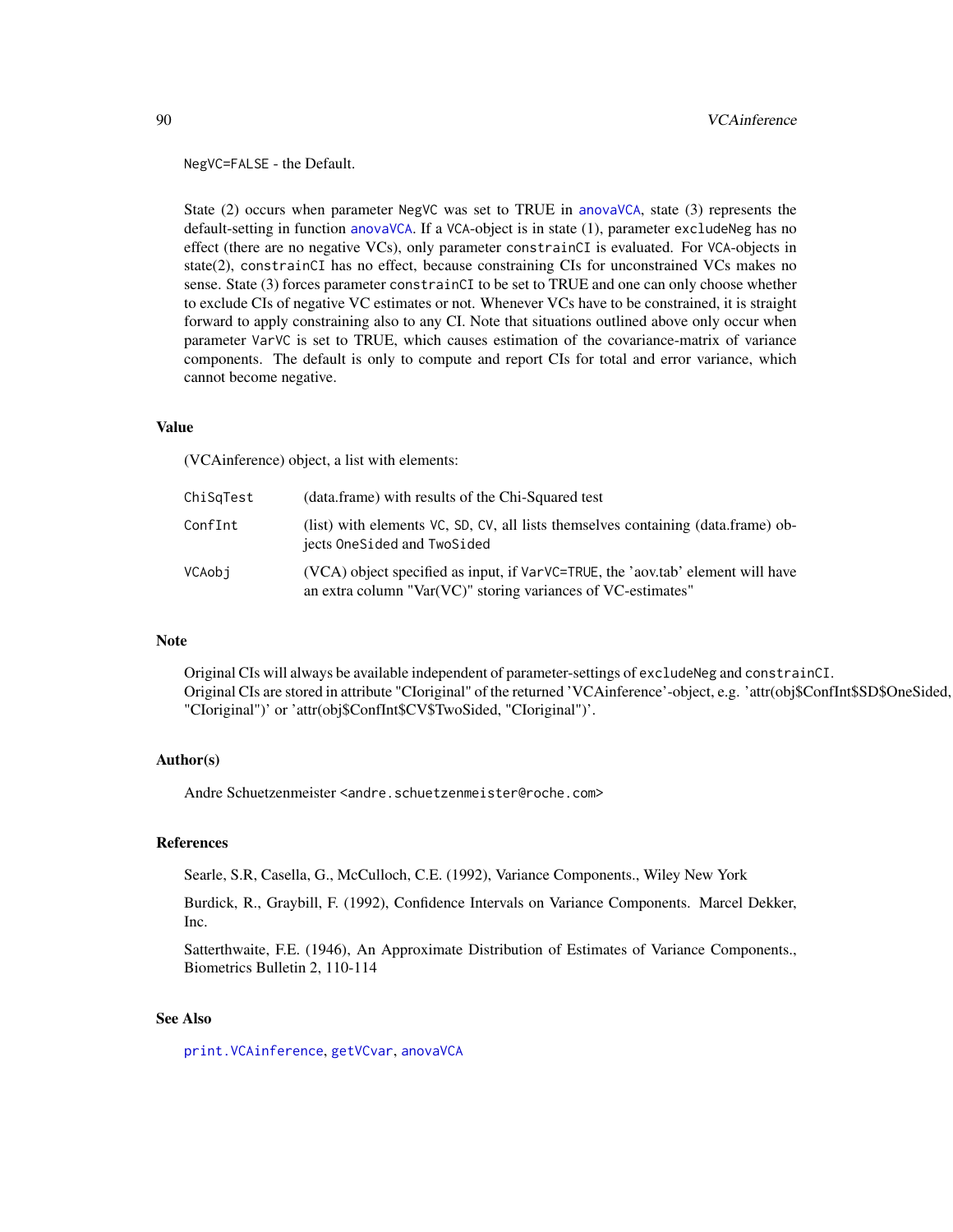#### <span id="page-89-0"></span>NegVC=FALSE - the Default.

State (2) occurs when parameter NegVC was set to TRUE in [anovaVCA](#page-10-0), state (3) represents the default-setting in function [anovaVCA](#page-10-0). If a VCA-object is in state (1), parameter excludeNeg has no effect (there are no negative VCs), only parameter constrainCI is evaluated. For VCA-objects in state(2), constrainCI has no effect, because constraining CIs for unconstrained VCs makes no sense. State (3) forces parameter constrainCI to be set to TRUE and one can only choose whether to exclude CIs of negative VC estimates or not. Whenever VCs have to be constrained, it is straight forward to apply constraining also to any CI. Note that situations outlined above only occur when parameter VarVC is set to TRUE, which causes estimation of the covariance-matrix of variance components. The default is only to compute and report CIs for total and error variance, which cannot become negative.

# Value

(VCAinference) object, a list with elements:

| ChiSqTest | (data.frame) with results of the Chi-Squared test                                                                                               |
|-----------|-------------------------------------------------------------------------------------------------------------------------------------------------|
| ConfInt   | (list) with elements VC, SD, CV, all lists themselves containing (data.frame) ob-<br>jects OneSided and TwoSided                                |
| VCAobi    | (VCA) object specified as input, if VarVC=TRUE, the 'aov.tab' element will have<br>an extra column "Var(VC)" storing variances of VC-estimates" |

#### Note

Original CIs will always be available independent of parameter-settings of excludeNeg and constrainCI. Original CIs are stored in attribute "CIoriginal" of the returned 'VCAinference'-object, e.g. 'attr(obj\$ConfInt\$SD\$OneSided, "CIoriginal")' or 'attr(obj\$ConfInt\$CV\$TwoSided, "CIoriginal")'.

# Author(s)

Andre Schuetzenmeister <andre.schuetzenmeister@roche.com>

# References

Searle, S.R, Casella, G., McCulloch, C.E. (1992), Variance Components., Wiley New York

Burdick, R., Graybill, F. (1992), Confidence Intervals on Variance Components. Marcel Dekker, Inc.

Satterthwaite, F.E. (1946), An Approximate Distribution of Estimates of Variance Components., Biometrics Bulletin 2, 110-114

# See Also

[print.VCAinference](#page-58-0), [getVCvar](#page-42-0), [anovaVCA](#page-10-0)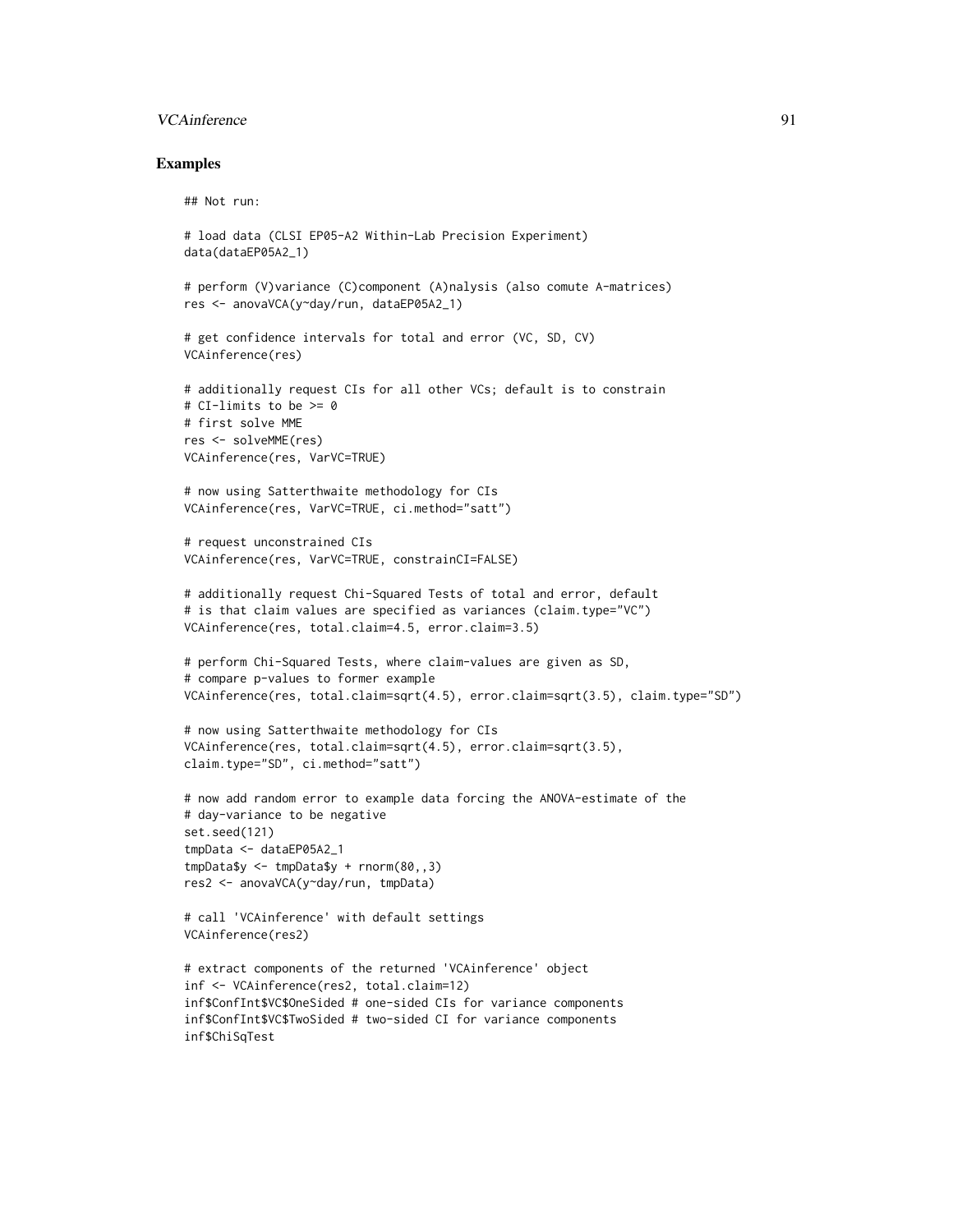# VCAinference 91

#### Examples

```
## Not run:
# load data (CLSI EP05-A2 Within-Lab Precision Experiment)
data(dataEP05A2_1)
# perform (V)variance (C)component (A)nalysis (also comute A-matrices)
res <- anovaVCA(y~day/run, dataEP05A2_1)
# get confidence intervals for total and error (VC, SD, CV)
VCAinference(res)
# additionally request CIs for all other VCs; default is to constrain
# CI-limits to be >= 0
# first solve MME
res <- solveMME(res)
VCAinference(res, VarVC=TRUE)
# now using Satterthwaite methodology for CIs
VCAinference(res, VarVC=TRUE, ci.method="satt")
# request unconstrained CIs
VCAinference(res, VarVC=TRUE, constrainCI=FALSE)
# additionally request Chi-Squared Tests of total and error, default
# is that claim values are specified as variances (claim.type="VC")
VCAinference(res, total.claim=4.5, error.claim=3.5)
# perform Chi-Squared Tests, where claim-values are given as SD,
# compare p-values to former example
VCAinference(res, total.claim=sqrt(4.5), error.claim=sqrt(3.5), claim.type="SD")
# now using Satterthwaite methodology for CIs
VCAinference(res, total.claim=sqrt(4.5), error.claim=sqrt(3.5),
claim.type="SD", ci.method="satt")
# now add random error to example data forcing the ANOVA-estimate of the
# day-variance to be negative
set.seed(121)
tmpData <- dataEP05A2_1
tmpData$y <- tmpData$y + rnorm(80,,3)
res2 <- anovaVCA(y~day/run, tmpData)
# call 'VCAinference' with default settings
VCAinference(res2)
# extract components of the returned 'VCAinference' object
inf <- VCAinference(res2, total.claim=12)
inf$ConfInt$VC$OneSided # one-sided CIs for variance components
inf$ConfInt$VC$TwoSided # two-sided CI for variance components
inf$ChiSqTest
```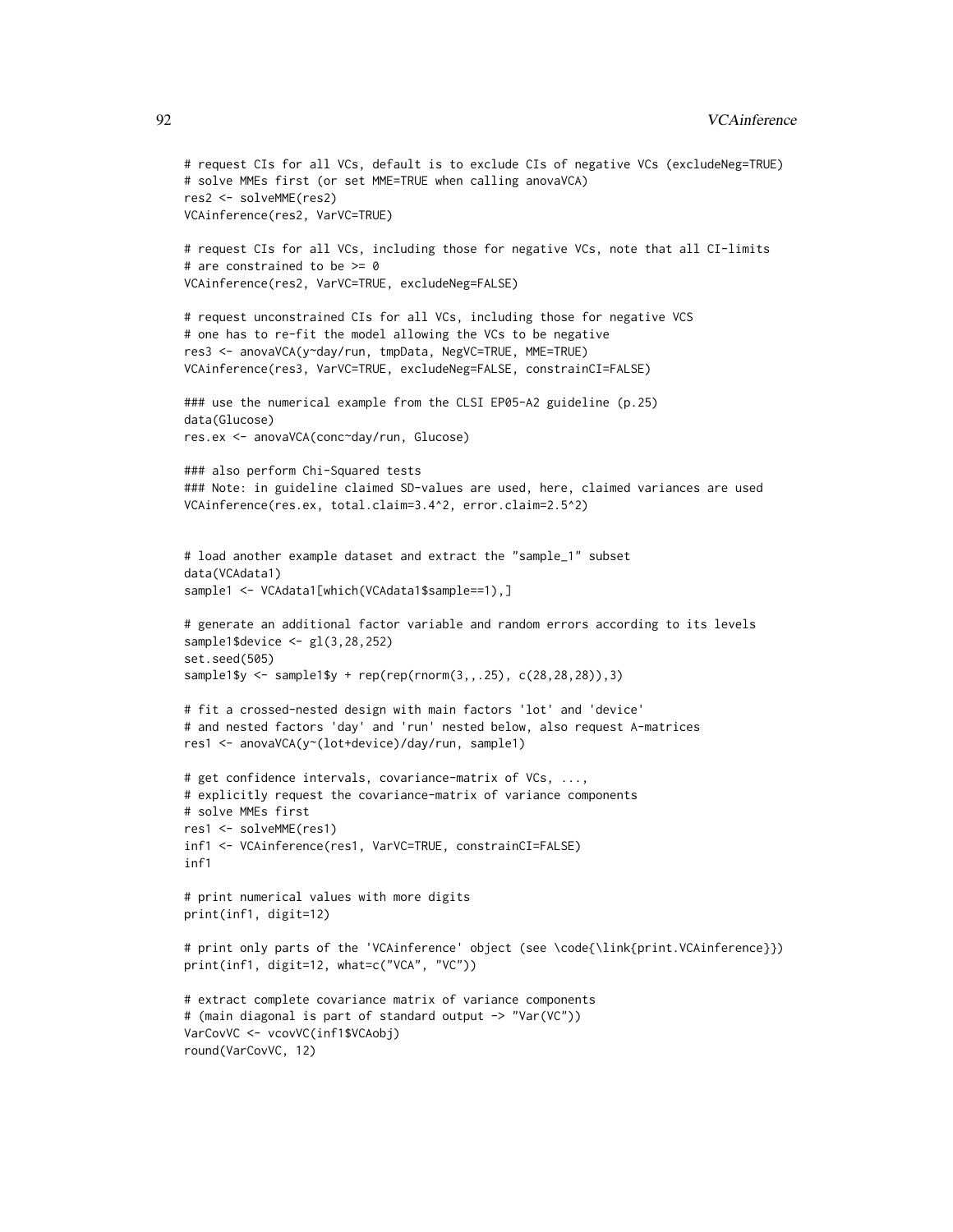```
# request CIs for all VCs, default is to exclude CIs of negative VCs (excludeNeg=TRUE)
# solve MMEs first (or set MME=TRUE when calling anovaVCA)
res2 <- solveMME(res2)
VCAinference(res2, VarVC=TRUE)
# request CIs for all VCs, including those for negative VCs, note that all CI-limits
# are constrained to be >= 0
VCAinference(res2, VarVC=TRUE, excludeNeg=FALSE)
# request unconstrained CIs for all VCs, including those for negative VCS
# one has to re-fit the model allowing the VCs to be negative
res3 <- anovaVCA(y~day/run, tmpData, NegVC=TRUE, MME=TRUE)
VCAinference(res3, VarVC=TRUE, excludeNeg=FALSE, constrainCI=FALSE)
### use the numerical example from the CLSI EP05-A2 guideline (p.25)
data(Glucose)
res.ex <- anovaVCA(conc~day/run, Glucose)
### also perform Chi-Squared tests
### Note: in guideline claimed SD-values are used, here, claimed variances are used
VCAinference(res.ex, total.claim=3.4^2, error.claim=2.5^2)
# load another example dataset and extract the "sample_1" subset
data(VCAdata1)
sample1 <- VCAdata1[which(VCAdata1$sample==1),]
# generate an additional factor variable and random errors according to its levels
sample1$device <- gl(3,28,252)
set.seed(505)
sample1$y <- sample1$y + rep(rep(rnorm(3,,.25), c(28,28,28)),3)
# fit a crossed-nested design with main factors 'lot' and 'device'
# and nested factors 'day' and 'run' nested below, also request A-matrices
res1 <- anovaVCA(y~(lot+device)/day/run, sample1)
# get confidence intervals, covariance-matrix of VCs, ...,
# explicitly request the covariance-matrix of variance components
# solve MMEs first
res1 <- solveMME(res1)
inf1 <- VCAinference(res1, VarVC=TRUE, constrainCI=FALSE)
inf1
# print numerical values with more digits
print(inf1, digit=12)
# print only parts of the 'VCAinference' object (see \code{\link{print.VCAinference}})
print(inf1, digit=12, what=c("VCA", "VC"))
# extract complete covariance matrix of variance components
# (main diagonal is part of standard output -> "Var(VC"))
VarCovVC <- vcovVC(inf1$VCAobj)
```

```
round(VarCovVC, 12)
```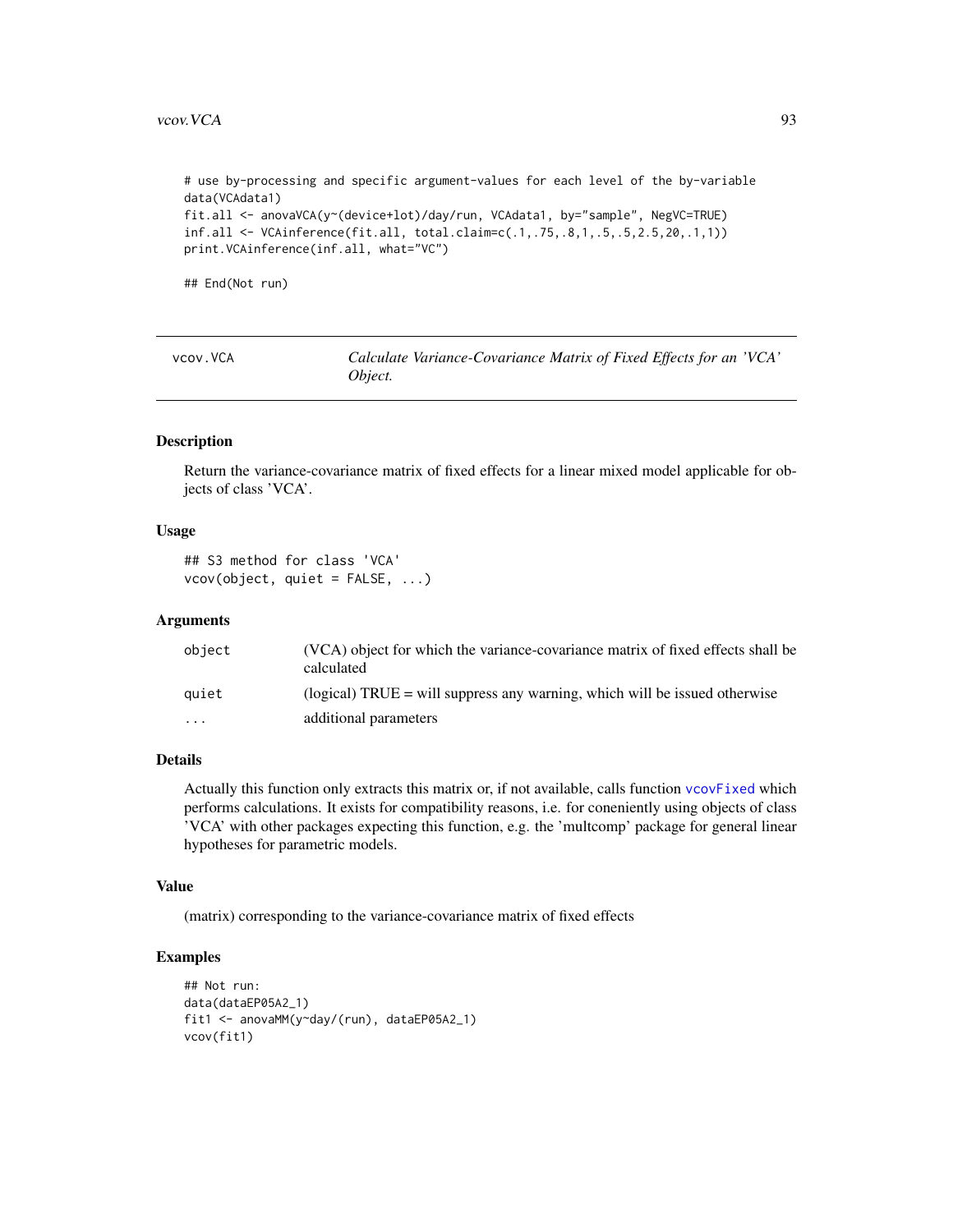<span id="page-92-0"></span># use by-processing and specific argument-values for each level of the by-variable data(VCAdata1) fit.all <- anovaVCA(y~(device+lot)/day/run, VCAdata1, by="sample", NegVC=TRUE) inf.all <- VCAinference(fit.all, total.claim=c(.1,.75,.8,1,.5,.5,2.5,20,.1,1)) print.VCAinference(inf.all, what="VC")

## End(Not run)

| vcov. VCA | Calculate Variance-Covariance Matrix of Fixed Effects for an 'VCA' |  |
|-----------|--------------------------------------------------------------------|--|
|           | Object.                                                            |  |

# Description

Return the variance-covariance matrix of fixed effects for a linear mixed model applicable for objects of class 'VCA'.

# Usage

```
## S3 method for class 'VCA'
vcov(object, quiet = FALSE, ...)
```
# Arguments

| object    | (VCA) object for which the variance-covariance matrix of fixed effects shall be<br>calculated |
|-----------|-----------------------------------------------------------------------------------------------|
| auiet     | (logical) $TRUE =$ will suppress any warning, which will be issued otherwise                  |
| $\ddotsc$ | additional parameters                                                                         |

# Details

Actually this function only extracts this matrix or, if not available, calls function [vcovFixed](#page-93-0) which performs calculations. It exists for compatibility reasons, i.e. for coneniently using objects of class 'VCA' with other packages expecting this function, e.g. the 'multcomp' package for general linear hypotheses for parametric models.

#### Value

(matrix) corresponding to the variance-covariance matrix of fixed effects

# Examples

```
## Not run:
data(dataEP05A2_1)
fit1 <- anovaMM(y~day/(run), dataEP05A2_1)
vcov(fit1)
```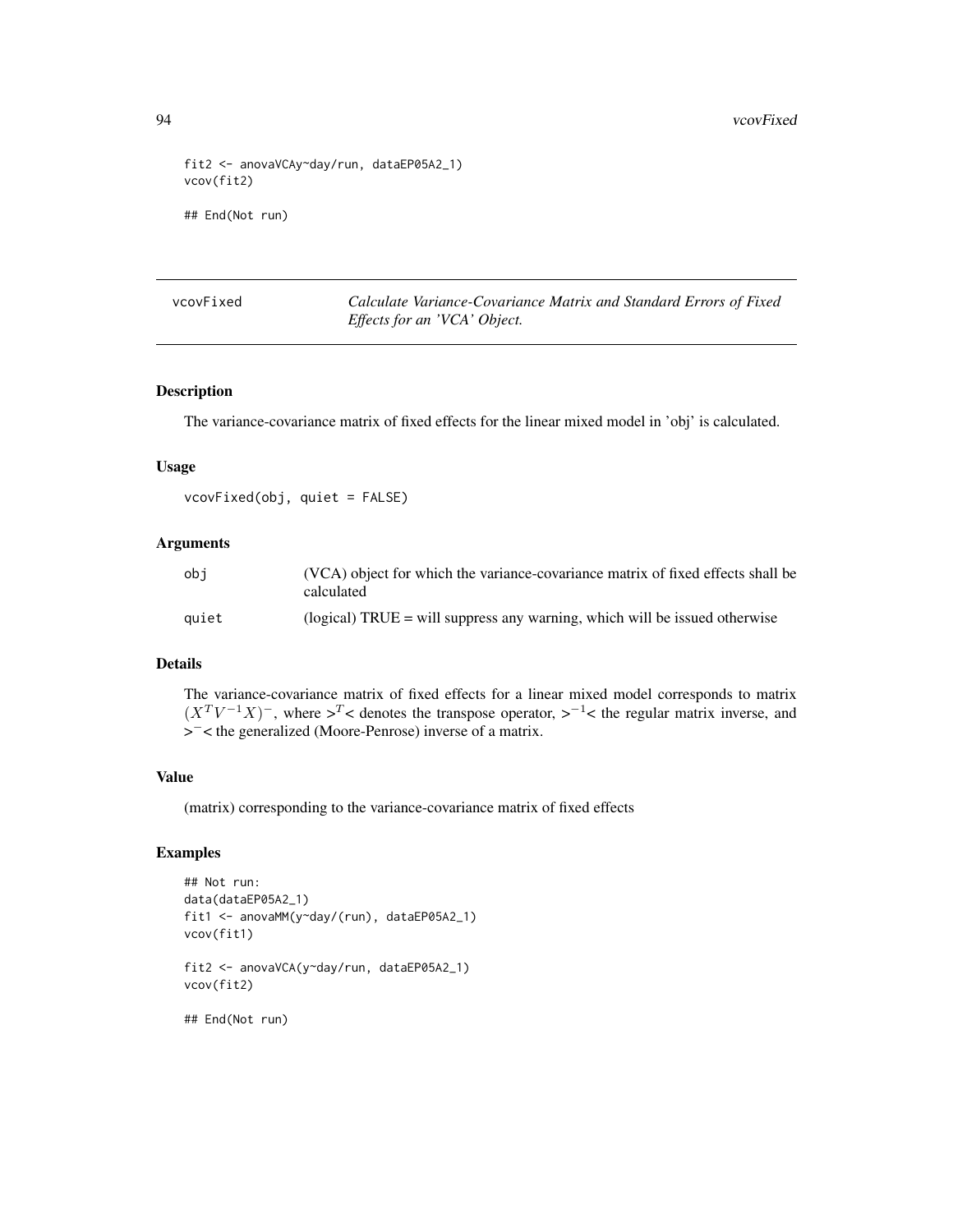```
fit2 <- anovaVCAy~day/run, dataEP05A2_1)
vcov(fit2)
## End(Not run)
```
<span id="page-93-0"></span>

| vcovFixed |  |
|-----------|--|
|-----------|--|

Calculate Variance-Covariance Matrix and Standard Errors of Fixed *Effects for an 'VCA' Object.*

# Description

The variance-covariance matrix of fixed effects for the linear mixed model in 'obj' is calculated.

# Usage

vcovFixed(obj, quiet = FALSE)

# Arguments

| obi   | (VCA) object for which the variance-covariance matrix of fixed effects shall be<br>calculated |
|-------|-----------------------------------------------------------------------------------------------|
| auiet | $\alpha$ (logical) TRUE = will suppress any warning, which will be issued otherwise           |

# Details

The variance-covariance matrix of fixed effects for a linear mixed model corresponds to matrix  $(X^T V^{-1} X)^-$ , where  $>^T$  < denotes the transpose operator,  $>^{-1}$  < the regular matrix inverse, and > <sup>−</sup>< the generalized (Moore-Penrose) inverse of a matrix.

#### Value

(matrix) corresponding to the variance-covariance matrix of fixed effects

# Examples

```
## Not run:
data(dataEP05A2_1)
fit1 <- anovaMM(y~day/(run), dataEP05A2_1)
vcov(fit1)
fit2 <- anovaVCA(y~day/run, dataEP05A2_1)
vcov(fit2)
```
## End(Not run)

<span id="page-93-1"></span>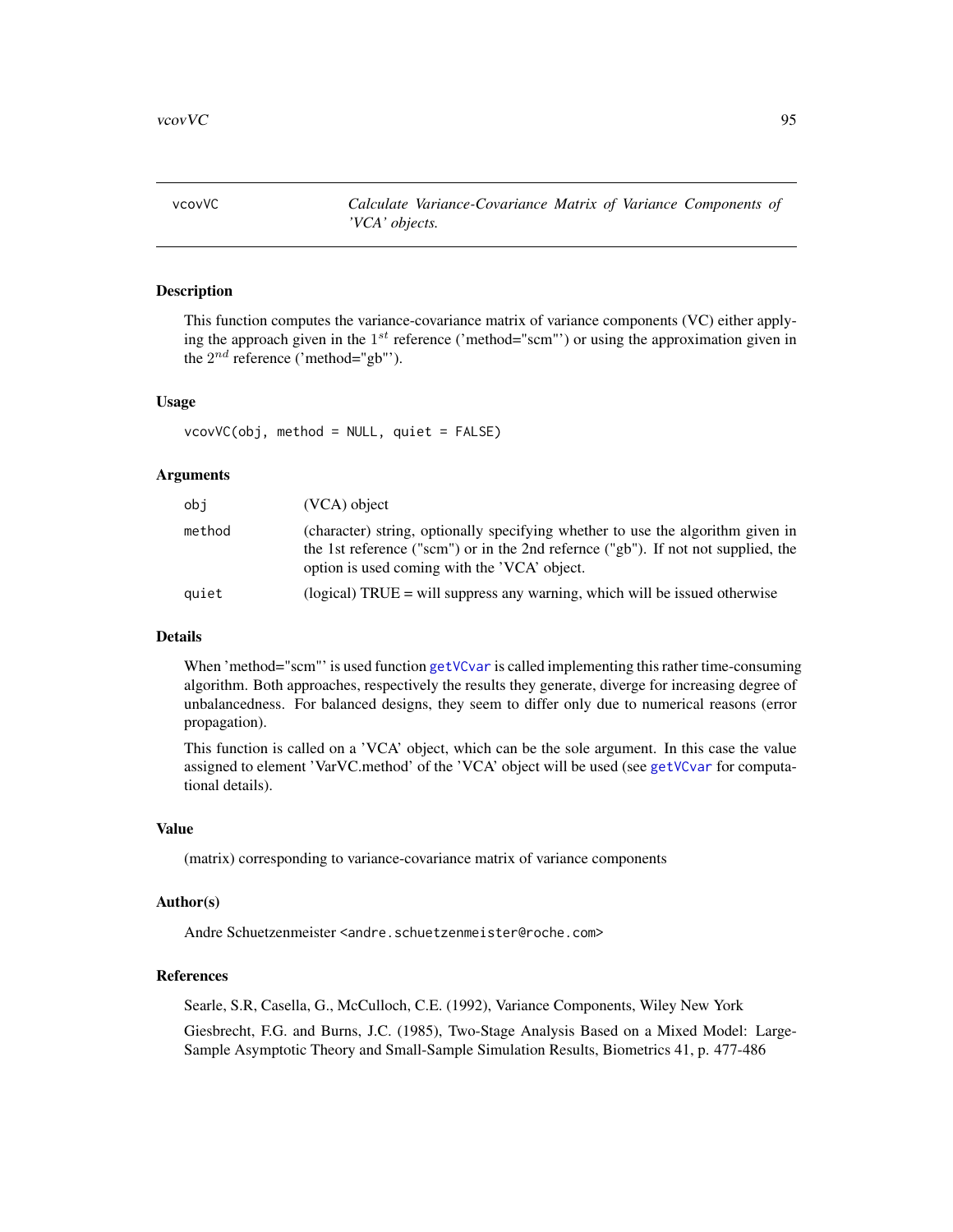<span id="page-94-1"></span><span id="page-94-0"></span>vcovVC *Calculate Variance-Covariance Matrix of Variance Components of 'VCA' objects.*

# Description

This function computes the variance-covariance matrix of variance components (VC) either applying the approach given in the  $1^{st}$  reference ('method="scm"') or using the approximation given in the  $2^{nd}$  reference ('method="gb"').

#### Usage

 $vcovVC(obj, method = NULL, quiet = FALSE)$ 

# **Arguments**

| obi    | $(VCA)$ object                                                                                                                                                                                                       |
|--------|----------------------------------------------------------------------------------------------------------------------------------------------------------------------------------------------------------------------|
| method | (character) string, optionally specifying whether to use the algorithm given in<br>the 1st reference ("scm") or in the 2nd refernce ("gb"). If not not supplied, the<br>option is used coming with the 'VCA' object. |
| quiet  | (logical) $TRUE = will$ suppress any warning, which will be issued otherwise                                                                                                                                         |

# Details

When 'method="scm"' is used function [getVCvar](#page-42-0) is called implementing this rather time-consuming algorithm. Both approaches, respectively the results they generate, diverge for increasing degree of unbalancedness. For balanced designs, they seem to differ only due to numerical reasons (error propagation).

This function is called on a 'VCA' object, which can be the sole argument. In this case the value assigned to element 'VarVC.method' of the 'VCA' object will be used (see [getVCvar](#page-42-0) for computational details).

#### Value

(matrix) corresponding to variance-covariance matrix of variance components

#### Author(s)

Andre Schuetzenmeister <andre.schuetzenmeister@roche.com>

# References

Searle, S.R, Casella, G., McCulloch, C.E. (1992), Variance Components, Wiley New York

Giesbrecht, F.G. and Burns, J.C. (1985), Two-Stage Analysis Based on a Mixed Model: Large-Sample Asymptotic Theory and Small-Sample Simulation Results, Biometrics 41, p. 477-486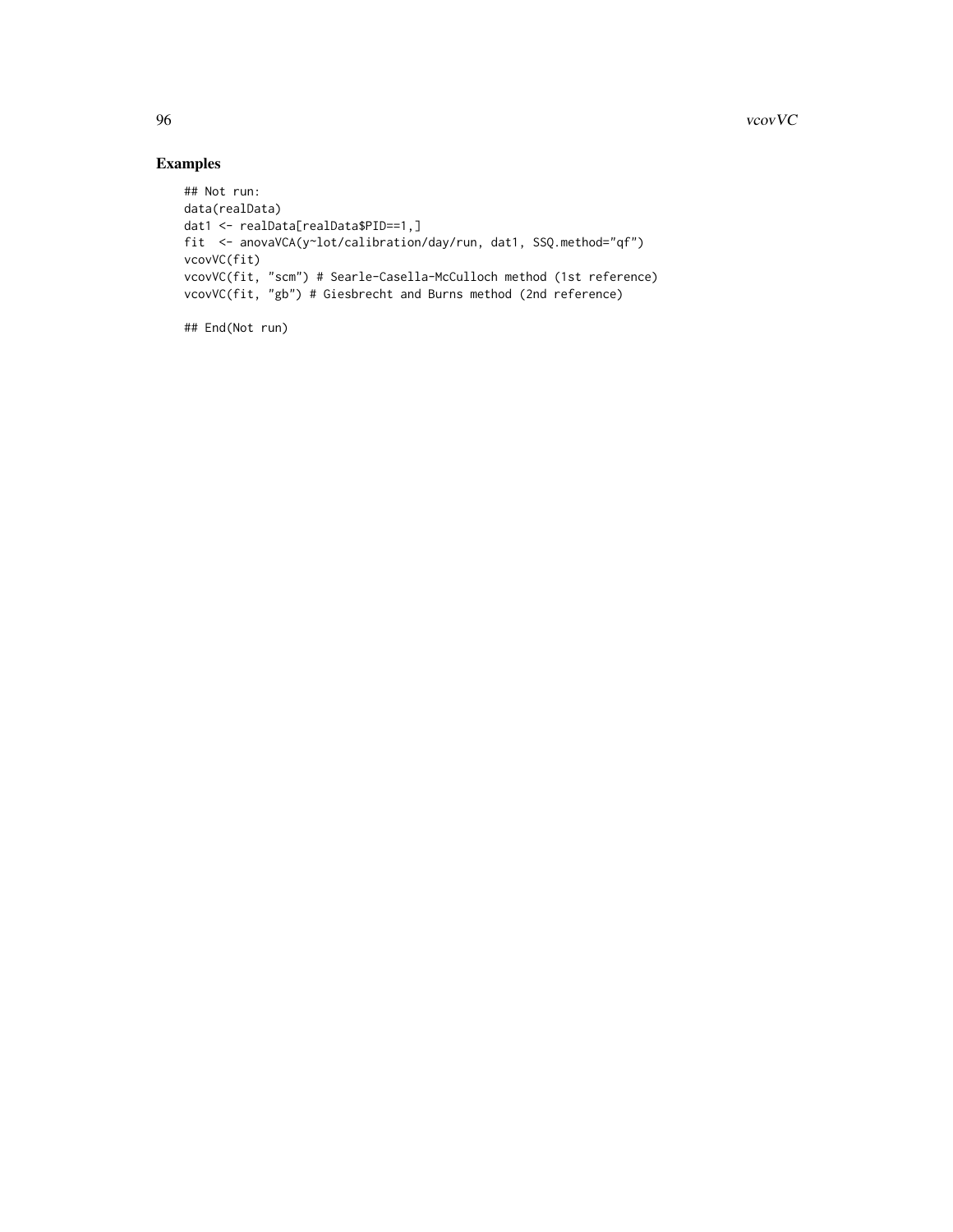# Examples

```
## Not run:
data(realData)
dat1 <- realData[realData$PID==1,]
fit <- anovaVCA(y~lot/calibration/day/run, dat1, SSQ.method="qf")
vcovVC(fit)
vcovVC(fit, "scm") # Searle-Casella-McCulloch method (1st reference)
vcovVC(fit, "gb") # Giesbrecht and Burns method (2nd reference)
```
## End(Not run)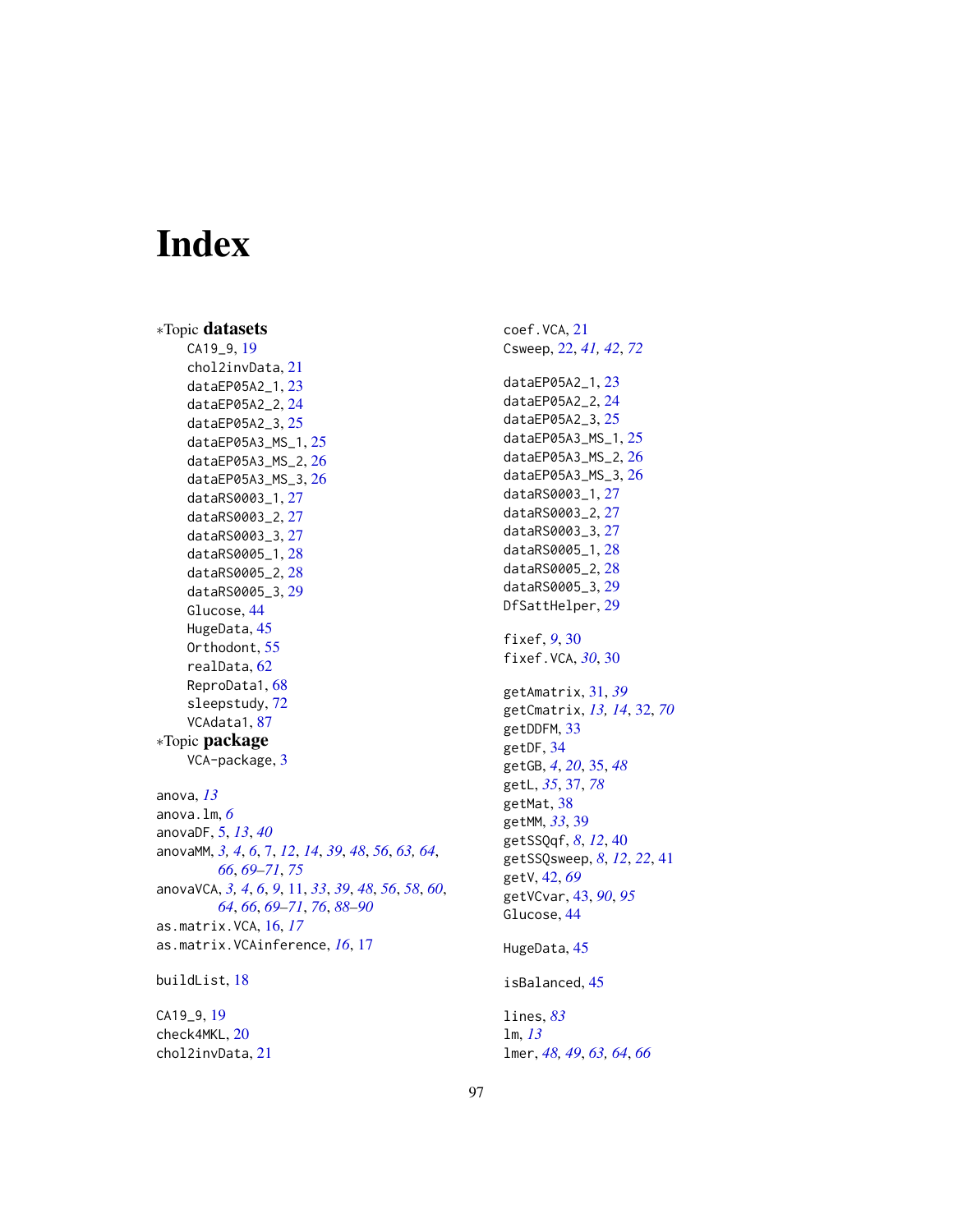# Index

∗Topic datasets CA19\_9, [19](#page-18-0) chol2invData, [21](#page-20-0) dataEP05A2\_1, [23](#page-22-0) dataEP05A2\_2, [24](#page-23-0) dataEP05A2\_3, [25](#page-24-0) dataEP05A3\_MS\_1, [25](#page-24-0) dataEP05A3\_MS\_2, [26](#page-25-0) dataEP05A3\_MS\_3, [26](#page-25-0) dataRS0003\_1, [27](#page-26-0) dataRS0003\_2, [27](#page-26-0) dataRS0003\_3, [27](#page-26-0) dataRS0005\_1, [28](#page-27-0) dataRS0005\_2, [28](#page-27-0) dataRS0005\_3, [29](#page-28-0) Glucose, [44](#page-43-0) HugeData, [45](#page-44-0) Orthodont, [55](#page-54-0) realData, [62](#page-61-0) ReproData1, [68](#page-67-0) sleepstudy, [72](#page-71-0) VCAdata1, [87](#page-86-0) ∗Topic package VCA-package, [3](#page-2-0) anova, *[13](#page-12-0)* anova.lm, *[6](#page-5-0)* anovaDF, [5,](#page-4-0) *[13](#page-12-0)*, *[40](#page-39-0)* anovaMM, *[3,](#page-2-0) [4](#page-3-0)*, *[6](#page-5-0)*, [7,](#page-6-1) *[12](#page-11-0)*, *[14](#page-13-0)*, *[39](#page-38-0)*, *[48](#page-47-0)*, *[56](#page-55-0)*, *[63,](#page-62-0) [64](#page-63-0)*, *[66](#page-65-0)*, *[69](#page-68-0)[–71](#page-70-0)*, *[75](#page-74-0)* anovaVCA, *[3,](#page-2-0) [4](#page-3-0)*, *[6](#page-5-0)*, *[9](#page-8-0)*, [11,](#page-10-1) *[33](#page-32-0)*, *[39](#page-38-0)*, *[48](#page-47-0)*, *[56](#page-55-0)*, *[58](#page-57-0)*, *[60](#page-59-0)*, *[64](#page-63-0)*, *[66](#page-65-0)*, *[69](#page-68-0)[–71](#page-70-0)*, *[76](#page-75-1)*, *[88–](#page-87-1)[90](#page-89-0)* as.matrix.VCA, [16,](#page-15-0) *[17](#page-16-0)* as.matrix.VCAinference, *[16](#page-15-0)*, [17](#page-16-0) buildList, [18](#page-17-0)

CA19\_9, [19](#page-18-0) check4MKL, [20](#page-19-0) chol2invData, [21](#page-20-0) coef.VCA, [21](#page-20-0) Csweep, [22,](#page-21-0) *[41,](#page-40-0) [42](#page-41-0)*, *[72](#page-71-0)* dataEP05A2\_1, [23](#page-22-0) dataEP05A2\_2, [24](#page-23-0) dataEP05A2\_3, [25](#page-24-0) dataEP05A3\_MS\_1, [25](#page-24-0) dataEP05A3\_MS\_2, [26](#page-25-0) dataEP05A3\_MS\_3, [26](#page-25-0) dataRS0003\_1, [27](#page-26-0) dataRS0003\_2, [27](#page-26-0) dataRS0003\_3, [27](#page-26-0) dataRS0005\_1, [28](#page-27-0) dataRS0005\_2, [28](#page-27-0) dataRS0005\_3, [29](#page-28-0) DfSattHelper, [29](#page-28-0) fixef, *[9](#page-8-0)*, [30](#page-29-0) fixef.VCA, *[30](#page-29-0)*, [30](#page-29-0) getAmatrix, [31,](#page-30-0) *[39](#page-38-0)* getCmatrix, *[13,](#page-12-0) [14](#page-13-0)*, [32,](#page-31-0) *[70](#page-69-1)* getDDFM, [33](#page-32-0) getDF, [34](#page-33-0) getGB, *[4](#page-3-0)*, *[20](#page-19-0)*, [35,](#page-34-0) *[48](#page-47-0)* getL, *[35](#page-34-0)*, [37,](#page-36-1) *[78](#page-77-0)* getMat, [38](#page-37-0) getMM, *[33](#page-32-0)*, [39](#page-38-0) getSSQqf, *[8](#page-7-0)*, *[12](#page-11-0)*, [40](#page-39-0) getSSQsweep, *[8](#page-7-0)*, *[12](#page-11-0)*, *[22](#page-21-0)*, [41](#page-40-0) getV, [42,](#page-41-0) *[69](#page-68-0)* getVCvar, [43,](#page-42-1) *[90](#page-89-0)*, *[95](#page-94-1)* Glucose, [44](#page-43-0) HugeData, [45](#page-44-0) isBalanced, [45](#page-44-0) lines, *[83](#page-82-0)*

lm, *[13](#page-12-0)* lmer, *[48,](#page-47-0) [49](#page-48-0)*, *[63,](#page-62-0) [64](#page-63-0)*, *[66](#page-65-0)*